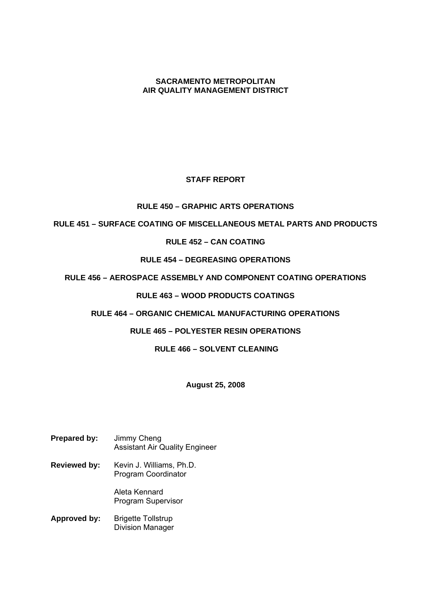## **SACRAMENTO METROPOLITAN AIR QUALITY MANAGEMENT DISTRICT**

# **STAFF REPORT**

## **RULE 450 – GRAPHIC ARTS OPERATIONS**

## **RULE 451 – SURFACE COATING OF MISCELLANEOUS METAL PARTS AND PRODUCTS**

## **RULE 452 – CAN COATING**

# **RULE 454 – DEGREASING OPERATIONS**

# **RULE 456 – AEROSPACE ASSEMBLY AND COMPONENT COATING OPERATIONS**

# **RULE 463 – WOOD PRODUCTS COATINGS**

## **RULE 464 – ORGANIC CHEMICAL MANUFACTURING OPERATIONS**

## **RULE 465 – POLYESTER RESIN OPERATIONS**

## **RULE 466 – SOLVENT CLEANING**

## **August 25, 2008**

#### **Prepared by:** Jimmy Cheng Assistant Air Quality Engineer

**Reviewed by:** Kevin J. Williams, Ph.D. Program Coordinator

> Aleta Kennard Program Supervisor

**Approved by:** Brigette Tollstrup Division Manager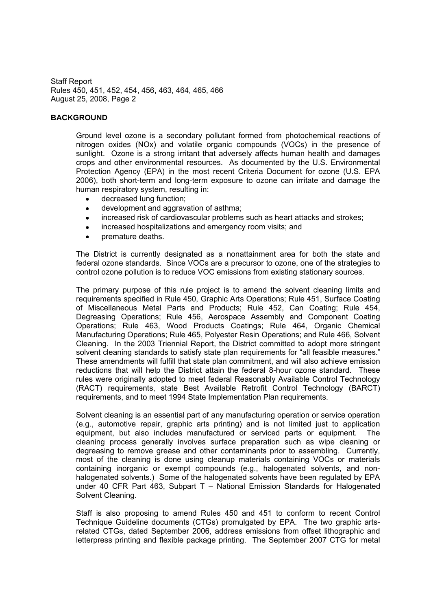#### **BACKGROUND**

Ground level ozone is a secondary pollutant formed from photochemical reactions of nitrogen oxides (NOx) and volatile organic compounds (VOCs) in the presence of sunlight. Ozone is a strong irritant that adversely affects human health and damages crops and other environmental resources. As documented by the U.S. Environmental Protection Agency (EPA) in the most recent Criteria Document for ozone (U.S. EPA 2006), both short-term and long-term exposure to ozone can irritate and damage the human respiratory system, resulting in:

- decreased lung function;
- development and aggravation of asthma;  $\bullet$
- increased risk of cardiovascular problems such as heart attacks and strokes;  $\bullet$
- increased hospitalizations and emergency room visits; and  $\bullet$
- premature deaths.

The District is currently designated as a nonattainment area for both the state and federal ozone standards. Since VOCs are a precursor to ozone, one of the strategies to control ozone pollution is to reduce VOC emissions from existing stationary sources.

The primary purpose of this rule project is to amend the solvent cleaning limits and requirements specified in Rule 450, Graphic Arts Operations; Rule 451, Surface Coating of Miscellaneous Metal Parts and Products; Rule 452, Can Coating; Rule 454, Degreasing Operations; Rule 456, Aerospace Assembly and Component Coating Operations; Rule 463, Wood Products Coatings; Rule 464, Organic Chemical Manufacturing Operations; Rule 465, Polyester Resin Operations; and Rule 466, Solvent Cleaning. In the 2003 Triennial Report, the District committed to adopt more stringent solvent cleaning standards to satisfy state plan requirements for "all feasible measures." These amendments will fulfill that state plan commitment, and will also achieve emission reductions that will help the District attain the federal 8-hour ozone standard. These rules were originally adopted to meet federal Reasonably Available Control Technology (RACT) requirements, state Best Available Retrofit Control Technology (BARCT) requirements, and to meet 1994 State Implementation Plan requirements.

Solvent cleaning is an essential part of any manufacturing operation or service operation (e.g., automotive repair, graphic arts printing) and is not limited just to application equipment, but also includes manufactured or serviced parts or equipment. The cleaning process generally involves surface preparation such as wipe cleaning or degreasing to remove grease and other contaminants prior to assembling. Currently, most of the cleaning is done using cleanup materials containing VOCs or materials containing inorganic or exempt compounds (e.g., halogenated solvents, and nonhalogenated solvents.) Some of the halogenated solvents have been regulated by EPA under 40 CFR Part 463, Subpart  $T -$  National Emission Standards for Halogenated Solvent Cleaning.

Staff is also proposing to amend Rules 450 and 451 to conform to recent Control Technique Guideline documents (CTGs) promulgated by EPA. The two graphic artsrelated CTGs, dated September 2006, address emissions from offset lithographic and letterpress printing and flexible package printing. The September 2007 CTG for metal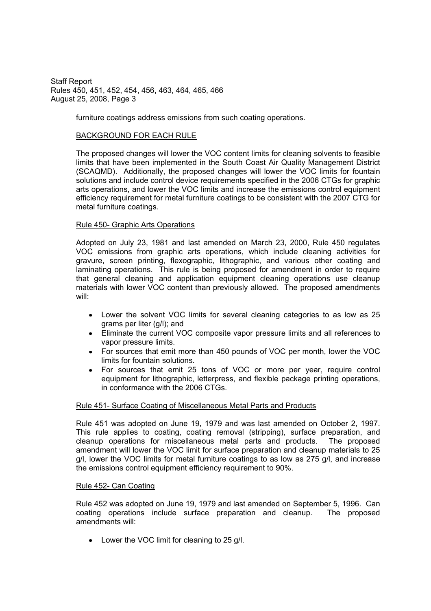furniture coatings address emissions from such coating operations.

### BACKGROUND FOR EACH RULE

The proposed changes will lower the VOC content limits for cleaning solvents to feasible limits that have been implemented in the South Coast Air Quality Management District (SCAQMD). Additionally, the proposed changes will lower the VOC limits for fountain solutions and include control device requirements specified in the 2006 CTGs for graphic arts operations, and lower the VOC limits and increase the emissions control equipment efficiency requirement for metal furniture coatings to be consistent with the 2007 CTG for metal furniture coatings.

## Rule 450- Graphic Arts Operations

Adopted on July 23, 1981 and last amended on March 23, 2000, Rule 450 regulates VOC emissions from graphic arts operations, which include cleaning activities for gravure, screen printing, flexographic, lithographic, and various other coating and laminating operations. This rule is being proposed for amendment in order to require that general cleaning and application equipment cleaning operations use cleanup materials with lower VOC content than previously allowed. The proposed amendments will:

- Lower the solvent VOC limits for several cleaning categories to as low as 25 grams per liter (g/l); and
- Eliminate the current VOC composite vapor pressure limits and all references to vapor pressure limits.
- For sources that emit more than 450 pounds of VOC per month, lower the VOC limits for fountain solutions.
- For sources that emit 25 tons of VOC or more per year, require control  $\bullet$ equipment for lithographic, letterpress, and flexible package printing operations, in conformance with the 2006 CTGs.

### Rule 451- Surface Coating of Miscellaneous Metal Parts and Products

Rule 451 was adopted on June 19, 1979 and was last amended on October 2, 1997. This rule applies to coating, coating removal (stripping), surface preparation, and cleanup operations for miscellaneous metal parts and products. The proposed amendment will lower the VOC limit for surface preparation and cleanup materials to 25 g/l, lower the VOC limits for metal furniture coatings to as low as 275 g/l, and increase the emissions control equipment efficiency requirement to 90%.

### Rule 452- Can Coating

Rule 452 was adopted on June 19, 1979 and last amended on September 5, 1996. Can coating operations include surface preparation and cleanup. The proposed amendments will:

• Lower the VOC limit for cleaning to 25 g/l.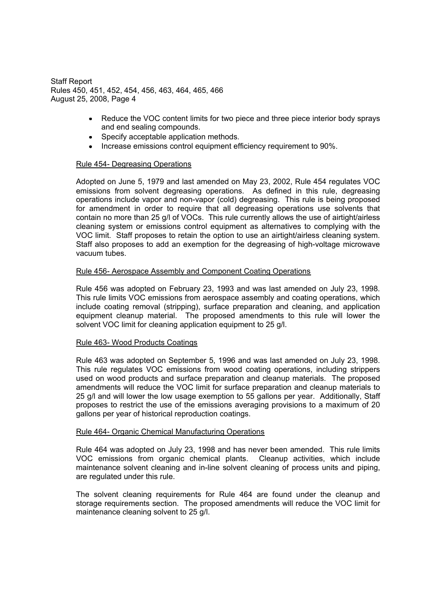- $\bullet$ Reduce the VOC content limits for two piece and three piece interior body sprays and end sealing compounds.
- Specify acceptable application methods.
- Increase emissions control equipment efficiency requirement to 90%.

## Rule 454- Degreasing Operations

Adopted on June 5, 1979 and last amended on May 23, 2002, Rule 454 regulates VOC emissions from solvent degreasing operations. As defined in this rule, degreasing operations include vapor and non-vapor (cold) degreasing. This rule is being proposed for amendment in order to require that all degreasing operations use solvents that contain no more than 25 g/l of VOCs. This rule currently allows the use of airtight/airless cleaning system or emissions control equipment as alternatives to complying with the VOC limit. Staff proposes to retain the option to use an airtight/airless cleaning system. Staff also proposes to add an exemption for the degreasing of high-voltage microwave vacuum tubes.

### Rule 456- Aerospace Assembly and Component Coating Operations

Rule 456 was adopted on February 23, 1993 and was last amended on July 23, 1998. This rule limits VOC emissions from aerospace assembly and coating operations, which include coating removal (stripping), surface preparation and cleaning, and application equipment cleanup material. The proposed amendments to this rule will lower the solvent VOC limit for cleaning application equipment to 25 g/l.

### Rule 463- Wood Products Coatings

Rule 463 was adopted on September 5, 1996 and was last amended on July 23, 1998. This rule regulates VOC emissions from wood coating operations, including strippers used on wood products and surface preparation and cleanup materials. The proposed amendments will reduce the VOC limit for surface preparation and cleanup materials to 25 g/l and will lower the low usage exemption to 55 gallons per year. Additionally, Staff proposes to restrict the use of the emissions averaging provisions to a maximum of 20 gallons per year of historical reproduction coatings.

### Rule 464- Organic Chemical Manufacturing Operations

Rule 464 was adopted on July 23, 1998 and has never been amended. This rule limits VOC emissions from organic chemical plants. Cleanup activities, which include maintenance solvent cleaning and in-line solvent cleaning of process units and piping, are regulated under this rule.

The solvent cleaning requirements for Rule 464 are found under the cleanup and storage requirements section. The proposed amendments will reduce the VOC limit for maintenance cleaning solvent to 25 g/l.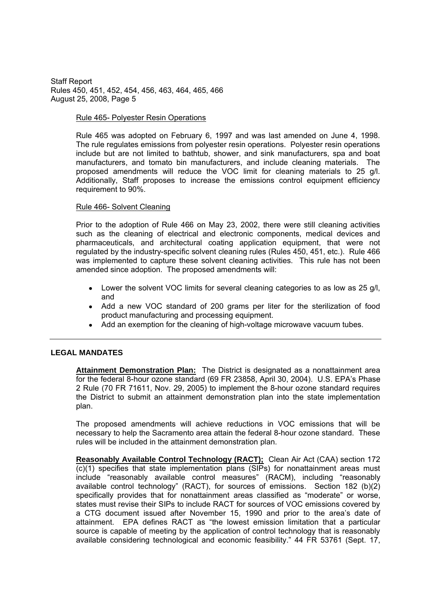### Rule 465- Polyester Resin Operations

Rule 465 was adopted on February 6, 1997 and was last amended on June 4, 1998. The rule regulates emissions from polyester resin operations. Polyester resin operations include but are not limited to bathtub, shower, and sink manufacturers, spa and boat manufacturers, and tomato bin manufacturers, and include cleaning materials. The proposed amendments will reduce the VOC limit for cleaning materials to 25 g/l. Additionally, Staff proposes to increase the emissions control equipment efficiency requirement to 90%.

## Rule 466- Solvent Cleaning

Prior to the adoption of Rule 466 on May 23, 2002, there were still cleaning activities such as the cleaning of electrical and electronic components, medical devices and pharmaceuticals, and architectural coating application equipment, that were not regulated by the industry-specific solvent cleaning rules (Rules 450, 451, etc.). Rule 466 was implemented to capture these solvent cleaning activities. This rule has not been amended since adoption. The proposed amendments will:

- Lower the solvent VOC limits for several cleaning categories to as low as 25 g/l, and
- Add a new VOC standard of 200 grams per liter for the sterilization of food product manufacturing and processing equipment.
- Add an exemption for the cleaning of high-voltage microwave vacuum tubes.

### **LEGAL MANDATES**

Attainment Demonstration Plan: The District is designated as a nonattainment area for the federal 8-hour ozone standard (69 FR 23858, April 30, 2004). U.S. EPA's Phase 2 Rule (70 FR 71611, Nov. 29, 2005) to implement the 8-hour ozone standard requires the District to submit an attainment demonstration plan into the state implementation plan.

The proposed amendments will achieve reductions in VOC emissions that will be necessary to help the Sacramento area attain the federal 8-hour ozone standard. These rules will be included in the attainment demonstration plan.

**Reasonably Available Control Technology (RACT);** Clean Air Act (CAA) section 172 (c)(1) specifies that state implementation plans (SIPs) for nonattainment areas must include "reasonably available control measures" (RACM), including "reasonably available control technology" (RACT), for sources of emissions. Section  $182$  (b)(2) specifically provides that for nonattainment areas classified as "moderate" or worse, states must revise their SIPs to include RACT for sources of VOC emissions covered by a CTG document issued after November 15, 1990 and prior to the area's date of attainment. EPA defines RACT as "the lowest emission limitation that a particular source is capable of meeting by the application of control technology that is reasonably available considering technological and economic feasibility." 44 FR 53761 (Sept. 17,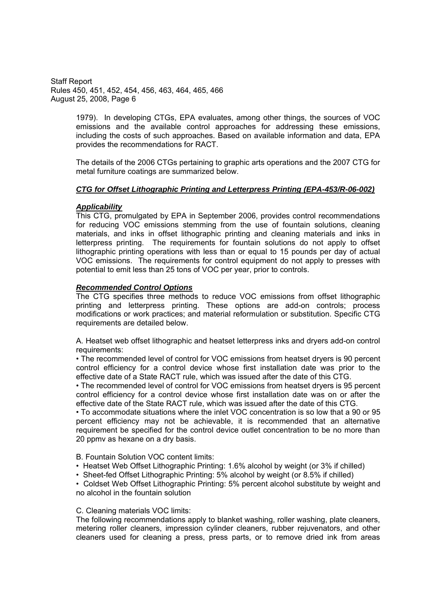> 1979). In developing CTGs, EPA evaluates, among other things, the sources of VOC emissions and the available control approaches for addressing these emissions, including the costs of such approaches. Based on available information and data, EPA provides the recommendations for RACT.

> The details of the 2006 CTGs pertaining to graphic arts operations and the 2007 CTG for metal furniture coatings are summarized below.

## *CTG for Offset Lithographic Printing and Letterpress Printing (EPA-453/R-06-002)*

## *Applicability*

This CTG, promulgated by EPA in September 2006, provides control recommendations for reducing VOC emissions stemming from the use of fountain solutions, cleaning materials, and inks in offset lithographic printing and cleaning materials and inks in letterpress printing. The requirements for fountain solutions do not apply to offset lithographic printing operations with less than or equal to 15 pounds per day of actual VOC emissions. The requirements for control equipment do not apply to presses with potential to emit less than 25 tons of VOC per year, prior to controls.

## *Recommended Control Options*

The CTG specifies three methods to reduce VOC emissions from offset lithographic printing and letterpress printing. These options are add-on controls; process modifications or work practices; and material reformulation or substitution. Specific CTG requirements are detailed below.

A. Heatset web offset lithographic and heatset letterpress inks and dryers add-on control requirements:

 The recommended level of control for VOC emissions from heatset dryers is 90 percent control efficiency for a control device whose first installation date was prior to the effective date of a State RACT rule, which was issued after the date of this CTG.

 The recommended level of control for VOC emissions from heatset dryers is 95 percent control efficiency for a control device whose first installation date was on or after the effective date of the State RACT rule, which was issued after the date of this CTG.

 To accommodate situations where the inlet VOC concentration is so low that a 90 or 95 percent efficiency may not be achievable, it is recommended that an alternative requirement be specified for the control device outlet concentration to be no more than 20 ppmv as hexane on a dry basis.

B. Fountain Solution VOC content limits:

- Heatset Web Offset Lithographic Printing: 1.6% alcohol by weight (or 3% if chilled)
- Sheet-fed Offset Lithographic Printing: 5% alcohol by weight (or 8.5% if chilled)

 Coldset Web Offset Lithographic Printing: 5% percent alcohol substitute by weight and no alcohol in the fountain solution

### C. Cleaning materials VOC limits:

The following recommendations apply to blanket washing, roller washing, plate cleaners, metering roller cleaners, impression cylinder cleaners, rubber rejuvenators, and other cleaners used for cleaning a press, press parts, or to remove dried ink from areas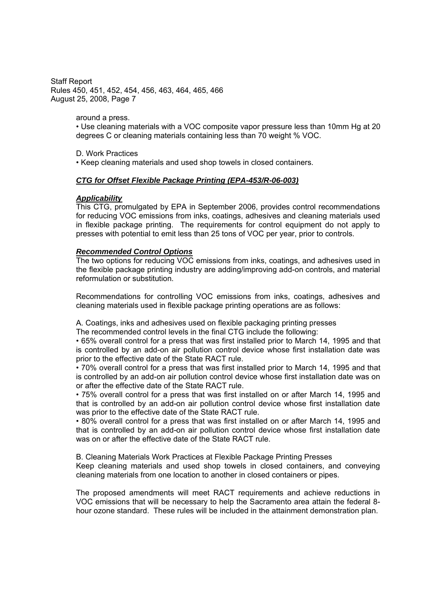around a press.

 Use cleaning materials with a VOC composite vapor pressure less than 10mm Hg at 20 degrees C or cleaning materials containing less than 70 weight % VOC.

D. Work Practices

Keep cleaning materials and used shop towels in closed containers.

### *CTG for Offset Flexible Package Printing (EPA-453/R-06-003)*

#### *Applicability*

This CTG, promulgated by EPA in September 2006, provides control recommendations for reducing VOC emissions from inks, coatings, adhesives and cleaning materials used in flexible package printing. The requirements for control equipment do not apply to presses with potential to emit less than 25 tons of VOC per year, prior to controls.

#### *Recommended Control Options*

The two options for reducing VOC emissions from inks, coatings, and adhesives used in the flexible package printing industry are adding/improving add-on controls, and material reformulation or substitution.

Recommendations for controlling VOC emissions from inks, coatings, adhesives and cleaning materials used in flexible package printing operations are as follows:

A. Coatings, inks and adhesives used on flexible packaging printing presses

The recommended control levels in the final CTG include the following:

 65% overall control for a press that was first installed prior to March 14, 1995 and that is controlled by an add-on air pollution control device whose first installation date was prior to the effective date of the State RACT rule.

 70% overall control for a press that was first installed prior to March 14, 1995 and that is controlled by an add-on air pollution control device whose first installation date was on or after the effective date of the State RACT rule.

 75% overall control for a press that was first installed on or after March 14, 1995 and that is controlled by an add-on air pollution control device whose first installation date was prior to the effective date of the State RACT rule.

 80% overall control for a press that was first installed on or after March 14, 1995 and that is controlled by an add-on air pollution control device whose first installation date was on or after the effective date of the State RACT rule.

B. Cleaning Materials Work Practices at Flexible Package Printing Presses

Keep cleaning materials and used shop towels in closed containers, and conveying cleaning materials from one location to another in closed containers or pipes.

The proposed amendments will meet RACT requirements and achieve reductions in VOC emissions that will be necessary to help the Sacramento area attain the federal 8 hour ozone standard. These rules will be included in the attainment demonstration plan.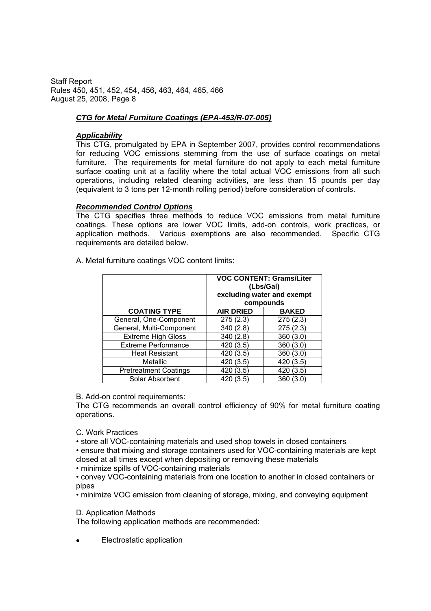# *CTG for Metal Furniture Coatings (EPA-453/R-07-005)*

## *Applicability*

This CTG, promulgated by EPA in September 2007, provides control recommendations for reducing VOC emissions stemming from the use of surface coatings on metal furniture. The requirements for metal furniture do not apply to each metal furniture surface coating unit at a facility where the total actual VOC emissions from all such operations, including related cleaning activities, are less than 15 pounds per day (equivalent to 3 tons per 12-month rolling period) before consideration of controls.

## *Recommended Control Options*

The CTG specifies three methods to reduce VOC emissions from metal furniture coatings. These options are lower VOC limits, add-on controls, work practices, or application methods. Various exemptions are also recommended. Specific CTG requirements are detailed below.

A. Metal furniture coatings VOC content limits:

|                              | <b>VOC CONTENT: Grams/Liter</b><br>(Lbs/Gal)<br>excluding water and exempt<br>compounds |           |  |  |
|------------------------------|-----------------------------------------------------------------------------------------|-----------|--|--|
| <b>COATING TYPE</b>          | <b>AIR DRIED</b><br><b>BAKED</b>                                                        |           |  |  |
| General, One-Component       | 275(2.3)                                                                                | 275(2.3)  |  |  |
| General, Multi-Component     | 340 (2.8)                                                                               | 275(2.3)  |  |  |
| <b>Extreme High Gloss</b>    | 340(2.8)                                                                                | 360(3.0)  |  |  |
| <b>Extreme Performance</b>   | 420 (3.5)                                                                               | 360(3.0)  |  |  |
| <b>Heat Resistant</b>        | 420 (3.5)                                                                               | 360 (3.0) |  |  |
| Metallic                     | 420 (3.5)                                                                               | 420 (3.5) |  |  |
| <b>Pretreatment Coatings</b> | 420 (3.5)                                                                               | 420 (3.5) |  |  |
| Solar Absorbent              | 420 (3.5)                                                                               | 360(3.0)  |  |  |

B. Add-on control requirements:

The CTG recommends an overall control efficiency of 90% for metal furniture coating operations.

- C. Work Practices
- store all VOC-containing materials and used shop towels in closed containers

 ensure that mixing and storage containers used for VOC-containing materials are kept closed at all times except when depositing or removing these materials

minimize spills of VOC-containing materials

 convey VOC-containing materials from one location to another in closed containers or pipes

minimize VOC emission from cleaning of storage, mixing, and conveying equipment

### D. Application Methods

The following application methods are recommended:

Electrostatic application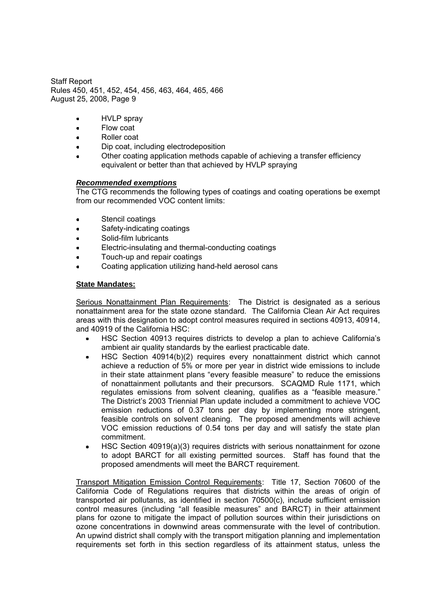- HVLP spray  $\bullet$
- Flow coat  $\bullet$
- Roller coat  $\bullet$
- Dip coat, including electrodeposition
- Other coating application methods capable of achieving a transfer efficiency equivalent or better than that achieved by HVLP spraying

## *Recommended exemptions*

The CTG recommends the following types of coatings and coating operations be exempt from our recommended VOC content limits:

- $\bullet$ Stencil coatings
- Safety-indicating coatings
- Solid-film lubricants
- Electric-insulating and thermal-conducting coatings
- Touch-up and repair coatings
- Coating application utilizing hand-held aerosol cans

## **State Mandates:**

Serious Nonattainment Plan Requirements: The District is designated as a serious nonattainment area for the state ozone standard. The California Clean Air Act requires areas with this designation to adopt control measures required in sections 40913, 40914, and 40919 of the California HSC:

- HSC Section 40913 requires districts to develop a plan to achieve California's ambient air quality standards by the earliest practicable date.
- HSC Section 40914(b)(2) requires every nonattainment district which cannot achieve a reduction of 5% or more per year in district wide emissions to include in their state attainment plans "every feasible measure" to reduce the emissions of nonattainment pollutants and their precursors. SCAQMD Rule 1171, which regulates emissions from solvent cleaning, qualifies as a "feasible measure." The District's 2003 Triennial Plan update included a commitment to achieve VOC emission reductions of 0.37 tons per day by implementing more stringent, feasible controls on solvent cleaning. The proposed amendments will achieve VOC emission reductions of 0.54 tons per day and will satisfy the state plan commitment.
- HSC Section 40919(a)(3) requires districts with serious nonattainment for ozone  $\bullet$ to adopt BARCT for all existing permitted sources. Staff has found that the proposed amendments will meet the BARCT requirement.

Transport Mitigation Emission Control Requirements: Title 17, Section 70600 of the California Code of Regulations requires that districts within the areas of origin of transported air pollutants, as identified in section 70500(c), include sufficient emission control measures (including "all feasible measures" and BARCT) in their attainment plans for ozone to mitigate the impact of pollution sources within their jurisdictions on ozone concentrations in downwind areas commensurate with the level of contribution. An upwind district shall comply with the transport mitigation planning and implementation requirements set forth in this section regardless of its attainment status, unless the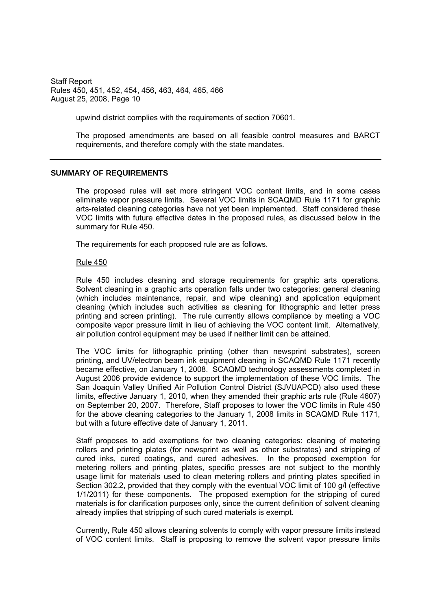upwind district complies with the requirements of section 70601.

The proposed amendments are based on all feasible control measures and BARCT requirements, and therefore comply with the state mandates.

#### **SUMMARY OF REQUIREMENTS**

The proposed rules will set more stringent VOC content limits, and in some cases eliminate vapor pressure limits. Several VOC limits in SCAQMD Rule 1171 for graphic arts-related cleaning categories have not yet been implemented. Staff considered these VOC limits with future effective dates in the proposed rules, as discussed below in the summary for Rule 450.

The requirements for each proposed rule are as follows.

#### Rule 450

Rule 450 includes cleaning and storage requirements for graphic arts operations. Solvent cleaning in a graphic arts operation falls under two categories: general cleaning (which includes maintenance, repair, and wipe cleaning) and application equipment cleaning (which includes such activities as cleaning for lithographic and letter press printing and screen printing). The rule currently allows compliance by meeting a VOC composite vapor pressure limit in lieu of achieving the VOC content limit. Alternatively, air pollution control equipment may be used if neither limit can be attained.

The VOC limits for lithographic printing (other than newsprint substrates), screen printing, and UV/electron beam ink equipment cleaning in SCAQMD Rule 1171 recently became effective, on January 1, 2008. SCAQMD technology assessments completed in August 2006 provide evidence to support the implementation of these VOC limits. The San Joaquin Valley Unified Air Pollution Control District (SJVUAPCD) also used these limits, effective January 1, 2010, when they amended their graphic arts rule (Rule 4607) on September 20, 2007. Therefore, Staff proposes to lower the VOC limits in Rule 450 for the above cleaning categories to the January 1, 2008 limits in SCAQMD Rule 1171, but with a future effective date of January 1, 2011.

Staff proposes to add exemptions for two cleaning categories: cleaning of metering rollers and printing plates (for newsprint as well as other substrates) and stripping of cured inks, cured coatings, and cured adhesives. In the proposed exemption for metering rollers and printing plates, specific presses are not subject to the monthly usage limit for materials used to clean metering rollers and printing plates specified in Section 302.2, provided that they comply with the eventual VOC limit of 100 g/l (effective 1/1/2011) for these components. The proposed exemption for the stripping of cured materials is for clarification purposes only, since the current definition of solvent cleaning already implies that stripping of such cured materials is exempt.

Currently, Rule 450 allows cleaning solvents to comply with vapor pressure limits instead of VOC content limits. Staff is proposing to remove the solvent vapor pressure limits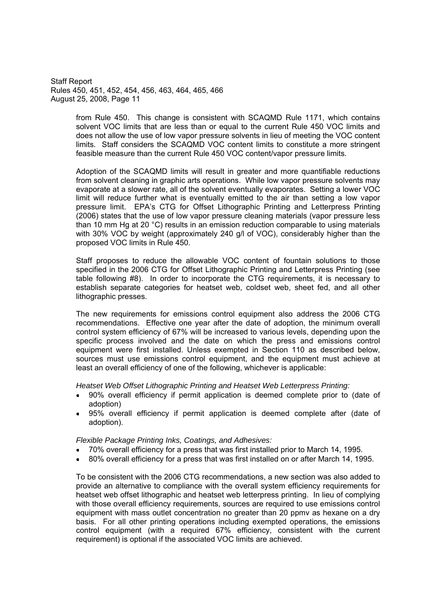> from Rule 450. This change is consistent with SCAQMD Rule 1171, which contains solvent VOC limits that are less than or equal to the current Rule 450 VOC limits and does not allow the use of low vapor pressure solvents in lieu of meeting the VOC content limits. Staff considers the SCAQMD VOC content limits to constitute a more stringent feasible measure than the current Rule 450 VOC content/vapor pressure limits.

> Adoption of the SCAQMD limits will result in greater and more quantifiable reductions from solvent cleaning in graphic arts operations. While low vapor pressure solvents may evaporate at a slower rate, all of the solvent eventually evaporates. Setting a lower VOC limit will reduce further what is eventually emitted to the air than setting a low vapor pressure limit. EPA's CTG for Offset Lithographic Printing and Letterpress Printing (2006) states that the use of low vapor pressure cleaning materials (vapor pressure less than 10 mm Hg at 20 °C) results in an emission reduction comparable to using materials with 30% VOC by weight (approximately 240 g/l of VOC), considerably higher than the proposed VOC limits in Rule 450.

> Staff proposes to reduce the allowable VOC content of fountain solutions to those specified in the 2006 CTG for Offset Lithographic Printing and Letterpress Printing (see table following #8). In order to incorporate the CTG requirements, it is necessary to establish separate categories for heatset web, coldset web, sheet fed, and all other lithographic presses.

> The new requirements for emissions control equipment also address the 2006 CTG recommendations. Effective one year after the date of adoption, the minimum overall control system efficiency of 67% will be increased to various levels, depending upon the specific process involved and the date on which the press and emissions control equipment were first installed. Unless exempted in Section 110 as described below, sources must use emissions control equipment, and the equipment must achieve at least an overall efficiency of one of the following, whichever is applicable:

*Heatset Web Offset Lithographic Printing and Heatset Web Letterpress Printing:*

- 90% overall efficiency if permit application is deemed complete prior to (date of adoption)
- 95% overall efficiency if permit application is deemed complete after (date of adoption).

*Flexible Package Printing Inks, Coatings, and Adhesives:*

- 70% overall efficiency for a press that was first installed prior to March 14, 1995.
- 80% overall efficiency for a press that was first installed on or after March 14, 1995.  $\bullet$

To be consistent with the 2006 CTG recommendations, a new section was also added to provide an alternative to compliance with the overall system efficiency requirements for heatset web offset lithographic and heatset web letterpress printing. In lieu of complying with those overall efficiency requirements, sources are required to use emissions control equipment with mass outlet concentration no greater than 20 ppmv as hexane on a dry basis. For all other printing operations including exempted operations, the emissions control equipment (with a required 67% efficiency, consistent with the current requirement) is optional if the associated VOC limits are achieved.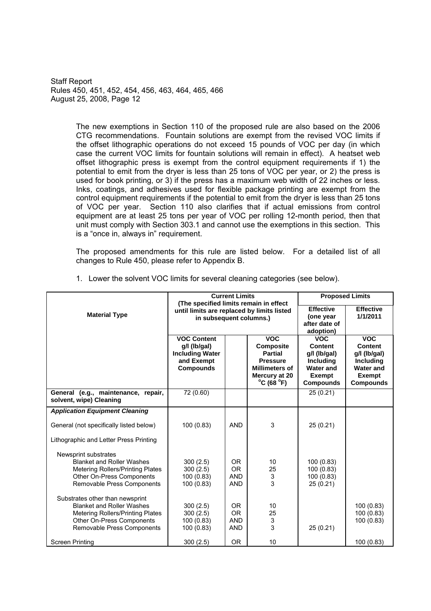> The new exemptions in Section 110 of the proposed rule are also based on the 2006 CTG recommendations. Fountain solutions are exempt from the revised VOC limits if the offset lithographic operations do not exceed 15 pounds of VOC per day (in which case the current VOC limits for fountain solutions will remain in effect). A heatset web offset lithographic press is exempt from the control equipment requirements if 1) the potential to emit from the dryer is less than 25 tons of VOC per year, or 2) the press is used for book printing, or 3) if the press has a maximum web width of 22 inches or less. Inks, coatings, and adhesives used for flexible package printing are exempt from the control equipment requirements if the potential to emit from the dryer is less than 25 tons of VOC per year. Section 110 also clarifies that if actual emissions from control equipment are at least 25 tons per year of VOC per rolling 12-month period, then that unit must comply with Section 303.1 and cannot use the exemptions in this section. This is a "once in, always in" requirement.

> The proposed amendments for this rule are listed below. For a detailed list of all changes to Rule 450, please refer to Appendix B.

|                                                                                                                                                                           |                                                                                                                                                                                                           | <b>Current Limits</b>                  | <b>Proposed Limits</b>                 |                                                                                                             |                                                                                                             |
|---------------------------------------------------------------------------------------------------------------------------------------------------------------------------|-----------------------------------------------------------------------------------------------------------------------------------------------------------------------------------------------------------|----------------------------------------|----------------------------------------|-------------------------------------------------------------------------------------------------------------|-------------------------------------------------------------------------------------------------------------|
| <b>Material Type</b>                                                                                                                                                      | (The specified limits remain in effect<br>until limits are replaced by limits listed<br>in subsequent columns.)                                                                                           |                                        |                                        | <b>Effective</b><br>(one year<br>after date of<br>adoption)                                                 | <b>Effective</b><br>1/1/2011                                                                                |
|                                                                                                                                                                           | <b>VOC</b><br><b>VOC Content</b><br><b>Composite</b><br>$g/l$ (lb/gal)<br><b>Including Water</b><br><b>Partial</b><br>and Exempt<br><b>Pressure</b><br><b>Compounds</b><br>$^{\circ}$ C (68 $^{\circ}$ F) |                                        | <b>Millimeters of</b><br>Mercury at 20 | <b>VOC</b><br>Content<br>q/l (lb/qal)<br><b>Including</b><br><b>Water and</b><br>Exempt<br><b>Compounds</b> | <b>VOC</b><br>Content<br>q/l (lb/qal)<br>Including<br><b>Water and</b><br><b>Exempt</b><br><b>Compounds</b> |
| General (e.g., maintenance, repair,<br>solvent, wipe) Cleaning                                                                                                            | 72(0.60)                                                                                                                                                                                                  |                                        |                                        | 25 (0.21)                                                                                                   |                                                                                                             |
| <b>Application Equipment Cleaning</b>                                                                                                                                     |                                                                                                                                                                                                           |                                        |                                        |                                                                                                             |                                                                                                             |
| General (not specifically listed below)                                                                                                                                   | 100(0.83)                                                                                                                                                                                                 | <b>AND</b>                             | 3                                      | 25(0.21)                                                                                                    |                                                                                                             |
| Lithographic and Letter Press Printing                                                                                                                                    |                                                                                                                                                                                                           |                                        |                                        |                                                                                                             |                                                                                                             |
| Newsprint substrates<br><b>Blanket and Roller Washes</b><br><b>Metering Rollers/Printing Plates</b><br>Other On-Press Components<br><b>Removable Press Components</b>     | 300(2.5)<br>300(2.5)<br>100 (0.83)<br>100 (0.83)                                                                                                                                                          | OR.<br>OR.<br><b>AND</b><br><b>AND</b> | 10<br>25<br>3<br>3                     | 100 (0.83)<br>100 (0.83)<br>100 (0.83)<br>25 (0.21)                                                         |                                                                                                             |
| Substrates other than newsprint<br><b>Blanket and Roller Washes</b><br><b>Metering Rollers/Printing Plates</b><br>Other On-Press Components<br>Removable Press Components | 300(2.5)<br>300(2.5)<br>100 (0.83)<br>100 (0.83)                                                                                                                                                          | OR.<br>OR.<br><b>AND</b><br>AND        | 10<br>25<br>3<br>3                     | 25(0.21)                                                                                                    | 100 (0.83)<br>100 (0.83)<br>100 (0.83)                                                                      |
| <b>Screen Printing</b>                                                                                                                                                    | 300(2.5)                                                                                                                                                                                                  | <b>OR</b>                              | 10                                     |                                                                                                             | 100 (0.83)                                                                                                  |

1. Lower the solvent VOC limits for several cleaning categories (see below).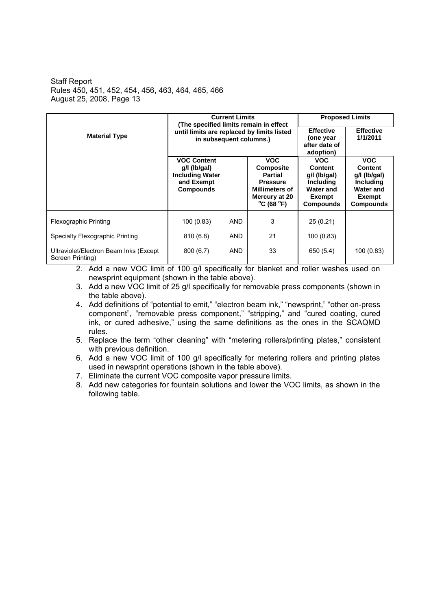|                                                             |                                                                                                                                                                                                                                              | <b>Current Limits</b> | <b>Proposed Limits</b> |                                                                                                                    |                                                                                                             |
|-------------------------------------------------------------|----------------------------------------------------------------------------------------------------------------------------------------------------------------------------------------------------------------------------------------------|-----------------------|------------------------|--------------------------------------------------------------------------------------------------------------------|-------------------------------------------------------------------------------------------------------------|
| <b>Material Type</b>                                        | (The specified limits remain in effect<br>until limits are replaced by limits listed<br>in subsequent columns.)                                                                                                                              |                       |                        | <b>Effective</b><br>(one year<br>after date of<br>adoption)                                                        | <b>Effective</b><br>1/1/2011                                                                                |
|                                                             | <b>VOC Content</b><br><b>VOC</b><br>$g/l$ (lb/gal)<br><b>Composite</b><br><b>Including Water</b><br><b>Partial</b><br>and Exempt<br><b>Pressure</b><br><b>Compounds</b><br>Millimeters of<br>Mercury at 20<br>$^{\circ}$ C (68 $^{\circ}$ F) |                       |                        | <b>VOC</b><br><b>Content</b><br>g/l (lb/gal)<br><b>Including</b><br><b>Water and</b><br>Exempt<br><b>Compounds</b> | <b>VOC</b><br><b>Content</b><br>g/l (lb/gal)<br>Including<br><b>Water and</b><br>Exempt<br><b>Compounds</b> |
| <b>Flexographic Printing</b>                                | 100(0.83)                                                                                                                                                                                                                                    | AND                   | 3                      | 25(0.21)                                                                                                           |                                                                                                             |
| Specialty Flexographic Printing                             | 810(6.8)                                                                                                                                                                                                                                     | <b>AND</b>            | 21                     | 100(0.83)                                                                                                          |                                                                                                             |
| Ultraviolet/Electron Beam Inks (Except)<br>Screen Printing) | 800(6.7)                                                                                                                                                                                                                                     | <b>AND</b>            | 33                     | 650 (5.4)                                                                                                          | 100(0.83)                                                                                                   |

2. Add a new VOC limit of 100 g/l specifically for blanket and roller washes used on newsprint equipment (shown in the table above).

- 3. Add a new VOC limit of 25 g/l specifically for removable press components (shown in the table above).
- 4. Add definitions of "potential to emit," "electron beam ink," "newsprint," "other on-press component", "removable press component," "stripping," and "cured coating, cured ink, or cured adhesive," using the same definitions as the ones in the SCAQMD rules.
- 5. Replace the term "other cleaning" with "metering rollers/printing plates," consistent with previous definition.
- 6. Add a new VOC limit of 100 g/l specifically for metering rollers and printing plates used in newsprint operations (shown in the table above).
- 7. Eliminate the current VOC composite vapor pressure limits.
- 8. Add new categories for fountain solutions and lower the VOC limits, as shown in the following table.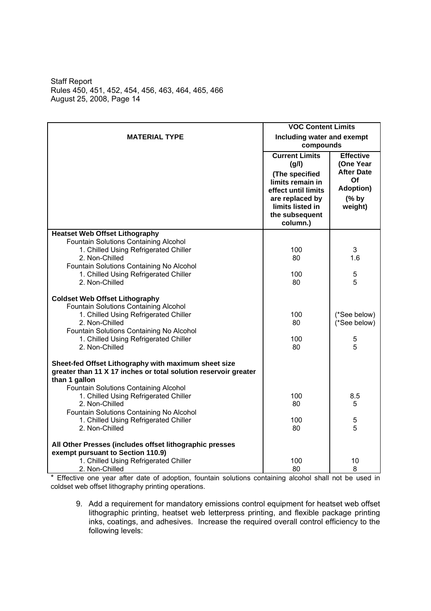|                                                                                                                                                                                                                                                  | <b>VOC Content Limits</b>                                                                                                                                        |                                                                                                    |
|--------------------------------------------------------------------------------------------------------------------------------------------------------------------------------------------------------------------------------------------------|------------------------------------------------------------------------------------------------------------------------------------------------------------------|----------------------------------------------------------------------------------------------------|
| <b>MATERIAL TYPE</b>                                                                                                                                                                                                                             | Including water and exempt<br>compounds                                                                                                                          |                                                                                                    |
|                                                                                                                                                                                                                                                  | <b>Current Limits</b><br>(g/l)<br>(The specified<br>limits remain in<br>effect until limits<br>are replaced by<br>limits listed in<br>the subsequent<br>column.) | <b>Effective</b><br>(One Year<br><b>After Date</b><br>Of<br><b>Adoption)</b><br>$(%$ by<br>weight) |
| <b>Heatset Web Offset Lithography</b>                                                                                                                                                                                                            |                                                                                                                                                                  |                                                                                                    |
| Fountain Solutions Containing Alcohol<br>1. Chilled Using Refrigerated Chiller<br>2. Non-Chilled<br>Fountain Solutions Containing No Alcohol                                                                                                     | 100<br>80                                                                                                                                                        | 3<br>1.6                                                                                           |
| 1. Chilled Using Refrigerated Chiller<br>2. Non-Chilled                                                                                                                                                                                          | 100<br>80                                                                                                                                                        | 5<br>5                                                                                             |
| <b>Coldset Web Offset Lithography</b><br>Fountain Solutions Containing Alcohol<br>1. Chilled Using Refrigerated Chiller<br>2. Non-Chilled<br>Fountain Solutions Containing No Alcohol<br>1. Chilled Using Refrigerated Chiller<br>2. Non-Chilled | 100<br>80<br>100<br>80                                                                                                                                           | (*See below)<br>(*See below)<br>5<br>5                                                             |
| Sheet-fed Offset Lithography with maximum sheet size<br>greater than 11 X 17 inches or total solution reservoir greater<br>than 1 gallon                                                                                                         |                                                                                                                                                                  |                                                                                                    |
| Fountain Solutions Containing Alcohol<br>1. Chilled Using Refrigerated Chiller<br>2. Non-Chilled<br>Fountain Solutions Containing No Alcohol                                                                                                     | 100<br>80                                                                                                                                                        | 8.5<br>5                                                                                           |
| 1. Chilled Using Refrigerated Chiller<br>2. Non-Chilled                                                                                                                                                                                          | 100<br>80                                                                                                                                                        | 5<br>5                                                                                             |
| All Other Presses (includes offset lithographic presses<br>exempt pursuant to Section 110.9)<br>1. Chilled Using Refrigerated Chiller<br>2. Non-Chilled                                                                                          | 100<br>80                                                                                                                                                        | 10<br>8                                                                                            |

\* Effective one year after date of adoption, fountain solutions containing alcohol shall not be used in coldset web offset lithography printing operations.

9. Add a requirement for mandatory emissions control equipment for heatset web offset lithographic printing, heatset web letterpress printing, and flexible package printing inks, coatings, and adhesives. Increase the required overall control efficiency to the following levels: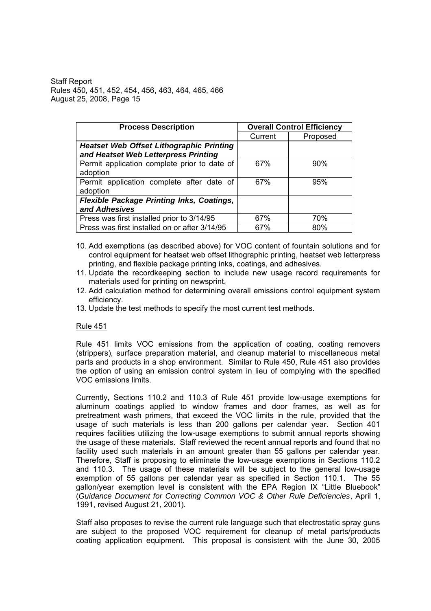| <b>Process Description</b>                                                              | <b>Overall Control Efficiency</b> |          |  |
|-----------------------------------------------------------------------------------------|-----------------------------------|----------|--|
|                                                                                         | Current                           | Proposed |  |
| <b>Heatset Web Offset Lithographic Printing</b><br>and Heatset Web Letterpress Printing |                                   |          |  |
| Permit application complete prior to date of<br>adoption                                | 67%                               | 90%      |  |
| Permit application complete after date of<br>adoption                                   | 67%                               | 95%      |  |
| <b>Flexible Package Printing Inks, Coatings,</b><br>and Adhesives                       |                                   |          |  |
| Press was first installed prior to 3/14/95                                              | 67%                               | 70%      |  |
| Press was first installed on or after 3/14/95                                           | 67%                               | 80%      |  |

- 10. Add exemptions (as described above) for VOC content of fountain solutions and for control equipment for heatset web offset lithographic printing, heatset web letterpress printing, and flexible package printing inks, coatings, and adhesives.
- 11. Update the recordkeeping section to include new usage record requirements for materials used for printing on newsprint.
- 12. Add calculation method for determining overall emissions control equipment system efficiency.
- 13. Update the test methods to specify the most current test methods.

### Rule 451

Rule 451 limits VOC emissions from the application of coating, coating removers (strippers), surface preparation material, and cleanup material to miscellaneous metal parts and products in a shop environment. Similar to Rule 450, Rule 451 also provides the option of using an emission control system in lieu of complying with the specified VOC emissions limits.

Currently, Sections 110.2 and 110.3 of Rule 451 provide low-usage exemptions for aluminum coatings applied to window frames and door frames, as well as for pretreatment wash primers, that exceed the VOC limits in the rule, provided that the usage of such materials is less than 200 gallons per calendar year. Section 401 requires facilities utilizing the low-usage exemptions to submit annual reports showing the usage of these materials. Staff reviewed the recent annual reports and found that no facility used such materials in an amount greater than 55 gallons per calendar year. Therefore, Staff is proposing to eliminate the low-usage exemptions in Sections 110.2 and 110.3. The usage of these materials will be subject to the general low-usage exemption of 55 gallons per calendar year as specified in Section 110.1. The 55 gallon/year exemption level is consistent with the EPA Region IX "Little Bluebook" (*Guidance Document for Correcting Common VOC & Other Rule Deficiencies*, April 1, 1991, revised August 21, 2001).

Staff also proposes to revise the current rule language such that electrostatic spray guns are subject to the proposed VOC requirement for cleanup of metal parts/products coating application equipment. This proposal is consistent with the June 30, 2005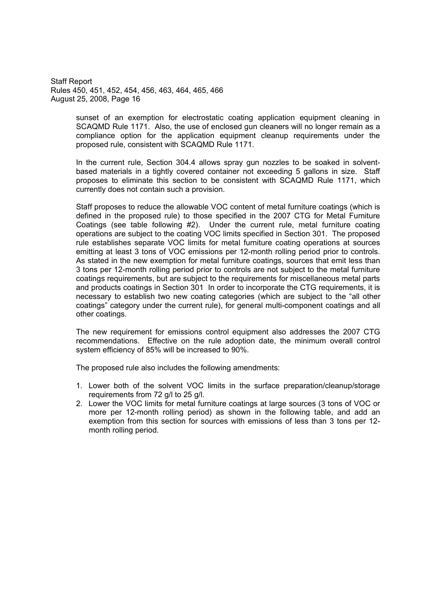> sunset of an exemption for electrostatic coating application equipment cleaning in SCAQMD Rule 1171. Also, the use of enclosed gun cleaners will no longer remain as a compliance option for the application equipment cleanup requirements under the proposed rule, consistent with SCAQMD Rule 1171.

> In the current rule, Section 304.4 allows spray gun nozzles to be soaked in solventbased materials in a tightly covered container not exceeding 5 gallons in size. Staff proposes to eliminate this section to be consistent with SCAQMD Rule 1171, which currently does not contain such a provision.

> Staff proposes to reduce the allowable VOC content of metal furniture coatings (which is defined in the proposed rule) to those specified in the 2007 CTG for Metal Furniture Coatings (see table following #2). Under the current rule, metal furniture coating operations are subject to the coating VOC limits specified in Section 301. The proposed rule establishes separate VOC limits for metal furniture coating operations at sources emitting at least 3 tons of VOC emissions per 12-month rolling period prior to controls. As stated in the new exemption for metal furniture coatings, sources that emit less than 3 tons per 12-month rolling period prior to controls are not subject to the metal furniture coatings requirements, but are subject to the requirements for miscellaneous metal parts and products coatings in Section 301 In order to incorporate the CTG requirements, it is necessary to establish two new coating categories (which are subject to the "all other coatings" category under the current rule), for general multi-component coatings and all other coatings.

> The new requirement for emissions control equipment also addresses the 2007 CTG recommendations. Effective on the rule adoption date, the minimum overall control system efficiency of 85% will be increased to 90%.

The proposed rule also includes the following amendments:

- 1. Lower both of the solvent VOC limits in the surface preparation/cleanup/storage requirements from 72 g/l to 25 g/l.
- 2. Lower the VOC limits for metal furniture coatings at large sources (3 tons of VOC or more per 12-month rolling period) as shown in the following table, and add an exemption from this section for sources with emissions of less than 3 tons per 12 month rolling period.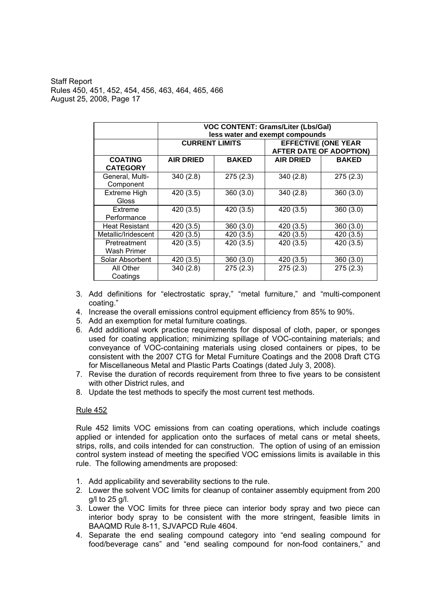|                       |                       | <b>VOC CONTENT: Grams/Liter (Lbs/Gal)</b> |                                 |                                |  |  |
|-----------------------|-----------------------|-------------------------------------------|---------------------------------|--------------------------------|--|--|
|                       |                       |                                           | less water and exempt compounds |                                |  |  |
|                       | <b>CURRENT LIMITS</b> |                                           |                                 | <b>EFFECTIVE (ONE YEAR</b>     |  |  |
|                       |                       |                                           |                                 | <b>AFTER DATE OF ADOPTION)</b> |  |  |
| <b>COATING</b>        | <b>AIR DRIED</b>      | <b>BAKED</b>                              | <b>AIR DRIED</b>                | <b>BAKED</b>                   |  |  |
| <b>CATEGORY</b>       |                       |                                           |                                 |                                |  |  |
| General, Multi-       | 340(2.8)              | 275(2.3)                                  | 340(2.8)                        | 275(2.3)                       |  |  |
| Component             |                       |                                           |                                 |                                |  |  |
| <b>Extreme High</b>   | 420 (3.5)             | 360(3.0)                                  | 340(2.8)                        | 360(3.0)                       |  |  |
| Gloss                 |                       |                                           |                                 |                                |  |  |
| Extreme               | 420 (3.5)             | 420 (3.5)                                 | 420 (3.5)                       | 360(3.0)                       |  |  |
| Performance           |                       |                                           |                                 |                                |  |  |
| <b>Heat Resistant</b> | 420 (3.5)             | 360(3.0)                                  | 420 (3.5)                       | 360(3.0)                       |  |  |
| Metallic/Iridescent   | 420 (3.5)             | 420 (3.5)                                 | 420 (3.5)                       | 420 (3.5)                      |  |  |
| Pretreatment          | 420 (3.5)             | 420 (3.5)                                 | 420 (3.5)                       | 420 (3.5)                      |  |  |
| Wash Primer           |                       |                                           |                                 |                                |  |  |
| Solar Absorbent       | 420 (3.5)             | 360(3.0)                                  | 420 (3.5)                       | 360(3.0)                       |  |  |
| All Other             | 340(2.8)              | 275(2.3)                                  | 275(2.3)                        | 275(2.3)                       |  |  |
| Coatings              |                       |                                           |                                 |                                |  |  |

- 3. Add definitions for "electrostatic spray," "metal furniture," and "multi-component coating.
- 4. Increase the overall emissions control equipment efficiency from 85% to 90%.
- 5. Add an exemption for metal furniture coatings.
- 6. Add additional work practice requirements for disposal of cloth, paper, or sponges used for coating application; minimizing spillage of VOC-containing materials; and conveyance of VOC-containing materials using closed containers or pipes, to be consistent with the 2007 CTG for Metal Furniture Coatings and the 2008 Draft CTG for Miscellaneous Metal and Plastic Parts Coatings (dated July 3, 2008).
- 7. Revise the duration of records requirement from three to five years to be consistent with other District rules, and
- 8. Update the test methods to specify the most current test methods.

### Rule 452

Rule 452 limits VOC emissions from can coating operations, which include coatings applied or intended for application onto the surfaces of metal cans or metal sheets, strips, rolls, and coils intended for can construction. The option of using of an emission control system instead of meeting the specified VOC emissions limits is available in this rule. The following amendments are proposed:

- 1. Add applicability and severability sections to the rule.
- 2. Lower the solvent VOC limits for cleanup of container assembly equipment from 200 g/l to 25 g/l.
- 3. Lower the VOC limits for three piece can interior body spray and two piece can interior body spray to be consistent with the more stringent, feasible limits in BAAQMD Rule 8-11, SJVAPCD Rule 4604.
- 4. Separate the end sealing compound category into "end sealing compound for food/beverage cans" and "end sealing compound for non-food containers," and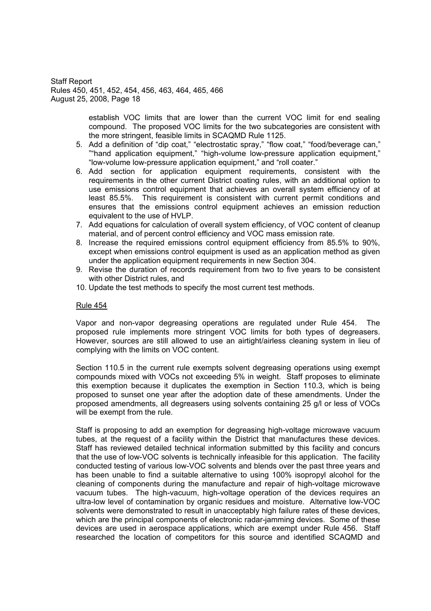> establish VOC limits that are lower than the current VOC limit for end sealing compound. The proposed VOC limits for the two subcategories are consistent with the more stringent, feasible limits in SCAQMD Rule 1125.

- 5. Add a definition of "dip coat," "electrostatic spray," "flow coat," "food/beverage can," ""hand application equipment," "high-volume low-pressure application equipment," "low-volume low-pressure application equipment," and "roll coater."
- 6. Add section for application equipment requirements, consistent with the requirements in the other current District coating rules, with an additional option to use emissions control equipment that achieves an overall system efficiency of at least 85.5%. This requirement is consistent with current permit conditions and ensures that the emissions control equipment achieves an emission reduction equivalent to the use of HVLP.
- 7. Add equations for calculation of overall system efficiency, of VOC content of cleanup material, and of percent control efficiency and VOC mass emission rate.
- 8. Increase the required emissions control equipment efficiency from 85.5% to 90%, except when emissions control equipment is used as an application method as given under the application equipment requirements in new Section 304.
- 9. Revise the duration of records requirement from two to five years to be consistent with other District rules, and
- 10. Update the test methods to specify the most current test methods.

#### Rule 454

Vapor and non-vapor degreasing operations are regulated under Rule 454. The proposed rule implements more stringent VOC limits for both types of degreasers. However, sources are still allowed to use an airtight/airless cleaning system in lieu of complying with the limits on VOC content.

Section 110.5 in the current rule exempts solvent degreasing operations using exempt compounds mixed with VOCs not exceeding 5% in weight. Staff proposes to eliminate this exemption because it duplicates the exemption in Section 110.3, which is being proposed to sunset one year after the adoption date of these amendments. Under the proposed amendments, all degreasers using solvents containing 25 g/l or less of VOCs will be exempt from the rule.

Staff is proposing to add an exemption for degreasing high-voltage microwave vacuum tubes, at the request of a facility within the District that manufactures these devices. Staff has reviewed detailed technical information submitted by this facility and concurs that the use of low-VOC solvents is technically infeasible for this application. The facility conducted testing of various low-VOC solvents and blends over the past three years and has been unable to find a suitable alternative to using 100% isopropyl alcohol for the cleaning of components during the manufacture and repair of high-voltage microwave vacuum tubes. The high-vacuum, high-voltage operation of the devices requires an ultra-low level of contamination by organic residues and moisture. Alternative low-VOC solvents were demonstrated to result in unacceptably high failure rates of these devices, which are the principal components of electronic radar-jamming devices. Some of these devices are used in aerospace applications, which are exempt under Rule 456. Staff researched the location of competitors for this source and identified SCAQMD and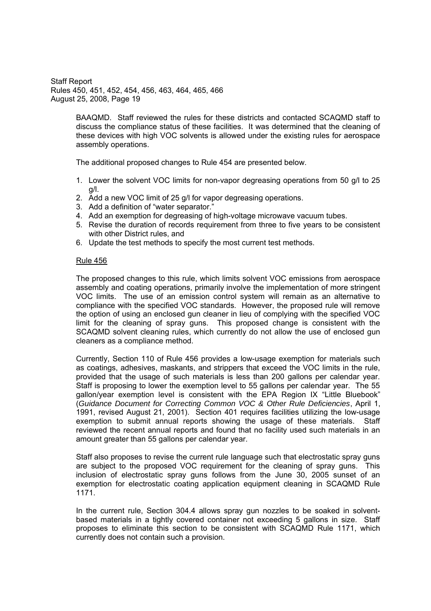> BAAQMD. Staff reviewed the rules for these districts and contacted SCAQMD staff to discuss the compliance status of these facilities. It was determined that the cleaning of these devices with high VOC solvents is allowed under the existing rules for aerospace assembly operations.

The additional proposed changes to Rule 454 are presented below.

- 1. Lower the solvent VOC limits for non-vapor degreasing operations from 50 g/l to 25 g/l.
- 2. Add a new VOC limit of 25 g/l for vapor degreasing operations.
- 3. Add a definition of "water separator."
- 4. Add an exemption for degreasing of high-voltage microwave vacuum tubes.
- 5. Revise the duration of records requirement from three to five years to be consistent with other District rules, and
- 6. Update the test methods to specify the most current test methods.

#### Rule 456

The proposed changes to this rule, which limits solvent VOC emissions from aerospace assembly and coating operations, primarily involve the implementation of more stringent VOC limits. The use of an emission control system will remain as an alternative to compliance with the specified VOC standards. However, the proposed rule will remove the option of using an enclosed gun cleaner in lieu of complying with the specified VOC limit for the cleaning of spray guns. This proposed change is consistent with the SCAQMD solvent cleaning rules, which currently do not allow the use of enclosed gun cleaners as a compliance method.

Currently, Section 110 of Rule 456 provides a low-usage exemption for materials such as coatings, adhesives, maskants, and strippers that exceed the VOC limits in the rule, provided that the usage of such materials is less than 200 gallons per calendar year. Staff is proposing to lower the exemption level to 55 gallons per calendar year. The 55 gallon/year exemption level is consistent with the EPA Region IX "Little Bluebook" (*Guidance Document for Correcting Common VOC & Other Rule Deficiencies*, April 1, 1991, revised August 21, 2001). Section 401 requires facilities utilizing the low-usage exemption to submit annual reports showing the usage of these materials. Staff reviewed the recent annual reports and found that no facility used such materials in an amount greater than 55 gallons per calendar year.

Staff also proposes to revise the current rule language such that electrostatic spray guns are subject to the proposed VOC requirement for the cleaning of spray guns. This inclusion of electrostatic spray guns follows from the June 30, 2005 sunset of an exemption for electrostatic coating application equipment cleaning in SCAQMD Rule 1171.

In the current rule, Section 304.4 allows spray gun nozzles to be soaked in solventbased materials in a tightly covered container not exceeding 5 gallons in size. Staff proposes to eliminate this section to be consistent with SCAQMD Rule 1171, which currently does not contain such a provision.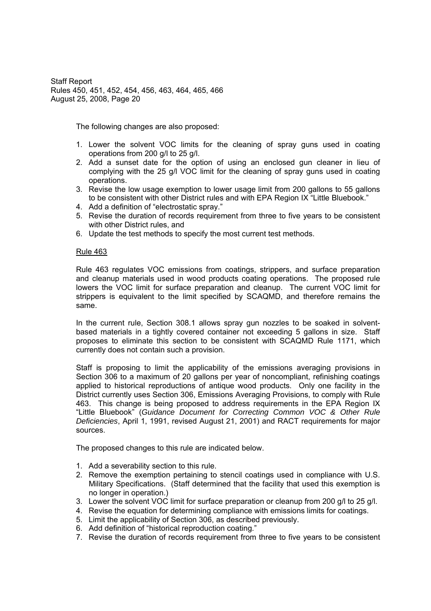The following changes are also proposed:

- 1. Lower the solvent VOC limits for the cleaning of spray guns used in coating operations from 200 g/l to 25 g/l.
- 2. Add a sunset date for the option of using an enclosed gun cleaner in lieu of complying with the 25 g/l VOC limit for the cleaning of spray guns used in coating operations.
- 3. Revise the low usage exemption to lower usage limit from 200 gallons to 55 gallons to be consistent with other District rules and with EPA Region IX "Little Bluebook."
- 4. Add a definition of "electrostatic spray."
- 5. Revise the duration of records requirement from three to five years to be consistent with other District rules, and
- 6. Update the test methods to specify the most current test methods.

### Rule 463

Rule 463 regulates VOC emissions from coatings, strippers, and surface preparation and cleanup materials used in wood products coating operations. The proposed rule lowers the VOC limit for surface preparation and cleanup. The current VOC limit for strippers is equivalent to the limit specified by SCAQMD, and therefore remains the same.

In the current rule, Section 308.1 allows spray gun nozzles to be soaked in solventbased materials in a tightly covered container not exceeding 5 gallons in size. Staff proposes to eliminate this section to be consistent with SCAQMD Rule 1171, which currently does not contain such a provision.

Staff is proposing to limit the applicability of the emissions averaging provisions in Section 306 to a maximum of 20 gallons per year of noncompliant, refinishing coatings applied to historical reproductions of antique wood products. Only one facility in the District currently uses Section 306, Emissions Averaging Provisions, to comply with Rule 463. This change is being proposed to address requirements in the EPA Region IX Little Bluebook (*Guidance Document for Correcting Common VOC & Other Rule Deficiencies*, April 1, 1991, revised August 21, 2001) and RACT requirements for major sources.

The proposed changes to this rule are indicated below.

- 1. Add a severability section to this rule.
- 2. Remove the exemption pertaining to stencil coatings used in compliance with U.S. Military Specifications. (Staff determined that the facility that used this exemption is no longer in operation.)
- 3. Lower the solvent VOC limit for surface preparation or cleanup from 200 g/l to 25 g/l.
- 4. Revise the equation for determining compliance with emissions limits for coatings.
- 5. Limit the applicability of Section 306, as described previously.
- 6. Add definition of "historical reproduction coating."
- 7. Revise the duration of records requirement from three to five years to be consistent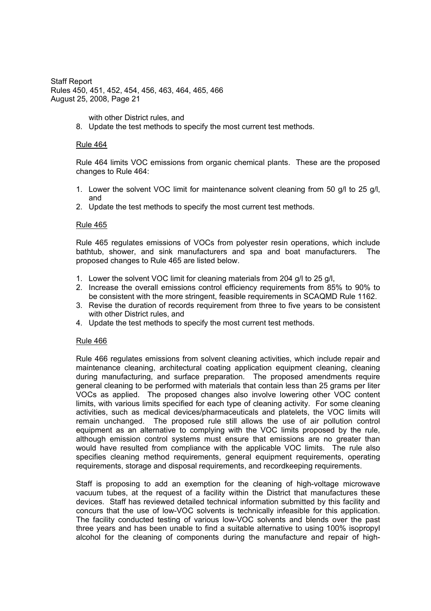with other District rules, and

8. Update the test methods to specify the most current test methods.

#### Rule 464

Rule 464 limits VOC emissions from organic chemical plants. These are the proposed changes to Rule 464:

- 1. Lower the solvent VOC limit for maintenance solvent cleaning from 50 g/l to 25 g/l, and
- 2. Update the test methods to specify the most current test methods.

#### Rule 465

Rule 465 regulates emissions of VOCs from polyester resin operations, which include bathtub, shower, and sink manufacturers and spa and boat manufacturers. The proposed changes to Rule 465 are listed below.

- 1. Lower the solvent VOC limit for cleaning materials from 204 g/l to 25 g/l,
- 2. Increase the overall emissions control efficiency requirements from 85% to 90% to be consistent with the more stringent, feasible requirements in SCAQMD Rule 1162.
- 3. Revise the duration of records requirement from three to five years to be consistent with other District rules, and
- 4. Update the test methods to specify the most current test methods.

#### Rule 466

Rule 466 regulates emissions from solvent cleaning activities, which include repair and maintenance cleaning, architectural coating application equipment cleaning, cleaning during manufacturing, and surface preparation. The proposed amendments require general cleaning to be performed with materials that contain less than 25 grams per liter VOCs as applied. The proposed changes also involve lowering other VOC content limits, with various limits specified for each type of cleaning activity. For some cleaning activities, such as medical devices/pharmaceuticals and platelets, the VOC limits will remain unchanged. The proposed rule still allows the use of air pollution control equipment as an alternative to complying with the VOC limits proposed by the rule, although emission control systems must ensure that emissions are no greater than would have resulted from compliance with the applicable VOC limits. The rule also specifies cleaning method requirements, general equipment requirements, operating requirements, storage and disposal requirements, and recordkeeping requirements.

Staff is proposing to add an exemption for the cleaning of high-voltage microwave vacuum tubes, at the request of a facility within the District that manufactures these devices. Staff has reviewed detailed technical information submitted by this facility and concurs that the use of low-VOC solvents is technically infeasible for this application. The facility conducted testing of various low-VOC solvents and blends over the past three years and has been unable to find a suitable alternative to using 100% isopropyl alcohol for the cleaning of components during the manufacture and repair of high-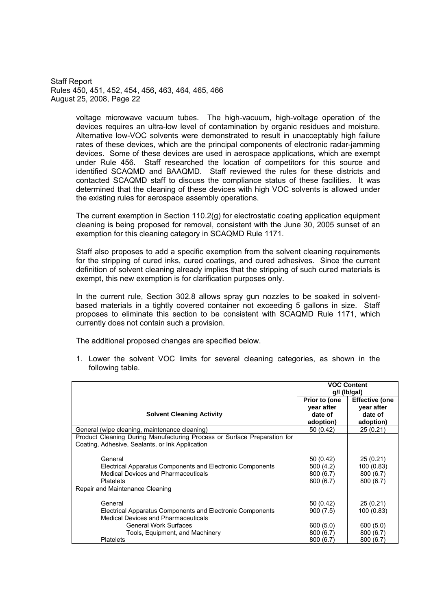> voltage microwave vacuum tubes. The high-vacuum, high-voltage operation of the devices requires an ultra-low level of contamination by organic residues and moisture. Alternative low-VOC solvents were demonstrated to result in unacceptably high failure rates of these devices, which are the principal components of electronic radar-jamming devices. Some of these devices are used in aerospace applications, which are exempt under Rule 456. Staff researched the location of competitors for this source and identified SCAQMD and BAAQMD. Staff reviewed the rules for these districts and contacted SCAQMD staff to discuss the compliance status of these facilities. It was determined that the cleaning of these devices with high VOC solvents is allowed under the existing rules for aerospace assembly operations.

> The current exemption in Section 110.2(g) for electrostatic coating application equipment cleaning is being proposed for removal, consistent with the June 30, 2005 sunset of an exemption for this cleaning category in SCAQMD Rule 1171.

> Staff also proposes to add a specific exemption from the solvent cleaning requirements for the stripping of cured inks, cured coatings, and cured adhesives. Since the current definition of solvent cleaning already implies that the stripping of such cured materials is exempt, this new exemption is for clarification purposes only.

> In the current rule, Section 302.8 allows spray gun nozzles to be soaked in solventbased materials in a tightly covered container not exceeding 5 gallons in size. Staff proposes to eliminate this section to be consistent with SCAQMD Rule 1171, which currently does not contain such a provision.

The additional proposed changes are specified below.

1. Lower the solvent VOC limits for several cleaning categories, as shown in the following table.

|                                                                                                                             | <b>VOC Content</b><br>g/l (lb/gal) |                       |  |
|-----------------------------------------------------------------------------------------------------------------------------|------------------------------------|-----------------------|--|
|                                                                                                                             | Prior to (one                      | <b>Effective (one</b> |  |
|                                                                                                                             | year after                         | year after            |  |
| <b>Solvent Cleaning Activity</b>                                                                                            | date of                            | date of               |  |
|                                                                                                                             | adoption)                          | adoption)             |  |
| General (wipe cleaning, maintenance cleaning)                                                                               | 50(0.42)                           | 25(0.21)              |  |
| Product Cleaning During Manufacturing Process or Surface Preparation for<br>Coating, Adhesive, Sealants, or Ink Application |                                    |                       |  |
| General                                                                                                                     | 50(0.42)                           | 25(0.21)              |  |
| Electrical Apparatus Components and Electronic Components                                                                   | 500(4.2)                           | 100(0.83)             |  |
| <b>Medical Devices and Pharmaceuticals</b>                                                                                  | 800(6.7)                           | 800 (6.7)             |  |
| <b>Platelets</b>                                                                                                            | 800(6.7)                           | 800 (6.7)             |  |
| Repair and Maintenance Cleaning                                                                                             |                                    |                       |  |
| General                                                                                                                     | 50(0.42)                           | 25(0.21)              |  |
| Electrical Apparatus Components and Electronic Components<br><b>Medical Devices and Pharmaceuticals</b>                     | 900(7.5)                           | 100 (0.83)            |  |
| <b>General Work Surfaces</b>                                                                                                | 600(5.0)                           | 600(5.0)              |  |
| Tools, Equipment, and Machinery                                                                                             | 800(6.7)                           | 800 (6.7)             |  |
| <b>Platelets</b>                                                                                                            | 800(6.7)                           | 800 (6.7)             |  |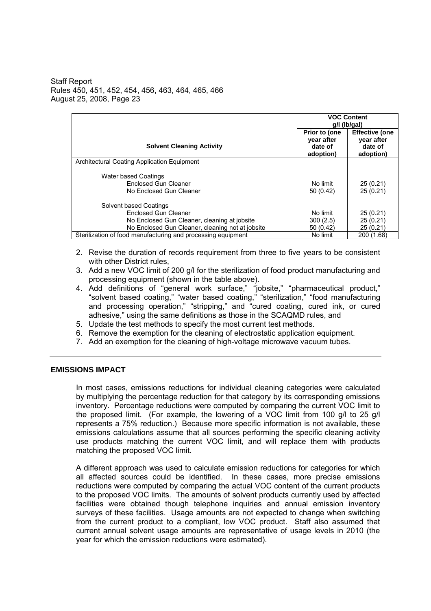|                                                                                       | <b>VOC Content</b><br>g/l (lb/gal)                  |                                                             |
|---------------------------------------------------------------------------------------|-----------------------------------------------------|-------------------------------------------------------------|
| <b>Solvent Cleaning Activity</b>                                                      | Prior to (one<br>year after<br>date of<br>adoption) | <b>Effective (one</b><br>vear after<br>date of<br>adoption) |
| Architectural Coating Application Equipment                                           |                                                     |                                                             |
| <b>Water based Coatings</b><br><b>Enclosed Gun Cleaner</b><br>No Enclosed Gun Cleaner | No limit<br>50(0.42)                                | 25(0.21)<br>25(0.21)                                        |
| Solvent based Coatings                                                                |                                                     |                                                             |
| Enclosed Gun Cleaner                                                                  | No limit                                            | 25(0.21)                                                    |
| No Enclosed Gun Cleaner, cleaning at jobsite                                          | 300(2.5)                                            | 25(0.21)                                                    |
| No Enclosed Gun Cleaner, cleaning not at jobsite                                      | 50(0.42)                                            | 25(0.21)                                                    |
| Sterilization of food manufacturing and processing equipment                          | No limit                                            | 200 (1.68)                                                  |

- 2. Revise the duration of records requirement from three to five years to be consistent with other District rules,
- 3. Add a new VOC limit of 200 g/l for the sterilization of food product manufacturing and processing equipment (shown in the table above).
- 4. Add definitions of "general work surface," "jobsite," "pharmaceutical product," "solvent based coating," "water based coating," "sterilization," "food manufacturing and processing operation," "stripping," and "cured coating, cured ink, or cured adhesive," using the same definitions as those in the SCAQMD rules, and
- 5. Update the test methods to specify the most current test methods.
- 6. Remove the exemption for the cleaning of electrostatic application equipment.
- 7. Add an exemption for the cleaning of high-voltage microwave vacuum tubes.

### **EMISSIONS IMPACT**

In most cases, emissions reductions for individual cleaning categories were calculated by multiplying the percentage reduction for that category by its corresponding emissions inventory. Percentage reductions were computed by comparing the current VOC limit to the proposed limit. (For example, the lowering of a VOC limit from 100 g/l to 25 g/l represents a 75% reduction.) Because more specific information is not available, these emissions calculations assume that all sources performing the specific cleaning activity use products matching the current VOC limit, and will replace them with products matching the proposed VOC limit.

A different approach was used to calculate emission reductions for categories for which all affected sources could be identified. In these cases, more precise emissions reductions were computed by comparing the actual VOC content of the current products to the proposed VOC limits. The amounts of solvent products currently used by affected facilities were obtained though telephone inquiries and annual emission inventory surveys of these facilities. Usage amounts are not expected to change when switching from the current product to a compliant, low VOC product. Staff also assumed that current annual solvent usage amounts are representative of usage levels in 2010 (the year for which the emission reductions were estimated).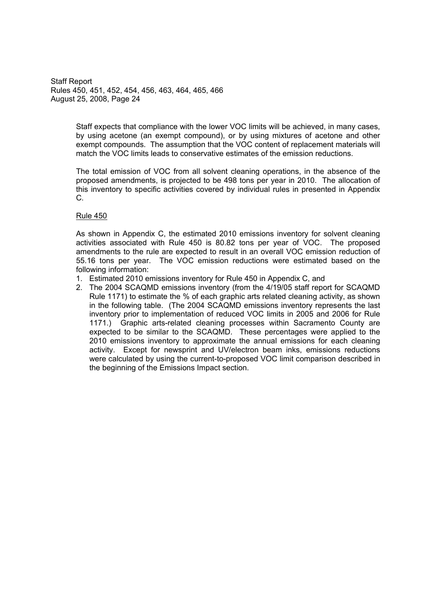> Staff expects that compliance with the lower VOC limits will be achieved, in many cases, by using acetone (an exempt compound), or by using mixtures of acetone and other exempt compounds. The assumption that the VOC content of replacement materials will match the VOC limits leads to conservative estimates of the emission reductions.

> The total emission of VOC from all solvent cleaning operations, in the absence of the proposed amendments, is projected to be 498 tons per year in 2010. The allocation of this inventory to specific activities covered by individual rules in presented in Appendix C.

### Rule 450

As shown in Appendix C, the estimated 2010 emissions inventory for solvent cleaning activities associated with Rule 450 is 80.82 tons per year of VOC. The proposed amendments to the rule are expected to result in an overall VOC emission reduction of 55.16 tons per year. The VOC emission reductions were estimated based on the following information:

- 1. Estimated 2010 emissions inventory for Rule 450 in Appendix C, and
- 2. The 2004 SCAQMD emissions inventory (from the 4/19/05 staff report for SCAQMD Rule 1171) to estimate the % of each graphic arts related cleaning activity, as shown in the following table. (The 2004 SCAQMD emissions inventory represents the last inventory prior to implementation of reduced VOC limits in 2005 and 2006 for Rule 1171.) Graphic arts-related cleaning processes within Sacramento County are expected to be similar to the SCAQMD. These percentages were applied to the 2010 emissions inventory to approximate the annual emissions for each cleaning activity. Except for newsprint and UV/electron beam inks, emissions reductions were calculated by using the current-to-proposed VOC limit comparison described in the beginning of the Emissions Impact section.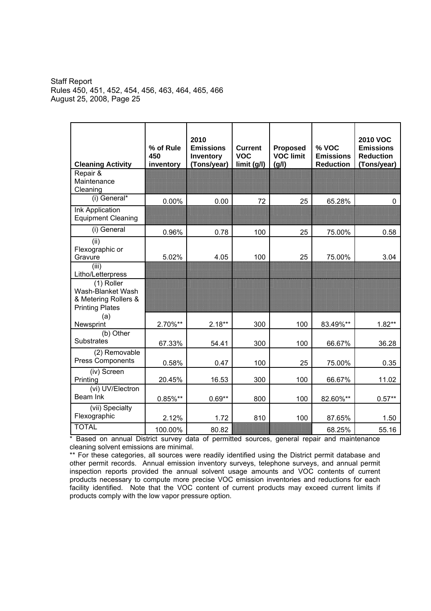| <b>Cleaning Activity</b>                                                                                        | % of Rule<br>450<br>inventory | 2010<br><b>Emissions</b><br>Inventory<br>(Tons/year) | <b>Current</b><br><b>VOC</b><br>limit (g/l) | <b>Proposed</b><br><b>VOC limit</b><br>(g/l) | % VOC<br><b>Emissions</b><br><b>Reduction</b> | <b>2010 VOC</b><br><b>Emissions</b><br><b>Reduction</b><br>(Tons/year) |
|-----------------------------------------------------------------------------------------------------------------|-------------------------------|------------------------------------------------------|---------------------------------------------|----------------------------------------------|-----------------------------------------------|------------------------------------------------------------------------|
| Repair &<br>Maintenance<br>Cleaning                                                                             |                               |                                                      |                                             |                                              |                                               |                                                                        |
| (i) General*                                                                                                    | 0.00%                         | 0.00                                                 | 72                                          | 25                                           | 65.28%                                        | 0                                                                      |
| Ink Application<br><b>Equipment Cleaning</b>                                                                    |                               |                                                      |                                             |                                              |                                               |                                                                        |
| (i) General                                                                                                     | 0.96%                         | 0.78                                                 | 100                                         | 25                                           | 75.00%                                        | 0.58                                                                   |
| (ii)<br>Flexographic or<br>Gravure                                                                              | 5.02%                         | 4.05                                                 | 100                                         | 25                                           | 75.00%                                        | 3.04                                                                   |
| (iii)<br>Litho/Letterpress<br>(1) Roller<br>Wash-Blanket Wash<br>& Metering Rollers &<br><b>Printing Plates</b> |                               |                                                      |                                             |                                              |                                               |                                                                        |
| (a)<br>Newsprint                                                                                                | 2.70%**                       | $2.18***$                                            | 300                                         | 100                                          | 83.49%**                                      | $1.82**$                                                               |
| (b) Other<br><b>Substrates</b>                                                                                  | 67.33%                        | 54.41                                                | 300                                         | 100                                          | 66.67%                                        | 36.28                                                                  |
| (2) Removable<br><b>Press Components</b>                                                                        | 0.58%                         | 0.47                                                 | 100                                         | 25                                           | 75.00%                                        | 0.35                                                                   |
| (iv) Screen<br>Printing                                                                                         | 20.45%                        | 16.53                                                | 300                                         | 100                                          | 66.67%                                        | 11.02                                                                  |
| (vi) UV/Electron<br>Beam Ink                                                                                    | $0.85\%**$                    | $0.69**$                                             | 800                                         | 100                                          | 82.60%**                                      | $0.57**$                                                               |
| (vii) Specialty<br>Flexographic                                                                                 | 2.12%                         | 1.72                                                 | 810                                         | 100                                          | 87.65%                                        | 1.50                                                                   |
| <b>TOTAL</b>                                                                                                    | 100.00%                       | 80.82                                                |                                             |                                              | 68.25%                                        | 55.16                                                                  |

\* Based on annual District survey data of permitted sources, general repair and maintenance cleaning solvent emissions are minimal.

\*\* For these categories, all sources were readily identified using the District permit database and other permit records. Annual emission inventory surveys, telephone surveys, and annual permit inspection reports provided the annual solvent usage amounts and VOC contents of current products necessary to compute more precise VOC emission inventories and reductions for each facility identified. Note that the VOC content of current products may exceed current limits if products comply with the low vapor pressure option.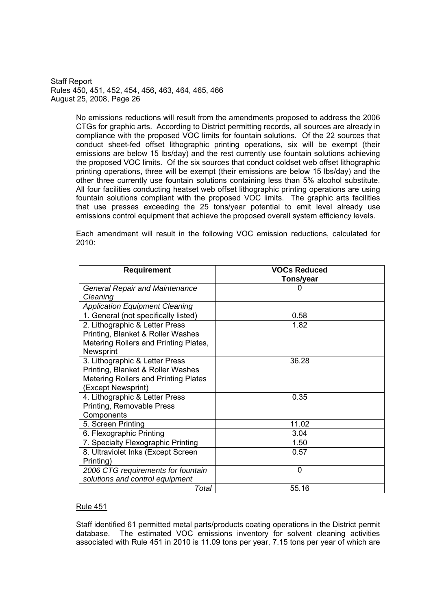> No emissions reductions will result from the amendments proposed to address the 2006 CTGs for graphic arts. According to District permitting records, all sources are already in compliance with the proposed VOC limits for fountain solutions. Of the 22 sources that conduct sheet-fed offset lithographic printing operations, six will be exempt (their emissions are below 15 lbs/day) and the rest currently use fountain solutions achieving the proposed VOC limits. Of the six sources that conduct coldset web offset lithographic printing operations, three will be exempt (their emissions are below 15 lbs/day) and the other three currently use fountain solutions containing less than 5% alcohol substitute. All four facilities conducting heatset web offset lithographic printing operations are using fountain solutions compliant with the proposed VOC limits. The graphic arts facilities that use presses exceeding the 25 tons/year potential to emit level already use emissions control equipment that achieve the proposed overall system efficiency levels.

> Each amendment will result in the following VOC emission reductions, calculated for 2010:

| <b>Requirement</b>                    | <b>VOCs Reduced</b> |
|---------------------------------------|---------------------|
|                                       | Tons/year           |
| <b>General Repair and Maintenance</b> |                     |
| Cleaning                              |                     |
| <b>Application Equipment Cleaning</b> |                     |
| 1. General (not specifically listed)  | 0.58                |
| 2. Lithographic & Letter Press        | 1.82                |
| Printing, Blanket & Roller Washes     |                     |
| Metering Rollers and Printing Plates, |                     |
| Newsprint                             |                     |
| 3. Lithographic & Letter Press        | 36.28               |
| Printing, Blanket & Roller Washes     |                     |
| Metering Rollers and Printing Plates  |                     |
| (Except Newsprint)                    |                     |
| 4. Lithographic & Letter Press        | 0.35                |
| Printing, Removable Press             |                     |
| Components                            |                     |
| 5. Screen Printing                    | 11.02               |
| 6. Flexographic Printing              | 3.04                |
| 7. Specialty Flexographic Printing    | 1.50                |
| 8. Ultraviolet Inks (Except Screen)   | 0.57                |
| Printing)                             |                     |
| 2006 CTG requirements for fountain    | 0                   |
| solutions and control equipment       |                     |
| Total                                 | 55.16               |

### Rule 451

Staff identified 61 permitted metal parts/products coating operations in the District permit database. The estimated VOC emissions inventory for solvent cleaning activities associated with Rule 451 in 2010 is 11.09 tons per year, 7.15 tons per year of which are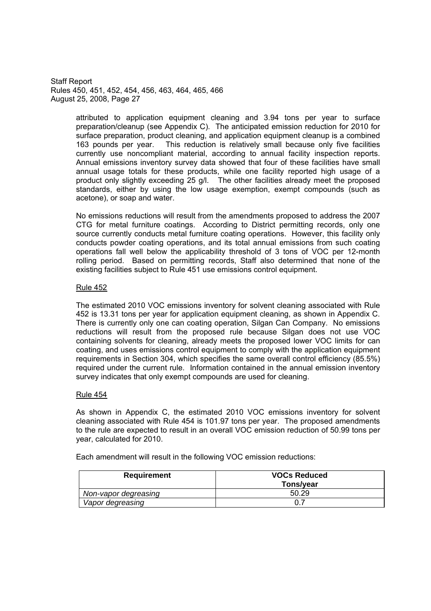> attributed to application equipment cleaning and 3.94 tons per year to surface preparation/cleanup (see Appendix C). The anticipated emission reduction for 2010 for surface preparation, product cleaning, and application equipment cleanup is a combined 163 pounds per year. This reduction is relatively small because only five facilities currently use noncompliant material, according to annual facility inspection reports. Annual emissions inventory survey data showed that four of these facilities have small annual usage totals for these products, while one facility reported high usage of a product only slightly exceeding 25 g/l. The other facilities already meet the proposed standards, either by using the low usage exemption, exempt compounds (such as acetone), or soap and water.

> No emissions reductions will result from the amendments proposed to address the 2007 CTG for metal furniture coatings. According to District permitting records, only one source currently conducts metal furniture coating operations. However, this facility only conducts powder coating operations, and its total annual emissions from such coating operations fall well below the applicability threshold of 3 tons of VOC per 12-month rolling period. Based on permitting records, Staff also determined that none of the existing facilities subject to Rule 451 use emissions control equipment.

### Rule 452

The estimated 2010 VOC emissions inventory for solvent cleaning associated with Rule 452 is 13.31 tons per year for application equipment cleaning, as shown in Appendix C. There is currently only one can coating operation, Silgan Can Company. No emissions reductions will result from the proposed rule because Silgan does not use VOC containing solvents for cleaning, already meets the proposed lower VOC limits for can coating, and uses emissions control equipment to comply with the application equipment requirements in Section 304, which specifies the same overall control efficiency (85.5%) required under the current rule. Information contained in the annual emission inventory survey indicates that only exempt compounds are used for cleaning.

### Rule 454

As shown in Appendix C, the estimated 2010 VOC emissions inventory for solvent cleaning associated with Rule 454 is 101.97 tons per year. The proposed amendments to the rule are expected to result in an overall VOC emission reduction of 50.99 tons per year, calculated for 2010.

Each amendment will result in the following VOC emission reductions:

| Requirement          | <b>VOCs Reduced</b><br>Tons/year |
|----------------------|----------------------------------|
| Non-vapor degreasing | 50.29                            |
| Vapor degreasing     |                                  |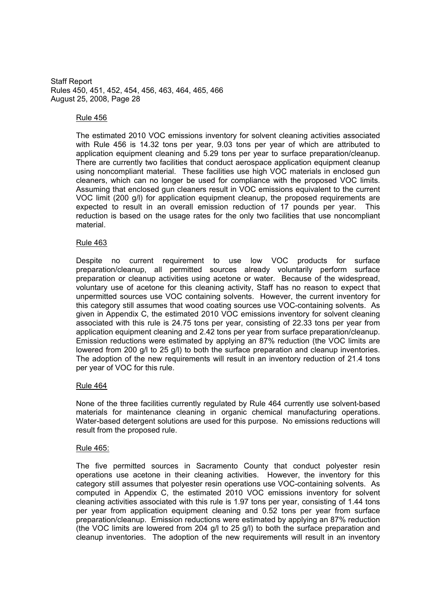#### Rule 456

The estimated 2010 VOC emissions inventory for solvent cleaning activities associated with Rule 456 is 14.32 tons per year, 9.03 tons per year of which are attributed to application equipment cleaning and 5.29 tons per year to surface preparation/cleanup. There are currently two facilities that conduct aerospace application equipment cleanup using noncompliant material. These facilities use high VOC materials in enclosed gun cleaners, which can no longer be used for compliance with the proposed VOC limits. Assuming that enclosed gun cleaners result in VOC emissions equivalent to the current VOC limit (200 g/l) for application equipment cleanup, the proposed requirements are expected to result in an overall emission reduction of 17 pounds per year. This reduction is based on the usage rates for the only two facilities that use noncompliant material.

### Rule 463

Despite no current requirement to use low VOC products for surface preparation/cleanup, all permitted sources already voluntarily perform surface preparation or cleanup activities using acetone or water. Because of the widespread, voluntary use of acetone for this cleaning activity, Staff has no reason to expect that unpermitted sources use VOC containing solvents. However, the current inventory for this category still assumes that wood coating sources use VOC-containing solvents. As given in Appendix C, the estimated 2010 VOC emissions inventory for solvent cleaning associated with this rule is 24.75 tons per year, consisting of 22.33 tons per year from application equipment cleaning and 2.42 tons per year from surface preparation/cleanup. Emission reductions were estimated by applying an 87% reduction (the VOC limits are lowered from 200 g/l to 25 g/l) to both the surface preparation and cleanup inventories. The adoption of the new requirements will result in an inventory reduction of 21.4 tons per year of VOC for this rule.

### Rule 464

None of the three facilities currently regulated by Rule 464 currently use solvent-based materials for maintenance cleaning in organic chemical manufacturing operations. Water-based detergent solutions are used for this purpose. No emissions reductions will result from the proposed rule.

### Rule 465:

The five permitted sources in Sacramento County that conduct polyester resin operations use acetone in their cleaning activities. However, the inventory for this category still assumes that polyester resin operations use VOC-containing solvents. As computed in Appendix C, the estimated 2010 VOC emissions inventory for solvent cleaning activities associated with this rule is 1.97 tons per year, consisting of 1.44 tons per year from application equipment cleaning and 0.52 tons per year from surface preparation/cleanup. Emission reductions were estimated by applying an 87% reduction (the VOC limits are lowered from 204 g/l to 25 g/l) to both the surface preparation and cleanup inventories. The adoption of the new requirements will result in an inventory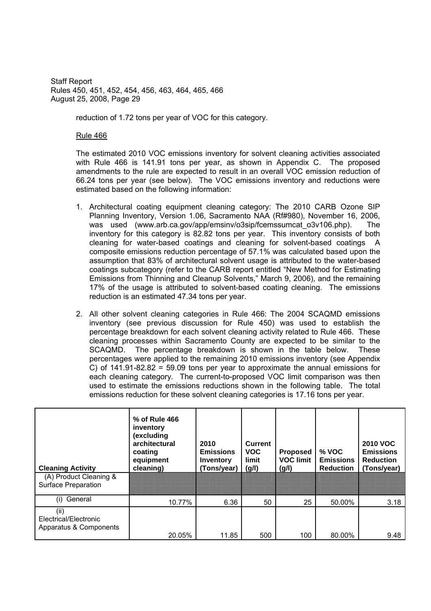reduction of 1.72 tons per year of VOC for this category.

Rule 466

The estimated 2010 VOC emissions inventory for solvent cleaning activities associated with Rule 466 is 141.91 tons per year, as shown in Appendix C. The proposed amendments to the rule are expected to result in an overall VOC emission reduction of 66.24 tons per year (see below). The VOC emissions inventory and reductions were estimated based on the following information:

- 1. Architectural coating equipment cleaning category: The 2010 CARB Ozone SIP Planning Inventory, Version 1.06, Sacramento NAA (Rf#980), November 16, 2006, was used (www.arb.ca.gov/app/emsinv/o3sip/fcemssumcat o3v106.php). The inventory for this category is 82.82 tons per year. This inventory consists of both cleaning for water-based coatings and cleaning for solvent-based coatings A composite emissions reduction percentage of 57.1% was calculated based upon the assumption that 83% of architectural solvent usage is attributed to the water-based coatings subcategory (refer to the CARB report entitled "New Method for Estimating Emissions from Thinning and Cleanup Solvents," March 9, 2006), and the remaining 17% of the usage is attributed to solvent-based coating cleaning. The emissions reduction is an estimated 47.34 tons per year.
- 2. All other solvent cleaning categories in Rule 466: The 2004 SCAQMD emissions inventory (see previous discussion for Rule 450) was used to establish the percentage breakdown for each solvent cleaning activity related to Rule 466. These cleaning processes within Sacramento County are expected to be similar to the SCAQMD. The percentage breakdown is shown in the table below. These percentages were applied to the remaining 2010 emissions inventory (see Appendix C) of  $141.91 - 82.82 = 59.09$  tons per year to approximate the annual emissions for each cleaning category. The current-to-proposed VOC limit comparison was then used to estimate the emissions reductions shown in the following table. The total emissions reduction for these solvent cleaning categories is 17.16 tons per year.

| <b>Cleaning Activity</b><br>(A) Product Cleaning &      | % of Rule 466<br>inventory<br>(excluding<br>architectural<br>coating<br>equipment<br>cleaning) | 2010<br><b>Emissions</b><br>Inventory<br>(Tons/year) | <b>Current</b><br><b>VOC</b><br>limit<br>(g/l) | <b>Proposed</b><br><b>VOC limit</b><br>(g/l) | $%$ VOC<br><b>Emissions</b><br><b>Reduction</b> | <b>2010 VOC</b><br><b>Emissions</b><br><b>Reduction</b><br>(Tons/year) |
|---------------------------------------------------------|------------------------------------------------------------------------------------------------|------------------------------------------------------|------------------------------------------------|----------------------------------------------|-------------------------------------------------|------------------------------------------------------------------------|
| <b>Surface Preparation</b>                              |                                                                                                |                                                      |                                                |                                              |                                                 |                                                                        |
| General<br>(i)                                          | 10.77%                                                                                         | 6.36                                                 | 50                                             | 25                                           | 50.00%                                          | 3.18                                                                   |
| (ii)<br>Electrical/Electronic<br>Apparatus & Components | 20.05%                                                                                         | 11.85                                                | 500                                            | 100                                          | 80.00%                                          | 9.48                                                                   |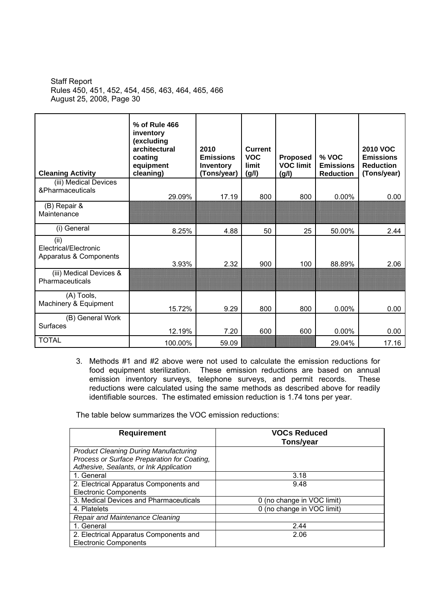| <b>Cleaning Activity</b>                                | % of Rule 466<br>inventory<br>(excluding<br>architectural<br>coating<br>equipment<br>cleaning) | 2010<br><b>Emissions</b><br>Inventory<br>(Tons/year) | <b>Current</b><br><b>VOC</b><br>limit<br>(g/l) | Proposed<br><b>VOC limit</b><br>(g/l) | % VOC<br><b>Emissions</b><br><b>Reduction</b> | <b>2010 VOC</b><br><b>Emissions</b><br><b>Reduction</b><br>(Tons/year) |
|---------------------------------------------------------|------------------------------------------------------------------------------------------------|------------------------------------------------------|------------------------------------------------|---------------------------------------|-----------------------------------------------|------------------------------------------------------------------------|
| (iii) Medical Devices<br>&Pharmaceuticals               | 29.09%                                                                                         | 17.19                                                | 800                                            | 800                                   | 0.00%                                         | 0.00                                                                   |
| (B) Repair &<br>Maintenance                             |                                                                                                |                                                      |                                                |                                       |                                               |                                                                        |
| (i) General                                             | 8.25%                                                                                          | 4.88                                                 | 50                                             | 25                                    | 50.00%                                        | 2.44                                                                   |
| (ii)<br>Electrical/Electronic<br>Apparatus & Components | 3.93%                                                                                          | 2.32                                                 | 900                                            | 100                                   | 88.89%                                        | 2.06                                                                   |
| (iii) Medical Devices &<br>Pharmaceuticals              |                                                                                                |                                                      |                                                |                                       |                                               |                                                                        |
| (A) Tools,<br>Machinery & Equipment                     | 15.72%                                                                                         | 9.29                                                 | 800                                            | 800                                   | 0.00%                                         | 0.00                                                                   |
| (B) General Work<br><b>Surfaces</b>                     | 12.19%                                                                                         | 7.20                                                 | 600                                            | 600                                   | $0.00\%$                                      | 0.00                                                                   |
| <b>TOTAL</b>                                            | 100.00%                                                                                        | 59.09                                                |                                                |                                       | 29.04%                                        | 17.16                                                                  |

3. Methods #1 and #2 above were not used to calculate the emission reductions for food equipment sterilization. These emission reductions are based on annual emission inventory surveys, telephone surveys, and permit records. These reductions were calculated using the same methods as described above for readily identifiable sources. The estimated emission reduction is 1.74 tons per year.

The table below summarizes the VOC emission reductions:

| <b>Requirement</b>                           | <b>VOCs Reduced</b><br>Tons/year |
|----------------------------------------------|----------------------------------|
| <b>Product Cleaning During Manufacturing</b> |                                  |
| Process or Surface Preparation for Coating,  |                                  |
| Adhesive, Sealants, or Ink Application       |                                  |
| 1. General                                   | 3.18                             |
| 2. Electrical Apparatus Components and       | 9.48                             |
| <b>Electronic Components</b>                 |                                  |
| 3. Medical Devices and Pharmaceuticals       | 0 (no change in VOC limit)       |
| 4. Platelets                                 | 0 (no change in VOC limit)       |
| <b>Repair and Maintenance Cleaning</b>       |                                  |
| 1. General                                   | 2.44                             |
| 2. Electrical Apparatus Components and       | 2.06                             |
| <b>Electronic Components</b>                 |                                  |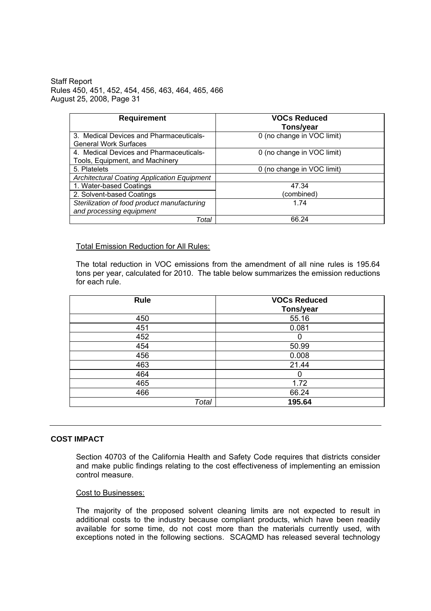| <b>Requirement</b>                                                         | <b>VOCs Reduced</b><br>Tons/year |  |
|----------------------------------------------------------------------------|----------------------------------|--|
| 3. Medical Devices and Pharmaceuticals-<br><b>General Work Surfaces</b>    | 0 (no change in VOC limit)       |  |
| 4. Medical Devices and Pharmaceuticals-<br>Tools, Equipment, and Machinery | 0 (no change in VOC limit)       |  |
| 5. Platelets                                                               | 0 (no change in VOC limit)       |  |
| <b>Architectural Coating Application Equipment</b>                         |                                  |  |
| 1. Water-based Coatings                                                    | 47.34                            |  |
| 2. Solvent-based Coatings                                                  | (combined)                       |  |
| Sterilization of food product manufacturing                                | 1 74                             |  |
| and processing equipment                                                   |                                  |  |
| Total                                                                      | 66.24                            |  |

Total Emission Reduction for All Rules:

The total reduction in VOC emissions from the amendment of all nine rules is 195.64 tons per year, calculated for 2010. The table below summarizes the emission reductions for each rule.

| Rule  | <b>VOCs Reduced</b><br>Tons/year |
|-------|----------------------------------|
| 450   | 55.16                            |
| 451   | 0.081                            |
| 452   | 0                                |
| 454   | 50.99                            |
| 456   | 0.008                            |
| 463   | 21.44                            |
| 464   | O                                |
| 465   | 1.72                             |
| 466   | 66.24                            |
| Total | 195.64                           |

### **COST IMPACT**

Section 40703 of the California Health and Safety Code requires that districts consider and make public findings relating to the cost effectiveness of implementing an emission control measure.

#### Cost to Businesses:

The majority of the proposed solvent cleaning limits are not expected to result in additional costs to the industry because compliant products, which have been readily available for some time, do not cost more than the materials currently used, with exceptions noted in the following sections. SCAQMD has released several technology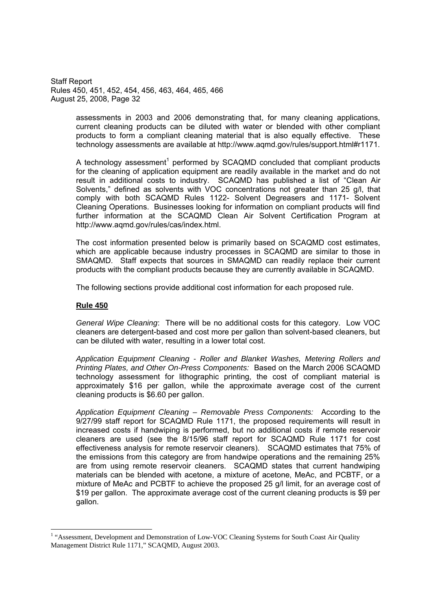> assessments in 2003 and 2006 demonstrating that, for many cleaning applications, current cleaning products can be diluted with water or blended with other compliant products to form a compliant cleaning material that is also equally effective. These technology assessments are available at http://www.aqmd.gov/rules/support.html#r1171.

> A technology assessment<sup>1</sup> performed by SCAQMD concluded that compliant products for the cleaning of application equipment are readily available in the market and do not result in additional costs to industry. SCAQMD has published a list of "Clean Air Solvents," defined as solvents with VOC concentrations not greater than 25 g/l, that comply with both SCAQMD Rules 1122- Solvent Degreasers and 1171- Solvent Cleaning Operations. Businesses looking for information on compliant products will find further information at the SCAQMD Clean Air Solvent Certification Program at http://www.aqmd.gov/rules/cas/index.html.

> The cost information presented below is primarily based on SCAQMD cost estimates, which are applicable because industry processes in SCAQMD are similar to those in SMAQMD. Staff expects that sources in SMAQMD can readily replace their current products with the compliant products because they are currently available in SCAQMD.

The following sections provide additional cost information for each proposed rule.

#### **Rule 450**

*General Wipe Cleaning*: There will be no additional costs for this category. Low VOC cleaners are detergent-based and cost more per gallon than solvent-based cleaners, but can be diluted with water, resulting in a lower total cost.

*Application Equipment Cleaning - Roller and Blanket Washes, Metering Rollers and Printing Plates, and Other On-Press Components:* Based on the March 2006 SCAQMD technology assessment for lithographic printing, the cost of compliant material is approximately \$16 per gallon, while the approximate average cost of the current cleaning products is \$6.60 per gallon.

*Application Equipment Cleaning – Removable Press Components:* According to the 9/27/99 staff report for SCAQMD Rule 1171, the proposed requirements will result in increased costs if handwiping is performed, but no additional costs if remote reservoir cleaners are used (see the 8/15/96 staff report for SCAQMD Rule 1171 for cost effectiveness analysis for remote reservoir cleaners). SCAQMD estimates that 75% of the emissions from this category are from handwipe operations and the remaining 25% are from using remote reservoir cleaners. SCAQMD states that current handwiping materials can be blended with acetone, a mixture of acetone, MeAc, and PCBTF, or a mixture of MeAc and PCBTF to achieve the proposed 25 g/l limit, for an average cost of \$19 per gallon. The approximate average cost of the current cleaning products is \$9 per gallon.

<sup>&</sup>lt;sup>1</sup> "Assessment, Development and Demonstration of Low-VOC Cleaning Systems for South Coast Air Quality Management District Rule 1171," SCAQMD, August 2003.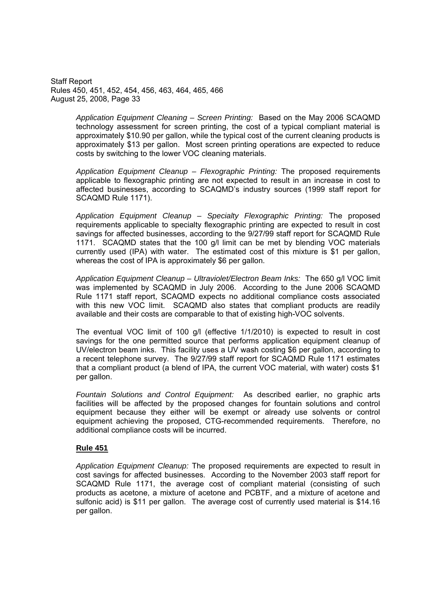> *Application Equipment Cleaning – Screen Printing:* Based on the May 2006 SCAQMD technology assessment for screen printing, the cost of a typical compliant material is approximately \$10.90 per gallon, while the typical cost of the current cleaning products is approximately \$13 per gallon. Most screen printing operations are expected to reduce costs by switching to the lower VOC cleaning materials.

> *Application Equipment Cleanup – Flexographic Printing:* The proposed requirements applicable to flexographic printing are not expected to result in an increase in cost to affected businesses, according to SCAQMD's industry sources (1999 staff report for SCAQMD Rule 1171).

> *Application Equipment Cleanup – Specialty Flexographic Printing:* The proposed requirements applicable to specialty flexographic printing are expected to result in cost savings for affected businesses, according to the 9/27/99 staff report for SCAQMD Rule 1171. SCAQMD states that the 100 g/l limit can be met by blending VOC materials currently used (IPA) with water. The estimated cost of this mixture is \$1 per gallon, whereas the cost of IPA is approximately \$6 per gallon.

> *Application Equipment Cleanup – Ultraviolet/Electron Beam Inks:* The 650 g/l VOC limit was implemented by SCAQMD in July 2006. According to the June 2006 SCAQMD Rule 1171 staff report, SCAQMD expects no additional compliance costs associated with this new VOC limit. SCAQMD also states that compliant products are readily available and their costs are comparable to that of existing high-VOC solvents.

> The eventual VOC limit of 100 g/l (effective 1/1/2010) is expected to result in cost savings for the one permitted source that performs application equipment cleanup of UV/electron beam inks. This facility uses a UV wash costing \$6 per gallon, according to a recent telephone survey. The 9/27/99 staff report for SCAQMD Rule 1171 estimates that a compliant product (a blend of IPA, the current VOC material, with water) costs \$1 per gallon.

> *Fountain Solutions and Control Equipment:* As described earlier, no graphic arts facilities will be affected by the proposed changes for fountain solutions and control equipment because they either will be exempt or already use solvents or control equipment achieving the proposed, CTG-recommended requirements. Therefore, no additional compliance costs will be incurred.

## **Rule 451**

*Application Equipment Cleanup:* The proposed requirements are expected to result in cost savings for affected businesses. According to the November 2003 staff report for SCAQMD Rule 1171, the average cost of compliant material (consisting of such products as acetone, a mixture of acetone and PCBTF, and a mixture of acetone and sulfonic acid) is \$11 per gallon. The average cost of currently used material is \$14.16 per gallon.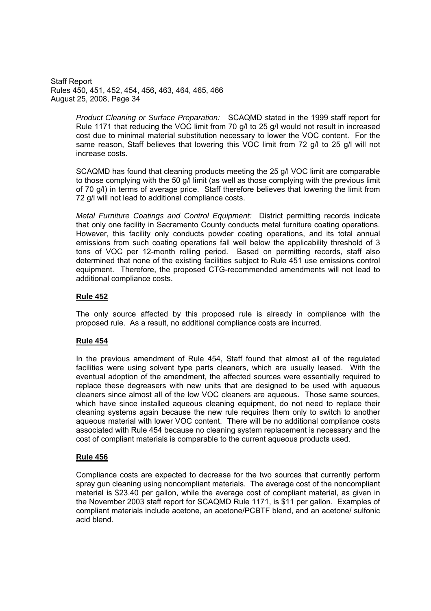> *Product Cleaning or Surface Preparation:* SCAQMD stated in the 1999 staff report for Rule 1171 that reducing the VOC limit from 70 g/l to 25 g/l would not result in increased cost due to minimal material substitution necessary to lower the VOC content. For the same reason, Staff believes that lowering this VOC limit from 72 g/l to 25 g/l will not increase costs.

> SCAQMD has found that cleaning products meeting the 25 g/l VOC limit are comparable to those complying with the 50 g/l limit (as well as those complying with the previous limit of 70 g/l) in terms of average price. Staff therefore believes that lowering the limit from 72 g/l will not lead to additional compliance costs.

> *Metal Furniture Coatings and Control Equipment:* District permitting records indicate that only one facility in Sacramento County conducts metal furniture coating operations. However, this facility only conducts powder coating operations, and its total annual emissions from such coating operations fall well below the applicability threshold of 3 tons of VOC per 12-month rolling period. Based on permitting records, staff also determined that none of the existing facilities subject to Rule 451 use emissions control equipment. Therefore, the proposed CTG-recommended amendments will not lead to additional compliance costs.

## **Rule 452**

The only source affected by this proposed rule is already in compliance with the proposed rule. As a result, no additional compliance costs are incurred.

### **Rule 454**

In the previous amendment of Rule 454, Staff found that almost all of the regulated facilities were using solvent type parts cleaners, which are usually leased. With the eventual adoption of the amendment, the affected sources were essentially required to replace these degreasers with new units that are designed to be used with aqueous cleaners since almost all of the low VOC cleaners are aqueous. Those same sources, which have since installed aqueous cleaning equipment, do not need to replace their cleaning systems again because the new rule requires them only to switch to another aqueous material with lower VOC content. There will be no additional compliance costs associated with Rule 454 because no cleaning system replacement is necessary and the cost of compliant materials is comparable to the current aqueous products used.

## **Rule 456**

Compliance costs are expected to decrease for the two sources that currently perform spray gun cleaning using noncompliant materials. The average cost of the noncompliant material is \$23.40 per gallon, while the average cost of compliant material, as given in the November 2003 staff report for SCAQMD Rule 1171, is \$11 per gallon. Examples of compliant materials include acetone, an acetone/PCBTF blend, and an acetone/ sulfonic acid blend.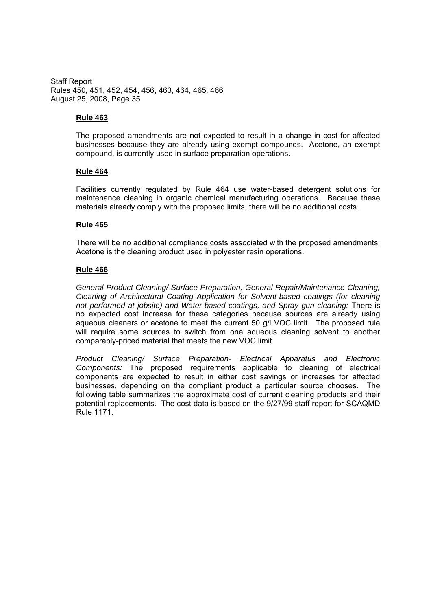## **Rule 463**

The proposed amendments are not expected to result in a change in cost for affected businesses because they are already using exempt compounds. Acetone, an exempt compound, is currently used in surface preparation operations.

## **Rule 464**

Facilities currently regulated by Rule 464 use water-based detergent solutions for maintenance cleaning in organic chemical manufacturing operations. Because these materials already comply with the proposed limits, there will be no additional costs.

## **Rule 465**

There will be no additional compliance costs associated with the proposed amendments. Acetone is the cleaning product used in polyester resin operations.

## **Rule 466**

*General Product Cleaning/ Surface Preparation, General Repair/Maintenance Cleaning, Cleaning of Architectural Coating Application for Solvent-based coatings (for cleaning not performed at jobsite) and Water-based coatings, and Spray gun cleaning:* There is no expected cost increase for these categories because sources are already using aqueous cleaners or acetone to meet the current 50 g/l VOC limit. The proposed rule will require some sources to switch from one aqueous cleaning solvent to another comparably-priced material that meets the new VOC limit.

*Product Cleaning/ Surface Preparation- Electrical Apparatus and Electronic Components:* The proposed requirements applicable to cleaning of electrical components are expected to result in either cost savings or increases for affected businesses, depending on the compliant product a particular source chooses. The following table summarizes the approximate cost of current cleaning products and their potential replacements. The cost data is based on the 9/27/99 staff report for SCAQMD Rule 1171.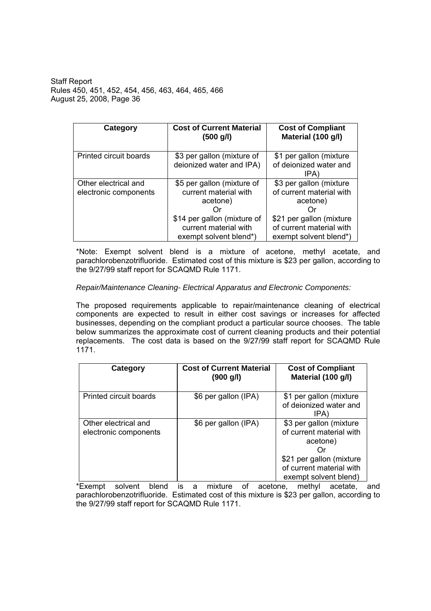| Category                                      | <b>Cost of Current Material</b><br>$(500 \text{ g/l})$                         | <b>Cost of Compliant</b><br>Material (100 g/l)                                  |
|-----------------------------------------------|--------------------------------------------------------------------------------|---------------------------------------------------------------------------------|
| Printed circuit boards                        | \$3 per gallon (mixture of<br>deionized water and IPA)                         | \$1 per gallon (mixture)<br>of deionized water and<br>IPA)                      |
| Other electrical and<br>electronic components | \$5 per gallon (mixture of<br>current material with<br>acetone)                | \$3 per gallon (mixture)<br>of current material with<br>acetone)                |
|                                               | \$14 per gallon (mixture of<br>current material with<br>exempt solvent blend*) | \$21 per gallon (mixture)<br>of current material with<br>exempt solvent blend*) |

\*Note: Exempt solvent blend is a mixture of acetone, methyl acetate, and parachlorobenzotrifluoride. Estimated cost of this mixture is \$23 per gallon, according to the 9/27/99 staff report for SCAQMD Rule 1171.

## *Repair/Maintenance Cleaning- Electrical Apparatus and Electronic Components:*

The proposed requirements applicable to repair/maintenance cleaning of electrical components are expected to result in either cost savings or increases for affected businesses, depending on the compliant product a particular source chooses. The table below summarizes the approximate cost of current cleaning products and their potential replacements. The cost data is based on the 9/27/99 staff report for SCAQMD Rule 1171.

| Category                                      | <b>Cost of Current Material</b><br>(900 g/l) | <b>Cost of Compliant</b><br>Material (100 g/l)                                                                                                    |
|-----------------------------------------------|----------------------------------------------|---------------------------------------------------------------------------------------------------------------------------------------------------|
| Printed circuit boards                        | \$6 per gallon (IPA)                         | \$1 per gallon (mixture<br>of deionized water and<br>IPA)                                                                                         |
| Other electrical and<br>electronic components | \$6 per gallon (IPA)                         | \$3 per gallon (mixture<br>of current material with<br>acetone)<br>\$21 per gallon (mixture)<br>of current material with<br>exempt solvent blend) |

\*Exempt solvent blend is a mixture of acetone, methyl acetate, and parachlorobenzotrifluoride. Estimated cost of this mixture is \$23 per gallon, according to the 9/27/99 staff report for SCAQMD Rule 1171.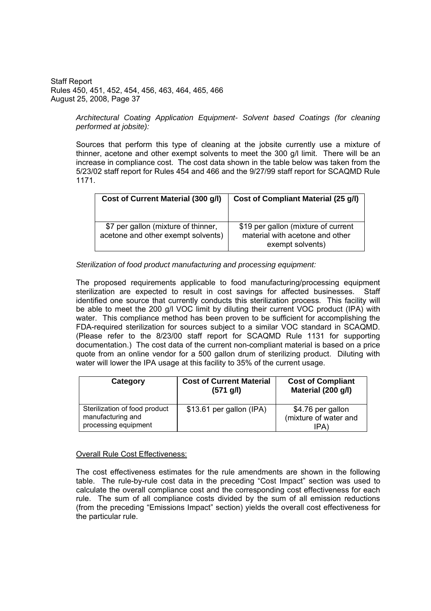> *Architectural Coating Application Equipment- Solvent based Coatings (for cleaning performed at jobsite):*

> Sources that perform this type of cleaning at the jobsite currently use a mixture of thinner, acetone and other exempt solvents to meet the 300 g/l limit. There will be an increase in compliance cost. The cost data shown in the table below was taken from the 5/23/02 staff report for Rules 454 and 466 and the 9/27/99 staff report for SCAQMD Rule 1171.

| Cost of Current Material (300 g/l)                                        | Cost of Compliant Material (25 g/l)                                                        |
|---------------------------------------------------------------------------|--------------------------------------------------------------------------------------------|
| \$7 per gallon (mixture of thinner,<br>acetone and other exempt solvents) | \$19 per gallon (mixture of current<br>material with acetone and other<br>exempt solvents) |

### *Sterilization of food product manufacturing and processing equipment:*

The proposed requirements applicable to food manufacturing/processing equipment sterilization are expected to result in cost savings for affected businesses. Staff identified one source that currently conducts this sterilization process. This facility will be able to meet the 200 g/l VOC limit by diluting their current VOC product (IPA) with water. This compliance method has been proven to be sufficient for accomplishing the FDA-required sterilization for sources subject to a similar VOC standard in SCAQMD. (Please refer to the 8/23/00 staff report for SCAQMD Rule 1131 for supporting documentation.) The cost data of the current non-compliant material is based on a price quote from an online vendor for a 500 gallon drum of sterilizing product. Diluting with water will lower the IPA usage at this facility to 35% of the current usage.

| Category                                                                   | <b>Cost of Current Material</b><br>$(571 \text{ g/l})$ | <b>Cost of Compliant</b><br>Material (200 g/l)                 |
|----------------------------------------------------------------------------|--------------------------------------------------------|----------------------------------------------------------------|
| Sterilization of food product<br>manufacturing and<br>processing equipment | \$13.61 per gallon (IPA)                               | \$4.76 per gallon<br>(mixture of water and<br>IPA <sup>'</sup> |

### Overall Rule Cost Effectiveness:

The cost effectiveness estimates for the rule amendments are shown in the following table. The rule-by-rule cost data in the preceding "Cost Impact" section was used to calculate the overall compliance cost and the corresponding cost effectiveness for each rule. The sum of all compliance costs divided by the sum of all emission reductions (from the preceding "Emissions Impact" section) yields the overall cost effectiveness for the particular rule.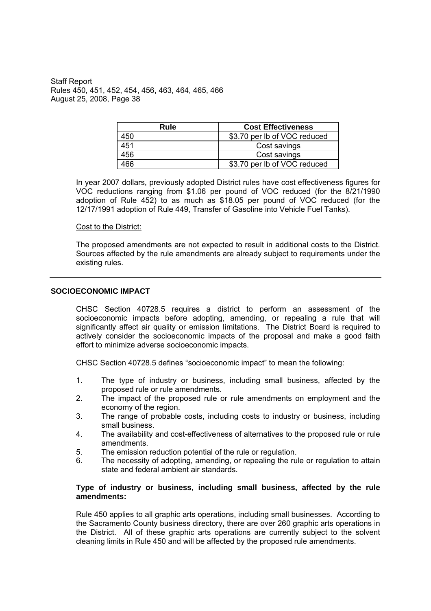| Rule | <b>Cost Effectiveness</b>    |
|------|------------------------------|
| 450  | \$3.70 per lb of VOC reduced |
| 451  | Cost savings                 |
| 456  | Cost savings                 |
| 466  | \$3.70 per lb of VOC reduced |

In year 2007 dollars, previously adopted District rules have cost effectiveness figures for VOC reductions ranging from \$1.06 per pound of VOC reduced (for the 8/21/1990 adoption of Rule 452) to as much as \$18.05 per pound of VOC reduced (for the 12/17/1991 adoption of Rule 449, Transfer of Gasoline into Vehicle Fuel Tanks).

#### Cost to the District:

The proposed amendments are not expected to result in additional costs to the District. Sources affected by the rule amendments are already subject to requirements under the existing rules.

#### **SOCIOECONOMIC IMPACT**

CHSC Section 40728.5 requires a district to perform an assessment of the socioeconomic impacts before adopting, amending, or repealing a rule that will significantly affect air quality or emission limitations. The District Board is required to actively consider the socioeconomic impacts of the proposal and make a good faith effort to minimize adverse socioeconomic impacts.

CHSC Section 40728.5 defines "socioeconomic impact" to mean the following:

- 1. The type of industry or business, including small business, affected by the proposed rule or rule amendments.
- 2. The impact of the proposed rule or rule amendments on employment and the economy of the region.
- 3. The range of probable costs, including costs to industry or business, including small business.
- 4. The availability and cost-effectiveness of alternatives to the proposed rule or rule amendments.
- 5. The emission reduction potential of the rule or regulation.
- 6. The necessity of adopting, amending, or repealing the rule or regulation to attain state and federal ambient air standards.

### **Type of industry or business, including small business, affected by the rule amendments:**

Rule 450 applies to all graphic arts operations, including small businesses. According to the Sacramento County business directory, there are over 260 graphic arts operations in the District. All of these graphic arts operations are currently subject to the solvent cleaning limits in Rule 450 and will be affected by the proposed rule amendments.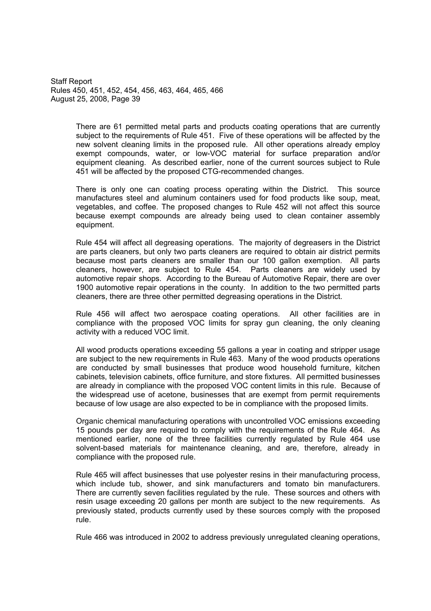> There are 61 permitted metal parts and products coating operations that are currently subject to the requirements of Rule 451. Five of these operations will be affected by the new solvent cleaning limits in the proposed rule. All other operations already employ exempt compounds, water, or low-VOC material for surface preparation and/or equipment cleaning. As described earlier, none of the current sources subject to Rule 451 will be affected by the proposed CTG-recommended changes.

> There is only one can coating process operating within the District. This source manufactures steel and aluminum containers used for food products like soup, meat, vegetables, and coffee. The proposed changes to Rule 452 will not affect this source because exempt compounds are already being used to clean container assembly equipment.

> Rule 454 will affect all degreasing operations. The majority of degreasers in the District are parts cleaners, but only two parts cleaners are required to obtain air district permits because most parts cleaners are smaller than our 100 gallon exemption. All parts cleaners, however, are subject to Rule 454. Parts cleaners are widely used by automotive repair shops. According to the Bureau of Automotive Repair, there are over 1900 automotive repair operations in the county. In addition to the two permitted parts cleaners, there are three other permitted degreasing operations in the District.

> Rule 456 will affect two aerospace coating operations. All other facilities are in compliance with the proposed VOC limits for spray gun cleaning, the only cleaning activity with a reduced VOC limit.

> All wood products operations exceeding 55 gallons a year in coating and stripper usage are subject to the new requirements in Rule 463. Many of the wood products operations are conducted by small businesses that produce wood household furniture, kitchen cabinets, television cabinets, office furniture, and store fixtures. All permitted businesses are already in compliance with the proposed VOC content limits in this rule. Because of the widespread use of acetone, businesses that are exempt from permit requirements because of low usage are also expected to be in compliance with the proposed limits.

> Organic chemical manufacturing operations with uncontrolled VOC emissions exceeding 15 pounds per day are required to comply with the requirements of the Rule 464. As mentioned earlier, none of the three facilities currently regulated by Rule 464 use solvent-based materials for maintenance cleaning, and are, therefore, already in compliance with the proposed rule.

> Rule 465 will affect businesses that use polyester resins in their manufacturing process, which include tub, shower, and sink manufacturers and tomato bin manufacturers. There are currently seven facilities regulated by the rule. These sources and others with resin usage exceeding 20 gallons per month are subject to the new requirements. As previously stated, products currently used by these sources comply with the proposed rule.

> Rule 466 was introduced in 2002 to address previously unregulated cleaning operations,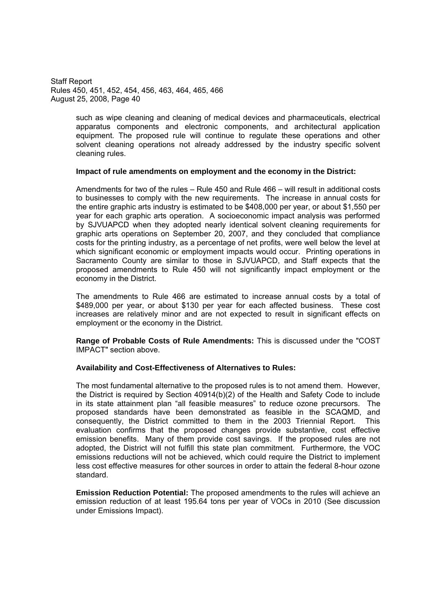> such as wipe cleaning and cleaning of medical devices and pharmaceuticals, electrical apparatus components and electronic components, and architectural application equipment. The proposed rule will continue to regulate these operations and other solvent cleaning operations not already addressed by the industry specific solvent cleaning rules.

### **Impact of rule amendments on employment and the economy in the District:**

Amendments for two of the rules  $-$  Rule 450 and Rule 466  $-$  will result in additional costs to businesses to comply with the new requirements. The increase in annual costs for the entire graphic arts industry is estimated to be \$408,000 per year, or about \$1,550 per year for each graphic arts operation. A socioeconomic impact analysis was performed by SJVUAPCD when they adopted nearly identical solvent cleaning requirements for graphic arts operations on September 20, 2007, and they concluded that compliance costs for the printing industry, as a percentage of net profits, were well below the level at which significant economic or employment impacts would occur. Printing operations in Sacramento County are similar to those in SJVUAPCD, and Staff expects that the proposed amendments to Rule 450 will not significantly impact employment or the economy in the District.

The amendments to Rule 466 are estimated to increase annual costs by a total of \$489,000 per year, or about \$130 per year for each affected business. These cost increases are relatively minor and are not expected to result in significant effects on employment or the economy in the District.

**Range of Probable Costs of Rule Amendments:** This is discussed under the "COST IMPACT" section above.

### **Availability and Cost-Effectiveness of Alternatives to Rules:**

The most fundamental alternative to the proposed rules is to not amend them. However, the District is required by Section 40914(b)(2) of the Health and Safety Code to include in its state attainment plan "all feasible measures" to reduce ozone precursors. The proposed standards have been demonstrated as feasible in the SCAQMD, and consequently, the District committed to them in the 2003 Triennial Report. This evaluation confirms that the proposed changes provide substantive, cost effective emission benefits. Many of them provide cost savings. If the proposed rules are not adopted, the District will not fulfill this state plan commitment. Furthermore, the VOC emissions reductions will not be achieved, which could require the District to implement less cost effective measures for other sources in order to attain the federal 8-hour ozone standard.

**Emission Reduction Potential:** The proposed amendments to the rules will achieve an emission reduction of at least 195.64 tons per year of VOCs in 2010 (See discussion under Emissions Impact).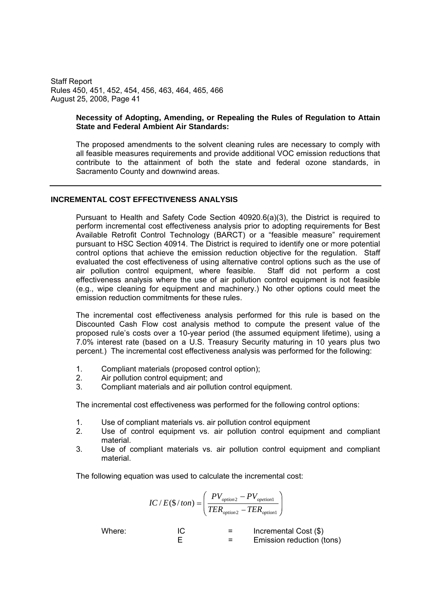#### **Necessity of Adopting, Amending, or Repealing the Rules of Regulation to Attain State and Federal Ambient Air Standards:**

The proposed amendments to the solvent cleaning rules are necessary to comply with all feasible measures requirements and provide additional VOC emission reductions that contribute to the attainment of both the state and federal ozone standards, in Sacramento County and downwind areas.

### **INCREMENTAL COST EFFECTIVENESS ANALYSIS**

Pursuant to Health and Safety Code Section 40920.6(a)(3), the District is required to perform incremental cost effectiveness analysis prior to adopting requirements for Best Available Retrofit Control Technology (BARCT) or a "feasible measure" requirement pursuant to HSC Section 40914. The District is required to identify one or more potential control options that achieve the emission reduction objective for the regulation. Staff evaluated the cost effectiveness of using alternative control options such as the use of air pollution control equipment, where feasible. Staff did not perform a cost effectiveness analysis where the use of air pollution control equipment is not feasible (e.g., wipe cleaning for equipment and machinery.) No other options could meet the emission reduction commitments for these rules.

The incremental cost effectiveness analysis performed for this rule is based on the Discounted Cash Flow cost analysis method to compute the present value of the proposed rule's costs over a 10-year period (the assumed equipment lifetime), using a 7.0% interest rate (based on a U.S. Treasury Security maturing in 10 years plus two percent.) The incremental cost effectiveness analysis was performed for the following:

- 1. Compliant materials (proposed control option);
- 2. Air pollution control equipment; and
- 3. Compliant materials and air pollution control equipment.

The incremental cost effectiveness was performed for the following control options:

- 1. Use of compliant materials vs. air pollution control equipment
- 2. Use of control equipment vs. air pollution control equipment and compliant material.
- 3. Use of compliant materials vs. air pollution control equipment and compliant material.

The following equation was used to calculate the incremental cost:

$$
IC / E(\$ / ton) = \left(\frac{PV_{option2} - PV_{option1}}{TER_{option2} - TER_{option1}}\right)
$$

Where:  $IC = Incremental Cost (\$)$ E = Emission reduction (tons)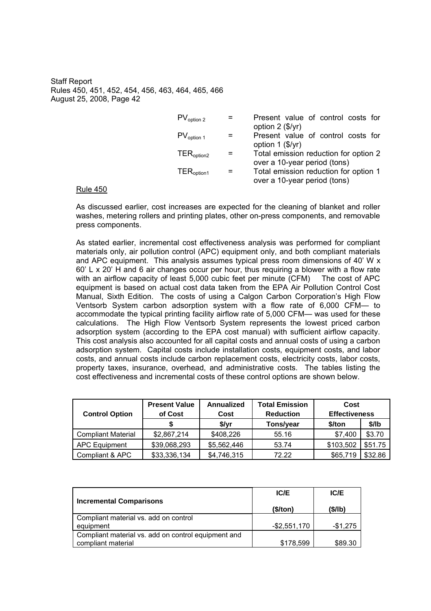| $PV_{option 2}$        | Present value of control costs for                                             |
|------------------------|--------------------------------------------------------------------------------|
| $PV_{option 1}$        | option $2$ (\$/yr)<br>Present value of control costs for<br>option $1$ (\$/yr) |
| $TER_{\text{option2}}$ | Total emission reduction for option 2<br>over a 10-year period (tons)          |
| TER <sub>option1</sub> | Total emission reduction for option 1<br>over a 10-year period (tons)          |

#### Rule 450

As discussed earlier, cost increases are expected for the cleaning of blanket and roller washes, metering rollers and printing plates, other on-press components, and removable press components.

As stated earlier, incremental cost effectiveness analysis was performed for compliant materials only, air pollution control (APC) equipment only, and both compliant materials and APC equipment. This analysis assumes typical press room dimensions of 40' W x  $60'$  L x 20' H and 6 air changes occur per hour, thus requiring a blower with a flow rate with an airflow capacity of least 5,000 cubic feet per minute (CFM) The cost of APC equipment is based on actual cost data taken from the EPA Air Pollution Control Cost Manual, Sixth Edition. The costs of using a Calgon Carbon Corporation's High Flow Ventsorb System carbon adsorption system with a flow rate of 6,000 CFM- to accommodate the typical printing facility airflow rate of 5,000 CFM— was used for these calculations. The High Flow Ventsorb System represents the lowest priced carbon adsorption system (according to the EPA cost manual) with sufficient airflow capacity. This cost analysis also accounted for all capital costs and annual costs of using a carbon adsorption system. Capital costs include installation costs, equipment costs, and labor costs, and annual costs include carbon replacement costs, electricity costs, labor costs, property taxes, insurance, overhead, and administrative costs. The tables listing the cost effectiveness and incremental costs of these control options are shown below.

| <b>Control Option</b>     | <b>Present Value</b><br>of Cost | Annualized<br>Cost | <b>Total Emission</b><br><b>Reduction</b> | Cost<br><b>Effectiveness</b> |         |
|---------------------------|---------------------------------|--------------------|-------------------------------------------|------------------------------|---------|
|                           |                                 | \$/yr              | Tons/year                                 | \$/ton                       | \$/lb   |
| <b>Compliant Material</b> | \$2,867,214                     | \$408,226          | 55.16                                     | \$7.400                      | \$3.70  |
| APC Equipment             | \$39,068,293                    | \$5,562,446        | 53.74                                     | \$103,502                    | \$51.75 |
| Compliant & APC           | \$33,336,134                    | \$4,746,315        | 72.22                                     | \$65,719                     | \$32.86 |

|                                                     | IC/E            | IC/E      |
|-----------------------------------------------------|-----------------|-----------|
| <b>Incremental Comparisons</b>                      | (\$/ton)        | (S/lb)    |
| Compliant material vs. add on control               |                 |           |
| equipment                                           | $-$ \$2,551,170 | $-$1,275$ |
| Compliant material vs. add on control equipment and |                 |           |
| compliant material                                  | \$178.599       | \$89.30   |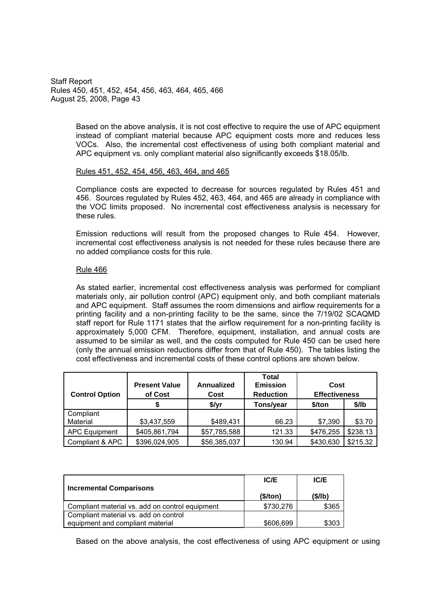> Based on the above analysis, it is not cost effective to require the use of APC equipment instead of compliant material because APC equipment costs more and reduces less VOCs. Also, the incremental cost effectiveness of using both compliant material and APC equipment vs. only compliant material also significantly exceeds \$18.05/lb.

#### Rules 451, 452, 454, 456, 463, 464, and 465

Compliance costs are expected to decrease for sources regulated by Rules 451 and 456. Sources regulated by Rules 452, 463, 464, and 465 are already in compliance with the VOC limits proposed. No incremental cost effectiveness analysis is necessary for these rules.

Emission reductions will result from the proposed changes to Rule 454. However, incremental cost effectiveness analysis is not needed for these rules because there are no added compliance costs for this rule.

### Rule 466

As stated earlier, incremental cost effectiveness analysis was performed for compliant materials only, air pollution control (APC) equipment only, and both compliant materials and APC equipment. Staff assumes the room dimensions and airflow requirements for a printing facility and a non-printing facility to be the same, since the 7/19/02 SCAQMD staff report for Rule 1171 states that the airflow requirement for a non-printing facility is approximately 5,000 CFM. Therefore, equipment, installation, and annual costs are assumed to be similar as well, and the costs computed for Rule 450 can be used here (only the annual emission reductions differ from that of Rule 450). The tables listing the cost effectiveness and incremental costs of these control options are shown below.

| <b>Control Option</b> | <b>Present Value</b><br>of Cost | Annualized<br>Cost | <b>Total</b><br><b>Emission</b><br><b>Reduction</b> | Cost<br><b>Effectiveness</b> |          |
|-----------------------|---------------------------------|--------------------|-----------------------------------------------------|------------------------------|----------|
|                       | S                               | \$/yr              | Tons/year                                           | \$/ton                       | $$$ /lb  |
| Compliant<br>Material | \$3,437,559                     | \$489,431          | 66.23                                               | \$7,390                      | \$3.70   |
| <b>APC Equipment</b>  | \$405,861,794                   | \$57,785,588       | 121.33                                              | \$476,255                    | \$238.13 |
| Compliant & APC       | \$396,024,905                   | \$56,385,037       | 130.94                                              | \$430,630                    | \$215.32 |

| <b>Incremental Comparisons</b>                  | IC/E      | IC/E   |  |
|-------------------------------------------------|-----------|--------|--|
|                                                 | (\$/ton)  | (S/lb) |  |
| Compliant material vs. add on control equipment | \$730,276 | \$365  |  |
| Compliant material vs. add on control           |           |        |  |
| equipment and compliant material                | \$606,699 | \$303  |  |

Based on the above analysis, the cost effectiveness of using APC equipment or using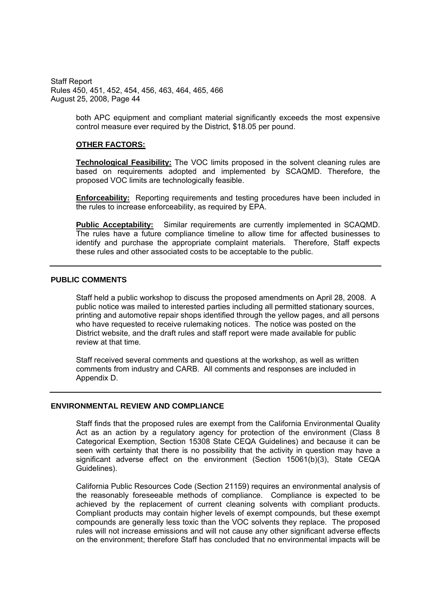> both APC equipment and compliant material significantly exceeds the most expensive control measure ever required by the District, \$18.05 per pound.

#### **OTHER FACTORS:**

**Technological Feasibility:** The VOC limits proposed in the solvent cleaning rules are based on requirements adopted and implemented by SCAQMD. Therefore, the proposed VOC limits are technologically feasible.

**Enforceability:** Reporting requirements and testing procedures have been included in the rules to increase enforceability, as required by EPA.

**Public Acceptability:** Similar requirements are currently implemented in SCAQMD. The rules have a future compliance timeline to allow time for affected businesses to identify and purchase the appropriate complaint materials. Therefore, Staff expects these rules and other associated costs to be acceptable to the public.

### **PUBLIC COMMENTS**

Staff held a public workshop to discuss the proposed amendments on April 28, 2008. A public notice was mailed to interested parties including all permitted stationary sources, printing and automotive repair shops identified through the yellow pages, and all persons who have requested to receive rulemaking notices. The notice was posted on the District website, and the draft rules and staff report were made available for public review at that time.

Staff received several comments and questions at the workshop, as well as written comments from industry and CARB. All comments and responses are included in Appendix D.

#### **ENVIRONMENTAL REVIEW AND COMPLIANCE**

Staff finds that the proposed rules are exempt from the California Environmental Quality Act as an action by a regulatory agency for protection of the environment (Class 8 Categorical Exemption, Section 15308 State CEQA Guidelines) and because it can be seen with certainty that there is no possibility that the activity in question may have a significant adverse effect on the environment (Section 15061(b)(3), State CEQA Guidelines).

California Public Resources Code (Section 21159) requires an environmental analysis of the reasonably foreseeable methods of compliance. Compliance is expected to be achieved by the replacement of current cleaning solvents with compliant products. Compliant products may contain higher levels of exempt compounds, but these exempt compounds are generally less toxic than the VOC solvents they replace. The proposed rules will not increase emissions and will not cause any other significant adverse effects on the environment; therefore Staff has concluded that no environmental impacts will be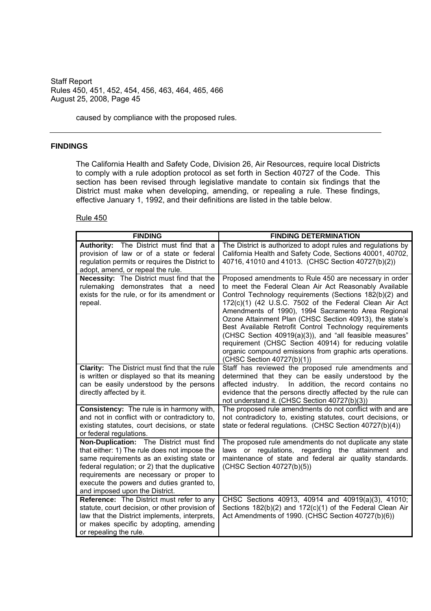caused by compliance with the proposed rules.

#### **FINDINGS**

The California Health and Safety Code, Division 26, Air Resources, require local Districts to comply with a rule adoption protocol as set forth in Section 40727 of the Code. This section has been revised through legislative mandate to contain six findings that the District must make when developing, amending, or repealing a rule. These findings, effective January 1, 1992, and their definitions are listed in the table below.

| <b>FINDING</b>                                                                                                                                                                                                                                                                                                   | <b>FINDING DETERMINATION</b>                                                                                                                                                                                                                                                                                                                                                                                                                                                                                                                                                                                                     |
|------------------------------------------------------------------------------------------------------------------------------------------------------------------------------------------------------------------------------------------------------------------------------------------------------------------|----------------------------------------------------------------------------------------------------------------------------------------------------------------------------------------------------------------------------------------------------------------------------------------------------------------------------------------------------------------------------------------------------------------------------------------------------------------------------------------------------------------------------------------------------------------------------------------------------------------------------------|
| Authority: The District must find that a<br>provision of law or of a state or federal<br>regulation permits or requires the District to<br>adopt, amend, or repeal the rule.                                                                                                                                     | The District is authorized to adopt rules and regulations by<br>California Health and Safety Code, Sections 40001, 40702,<br>40716, 41010 and 41013. (CHSC Section 40727(b)(2))                                                                                                                                                                                                                                                                                                                                                                                                                                                  |
| <b>Necessity:</b> The District must find that the<br>rulemaking demonstrates that a need<br>exists for the rule, or for its amendment or<br>repeal.                                                                                                                                                              | Proposed amendments to Rule 450 are necessary in order<br>to meet the Federal Clean Air Act Reasonably Available<br>Control Technology requirements (Sections 182(b)(2) and<br>172(c)(1) (42 U.S.C. 7502 of the Federal Clean Air Act<br>Amendments of 1990), 1994 Sacramento Area Regional<br>Ozone Attainment Plan (CHSC Section 40913), the state's<br>Best Available Retrofit Control Technology requirements<br>(CHSC Section 40919(a)(3)), and "all feasible measures"<br>requirement (CHSC Section 40914) for reducing volatile<br>organic compound emissions from graphic arts operations.<br>(CHSC Section 40727(b)(1)) |
| Clarity: The District must find that the rule<br>is written or displayed so that its meaning<br>can be easily understood by the persons<br>directly affected by it.                                                                                                                                              | Staff has reviewed the proposed rule amendments and<br>determined that they can be easily understood by the<br>In addition, the record contains no<br>affected industry.<br>evidence that the persons directly affected by the rule can<br>not understand it. (CHSC Section 40727(b)(3))                                                                                                                                                                                                                                                                                                                                         |
| Consistency: The rule is in harmony with,<br>and not in conflict with or contradictory to,<br>existing statutes, court decisions, or state<br>or federal regulations.                                                                                                                                            | The proposed rule amendments do not conflict with and are<br>not contradictory to, existing statutes, court decisions, or<br>state or federal regulations. (CHSC Section 40727(b)(4))                                                                                                                                                                                                                                                                                                                                                                                                                                            |
| Non-Duplication: The District must find<br>that either: 1) The rule does not impose the<br>same requirements as an existing state or<br>federal regulation; or 2) that the duplicative<br>requirements are necessary or proper to<br>execute the powers and duties granted to,<br>and imposed upon the District. | The proposed rule amendments do not duplicate any state<br>laws or regulations, regarding the attainment and<br>maintenance of state and federal air quality standards.<br>(CHSC Section 40727(b)(5))                                                                                                                                                                                                                                                                                                                                                                                                                            |
| Reference: The District must refer to any<br>statute, court decision, or other provision of<br>law that the District implements, interprets,<br>or makes specific by adopting, amending<br>or repealing the rule.                                                                                                | CHSC Sections 40913, 40914 and 40919(a)(3), 41010;<br>Sections 182(b)(2) and 172(c)(1) of the Federal Clean Air<br>Act Amendments of 1990. (CHSC Section 40727(b)(6))                                                                                                                                                                                                                                                                                                                                                                                                                                                            |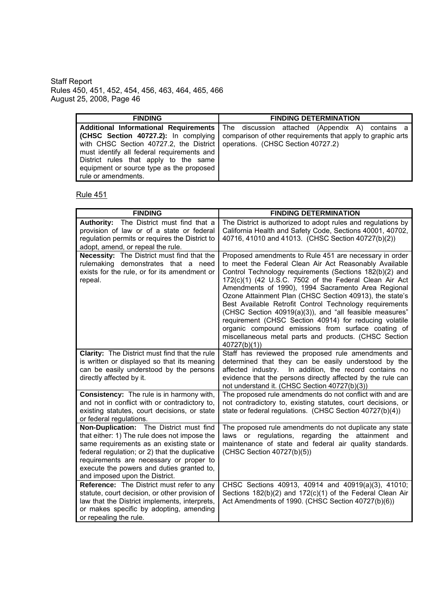| <b>FINDING</b>                                                                                                                                                                                                                         | <b>FINDING DETERMINATION</b>                                                                                                                                                                            |
|----------------------------------------------------------------------------------------------------------------------------------------------------------------------------------------------------------------------------------------|---------------------------------------------------------------------------------------------------------------------------------------------------------------------------------------------------------|
|                                                                                                                                                                                                                                        | <b>Additional Informational Requirements</b> The discussion attached (Appendix A) contains a<br><b>(CHSC Section 40727.2):</b> In complying comparison of other requirements that apply to graphic arts |
| with CHSC Section 40727.2, the District   operations. (CHSC Section 40727.2)<br>must identify all federal requirements and<br>District rules that apply to the same<br>equipment or source type as the proposed<br>rule or amendments. |                                                                                                                                                                                                         |

| <b>FINDING</b>                                                                                                                                                                                                                                                                                                   | <b>FINDING DETERMINATION</b>                                                                                                                                                                                                                                                                                                                                                                                                                                                                                                                                                                                                                                         |
|------------------------------------------------------------------------------------------------------------------------------------------------------------------------------------------------------------------------------------------------------------------------------------------------------------------|----------------------------------------------------------------------------------------------------------------------------------------------------------------------------------------------------------------------------------------------------------------------------------------------------------------------------------------------------------------------------------------------------------------------------------------------------------------------------------------------------------------------------------------------------------------------------------------------------------------------------------------------------------------------|
| Authority: The District must find that a<br>provision of law or of a state or federal<br>regulation permits or requires the District to<br>adopt, amend, or repeal the rule.                                                                                                                                     | The District is authorized to adopt rules and regulations by<br>California Health and Safety Code, Sections 40001, 40702,<br>40716, 41010 and 41013. (CHSC Section 40727(b)(2))                                                                                                                                                                                                                                                                                                                                                                                                                                                                                      |
| Necessity: The District must find that the<br>rulemaking demonstrates that a need<br>exists for the rule, or for its amendment or<br>repeal.                                                                                                                                                                     | Proposed amendments to Rule 451 are necessary in order<br>to meet the Federal Clean Air Act Reasonably Available<br>Control Technology requirements (Sections 182(b)(2) and<br>172(c)(1) (42 U.S.C. 7502 of the Federal Clean Air Act<br>Amendments of 1990), 1994 Sacramento Area Regional<br>Ozone Attainment Plan (CHSC Section 40913), the state's<br>Best Available Retrofit Control Technology requirements<br>(CHSC Section 40919(a)(3)), and "all feasible measures"<br>requirement (CHSC Section 40914) for reducing volatile<br>organic compound emissions from surface coating of<br>miscellaneous metal parts and products. (CHSC Section<br>40727(b)(1) |
| <b>Clarity:</b> The District must find that the rule<br>is written or displayed so that its meaning<br>can be easily understood by the persons<br>directly affected by it.                                                                                                                                       | Staff has reviewed the proposed rule amendments and<br>determined that they can be easily understood by the<br>affected industry. In addition, the record contains no<br>evidence that the persons directly affected by the rule can<br>not understand it. (CHSC Section 40727(b)(3))                                                                                                                                                                                                                                                                                                                                                                                |
| <b>Consistency:</b> The rule is in harmony with,<br>and not in conflict with or contradictory to,<br>existing statutes, court decisions, or state<br>or federal regulations.                                                                                                                                     | The proposed rule amendments do not conflict with and are<br>not contradictory to, existing statutes, court decisions, or<br>state or federal regulations. (CHSC Section 40727(b)(4))                                                                                                                                                                                                                                                                                                                                                                                                                                                                                |
| Non-Duplication: The District must find<br>that either: 1) The rule does not impose the<br>same requirements as an existing state or<br>federal regulation; or 2) that the duplicative<br>requirements are necessary or proper to<br>execute the powers and duties granted to,<br>and imposed upon the District. | The proposed rule amendments do not duplicate any state<br>laws or regulations, regarding<br>the attainment and<br>maintenance of state and federal air quality standards.<br>(CHSC Section 40727(b)(5))                                                                                                                                                                                                                                                                                                                                                                                                                                                             |
| Reference: The District must refer to any<br>statute, court decision, or other provision of<br>law that the District implements, interprets,<br>or makes specific by adopting, amending<br>or repealing the rule.                                                                                                | CHSC Sections 40913, 40914 and 40919(a)(3), 41010;<br>Sections 182(b)(2) and 172(c)(1) of the Federal Clean Air<br>Act Amendments of 1990. (CHSC Section 40727(b)(6))                                                                                                                                                                                                                                                                                                                                                                                                                                                                                                |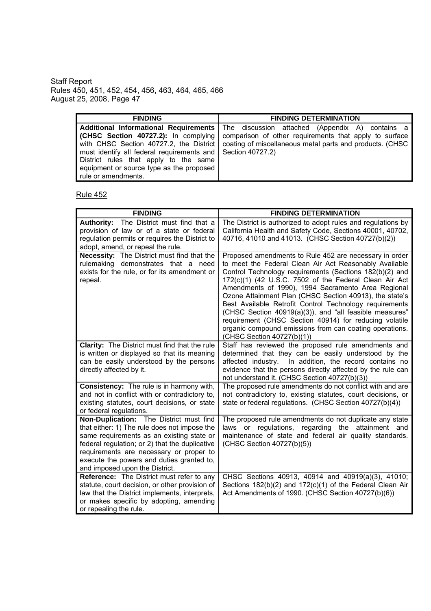| <b>FINDING</b>                                              | <b>FINDING DETERMINATION</b>                                                                       |
|-------------------------------------------------------------|----------------------------------------------------------------------------------------------------|
|                                                             | Additional Informational Requirements   The discussion attached (Appendix A) contains a            |
|                                                             | <b>(CHSC Section 40727.2):</b> In complying comparison of other requirements that apply to surface |
|                                                             | with CHSC Section 40727.2, the District   coating of miscellaneous metal parts and products. (CHSC |
| must identify all federal requirements and Section 40727.2) |                                                                                                    |
| District rules that apply to the same                       |                                                                                                    |
| equipment or source type as the proposed                    |                                                                                                    |
| rule or amendments.                                         |                                                                                                    |

| <b>FINDING</b>                                                                                                                                                                                                                                                                                                   | <b>FINDING DETERMINATION</b>                                                                                                                                                                                                                                                                                                                                                                                                                                                                                                                                                                                                    |
|------------------------------------------------------------------------------------------------------------------------------------------------------------------------------------------------------------------------------------------------------------------------------------------------------------------|---------------------------------------------------------------------------------------------------------------------------------------------------------------------------------------------------------------------------------------------------------------------------------------------------------------------------------------------------------------------------------------------------------------------------------------------------------------------------------------------------------------------------------------------------------------------------------------------------------------------------------|
| Authority: The District must find that a<br>provision of law or of a state or federal<br>regulation permits or requires the District to<br>adopt, amend, or repeal the rule.                                                                                                                                     | The District is authorized to adopt rules and regulations by<br>California Health and Safety Code, Sections 40001, 40702,<br>40716, 41010 and 41013. (CHSC Section 40727(b)(2))                                                                                                                                                                                                                                                                                                                                                                                                                                                 |
| <b>Necessity:</b> The District must find that the<br>rulemaking demonstrates that a need<br>exists for the rule, or for its amendment or<br>repeal.                                                                                                                                                              | Proposed amendments to Rule 452 are necessary in order<br>to meet the Federal Clean Air Act Reasonably Available<br>Control Technology requirements (Sections 182(b)(2) and<br>172(c)(1) (42 U.S.C. 7502 of the Federal Clean Air Act<br>Amendments of 1990), 1994 Sacramento Area Regional<br>Ozone Attainment Plan (CHSC Section 40913), the state's<br>Best Available Retrofit Control Technology requirements<br>(CHSC Section 40919(a)(3)), and "all feasible measures"<br>requirement (CHSC Section 40914) for reducing volatile<br>organic compound emissions from can coating operations.<br>(CHSC Section 40727(b)(1)) |
| Clarity: The District must find that the rule<br>is written or displayed so that its meaning<br>can be easily understood by the persons<br>directly affected by it.                                                                                                                                              | Staff has reviewed the proposed rule amendments and<br>determined that they can be easily understood by the<br>affected industry. In addition, the record contains no<br>evidence that the persons directly affected by the rule can<br>not understand it. (CHSC Section 40727(b)(3))                                                                                                                                                                                                                                                                                                                                           |
| Consistency: The rule is in harmony with,<br>and not in conflict with or contradictory to,<br>existing statutes, court decisions, or state<br>or federal regulations.                                                                                                                                            | The proposed rule amendments do not conflict with and are<br>not contradictory to, existing statutes, court decisions, or<br>state or federal regulations. (CHSC Section 40727(b)(4))                                                                                                                                                                                                                                                                                                                                                                                                                                           |
| Non-Duplication: The District must find<br>that either: 1) The rule does not impose the<br>same requirements as an existing state or<br>federal regulation; or 2) that the duplicative<br>requirements are necessary or proper to<br>execute the powers and duties granted to,<br>and imposed upon the District. | The proposed rule amendments do not duplicate any state<br>laws or regulations, regarding the attainment and<br>maintenance of state and federal air quality standards.<br>(CHSC Section 40727(b)(5))                                                                                                                                                                                                                                                                                                                                                                                                                           |
| Reference: The District must refer to any<br>statute, court decision, or other provision of<br>law that the District implements, interprets,<br>or makes specific by adopting, amending<br>or repealing the rule.                                                                                                | CHSC Sections 40913, 40914 and 40919(a)(3), 41010;<br>Sections 182(b)(2) and 172(c)(1) of the Federal Clean Air<br>Act Amendments of 1990. (CHSC Section 40727(b)(6))                                                                                                                                                                                                                                                                                                                                                                                                                                                           |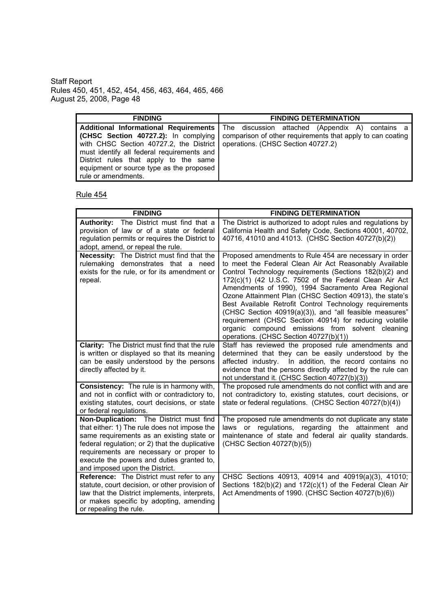| <b>FINDING</b>                                                                                                                                                                                                  | <b>FINDING DETERMINATION</b>                                                                                                                                                                           |
|-----------------------------------------------------------------------------------------------------------------------------------------------------------------------------------------------------------------|--------------------------------------------------------------------------------------------------------------------------------------------------------------------------------------------------------|
| with CHSC Section 40727.2, the District   operations. (CHSC Section 40727.2)<br>must identify all federal requirements and<br>District rules that apply to the same<br>equipment or source type as the proposed | <b>Additional Informational Requirements</b> The discussion attached (Appendix A) contains a<br><b>(CHSC Section 40727.2):</b> In complying comparison of other requirements that apply to can coating |
| rule or amendments.                                                                                                                                                                                             |                                                                                                                                                                                                        |

| <b>FINDING</b>                                                                                                                                                                                                                                                                                                   | <b>FINDING DETERMINATION</b>                                                                                                                                                                                                                                                                                                                                                                                                                                                                                                                                                                                                         |
|------------------------------------------------------------------------------------------------------------------------------------------------------------------------------------------------------------------------------------------------------------------------------------------------------------------|--------------------------------------------------------------------------------------------------------------------------------------------------------------------------------------------------------------------------------------------------------------------------------------------------------------------------------------------------------------------------------------------------------------------------------------------------------------------------------------------------------------------------------------------------------------------------------------------------------------------------------------|
| Authority: The District must find that a<br>provision of law or of a state or federal<br>regulation permits or requires the District to<br>adopt, amend, or repeal the rule.                                                                                                                                     | The District is authorized to adopt rules and regulations by<br>California Health and Safety Code, Sections 40001, 40702,<br>40716, 41010 and 41013. (CHSC Section 40727(b)(2))                                                                                                                                                                                                                                                                                                                                                                                                                                                      |
| <b>Necessity:</b> The District must find that the<br>rulemaking demonstrates that a need<br>exists for the rule, or for its amendment or<br>repeal.                                                                                                                                                              | Proposed amendments to Rule 454 are necessary in order<br>to meet the Federal Clean Air Act Reasonably Available<br>Control Technology requirements (Sections 182(b)(2) and<br>172(c)(1) (42 U.S.C. 7502 of the Federal Clean Air Act<br>Amendments of 1990), 1994 Sacramento Area Regional<br>Ozone Attainment Plan (CHSC Section 40913), the state's<br>Best Available Retrofit Control Technology requirements<br>(CHSC Section 40919(a)(3)), and "all feasible measures"<br>requirement (CHSC Section 40914) for reducing volatile<br>organic compound emissions from solvent cleaning<br>operations. (CHSC Section 40727(b)(1)) |
| Clarity: The District must find that the rule<br>is written or displayed so that its meaning<br>can be easily understood by the persons<br>directly affected by it.                                                                                                                                              | Staff has reviewed the proposed rule amendments and<br>determined that they can be easily understood by the<br>affected industry. In addition, the record contains no<br>evidence that the persons directly affected by the rule can<br>not understand it. (CHSC Section 40727(b)(3))                                                                                                                                                                                                                                                                                                                                                |
| Consistency: The rule is in harmony with,<br>and not in conflict with or contradictory to,<br>existing statutes, court decisions, or state<br>or federal regulations.                                                                                                                                            | The proposed rule amendments do not conflict with and are<br>not contradictory to, existing statutes, court decisions, or<br>state or federal regulations. (CHSC Section 40727(b)(4))                                                                                                                                                                                                                                                                                                                                                                                                                                                |
| Non-Duplication: The District must find<br>that either: 1) The rule does not impose the<br>same requirements as an existing state or<br>federal regulation; or 2) that the duplicative<br>requirements are necessary or proper to<br>execute the powers and duties granted to,<br>and imposed upon the District. | The proposed rule amendments do not duplicate any state<br>laws or regulations, regarding the attainment and<br>maintenance of state and federal air quality standards.<br>(CHSC Section 40727(b)(5))                                                                                                                                                                                                                                                                                                                                                                                                                                |
| Reference: The District must refer to any<br>statute, court decision, or other provision of<br>law that the District implements, interprets,<br>or makes specific by adopting, amending<br>or repealing the rule.                                                                                                | CHSC Sections 40913, 40914 and 40919(a)(3), 41010;<br>Sections 182(b)(2) and 172(c)(1) of the Federal Clean Air<br>Act Amendments of 1990. (CHSC Section 40727(b)(6))                                                                                                                                                                                                                                                                                                                                                                                                                                                                |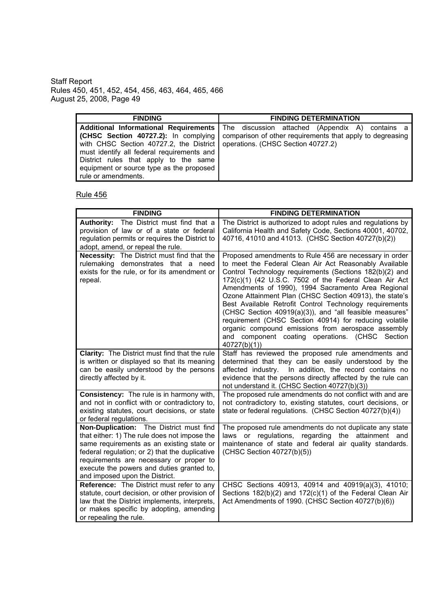| <b>FINDING</b>                                                                                                                                         | <b>FINDING DETERMINATION</b>                                                                                                                                                                     |
|--------------------------------------------------------------------------------------------------------------------------------------------------------|--------------------------------------------------------------------------------------------------------------------------------------------------------------------------------------------------|
| with CHSC Section 40727.2, the District   operations. (CHSC Section 40727.2)                                                                           | Additional Informational Requirements   The discussion attached (Appendix A) contains a<br><b>(CHSC Section 40727.2):</b> In complying comparison of other requirements that apply to degreasing |
| must identify all federal requirements and<br>District rules that apply to the same<br>equipment or source type as the proposed<br>rule or amendments. |                                                                                                                                                                                                  |

| <b>FINDING</b>                                                                                                                                                                                                                                                                                                   | <b>FINDING DETERMINATION</b>                                                                                                                                                                                                                                                                                                                                                                                                                                                                                                                                                                                                                                   |
|------------------------------------------------------------------------------------------------------------------------------------------------------------------------------------------------------------------------------------------------------------------------------------------------------------------|----------------------------------------------------------------------------------------------------------------------------------------------------------------------------------------------------------------------------------------------------------------------------------------------------------------------------------------------------------------------------------------------------------------------------------------------------------------------------------------------------------------------------------------------------------------------------------------------------------------------------------------------------------------|
| Authority: The District must find that a<br>provision of law or of a state or federal<br>regulation permits or requires the District to<br>adopt, amend, or repeal the rule.                                                                                                                                     | The District is authorized to adopt rules and regulations by<br>California Health and Safety Code, Sections 40001, 40702,<br>40716, 41010 and 41013. (CHSC Section 40727(b)(2))                                                                                                                                                                                                                                                                                                                                                                                                                                                                                |
| Necessity: The District must find that the<br>rulemaking demonstrates that a need<br>exists for the rule, or for its amendment or<br>repeal.                                                                                                                                                                     | Proposed amendments to Rule 456 are necessary in order<br>to meet the Federal Clean Air Act Reasonably Available<br>Control Technology requirements (Sections 182(b)(2) and<br>172(c)(1) (42 U.S.C. 7502 of the Federal Clean Air Act<br>Amendments of 1990), 1994 Sacramento Area Regional<br>Ozone Attainment Plan (CHSC Section 40913), the state's<br>Best Available Retrofit Control Technology requirements<br>(CHSC Section 40919(a)(3)), and "all feasible measures"<br>requirement (CHSC Section 40914) for reducing volatile<br>organic compound emissions from aerospace assembly<br>and component coating operations. (CHSC Section<br>40727(b)(1) |
| Clarity: The District must find that the rule<br>is written or displayed so that its meaning<br>can be easily understood by the persons<br>directly affected by it.                                                                                                                                              | Staff has reviewed the proposed rule amendments and<br>determined that they can be easily understood by the<br>affected industry. In addition, the record contains no<br>evidence that the persons directly affected by the rule can<br>not understand it. (CHSC Section 40727(b)(3))                                                                                                                                                                                                                                                                                                                                                                          |
| <b>Consistency:</b> The rule is in harmony with,<br>and not in conflict with or contradictory to,<br>existing statutes, court decisions, or state<br>or federal regulations.                                                                                                                                     | The proposed rule amendments do not conflict with and are<br>not contradictory to, existing statutes, court decisions, or<br>state or federal regulations. (CHSC Section 40727(b)(4))                                                                                                                                                                                                                                                                                                                                                                                                                                                                          |
| Non-Duplication: The District must find<br>that either: 1) The rule does not impose the<br>same requirements as an existing state or<br>federal regulation; or 2) that the duplicative<br>requirements are necessary or proper to<br>execute the powers and duties granted to,<br>and imposed upon the District. | The proposed rule amendments do not duplicate any state<br>regarding<br>laws or regulations,<br>the attainment and<br>maintenance of state and federal air quality standards.<br>(CHSC Section 40727(b)(5))                                                                                                                                                                                                                                                                                                                                                                                                                                                    |
| Reference: The District must refer to any<br>statute, court decision, or other provision of<br>law that the District implements, interprets,<br>or makes specific by adopting, amending<br>or repealing the rule.                                                                                                | CHSC Sections 40913, 40914 and 40919(a)(3), 41010;<br>Sections 182(b)(2) and 172(c)(1) of the Federal Clean Air<br>Act Amendments of 1990. (CHSC Section 40727(b)(6))                                                                                                                                                                                                                                                                                                                                                                                                                                                                                          |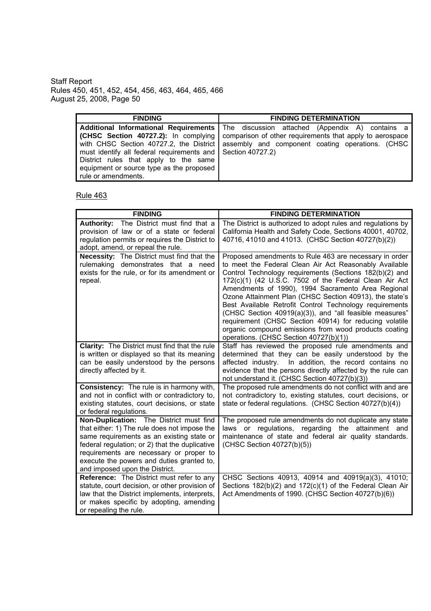| <b>FINDING</b>                                              | <b>FINDING DETERMINATION</b>                                                                         |
|-------------------------------------------------------------|------------------------------------------------------------------------------------------------------|
|                                                             | <b>Additional Informational Requirements</b> The discussion attached (Appendix A) contains a         |
|                                                             | <b>(CHSC Section 40727.2):</b> In complying comparison of other requirements that apply to aerospace |
| with CHSC Section 40727.2, the District                     | assembly and component coating operations. (CHSC                                                     |
| must identify all federal requirements and Section 40727.2) |                                                                                                      |
| District rules that apply to the same                       |                                                                                                      |
| equipment or source type as the proposed                    |                                                                                                      |
| rule or amendments.                                         |                                                                                                      |

| <b>FINDING</b>                                                                                                                                                                                                                                                                                                   | <b>FINDING DETERMINATION</b>                                                                                                                                                                                                                                                                                                                                                                                                                                                                                                                                                                                                              |
|------------------------------------------------------------------------------------------------------------------------------------------------------------------------------------------------------------------------------------------------------------------------------------------------------------------|-------------------------------------------------------------------------------------------------------------------------------------------------------------------------------------------------------------------------------------------------------------------------------------------------------------------------------------------------------------------------------------------------------------------------------------------------------------------------------------------------------------------------------------------------------------------------------------------------------------------------------------------|
| Authority: The District must find that a<br>provision of law or of a state or federal<br>regulation permits or requires the District to<br>adopt, amend, or repeal the rule.                                                                                                                                     | The District is authorized to adopt rules and regulations by<br>California Health and Safety Code, Sections 40001, 40702,<br>40716, 41010 and 41013. (CHSC Section 40727(b)(2))                                                                                                                                                                                                                                                                                                                                                                                                                                                           |
| <b>Necessity:</b> The District must find that the<br>rulemaking demonstrates that a need<br>exists for the rule, or for its amendment or<br>repeal.                                                                                                                                                              | Proposed amendments to Rule 463 are necessary in order<br>to meet the Federal Clean Air Act Reasonably Available<br>Control Technology requirements (Sections 182(b)(2) and<br>172(c)(1) (42 U.S.C. 7502 of the Federal Clean Air Act<br>Amendments of 1990), 1994 Sacramento Area Regional<br>Ozone Attainment Plan (CHSC Section 40913), the state's<br>Best Available Retrofit Control Technology requirements<br>(CHSC Section 40919(a)(3)), and "all feasible measures"<br>requirement (CHSC Section 40914) for reducing volatile<br>organic compound emissions from wood products coating<br>operations. (CHSC Section 40727(b)(1)) |
| Clarity: The District must find that the rule<br>is written or displayed so that its meaning<br>can be easily understood by the persons<br>directly affected by it.                                                                                                                                              | Staff has reviewed the proposed rule amendments and<br>determined that they can be easily understood by the<br>affected industry. In addition, the record contains no<br>evidence that the persons directly affected by the rule can<br>not understand it. (CHSC Section 40727(b)(3))                                                                                                                                                                                                                                                                                                                                                     |
| Consistency: The rule is in harmony with,<br>and not in conflict with or contradictory to,<br>existing statutes, court decisions, or state<br>or federal regulations.                                                                                                                                            | The proposed rule amendments do not conflict with and are<br>not contradictory to, existing statutes, court decisions, or<br>state or federal regulations. (CHSC Section 40727(b)(4))                                                                                                                                                                                                                                                                                                                                                                                                                                                     |
| Non-Duplication: The District must find<br>that either: 1) The rule does not impose the<br>same requirements as an existing state or<br>federal regulation; or 2) that the duplicative<br>requirements are necessary or proper to<br>execute the powers and duties granted to,<br>and imposed upon the District. | The proposed rule amendments do not duplicate any state<br>laws or regulations, regarding the attainment and<br>maintenance of state and federal air quality standards.<br>(CHSC Section 40727(b)(5))                                                                                                                                                                                                                                                                                                                                                                                                                                     |
| Reference: The District must refer to any<br>statute, court decision, or other provision of<br>law that the District implements, interprets,<br>or makes specific by adopting, amending<br>or repealing the rule.                                                                                                | CHSC Sections 40913, 40914 and 40919(a)(3), 41010;<br>Sections 182(b)(2) and 172(c)(1) of the Federal Clean Air<br>Act Amendments of 1990. (CHSC Section 40727(b)(6))                                                                                                                                                                                                                                                                                                                                                                                                                                                                     |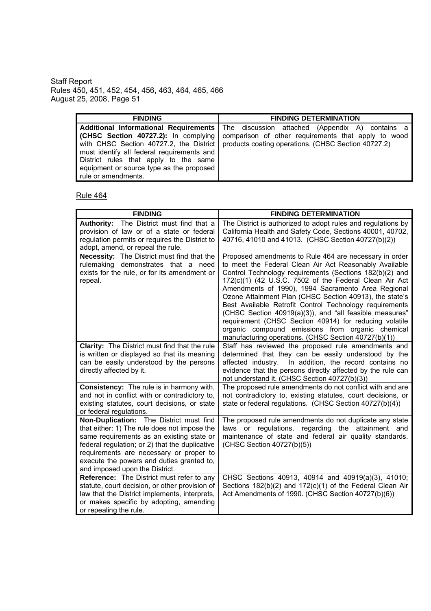| <b>FINDING</b>                             | <b>FINDING DETERMINATION</b>                                                                    |
|--------------------------------------------|-------------------------------------------------------------------------------------------------|
|                                            | <b>Additional Informational Requirements</b> The discussion attached (Appendix A) contains a    |
|                                            | <b>(CHSC Section 40727.2):</b> In complying comparison of other requirements that apply to wood |
|                                            | with CHSC Section 40727.2, the District   products coating operations. (CHSC Section 40727.2)   |
| must identify all federal requirements and |                                                                                                 |
| District rules that apply to the same      |                                                                                                 |
| equipment or source type as the proposed   |                                                                                                 |
| rule or amendments.                        |                                                                                                 |

| <b>FINDING</b>                                                                                                                                                                                                                                                                                                   | <b>FINDING DETERMINATION</b>                                                                                                                                                                                                                                                                                                                                                                                                                                                                                                                                                                                                                       |
|------------------------------------------------------------------------------------------------------------------------------------------------------------------------------------------------------------------------------------------------------------------------------------------------------------------|----------------------------------------------------------------------------------------------------------------------------------------------------------------------------------------------------------------------------------------------------------------------------------------------------------------------------------------------------------------------------------------------------------------------------------------------------------------------------------------------------------------------------------------------------------------------------------------------------------------------------------------------------|
| Authority: The District must find that a<br>provision of law or of a state or federal<br>regulation permits or requires the District to<br>adopt, amend, or repeal the rule.                                                                                                                                     | The District is authorized to adopt rules and regulations by<br>California Health and Safety Code, Sections 40001, 40702,<br>40716, 41010 and 41013. (CHSC Section 40727(b)(2))                                                                                                                                                                                                                                                                                                                                                                                                                                                                    |
| <b>Necessity:</b> The District must find that the<br>rulemaking demonstrates that a need<br>exists for the rule, or for its amendment or<br>repeal.                                                                                                                                                              | Proposed amendments to Rule 464 are necessary in order<br>to meet the Federal Clean Air Act Reasonably Available<br>Control Technology requirements (Sections 182(b)(2) and<br>172(c)(1) (42 U.S.C. 7502 of the Federal Clean Air Act<br>Amendments of 1990), 1994 Sacramento Area Regional<br>Ozone Attainment Plan (CHSC Section 40913), the state's<br>Best Available Retrofit Control Technology requirements<br>(CHSC Section 40919(a)(3)), and "all feasible measures"<br>requirement (CHSC Section 40914) for reducing volatile<br>organic compound emissions from organic chemical<br>manufacturing operations. (CHSC Section 40727(b)(1)) |
| <b>Clarity:</b> The District must find that the rule<br>is written or displayed so that its meaning<br>can be easily understood by the persons<br>directly affected by it.                                                                                                                                       | Staff has reviewed the proposed rule amendments and<br>determined that they can be easily understood by the<br>affected industry. In addition, the record contains no<br>evidence that the persons directly affected by the rule can<br>not understand it. (CHSC Section 40727(b)(3))                                                                                                                                                                                                                                                                                                                                                              |
| <b>Consistency:</b> The rule is in harmony with,<br>and not in conflict with or contradictory to,<br>existing statutes, court decisions, or state<br>or federal regulations.                                                                                                                                     | The proposed rule amendments do not conflict with and are<br>not contradictory to, existing statutes, court decisions, or<br>state or federal regulations. (CHSC Section 40727(b)(4))                                                                                                                                                                                                                                                                                                                                                                                                                                                              |
| Non-Duplication: The District must find<br>that either: 1) The rule does not impose the<br>same requirements as an existing state or<br>federal regulation; or 2) that the duplicative<br>requirements are necessary or proper to<br>execute the powers and duties granted to,<br>and imposed upon the District. | The proposed rule amendments do not duplicate any state<br>laws or regulations, regarding the attainment and<br>maintenance of state and federal air quality standards.<br>(CHSC Section 40727(b)(5))                                                                                                                                                                                                                                                                                                                                                                                                                                              |
| Reference: The District must refer to any<br>statute, court decision, or other provision of<br>law that the District implements, interprets,<br>or makes specific by adopting, amending<br>or repealing the rule.                                                                                                | CHSC Sections 40913, 40914 and 40919(a)(3), 41010;<br>Sections 182(b)(2) and 172(c)(1) of the Federal Clean Air<br>Act Amendments of 1990. (CHSC Section 40727(b)(6))                                                                                                                                                                                                                                                                                                                                                                                                                                                                              |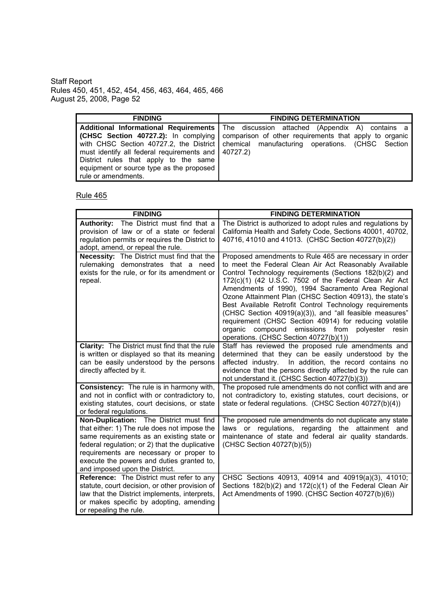| <b>FINDING</b>                                       | <b>FINDING DETERMINATION</b>                                                                       |
|------------------------------------------------------|----------------------------------------------------------------------------------------------------|
|                                                      | <b>Additional Informational Requirements</b> The discussion attached (Appendix A) contains a       |
|                                                      | <b>(CHSC Section 40727.2):</b> In complying comparison of other requirements that apply to organic |
|                                                      | with CHSC Section 40727.2, the District   chemical manufacturing operations. (CHSC Section         |
| must identify all federal requirements and 140727.2) |                                                                                                    |
| District rules that apply to the same                |                                                                                                    |
| equipment or source type as the proposed             |                                                                                                    |
| rule or amendments.                                  |                                                                                                    |

| <b>FINDING</b>                                                                                                                                                                                                                                                                                                   | <b>FINDING DETERMINATION</b>                                                                                                                                                                                                                                                                                                                                                                                                                                                                                                                                                                                                           |
|------------------------------------------------------------------------------------------------------------------------------------------------------------------------------------------------------------------------------------------------------------------------------------------------------------------|----------------------------------------------------------------------------------------------------------------------------------------------------------------------------------------------------------------------------------------------------------------------------------------------------------------------------------------------------------------------------------------------------------------------------------------------------------------------------------------------------------------------------------------------------------------------------------------------------------------------------------------|
| Authority: The District must find that a<br>provision of law or of a state or federal<br>regulation permits or requires the District to<br>adopt, amend, or repeal the rule.                                                                                                                                     | The District is authorized to adopt rules and regulations by<br>California Health and Safety Code, Sections 40001, 40702,<br>40716, 41010 and 41013. (CHSC Section 40727(b)(2))                                                                                                                                                                                                                                                                                                                                                                                                                                                        |
| <b>Necessity:</b> The District must find that the<br>rulemaking demonstrates that a need<br>exists for the rule, or for its amendment or<br>repeal.                                                                                                                                                              | Proposed amendments to Rule 465 are necessary in order<br>to meet the Federal Clean Air Act Reasonably Available<br>Control Technology requirements (Sections 182(b)(2) and<br>172(c)(1) (42 U.S.C. 7502 of the Federal Clean Air Act<br>Amendments of 1990), 1994 Sacramento Area Regional<br>Ozone Attainment Plan (CHSC Section 40913), the state's<br>Best Available Retrofit Control Technology requirements<br>(CHSC Section 40919(a)(3)), and "all feasible measures"<br>requirement (CHSC Section 40914) for reducing volatile<br>compound emissions from polyester resin<br>organic<br>operations. (CHSC Section 40727(b)(1)) |
| <b>Clarity:</b> The District must find that the rule<br>is written or displayed so that its meaning<br>can be easily understood by the persons<br>directly affected by it.                                                                                                                                       | Staff has reviewed the proposed rule amendments and<br>determined that they can be easily understood by the<br>affected industry. In addition, the record contains no<br>evidence that the persons directly affected by the rule can<br>not understand it. (CHSC Section 40727(b)(3))                                                                                                                                                                                                                                                                                                                                                  |
| <b>Consistency:</b> The rule is in harmony with,<br>and not in conflict with or contradictory to,<br>existing statutes, court decisions, or state<br>or federal regulations.                                                                                                                                     | The proposed rule amendments do not conflict with and are<br>not contradictory to, existing statutes, court decisions, or<br>state or federal regulations. (CHSC Section 40727(b)(4))                                                                                                                                                                                                                                                                                                                                                                                                                                                  |
| Non-Duplication: The District must find<br>that either: 1) The rule does not impose the<br>same requirements as an existing state or<br>federal regulation; or 2) that the duplicative<br>requirements are necessary or proper to<br>execute the powers and duties granted to,<br>and imposed upon the District. | The proposed rule amendments do not duplicate any state<br>laws or regulations, regarding the attainment and<br>maintenance of state and federal air quality standards.<br>(CHSC Section 40727(b)(5))                                                                                                                                                                                                                                                                                                                                                                                                                                  |
| Reference: The District must refer to any<br>statute, court decision, or other provision of<br>law that the District implements, interprets,<br>or makes specific by adopting, amending<br>or repealing the rule.                                                                                                | CHSC Sections 40913, 40914 and 40919(a)(3), 41010;<br>Sections 182(b)(2) and 172(c)(1) of the Federal Clean Air<br>Act Amendments of 1990. (CHSC Section 40727(b)(6))                                                                                                                                                                                                                                                                                                                                                                                                                                                                  |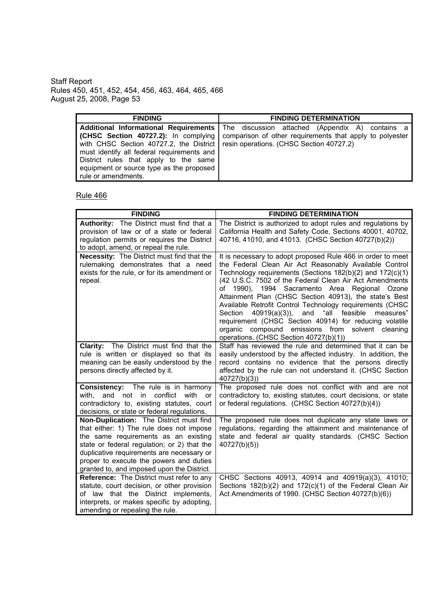| <b>FINDING</b>                                                                                                                                                                                                                               | <b>FINDING DETERMINATION</b>                                                                                                                        |
|----------------------------------------------------------------------------------------------------------------------------------------------------------------------------------------------------------------------------------------------|-----------------------------------------------------------------------------------------------------------------------------------------------------|
| (CHSC Section 40727.2): In complying                                                                                                                                                                                                         | Additional Informational Requirements   The discussion attached (Appendix A) contains a<br>comparison of other requirements that apply to polyester |
| with CHSC Section 40727.2, the District   resin operations. (CHSC Section 40727.2)<br>must identify all federal requirements and<br>District rules that apply to the same<br>equipment or source type as the proposed<br>rule or amendments. |                                                                                                                                                     |

| <b>FINDING</b>                                                                                                                                                                                                                                                                                                   | <b>FINDING DETERMINATION</b>                                                                                                                                                                                                                                                                                                                                                                                                                                                                                                                                                                                                                        |
|------------------------------------------------------------------------------------------------------------------------------------------------------------------------------------------------------------------------------------------------------------------------------------------------------------------|-----------------------------------------------------------------------------------------------------------------------------------------------------------------------------------------------------------------------------------------------------------------------------------------------------------------------------------------------------------------------------------------------------------------------------------------------------------------------------------------------------------------------------------------------------------------------------------------------------------------------------------------------------|
| Authority: The District must find that a<br>provision of law or of a state or federal<br>regulation permits or requires the District<br>to adopt, amend, or repeal the rule.                                                                                                                                     | The District is authorized to adopt rules and regulations by<br>California Health and Safety Code, Sections 40001, 40702,<br>40716, 41010, and 41013. (CHSC Section 40727(b)(2))                                                                                                                                                                                                                                                                                                                                                                                                                                                                    |
| Necessity: The District must find that the<br>rulemaking demonstrates that a need<br>exists for the rule, or for its amendment or<br>repeal.                                                                                                                                                                     | It is necessary to adopt proposed Rule 466 in order to meet<br>the Federal Clean Air Act Reasonably Available Control<br>Technology requirements (Sections 182(b)(2) and 172(c)(1)<br>(42 U.S.C. 7502 of the Federal Clean Air Act Amendments<br>1990), 1994 Sacramento Area Regional Ozone<br>of<br>Attainment Plan (CHSC Section 40913), the state's Best<br>Available Retrofit Control Technology requirements (CHSC<br>"all feasible<br>$40919(a)(3)$ ),<br>and<br>measures"<br>Section<br>requirement (CHSC Section 40914) for reducing volatile<br>organic compound emissions from solvent cleaning<br>operations. (CHSC Section 40727(b)(1)) |
| <b>Clarity:</b> The District must find that the<br>rule is written or displayed so that its<br>meaning can be easily understood by the<br>persons directly affected by it.                                                                                                                                       | Staff has reviewed the rule and determined that it can be<br>easily understood by the affected industry. In addition, the<br>record contains no evidence that the persons directly<br>affected by the rule can not understand it. (CHSC Section<br>40727(b)(3)                                                                                                                                                                                                                                                                                                                                                                                      |
| Consistency: The rule is in harmony<br>with, and not in conflict with or<br>contradictory to, existing statutes, court<br>decisions, or state or federal regulations.                                                                                                                                            | The proposed rule does not conflict with and are not<br>contradictory to, existing statutes, court decisions, or state<br>or federal regulations. (CHSC Section 40727(b)(4))                                                                                                                                                                                                                                                                                                                                                                                                                                                                        |
| Non-Duplication: The District must find<br>that either: 1) The rule does not impose<br>the same requirements as an existing<br>state or federal regulation; or 2) that the<br>duplicative requirements are necessary or<br>proper to execute the powers and duties<br>granted to, and imposed upon the District. | The proposed rule does not duplicate any state laws or<br>regulations, regarding the attainment and maintenance of<br>state and federal air quality standards. (CHSC Section<br>40727(b)(5)                                                                                                                                                                                                                                                                                                                                                                                                                                                         |
| Reference: The District must refer to any<br>statute, court decision, or other provision<br>of law that the District implements,<br>interprets, or makes specific by adopting,<br>amending or repealing the rule.                                                                                                | CHSC Sections 40913, 40914 and 40919(a)(3), 41010;<br>Sections 182(b)(2) and 172(c)(1) of the Federal Clean Air<br>Act Amendments of 1990. (CHSC Section 40727(b)(6))                                                                                                                                                                                                                                                                                                                                                                                                                                                                               |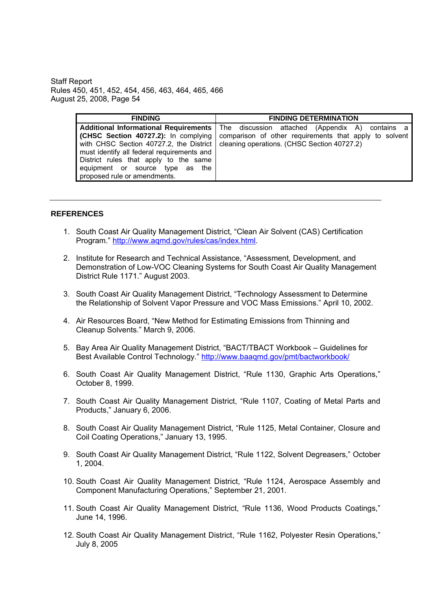| <b>FINDING</b>                                                                                                                                                                                                                                                                            | <b>FINDING DETERMINATION</b>                                                                                                                             |
|-------------------------------------------------------------------------------------------------------------------------------------------------------------------------------------------------------------------------------------------------------------------------------------------|----------------------------------------------------------------------------------------------------------------------------------------------------------|
| <b>Additional Informational Requirements</b><br>(CHSC Section 40727.2): In complying<br>with CHSC Section 40727.2, the District<br>must identify all federal requirements and<br>District rules that apply to the same<br>equipment or source type as the<br>proposed rule or amendments. | The discussion attached (Appendix A) contains a<br>comparison of other requirements that apply to solvent<br>cleaning operations. (CHSC Section 40727.2) |

#### **REFERENCES**

- 1. South Coast Air Quality Management District, "Clean Air Solvent (CAS) Certification Program." http://www.agmd.gov/rules/cas/index.html.
- 2. Institute for Research and Technical Assistance, "Assessment, Development, and Demonstration of Low-VOC Cleaning Systems for South Coast Air Quality Management District Rule 1171." August 2003.
- 3. South Coast Air Quality Management District, "Technology Assessment to Determine the Relationship of Solvent Vapor Pressure and VOC Mass Emissions." April 10, 2002.
- 4. Air Resources Board, "New Method for Estimating Emissions from Thinning and Cleanup Solvents." March 9, 2006.
- 5. Bay Area Air Quality Management District, "BACT/TBACT Workbook Guidelines for Best Available Control Technology." http://www.baagmd.gov/pmt/bactworkbook/
- 6. South Coast Air Quality Management District, "Rule 1130, Graphic Arts Operations," October 8, 1999.
- 7. South Coast Air Quality Management District. "Rule 1107, Coating of Metal Parts and Products," January 6, 2006.
- 8. South Coast Air Quality Management District, "Rule 1125, Metal Container, Closure and Coil Coating Operations," January 13, 1995.
- 9. South Coast Air Quality Management District, "Rule 1122, Solvent Degreasers," October 1, 2004.
- 10. South Coast Air Quality Management District, "Rule 1124, Aerospace Assembly and Component Manufacturing Operations." September 21, 2001.
- 11. South Coast Air Quality Management District, "Rule 1136, Wood Products Coatings," June 14, 1996.
- 12. South Coast Air Quality Management District, "Rule 1162, Polyester Resin Operations," July 8, 2005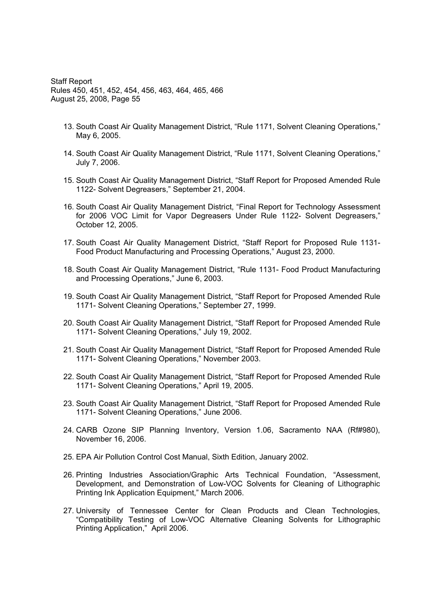- 13. South Coast Air Quality Management District, "Rule 1171, Solvent Cleaning Operations," May 6, 2005.
- 14. South Coast Air Quality Management District, "Rule 1171, Solvent Cleaning Operations," July 7, 2006.
- 15. South Coast Air Quality Management District, "Staff Report for Proposed Amended Rule 1122- Solvent Degreasers," September 21, 2004.
- 16. South Coast Air Quality Management District, Final Report for Technology Assessment for 2006 VOC Limit for Vapor Degreasers Under Rule 1122- Solvent Degreasers, October 12, 2005.
- 17. South Coast Air Quality Management District, "Staff Report for Proposed Rule 1131-Food Product Manufacturing and Processing Operations," August 23, 2000.
- 18. South Coast Air Quality Management District, "Rule 1131- Food Product Manufacturing and Processing Operations," June 6, 2003.
- 19. South Coast Air Quality Management District, "Staff Report for Proposed Amended Rule 1171- Solvent Cleaning Operations," September 27, 1999.
- 20. South Coast Air Quality Management District, "Staff Report for Proposed Amended Rule 1171- Solvent Cleaning Operations," July 19, 2002.
- 21. South Coast Air Quality Management District, "Staff Report for Proposed Amended Rule 1171- Solvent Cleaning Operations," November 2003.
- 22. South Coast Air Quality Management District, "Staff Report for Proposed Amended Rule 1171- Solvent Cleaning Operations," April 19, 2005.
- 23. South Coast Air Quality Management District, "Staff Report for Proposed Amended Rule 1171- Solvent Cleaning Operations," June 2006.
- 24. CARB Ozone SIP Planning Inventory, Version 1.06, Sacramento NAA (Rf#980), November 16, 2006.
- 25. EPA Air Pollution Control Cost Manual, Sixth Edition, January 2002.
- 26. Printing Industries Association/Graphic Arts Technical Foundation, "Assessment, Development, and Demonstration of Low-VOC Solvents for Cleaning of Lithographic Printing Ink Application Equipment," March 2006.
- 27. University of Tennessee Center for Clean Products and Clean Technologies, Compatibility Testing of Low-VOC Alternative Cleaning Solvents for Lithographic Printing Application," April 2006.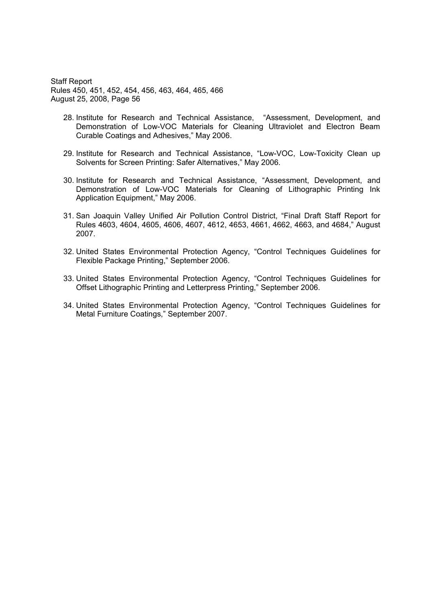- 28. Institute for Research and Technical Assistance, "Assessment, Development, and Demonstration of Low-VOC Materials for Cleaning Ultraviolet and Electron Beam Curable Coatings and Adhesives," May 2006.
- 29. Institute for Research and Technical Assistance, "Low-VOC, Low-Toxicity Clean up Solvents for Screen Printing: Safer Alternatives," May 2006.
- 30. Institute for Research and Technical Assistance, "Assessment, Development, and Demonstration of Low-VOC Materials for Cleaning of Lithographic Printing Ink Application Equipment," May 2006.
- 31. San Joaquin Valley Unified Air Pollution Control District, "Final Draft Staff Report for Rules 4603, 4604, 4605, 4606, 4607, 4612, 4653, 4661, 4662, 4663, and 4684," August 2007.
- 32. United States Environmental Protection Agency, "Control Techniques Guidelines for Flexible Package Printing," September 2006.
- 33. United States Environmental Protection Agency, "Control Techniques Guidelines for Offset Lithographic Printing and Letterpress Printing," September 2006.
- 34. United States Environmental Protection Agency, "Control Techniques Guidelines for Metal Furniture Coatings," September 2007.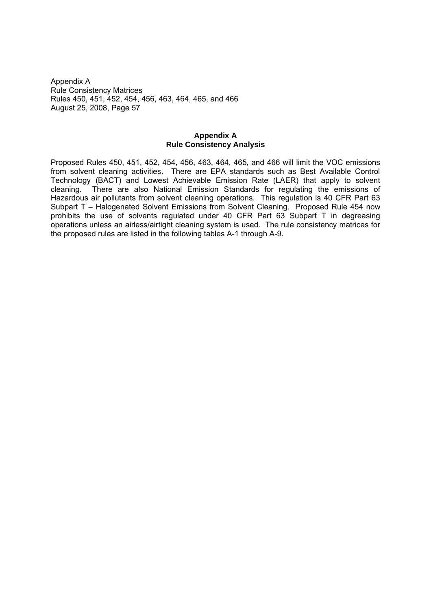### **Appendix A Rule Consistency Analysis**

Proposed Rules 450, 451, 452, 454, 456, 463, 464, 465, and 466 will limit the VOC emissions from solvent cleaning activities. There are EPA standards such as Best Available Control Technology (BACT) and Lowest Achievable Emission Rate (LAER) that apply to solvent cleaning. There are also National Emission Standards for regulating the emissions of Hazardous air pollutants from solvent cleaning operations. This regulation is 40 CFR Part 63 Subpart T - Halogenated Solvent Emissions from Solvent Cleaning. Proposed Rule 454 now prohibits the use of solvents regulated under 40 CFR Part 63 Subpart T in degreasing operations unless an airless/airtight cleaning system is used. The rule consistency matrices for the proposed rules are listed in the following tables A-1 through A-9.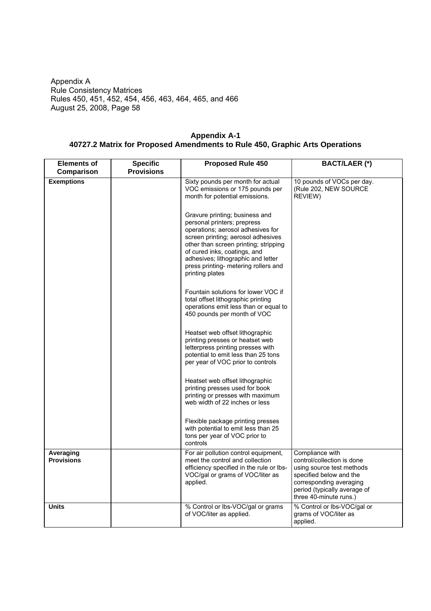| <b>Elements of</b>             | <b>Specific</b>   | <b>Proposed Rule 450</b>                                                                                                                                                                                                                                                                                           | <b>BACT/LAER (*)</b>                                                                                                                                                                       |
|--------------------------------|-------------------|--------------------------------------------------------------------------------------------------------------------------------------------------------------------------------------------------------------------------------------------------------------------------------------------------------------------|--------------------------------------------------------------------------------------------------------------------------------------------------------------------------------------------|
| Comparison                     | <b>Provisions</b> |                                                                                                                                                                                                                                                                                                                    |                                                                                                                                                                                            |
| <b>Exemptions</b>              |                   | Sixty pounds per month for actual<br>VOC emissions or 175 pounds per<br>month for potential emissions.                                                                                                                                                                                                             | 10 pounds of VOCs per day.<br>(Rule 202, NEW SOURCE<br>REVIEW)                                                                                                                             |
|                                |                   | Gravure printing; business and<br>personal printers; prepress<br>operations; aerosol adhesives for<br>screen printing; aerosol adhesives<br>other than screen printing; stripping<br>of cured inks, coatings, and<br>adhesives; lithographic and letter<br>press printing- metering rollers and<br>printing plates |                                                                                                                                                                                            |
|                                |                   | Fountain solutions for lower VOC if<br>total offset lithographic printing<br>operations emit less than or equal to<br>450 pounds per month of VOC                                                                                                                                                                  |                                                                                                                                                                                            |
|                                |                   | Heatset web offset lithographic<br>printing presses or heatset web<br>letterpress printing presses with<br>potential to emit less than 25 tons<br>per year of VOC prior to controls                                                                                                                                |                                                                                                                                                                                            |
|                                |                   | Heatset web offset lithographic<br>printing presses used for book<br>printing or presses with maximum<br>web width of 22 inches or less                                                                                                                                                                            |                                                                                                                                                                                            |
|                                |                   | Flexible package printing presses<br>with potential to emit less than 25<br>tons per year of VOC prior to<br>controls                                                                                                                                                                                              |                                                                                                                                                                                            |
| Averaging<br><b>Provisions</b> |                   | For air pollution control equipment,<br>meet the control and collection<br>efficiency specified in the rule or lbs-<br>VOC/gal or grams of VOC/liter as<br>applied.                                                                                                                                                | Compliance with<br>control/collection is done<br>using source test methods<br>specified below and the<br>corresponding averaging<br>period (typically average of<br>three 40-minute runs.) |
| <b>Units</b>                   |                   | % Control or lbs-VOC/gal or grams<br>of VOC/liter as applied.                                                                                                                                                                                                                                                      | % Control or lbs-VOC/gal or<br>grams of VOC/liter as<br>applied.                                                                                                                           |

**Appendix A-1 40727.2 Matrix for Proposed Amendments to Rule 450, Graphic Arts Operations**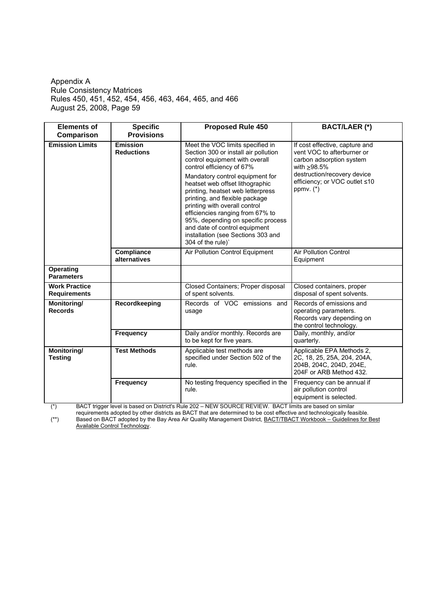| <b>Elements of</b>                          | <b>Specific</b>                      | <b>Proposed Rule 450</b><br><b>BACT/LAER (*)</b>                                                                                                                                                                                                                                                                                                                                                                                                                                            |                                                                                                                                                                                        |  |
|---------------------------------------------|--------------------------------------|---------------------------------------------------------------------------------------------------------------------------------------------------------------------------------------------------------------------------------------------------------------------------------------------------------------------------------------------------------------------------------------------------------------------------------------------------------------------------------------------|----------------------------------------------------------------------------------------------------------------------------------------------------------------------------------------|--|
| Comparison                                  | <b>Provisions</b>                    |                                                                                                                                                                                                                                                                                                                                                                                                                                                                                             |                                                                                                                                                                                        |  |
| <b>Emission Limits</b>                      | <b>Emission</b><br><b>Reductions</b> | Meet the VOC limits specified in<br>Section 300 or install air pollution<br>control equipment with overall<br>control efficiency of 67%<br>Mandatory control equipment for<br>heatset web offset lithographic<br>printing, heatset web letterpress<br>printing, and flexible package<br>printing with overall control<br>efficiencies ranging from 67% to<br>95%, depending on specific process<br>and date of control equipment<br>installation (see Sections 303 and<br>304 of the rule)' | If cost effective, capture and<br>vent VOC to afterburner or<br>carbon adsorption system<br>with >98.5%<br>destruction/recovery device<br>efficiency; or VOC outlet ≤10<br>ppmv. $(*)$ |  |
|                                             | <b>Compliance</b><br>alternatives    | Air Pollution Control Equipment                                                                                                                                                                                                                                                                                                                                                                                                                                                             | <b>Air Pollution Control</b><br>Equipment                                                                                                                                              |  |
| <b>Operating</b><br><b>Parameters</b>       |                                      |                                                                                                                                                                                                                                                                                                                                                                                                                                                                                             |                                                                                                                                                                                        |  |
| <b>Work Practice</b><br><b>Requirements</b> |                                      | Closed Containers; Proper disposal<br>of spent solvents.                                                                                                                                                                                                                                                                                                                                                                                                                                    | Closed containers, proper<br>disposal of spent solvents.                                                                                                                               |  |
| Monitoring/<br><b>Records</b>               | Recordkeeping                        | Records of VOC emissions and<br>usage                                                                                                                                                                                                                                                                                                                                                                                                                                                       | Records of emissions and<br>operating parameters.<br>Records vary depending on<br>the control technology.                                                                              |  |
|                                             | Frequency                            | Daily and/or monthly. Records are<br>to be kept for five years.                                                                                                                                                                                                                                                                                                                                                                                                                             | Daily, monthly, and/or<br>quarterly.                                                                                                                                                   |  |
| Monitoring/<br><b>Testing</b>               | <b>Test Methods</b>                  | Applicable test methods are<br>specified under Section 502 of the<br>rule.                                                                                                                                                                                                                                                                                                                                                                                                                  | Applicable EPA Methods 2,<br>2C, 18, 25, 25A, 204, 204A,<br>204B, 204C, 204D, 204E,<br>204F or ARB Method 432.                                                                         |  |
|                                             | <b>Frequency</b>                     | No testing frequency specified in the<br>rule.                                                                                                                                                                                                                                                                                                                                                                                                                                              | Frequency can be annual if<br>air pollution control<br>equipment is selected.                                                                                                          |  |

(\*) BACT trigger level is based on District's Rule 202 NEW SOURCE REVIEW. BACT limits are based on similar

requirements adopted by other districts as BACT that are determined to be cost effective and technologically feasible. <sup>\*\*</sup>) Based on BACT adopted by the Bay Area Air Quality Management District, **BACT/TBACT Workbook – Guidelines for Best** 

Available Control Technology.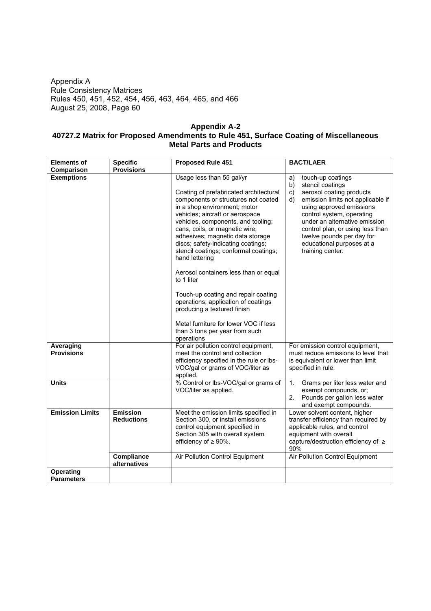### **Appendix A-2 40727.2 Matrix for Proposed Amendments to Rule 451, Surface Coating of Miscellaneous Metal Parts and Products**

| <b>Elements of</b><br><b>Specific</b> |                                             | <b>Proposed Rule 451</b>                                                                                                                                                                                                                                                                                                                                                                                                                                                                                                                                                                                                                                | <b>BACT/LAER</b>                                                                                                                                                                                                                                                                                                                           |  |  |
|---------------------------------------|---------------------------------------------|---------------------------------------------------------------------------------------------------------------------------------------------------------------------------------------------------------------------------------------------------------------------------------------------------------------------------------------------------------------------------------------------------------------------------------------------------------------------------------------------------------------------------------------------------------------------------------------------------------------------------------------------------------|--------------------------------------------------------------------------------------------------------------------------------------------------------------------------------------------------------------------------------------------------------------------------------------------------------------------------------------------|--|--|
| Comparison                            | <b>Provisions</b>                           |                                                                                                                                                                                                                                                                                                                                                                                                                                                                                                                                                                                                                                                         |                                                                                                                                                                                                                                                                                                                                            |  |  |
| <b>Exemptions</b>                     |                                             | Usage less than 55 gal/yr<br>Coating of prefabricated architectural<br>components or structures not coated<br>in a shop environment; motor<br>vehicles; aircraft or aerospace<br>vehicles, components, and tooling;<br>cans, coils, or magnetic wire;<br>adhesives; magnetic data storage<br>discs; safety-indicating coatings;<br>stencil coatings; conformal coatings;<br>hand lettering<br>Aerosol containers less than or equal<br>to 1 liter<br>Touch-up coating and repair coating<br>operations; application of coatings<br>producing a textured finish<br>Metal furniture for lower VOC if less<br>than 3 tons per year from such<br>operations | touch-up coatings<br>a)<br>stencil coatings<br>b)<br>aerosol coating products<br>c)<br>emission limits not applicable if<br>d)<br>using approved emissions<br>control system, operating<br>under an alternative emission<br>control plan, or using less than<br>twelve pounds per day for<br>educational purposes at a<br>training center. |  |  |
| Averaging<br><b>Provisions</b>        |                                             | For air pollution control equipment,<br>meet the control and collection<br>efficiency specified in the rule or lbs-<br>VOC/gal or grams of VOC/liter as<br>applied.                                                                                                                                                                                                                                                                                                                                                                                                                                                                                     | For emission control equipment,<br>must reduce emissions to level that<br>is equivalent or lower than limit<br>specified in rule.                                                                                                                                                                                                          |  |  |
| <b>Units</b>                          |                                             | % Control or lbs-VOC/gal or grams of<br>VOC/liter as applied.                                                                                                                                                                                                                                                                                                                                                                                                                                                                                                                                                                                           | Grams per liter less water and<br>1 <sub>1</sub><br>exempt compounds, or;<br>2.<br>Pounds per gallon less water<br>and exempt compounds.                                                                                                                                                                                                   |  |  |
| <b>Emission Limits</b>                | Emission<br><b>Reductions</b><br>Compliance | Meet the emission limits specified in<br>Section 300, or install emissions<br>control equipment specified in<br>Section 305 with overall system<br>efficiency of $\geq 90\%$ .                                                                                                                                                                                                                                                                                                                                                                                                                                                                          | Lower solvent content, higher<br>transfer efficiency than required by<br>applicable rules, and control<br>equipment with overall<br>capture/destruction efficiency of ≥<br>90%<br>Air Pollution Control Equipment                                                                                                                          |  |  |
|                                       | alternatives                                | Air Pollution Control Equipment                                                                                                                                                                                                                                                                                                                                                                                                                                                                                                                                                                                                                         |                                                                                                                                                                                                                                                                                                                                            |  |  |
| <b>Operating</b><br><b>Parameters</b> |                                             |                                                                                                                                                                                                                                                                                                                                                                                                                                                                                                                                                                                                                                                         |                                                                                                                                                                                                                                                                                                                                            |  |  |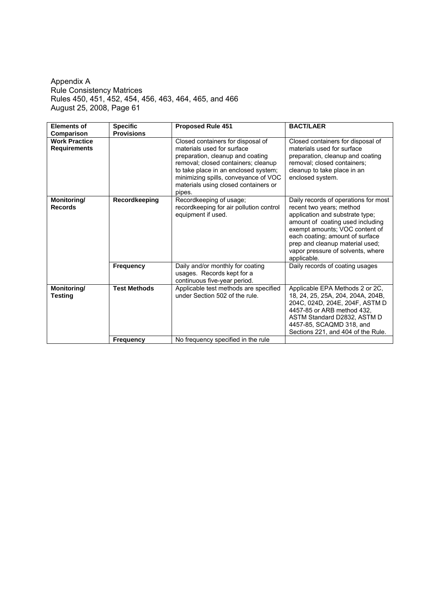| <b>Elements of</b>                                     | <b>Specific</b>     | Proposed Rule 451                                                                                                                                                                                                                                                            | <b>BACT/LAER</b>                                                                                                                                                                                                                                                                                    |
|--------------------------------------------------------|---------------------|------------------------------------------------------------------------------------------------------------------------------------------------------------------------------------------------------------------------------------------------------------------------------|-----------------------------------------------------------------------------------------------------------------------------------------------------------------------------------------------------------------------------------------------------------------------------------------------------|
| Comparison                                             | <b>Provisions</b>   |                                                                                                                                                                                                                                                                              |                                                                                                                                                                                                                                                                                                     |
| <b>Work Practice</b><br><b>Requirements</b>            |                     | Closed containers for disposal of<br>materials used for surface<br>preparation, cleanup and coating<br>removal; closed containers; cleanup<br>to take place in an enclosed system;<br>minimizing spills, conveyance of VOC<br>materials using closed containers or<br>pipes. | Closed containers for disposal of<br>materials used for surface<br>preparation, cleanup and coating<br>removal; closed containers;<br>cleanup to take place in an<br>enclosed system.                                                                                                               |
| Monitoring/<br><b>Records</b>                          | Recordkeeping       | Recordkeeping of usage;<br>recordkeeping for air pollution control<br>equipment if used.                                                                                                                                                                                     | Daily records of operations for most<br>recent two years; method<br>application and substrate type;<br>amount of coating used including<br>exempt amounts; VOC content of<br>each coating; amount of surface<br>prep and cleanup material used;<br>vapor pressure of solvents, where<br>applicable. |
|                                                        | <b>Frequency</b>    | Daily and/or monthly for coating<br>usages. Records kept for a<br>continuous five-year period.                                                                                                                                                                               | Daily records of coating usages                                                                                                                                                                                                                                                                     |
| Monitoring/<br>Testing                                 | <b>Test Methods</b> | Applicable test methods are specified<br>under Section 502 of the rule.                                                                                                                                                                                                      | Applicable EPA Methods 2 or 2C,<br>18, 24, 25, 25A, 204, 204A, 204B,<br>204C, 024D, 204E, 204F, ASTM D<br>4457-85 or ARB method 432.<br>ASTM Standard D2832, ASTM D<br>4457-85, SCAQMD 318, and<br>Sections 221, and 404 of the Rule.                                                               |
| No frequency specified in the rule<br><b>Frequency</b> |                     |                                                                                                                                                                                                                                                                              |                                                                                                                                                                                                                                                                                                     |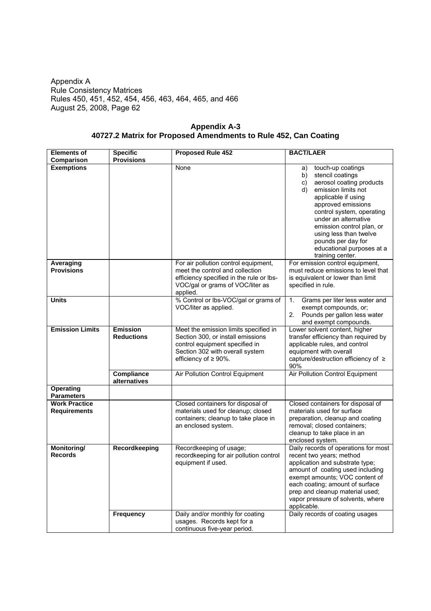| <b>Elements of</b>                          | <b>Specific</b>                      | <b>Proposed Rule 452</b>                                                                                                                                                       | <b>BACT/LAER</b>                                                                                                                                                                                                                                                                                                                                 |
|---------------------------------------------|--------------------------------------|--------------------------------------------------------------------------------------------------------------------------------------------------------------------------------|--------------------------------------------------------------------------------------------------------------------------------------------------------------------------------------------------------------------------------------------------------------------------------------------------------------------------------------------------|
| Comparison                                  | <b>Provisions</b>                    |                                                                                                                                                                                |                                                                                                                                                                                                                                                                                                                                                  |
| <b>Exemptions</b>                           |                                      | None                                                                                                                                                                           | touch-up coatings<br>a)<br>stencil coatings<br>b)<br>aerosol coating products<br>C)<br>emission limits not<br>d)<br>applicable if using<br>approved emissions<br>control system, operating<br>under an alternative<br>emission control plan, or<br>using less than twelve<br>pounds per day for<br>educational purposes at a<br>training center. |
| Averaging<br><b>Provisions</b>              |                                      | For air pollution control equipment,<br>meet the control and collection<br>efficiency specified in the rule or lbs-<br>VOC/gal or grams of VOC/liter as<br>applied.            | For emission control equipment,<br>must reduce emissions to level that<br>is equivalent or lower than limit<br>specified in rule.                                                                                                                                                                                                                |
| <b>Units</b>                                |                                      | % Control or lbs-VOC/gal or grams of<br>VOC/liter as applied.                                                                                                                  | Grams per liter less water and<br>1.<br>exempt compounds, or;<br>Pounds per gallon less water<br>2.<br>and exempt compounds.                                                                                                                                                                                                                     |
| <b>Emission Limits</b>                      | <b>Emission</b><br><b>Reductions</b> | Meet the emission limits specified in<br>Section 300, or install emissions<br>control equipment specified in<br>Section 302 with overall system<br>efficiency of $\geq 90\%$ . | Lower solvent content, higher<br>transfer efficiency than required by<br>applicable rules, and control<br>equipment with overall<br>capture/destruction efficiency of ≥<br>90%                                                                                                                                                                   |
|                                             | Compliance<br>alternatives           | Air Pollution Control Equipment                                                                                                                                                | Air Pollution Control Equipment                                                                                                                                                                                                                                                                                                                  |
| <b>Operating</b><br><b>Parameters</b>       |                                      |                                                                                                                                                                                |                                                                                                                                                                                                                                                                                                                                                  |
| <b>Work Practice</b><br><b>Requirements</b> |                                      | Closed containers for disposal of<br>materials used for cleanup; closed<br>containers; cleanup to take place in<br>an enclosed system.                                         | Closed containers for disposal of<br>materials used for surface<br>preparation, cleanup and coating<br>removal; closed containers;<br>cleanup to take place in an<br>enclosed system.                                                                                                                                                            |
| Monitoring/<br><b>Records</b>               | Recordkeeping                        | Recordkeeping of usage;<br>recordkeeping for air pollution control<br>equipment if used.                                                                                       | Daily records of operations for most<br>recent two years; method<br>application and substrate type;<br>amount of coating used including<br>exempt amounts; VOC content of<br>each coating; amount of surface<br>prep and cleanup material used;<br>vapor pressure of solvents, where<br>applicable.                                              |
|                                             | Frequency                            | Daily and/or monthly for coating<br>usages. Records kept for a<br>continuous five-year period.                                                                                 | Daily records of coating usages                                                                                                                                                                                                                                                                                                                  |

**Appendix A-3 40727.2 Matrix for Proposed Amendments to Rule 452, Can Coating**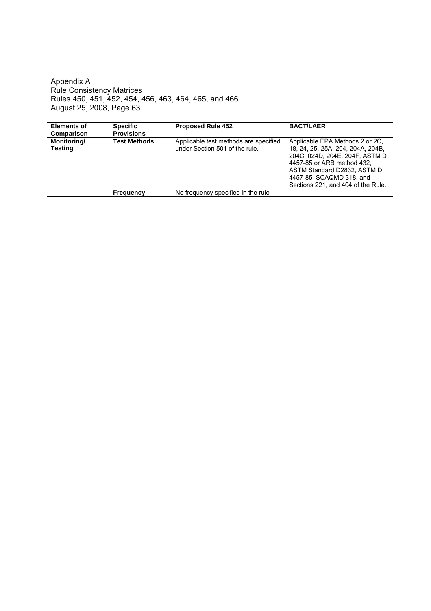| <b>Elements of</b>            | <b>Specific</b>     | <b>Proposed Rule 452</b>                                                | <b>BACT/LAER</b>                                                                                                                                                                                                                      |
|-------------------------------|---------------------|-------------------------------------------------------------------------|---------------------------------------------------------------------------------------------------------------------------------------------------------------------------------------------------------------------------------------|
| Comparison                    | <b>Provisions</b>   |                                                                         |                                                                                                                                                                                                                                       |
| Monitoring/<br><b>Testing</b> | <b>Test Methods</b> | Applicable test methods are specified<br>under Section 501 of the rule. | Applicable EPA Methods 2 or 2C.<br>18, 24, 25, 25A, 204, 204A, 204B,<br>204C, 024D, 204E, 204F, ASTM D<br>4457-85 or ARB method 432.<br>ASTM Standard D2832, ASTM D<br>4457-85, SCAQMD 318, and<br>Sections 221, and 404 of the Rule. |
|                               | <b>Frequency</b>    | No frequency specified in the rule                                      |                                                                                                                                                                                                                                       |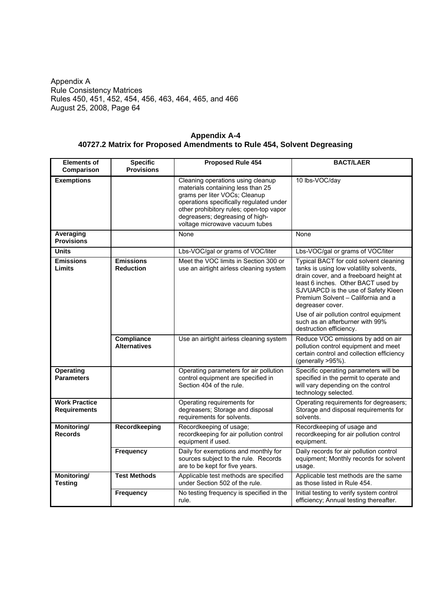| <b>Appendix A-4</b>                                                    |
|------------------------------------------------------------------------|
| 40727.2 Matrix for Proposed Amendments to Rule 454, Solvent Degreasing |

| <b>Elements of</b><br>Comparison            | <b>Specific</b><br><b>Provisions</b> | <b>Proposed Rule 454</b>                                                                                                                                                                                                                                           | <b>BACT/LAER</b>                                                                                                                                                                                                                                                   |  |
|---------------------------------------------|--------------------------------------|--------------------------------------------------------------------------------------------------------------------------------------------------------------------------------------------------------------------------------------------------------------------|--------------------------------------------------------------------------------------------------------------------------------------------------------------------------------------------------------------------------------------------------------------------|--|
| <b>Exemptions</b>                           |                                      | Cleaning operations using cleanup<br>materials containing less than 25<br>grams per liter VOCs; Cleanup<br>operations specifically regulated under<br>other prohibitory rules; open-top vapor<br>degreasers; degreasing of high-<br>voltage microwave vacuum tubes | 10 lbs-VOC/day                                                                                                                                                                                                                                                     |  |
| Averaging<br><b>Provisions</b>              |                                      | None                                                                                                                                                                                                                                                               | None                                                                                                                                                                                                                                                               |  |
| <b>Units</b>                                |                                      | Lbs-VOC/gal or grams of VOC/liter                                                                                                                                                                                                                                  | Lbs-VOC/gal or grams of VOC/liter                                                                                                                                                                                                                                  |  |
| <b>Emissions</b><br>Limits                  | <b>Emissions</b><br><b>Reduction</b> | Meet the VOC limits in Section 300 or<br>use an airtight airless cleaning system                                                                                                                                                                                   | Typical BACT for cold solvent cleaning<br>tanks is using low volatility solvents,<br>drain cover, and a freeboard height at<br>least 6 inches. Other BACT used by<br>SJVUAPCD is the use of Safety Kleen<br>Premium Solvent - California and a<br>degreaser cover. |  |
|                                             |                                      |                                                                                                                                                                                                                                                                    | Use of air pollution control equipment<br>such as an afterburner with 99%<br>destruction efficiency.                                                                                                                                                               |  |
|                                             | Compliance<br><b>Alternatives</b>    | Use an airtight airless cleaning system                                                                                                                                                                                                                            | Reduce VOC emissions by add on air<br>pollution control equipment and meet<br>certain control and collection efficiency<br>(generally >95%).                                                                                                                       |  |
| <b>Operating</b><br><b>Parameters</b>       |                                      | Operating parameters for air pollution<br>control equipment are specified in<br>Section 404 of the rule.                                                                                                                                                           | Specific operating parameters will be<br>specified in the permit to operate and<br>will vary depending on the control<br>technology selected.                                                                                                                      |  |
| <b>Work Practice</b><br><b>Requirements</b> |                                      | Operating requirements for<br>degreasers; Storage and disposal<br>requirements for solvents.                                                                                                                                                                       | Operating requirements for degreasers;<br>Storage and disposal requirements for<br>solvents.                                                                                                                                                                       |  |
| Monitoring/<br><b>Records</b>               | Recordkeeping                        | Recordkeeping of usage;<br>recordkeeping for air pollution control<br>equipment if used.                                                                                                                                                                           | Recordkeeping of usage and<br>recordkeeping for air pollution control<br>equipment.                                                                                                                                                                                |  |
|                                             | <b>Frequency</b>                     | Daily for exemptions and monthly for<br>sources subject to the rule. Records<br>are to be kept for five years.                                                                                                                                                     | Daily records for air pollution control<br>equipment; Monthly records for solvent<br>usage.                                                                                                                                                                        |  |
| Monitoring/<br><b>Testing</b>               | <b>Test Methods</b>                  | Applicable test methods are specified<br>under Section 502 of the rule.                                                                                                                                                                                            | Applicable test methods are the same<br>as those listed in Rule 454.                                                                                                                                                                                               |  |
|                                             | Frequency                            | No testing frequency is specified in the<br>rule.                                                                                                                                                                                                                  | Initial testing to verify system control<br>efficiency; Annual testing thereafter.                                                                                                                                                                                 |  |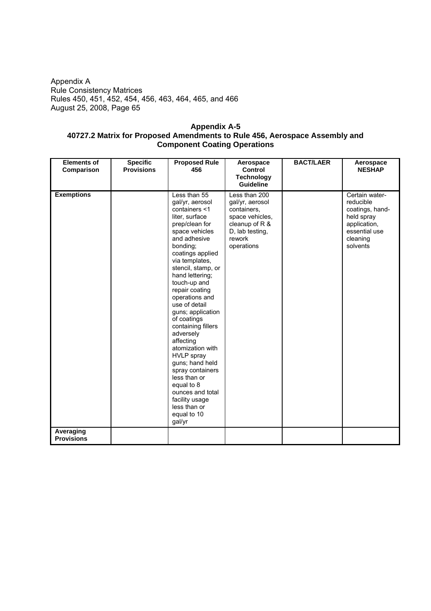## **Appendix A-5 40727.2 Matrix for Proposed Amendments to Rule 456, Aerospace Assembly and Component Coating Operations**

| <b>Elements of</b>             | <b>Specific</b>   | <b>Proposed Rule</b>                                                                                                                                                                                                                                                                                                                                                                                                                                                                                                                                                    | Aerospace                                                                                                                       | <b>BACT/LAER</b> | Aerospace                                                                                                             |
|--------------------------------|-------------------|-------------------------------------------------------------------------------------------------------------------------------------------------------------------------------------------------------------------------------------------------------------------------------------------------------------------------------------------------------------------------------------------------------------------------------------------------------------------------------------------------------------------------------------------------------------------------|---------------------------------------------------------------------------------------------------------------------------------|------------------|-----------------------------------------------------------------------------------------------------------------------|
| Comparison                     | <b>Provisions</b> | 456                                                                                                                                                                                                                                                                                                                                                                                                                                                                                                                                                                     | <b>Control</b><br><b>Technology</b>                                                                                             |                  | <b>NESHAP</b>                                                                                                         |
|                                |                   |                                                                                                                                                                                                                                                                                                                                                                                                                                                                                                                                                                         | Guideline                                                                                                                       |                  |                                                                                                                       |
| <b>Exemptions</b>              |                   | Less than 55<br>gal/yr, aerosol<br>containers <1<br>liter, surface<br>prep/clean for<br>space vehicles<br>and adhesive<br>bonding;<br>coatings applied<br>via templates,<br>stencil, stamp, or<br>hand lettering;<br>touch-up and<br>repair coating<br>operations and<br>use of detail<br>guns; application<br>of coatings<br>containing fillers<br>adversely<br>affecting<br>atomization with<br><b>HVLP</b> spray<br>guns; hand held<br>spray containers<br>less than or<br>equal to 8<br>ounces and total<br>facility usage<br>less than or<br>equal to 10<br>gal/yr | Less than 200<br>gal/yr, aerosol<br>containers,<br>space vehicles,<br>cleanup of R &<br>D, lab testing,<br>rework<br>operations |                  | Certain water-<br>reducible<br>coatings, hand-<br>held spray<br>application,<br>essential use<br>cleaning<br>solvents |
| Averaging<br><b>Provisions</b> |                   |                                                                                                                                                                                                                                                                                                                                                                                                                                                                                                                                                                         |                                                                                                                                 |                  |                                                                                                                       |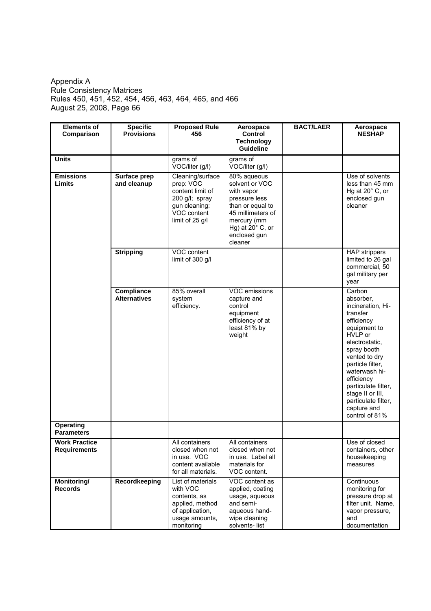| <b>Elements of</b><br>Comparison            | <b>Specific</b><br><b>Provisions</b> | <b>Proposed Rule</b><br>456                                                                                            | Aerospace<br><b>Control</b><br><b>Technology</b><br>Guideline                                                                                                              | <b>BACT/LAER</b> | Aerospace<br><b>NESHAP</b>                                                                                                                                                                                                                                                                            |
|---------------------------------------------|--------------------------------------|------------------------------------------------------------------------------------------------------------------------|----------------------------------------------------------------------------------------------------------------------------------------------------------------------------|------------------|-------------------------------------------------------------------------------------------------------------------------------------------------------------------------------------------------------------------------------------------------------------------------------------------------------|
| <b>Units</b>                                |                                      | grams of<br>VOC/liter (g/l)                                                                                            | grams of<br>VOC/liter (g/l)                                                                                                                                                |                  |                                                                                                                                                                                                                                                                                                       |
| <b>Emissions</b><br>Limits                  | Surface prep<br>and cleanup          | Cleaning/surface<br>prep: VOC<br>content limit of<br>200 g/l; spray<br>gun cleaning:<br>VOC content<br>limit of 25 g/l | 80% aqueous<br>solvent or VOC<br>with vapor<br>pressure less<br>than or equal to<br>45 millimeters of<br>mercury (mm<br>Hg) at $20^\circ$ C, or<br>enclosed gun<br>cleaner |                  | Use of solvents<br>less than 45 mm<br>Hg at $20^\circ$ C, or<br>enclosed gun<br>cleaner                                                                                                                                                                                                               |
|                                             | <b>Stripping</b>                     | VOC content<br>limit of 300 g/l                                                                                        |                                                                                                                                                                            |                  | <b>HAP</b> strippers<br>limited to 26 gal<br>commercial, 50<br>gal military per<br>year                                                                                                                                                                                                               |
|                                             | Compliance<br><b>Alternatives</b>    | 85% overall<br>system<br>efficiency.                                                                                   | VOC emissions<br>capture and<br>control<br>equipment<br>efficiency of at<br>least 81% by<br>weight                                                                         |                  | Carbon<br>absorber,<br>incineration, Hi-<br>transfer<br>efficiency<br>equipment to<br>HVLP or<br>electrostatic,<br>spray booth<br>vented to dry<br>particle filter,<br>waterwash hi-<br>efficiency<br>particulate filter,<br>stage II or III,<br>particulate filter,<br>capture and<br>control of 81% |
| <b>Operating</b><br><b>Parameters</b>       |                                      |                                                                                                                        |                                                                                                                                                                            |                  |                                                                                                                                                                                                                                                                                                       |
| <b>Work Practice</b><br><b>Requirements</b> |                                      | All containers<br>closed when not<br>in use. VOC<br>content available<br>for all materials.                            | All containers<br>closed when not<br>in use. Label all<br>materials for<br>VOC content.                                                                                    |                  | Use of closed<br>containers, other<br>housekeeping<br>measures                                                                                                                                                                                                                                        |
| Monitoring/<br><b>Records</b>               | Recordkeeping                        | List of materials<br>with VOC<br>contents, as<br>applied, method<br>of application,<br>usage amounts,<br>monitoring    | VOC content as<br>applied, coating<br>usage, aqueous<br>and semi-<br>aqueous hand-<br>wipe cleaning<br>solvents-list                                                       |                  | Continuous<br>monitoring for<br>pressure drop at<br>filter unit. Name,<br>vapor pressure,<br>and<br>documentation                                                                                                                                                                                     |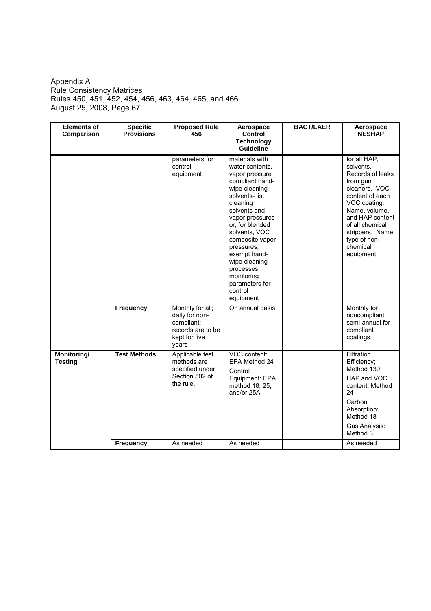| <b>Elements of</b><br>Comparison | <b>Specific</b><br><b>Provisions</b> | <b>Proposed Rule</b><br>456                                                                     | Aerospace<br><b>Control</b><br><b>Technology</b><br><b>Guideline</b>                                                                                                                                                                                                                                                                | <b>BACT/LAER</b> | Aerospace<br><b>NESHAP</b>                                                                                                                                                                                                         |
|----------------------------------|--------------------------------------|-------------------------------------------------------------------------------------------------|-------------------------------------------------------------------------------------------------------------------------------------------------------------------------------------------------------------------------------------------------------------------------------------------------------------------------------------|------------------|------------------------------------------------------------------------------------------------------------------------------------------------------------------------------------------------------------------------------------|
|                                  |                                      | parameters for<br>control<br>equipment                                                          | materials with<br>water contents,<br>vapor pressure<br>compliant hand-<br>wipe cleaning<br>solvents-list<br>cleaning<br>solvents and<br>vapor pressures<br>or, for blended<br>solvents, VOC<br>composite vapor<br>pressures.<br>exempt hand-<br>wipe cleaning<br>processes,<br>monitoring<br>parameters for<br>control<br>equipment |                  | for all HAP,<br>solvents.<br>Records of leaks<br>from gun<br>cleaners. VOC<br>content of each<br>VOC coating.<br>Name, volume,<br>and HAP content<br>of all chemical<br>strippers. Name,<br>type of non-<br>chemical<br>equipment. |
|                                  | Frequency                            | Monthly for all;<br>daily for non-<br>compliant;<br>records are to be<br>kept for five<br>years | On annual basis                                                                                                                                                                                                                                                                                                                     |                  | Monthly for<br>noncompliant,<br>semi-annual for<br>compliant<br>coatings.                                                                                                                                                          |
| Monitoring/<br><b>Testing</b>    | <b>Test Methods</b>                  | Applicable test<br>methods are<br>specified under<br>Section 502 of<br>the rule.                | VOC content:<br>EPA Method 24<br>Control<br>Equipment: EPA<br>method 18, 25,<br>and/or 25A                                                                                                                                                                                                                                          |                  | Filtration<br>Efficiency;<br>Method 139,<br>HAP and VOC<br>content: Method<br>24<br>Carbon<br>Absorption:<br>Method 18<br>Gas Analysis:<br>Method 3                                                                                |
|                                  | Frequency                            | As needed                                                                                       | As needed                                                                                                                                                                                                                                                                                                                           |                  | As needed                                                                                                                                                                                                                          |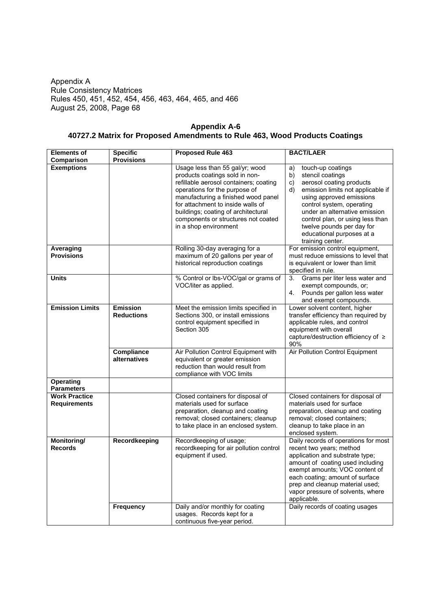| Appendix A-6                                                               |
|----------------------------------------------------------------------------|
| 40727.2 Matrix for Proposed Amendments to Rule 463, Wood Products Coatings |

| <b>Elements of</b>                          | <b>Specific</b>                      | <b>Proposed Rule 463</b>                                                                                                                                                                                                                                                                                                        | <b>BACT/LAER</b>                                                                                                                                                                                                                                                                                                                           |
|---------------------------------------------|--------------------------------------|---------------------------------------------------------------------------------------------------------------------------------------------------------------------------------------------------------------------------------------------------------------------------------------------------------------------------------|--------------------------------------------------------------------------------------------------------------------------------------------------------------------------------------------------------------------------------------------------------------------------------------------------------------------------------------------|
| Comparison                                  | <b>Provisions</b>                    |                                                                                                                                                                                                                                                                                                                                 |                                                                                                                                                                                                                                                                                                                                            |
| <b>Exemptions</b>                           |                                      | Usage less than 55 gal/yr; wood<br>products coatings sold in non-<br>refillable aerosol containers; coating<br>operations for the purpose of<br>manufacturing a finished wood panel<br>for attachment to inside walls of<br>buildings; coating of architectural<br>components or structures not coated<br>in a shop environment | touch-up coatings<br>a)<br>b)<br>stencil coatings<br>aerosol coating products<br>C)<br>emission limits not applicable if<br>d)<br>using approved emissions<br>control system, operating<br>under an alternative emission<br>control plan, or using less than<br>twelve pounds per day for<br>educational purposes at a<br>training center. |
| Averaging<br><b>Provisions</b>              |                                      | Rolling 30-day averaging for a<br>maximum of 20 gallons per year of<br>historical reproduction coatings                                                                                                                                                                                                                         | For emission control equipment,<br>must reduce emissions to level that<br>is equivalent or lower than limit<br>specified in rule.                                                                                                                                                                                                          |
| <b>Units</b>                                |                                      | % Control or lbs-VOC/gal or grams of<br>VOC/liter as applied.                                                                                                                                                                                                                                                                   | Grams per liter less water and<br>3.<br>exempt compounds, or;<br>4 <sub>1</sub><br>Pounds per gallon less water<br>and exempt compounds.                                                                                                                                                                                                   |
| <b>Emission Limits</b>                      | <b>Emission</b><br><b>Reductions</b> | Meet the emission limits specified in<br>Sections 300, or install emissions<br>control equipment specified in<br>Section 305                                                                                                                                                                                                    | Lower solvent content, higher<br>transfer efficiency than required by<br>applicable rules, and control<br>equipment with overall<br>capture/destruction efficiency of ≥<br>90%                                                                                                                                                             |
|                                             | <b>Compliance</b><br>alternatives    | Air Pollution Control Equipment with<br>equivalent or greater emission<br>reduction than would result from<br>compliance with VOC limits                                                                                                                                                                                        | Air Pollution Control Equipment                                                                                                                                                                                                                                                                                                            |
| Operating<br><b>Parameters</b>              |                                      |                                                                                                                                                                                                                                                                                                                                 |                                                                                                                                                                                                                                                                                                                                            |
| <b>Work Practice</b><br><b>Requirements</b> |                                      | Closed containers for disposal of<br>materials used for surface<br>preparation, cleanup and coating<br>removal; closed containers; cleanup<br>to take place in an enclosed system.                                                                                                                                              | Closed containers for disposal of<br>materials used for surface<br>preparation, cleanup and coating<br>removal; closed containers;<br>cleanup to take place in an<br>enclosed system.                                                                                                                                                      |
| Monitoring/<br><b>Records</b>               | Recordkeeping                        | Recordkeeping of usage;<br>recordkeeping for air pollution control<br>equipment if used.                                                                                                                                                                                                                                        | Daily records of operations for most<br>recent two years; method<br>application and substrate type;<br>amount of coating used including<br>exempt amounts; VOC content of<br>each coating; amount of surface<br>prep and cleanup material used;<br>vapor pressure of solvents, where<br>applicable.                                        |
|                                             | <b>Frequency</b>                     | Daily and/or monthly for coating<br>usages. Records kept for a<br>continuous five-year period.                                                                                                                                                                                                                                  | Daily records of coating usages                                                                                                                                                                                                                                                                                                            |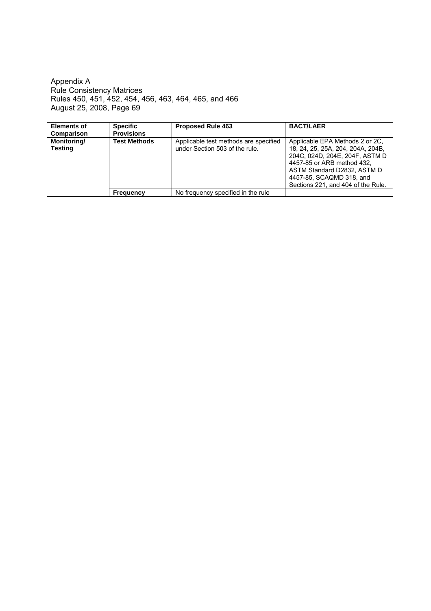| <b>Elements of</b>                   | <b>Specific</b>     | <b>Proposed Rule 463</b>                                                | <b>BACT/LAER</b>                                                                                                                                                                                                                      |
|--------------------------------------|---------------------|-------------------------------------------------------------------------|---------------------------------------------------------------------------------------------------------------------------------------------------------------------------------------------------------------------------------------|
| Comparison                           | <b>Provisions</b>   |                                                                         |                                                                                                                                                                                                                                       |
| <b>Monitoring/</b><br><b>Testing</b> | <b>Test Methods</b> | Applicable test methods are specified<br>under Section 503 of the rule. | Applicable EPA Methods 2 or 2C.<br>18, 24, 25, 25A, 204, 204A, 204B,<br>204C, 024D, 204E, 204F, ASTM D<br>4457-85 or ARB method 432.<br>ASTM Standard D2832, ASTM D<br>4457-85, SCAQMD 318, and<br>Sections 221, and 404 of the Rule. |
|                                      | <b>Frequency</b>    | No frequency specified in the rule                                      |                                                                                                                                                                                                                                       |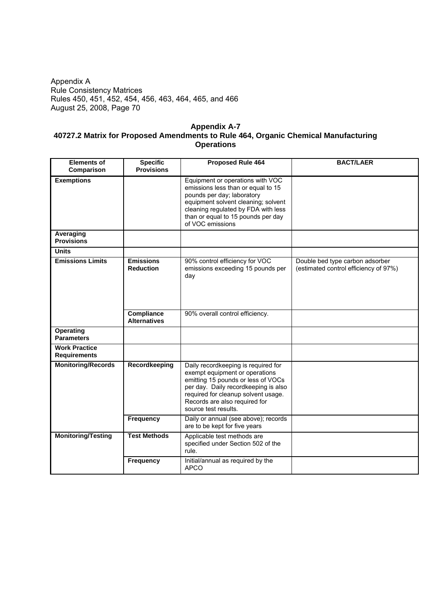## **Appendix A-7 40727.2 Matrix for Proposed Amendments to Rule 464, Organic Chemical Manufacturing Operations**

| <b>Elements of</b>                          | <b>Specific</b>                          | <b>Proposed Rule 464</b>                                                                                                                                                                                                                            | <b>BACT/LAER</b>                                                         |
|---------------------------------------------|------------------------------------------|-----------------------------------------------------------------------------------------------------------------------------------------------------------------------------------------------------------------------------------------------------|--------------------------------------------------------------------------|
| Comparison                                  | <b>Provisions</b>                        |                                                                                                                                                                                                                                                     |                                                                          |
| <b>Exemptions</b>                           |                                          | Equipment or operations with VOC<br>emissions less than or equal to 15<br>pounds per day; laboratory<br>equipment solvent cleaning; solvent<br>cleaning regulated by FDA with less<br>than or equal to 15 pounds per day<br>of VOC emissions        |                                                                          |
| Averaging<br><b>Provisions</b>              |                                          |                                                                                                                                                                                                                                                     |                                                                          |
| <b>Units</b>                                |                                          |                                                                                                                                                                                                                                                     |                                                                          |
| <b>Emissions Limits</b>                     | <b>Emissions</b><br><b>Reduction</b>     | 90% control efficiency for VOC<br>emissions exceeding 15 pounds per<br>day                                                                                                                                                                          | Double bed type carbon adsorber<br>(estimated control efficiency of 97%) |
|                                             | <b>Compliance</b><br><b>Alternatives</b> | 90% overall control efficiency.                                                                                                                                                                                                                     |                                                                          |
| <b>Operating</b><br><b>Parameters</b>       |                                          |                                                                                                                                                                                                                                                     |                                                                          |
| <b>Work Practice</b><br><b>Requirements</b> |                                          |                                                                                                                                                                                                                                                     |                                                                          |
| <b>Monitoring/Records</b>                   | Recordkeeping                            | Daily recordkeeping is required for<br>exempt equipment or operations<br>emitting 15 pounds or less of VOCs<br>per day. Daily recordkeeping is also<br>required for cleanup solvent usage.<br>Records are also required for<br>source test results. |                                                                          |
|                                             | Frequency                                | Daily or annual (see above); records<br>are to be kept for five years                                                                                                                                                                               |                                                                          |
| <b>Monitoring/Testing</b>                   | <b>Test Methods</b>                      | Applicable test methods are<br>specified under Section 502 of the<br>rule.                                                                                                                                                                          |                                                                          |
|                                             | Frequency                                | Initial/annual as required by the<br><b>APCO</b>                                                                                                                                                                                                    |                                                                          |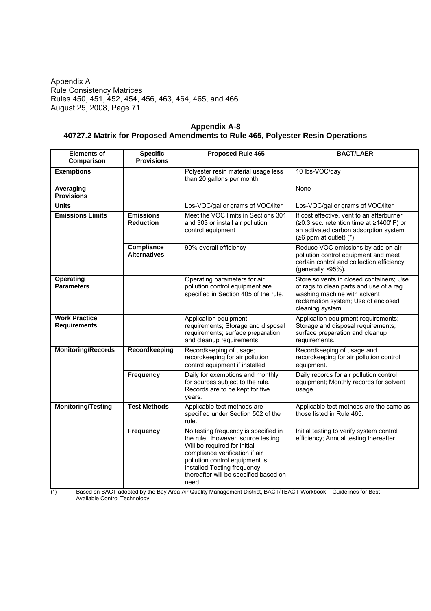| <b>Appendix A-8</b>                                                            |  |
|--------------------------------------------------------------------------------|--|
| 40727.2 Matrix for Proposed Amendments to Rule 465, Polyester Resin Operations |  |

| <b>Elements of</b><br>Comparison            | <b>Specific</b><br><b>Provisions</b>     | Proposed Rule 465                                                                                                                                                                                                                                              | <b>BACT/LAER</b>                                                                                                                                                               |
|---------------------------------------------|------------------------------------------|----------------------------------------------------------------------------------------------------------------------------------------------------------------------------------------------------------------------------------------------------------------|--------------------------------------------------------------------------------------------------------------------------------------------------------------------------------|
| <b>Exemptions</b>                           |                                          | Polyester resin material usage less<br>than 20 gallons per month                                                                                                                                                                                               | 10 lbs-VOC/day                                                                                                                                                                 |
| Averaging<br><b>Provisions</b>              |                                          |                                                                                                                                                                                                                                                                | None                                                                                                                                                                           |
| <b>Units</b>                                |                                          | Lbs-VOC/gal or grams of VOC/liter                                                                                                                                                                                                                              | Lbs-VOC/gal or grams of VOC/liter                                                                                                                                              |
| <b>Emissions Limits</b>                     | <b>Emissions</b><br><b>Reduction</b>     | Meet the VOC limits in Sections 301<br>and 303 or install air pollution<br>control equipment                                                                                                                                                                   | If cost effective, vent to an afterburner<br>( $\geq$ 0.3 sec. retention time at $\geq$ 1400°F) or<br>an activated carbon adsorption system<br>$(26$ ppm at outlet) $(*)$      |
|                                             | <b>Compliance</b><br><b>Alternatives</b> | 90% overall efficiency                                                                                                                                                                                                                                         | Reduce VOC emissions by add on air<br>pollution control equipment and meet<br>certain control and collection efficiency<br>(generally >95%).                                   |
| Operating<br><b>Parameters</b>              |                                          | Operating parameters for air<br>pollution control equipment are<br>specified in Section 405 of the rule.                                                                                                                                                       | Store solvents in closed containers; Use<br>of rags to clean parts and use of a rag<br>washing machine with solvent<br>reclamation system; Use of enclosed<br>cleaning system. |
| <b>Work Practice</b><br><b>Requirements</b> |                                          | Application equipment<br>requirements; Storage and disposal<br>requirements; surface preparation<br>and cleanup requirements.                                                                                                                                  | Application equipment requirements;<br>Storage and disposal requirements;<br>surface preparation and cleanup<br>requirements.                                                  |
| <b>Monitoring/Records</b>                   | Recordkeeping                            | Recordkeeping of usage;<br>recordkeeping for air pollution<br>control equipment if installed.                                                                                                                                                                  | Recordkeeping of usage and<br>recordkeeping for air pollution control<br>equipment.                                                                                            |
|                                             | Frequency                                | Daily for exemptions and monthly<br>for sources subject to the rule.<br>Records are to be kept for five<br>years.                                                                                                                                              | Daily records for air pollution control<br>equipment; Monthly records for solvent<br>usage.                                                                                    |
| <b>Monitoring/Testing</b>                   | <b>Test Methods</b>                      | Applicable test methods are<br>specified under Section 502 of the<br>rule.                                                                                                                                                                                     | Applicable test methods are the same as<br>those listed in Rule 465.                                                                                                           |
|                                             | Frequency                                | No testing frequency is specified in<br>the rule. However, source testing<br>Will be required for initial<br>compliance verification if air<br>pollution control equipment is<br>installed Testing frequency<br>thereafter will be specified based on<br>need. | Initial testing to verify system control<br>efficiency; Annual testing thereafter.                                                                                             |

(\*) Based on BACT adopted by the Bay Area Air Quality Management District, **BACT/TBACT Workbook – Guidelines for Best** Available Control Technology.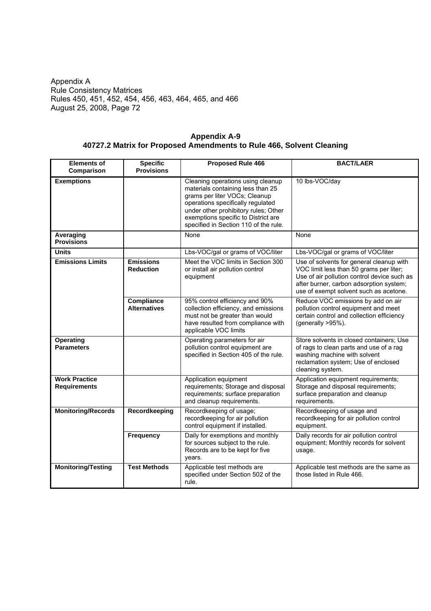|                                                                      | Appendix A-9 |  |
|----------------------------------------------------------------------|--------------|--|
| 40727.2 Matrix for Proposed Amendments to Rule 466, Solvent Cleaning |              |  |

| <b>Elements of</b><br>Comparison            | <b>Specific</b><br><b>Provisions</b> | <b>Proposed Rule 466</b>                                                                                                                                                                                                                                             | <b>BACT/LAER</b>                                                                                                                                                                                                        |
|---------------------------------------------|--------------------------------------|----------------------------------------------------------------------------------------------------------------------------------------------------------------------------------------------------------------------------------------------------------------------|-------------------------------------------------------------------------------------------------------------------------------------------------------------------------------------------------------------------------|
| <b>Exemptions</b>                           |                                      | Cleaning operations using cleanup<br>materials containing less than 25<br>grams per liter VOCs; Cleanup<br>operations specifically regulated<br>under other prohibitory rules; Other<br>exemptions specific to District are<br>specified in Section 110 of the rule. | 10 lbs-VOC/day                                                                                                                                                                                                          |
| Averaging<br><b>Provisions</b>              |                                      | None                                                                                                                                                                                                                                                                 | None                                                                                                                                                                                                                    |
| <b>Units</b>                                |                                      | Lbs-VOC/gal or grams of VOC/liter                                                                                                                                                                                                                                    | Lbs-VOC/gal or grams of VOC/liter                                                                                                                                                                                       |
| <b>Emissions Limits</b>                     | <b>Emissions</b><br><b>Reduction</b> | Meet the VOC limits in Section 300<br>or install air pollution control<br>equipment                                                                                                                                                                                  | Use of solvents for general cleanup with<br>VOC limit less than 50 grams per liter;<br>Use of air pollution control device such as<br>after burner, carbon adsorption system;<br>use of exempt solvent such as acetone. |
|                                             | Compliance<br><b>Alternatives</b>    | 95% control efficiency and 90%<br>collection efficiency, and emissions<br>must not be greater than would<br>have resulted from compliance with<br>applicable VOC limits                                                                                              | Reduce VOC emissions by add on air<br>pollution control equipment and meet<br>certain control and collection efficiency<br>(generally >95%).                                                                            |
| <b>Operating</b><br><b>Parameters</b>       |                                      | Operating parameters for air<br>pollution control equipment are<br>specified in Section 405 of the rule.                                                                                                                                                             | Store solvents in closed containers; Use<br>of rags to clean parts and use of a rag<br>washing machine with solvent<br>reclamation system; Use of enclosed<br>cleaning system.                                          |
| <b>Work Practice</b><br><b>Requirements</b> |                                      | Application equipment<br>requirements; Storage and disposal<br>requirements; surface preparation<br>and cleanup requirements.                                                                                                                                        | Application equipment requirements;<br>Storage and disposal requirements;<br>surface preparation and cleanup<br>requirements.                                                                                           |
| <b>Monitoring/Records</b>                   | Recordkeeping                        | Recordkeeping of usage;<br>recordkeeping for air pollution<br>control equipment if installed.                                                                                                                                                                        | Recordkeeping of usage and<br>recordkeeping for air pollution control<br>equipment.                                                                                                                                     |
|                                             | Frequency                            | Daily for exemptions and monthly<br>for sources subject to the rule.<br>Records are to be kept for five<br>years.                                                                                                                                                    | Daily records for air pollution control<br>equipment; Monthly records for solvent<br>usage.                                                                                                                             |
| <b>Monitoring/Testing</b>                   | <b>Test Methods</b>                  | Applicable test methods are<br>specified under Section 502 of the<br>rule.                                                                                                                                                                                           | Applicable test methods are the same as<br>those listed in Rule 466.                                                                                                                                                    |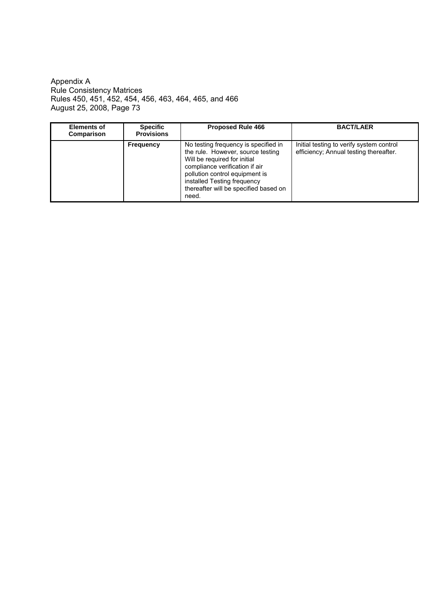Appendix A Rule Consistency Matrices Rules 450, 451, 452, 454, 456, 463, 464, 465, and 466 August 25, 2008, Page 73

| <b>Elements of</b><br>Comparison | <b>Specific</b><br><b>Provisions</b> | <b>Proposed Rule 466</b>                                                                                                                                                                                                                                       | <b>BACT/LAER</b>                                                                   |
|----------------------------------|--------------------------------------|----------------------------------------------------------------------------------------------------------------------------------------------------------------------------------------------------------------------------------------------------------------|------------------------------------------------------------------------------------|
|                                  | Frequency                            | No testing frequency is specified in<br>the rule. However, source testing<br>Will be required for initial<br>compliance verification if air<br>pollution control equipment is<br>installed Testing frequency<br>thereafter will be specified based on<br>need. | Initial testing to verify system control<br>efficiency; Annual testing thereafter. |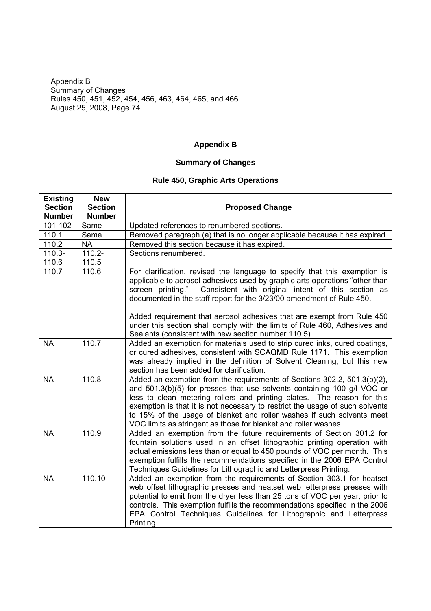## **Appendix B**

### **Summary of Changes**

## **Rule 450, Graphic Arts Operations**

| <b>Existing</b><br><b>Section</b> | <b>New</b><br><b>Section</b> |                                                                                                                                                                                                                                                                                                                                                                                                                                                                                                                              |
|-----------------------------------|------------------------------|------------------------------------------------------------------------------------------------------------------------------------------------------------------------------------------------------------------------------------------------------------------------------------------------------------------------------------------------------------------------------------------------------------------------------------------------------------------------------------------------------------------------------|
| <b>Number</b>                     | <b>Number</b>                | <b>Proposed Change</b>                                                                                                                                                                                                                                                                                                                                                                                                                                                                                                       |
| 101-102                           | Same                         | Updated references to renumbered sections.                                                                                                                                                                                                                                                                                                                                                                                                                                                                                   |
| 110.1                             | Same                         | Removed paragraph (a) that is no longer applicable because it has expired.                                                                                                                                                                                                                                                                                                                                                                                                                                                   |
| 110.2                             | <b>NA</b>                    | Removed this section because it has expired.                                                                                                                                                                                                                                                                                                                                                                                                                                                                                 |
| $110.3 -$                         | $110.2 -$                    | Sections renumbered.                                                                                                                                                                                                                                                                                                                                                                                                                                                                                                         |
| 110.6                             | 110.5                        |                                                                                                                                                                                                                                                                                                                                                                                                                                                                                                                              |
| 110.7                             | 110.6                        | For clarification, revised the language to specify that this exemption is<br>applicable to aerosol adhesives used by graphic arts operations "other than<br>Consistent with original intent of this section as<br>screen printing."<br>documented in the staff report for the 3/23/00 amendment of Rule 450.<br>Added requirement that aerosol adhesives that are exempt from Rule 450<br>under this section shall comply with the limits of Rule 460, Adhesives and<br>Sealants (consistent with new section number 110.5). |
| <b>NA</b>                         | 110.7                        | Added an exemption for materials used to strip cured inks, cured coatings,<br>or cured adhesives, consistent with SCAQMD Rule 1171. This exemption<br>was already implied in the definition of Solvent Cleaning, but this new<br>section has been added for clarification.                                                                                                                                                                                                                                                   |
| <b>NA</b>                         | 110.8                        | Added an exemption from the requirements of Sections 302.2, 501.3(b)(2),<br>and 501.3(b)(5) for presses that use solvents containing 100 g/l VOC or<br>less to clean metering rollers and printing plates. The reason for this<br>exemption is that it is not necessary to restrict the usage of such solvents<br>to 15% of the usage of blanket and roller washes if such solvents meet<br>VOC limits as stringent as those for blanket and roller washes.                                                                  |
| <b>NA</b>                         | 110.9                        | Added an exemption from the future requirements of Section 301.2 for<br>fountain solutions used in an offset lithographic printing operation with<br>actual emissions less than or equal to 450 pounds of VOC per month. This<br>exemption fulfills the recommendations specified in the 2006 EPA Control<br>Techniques Guidelines for Lithographic and Letterpress Printing.                                                                                                                                                |
| <b>NA</b>                         | 110.10                       | Added an exemption from the requirements of Section 303.1 for heatset<br>web offset lithographic presses and heatset web letterpress presses with<br>potential to emit from the dryer less than 25 tons of VOC per year, prior to<br>controls. This exemption fulfills the recommendations specified in the 2006<br>EPA Control Techniques Guidelines for Lithographic and Letterpress<br>Printing.                                                                                                                          |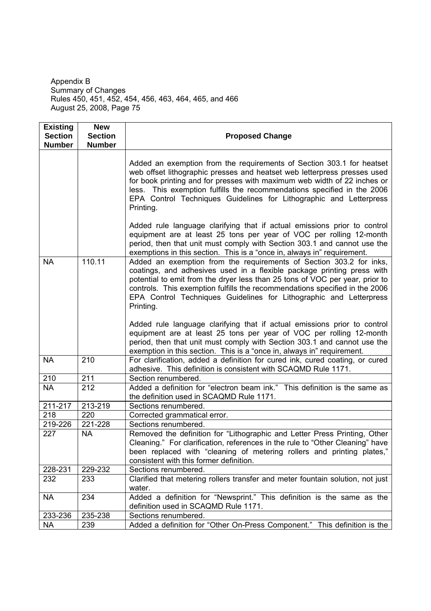| <b>Existing</b><br><b>Section</b><br><b>Number</b> | <b>New</b><br><b>Section</b><br><b>Number</b> | <b>Proposed Change</b>                                                                                                                                                                                                                                                                                                                                                                          |
|----------------------------------------------------|-----------------------------------------------|-------------------------------------------------------------------------------------------------------------------------------------------------------------------------------------------------------------------------------------------------------------------------------------------------------------------------------------------------------------------------------------------------|
|                                                    |                                               | Added an exemption from the requirements of Section 303.1 for heatset<br>web offset lithographic presses and heatset web letterpress presses used<br>for book printing and for presses with maximum web width of 22 inches or<br>less. This exemption fulfills the recommendations specified in the 2006<br>EPA Control Techniques Guidelines for Lithographic and Letterpress<br>Printing.     |
|                                                    |                                               | Added rule language clarifying that if actual emissions prior to control<br>equipment are at least 25 tons per year of VOC per rolling 12-month<br>period, then that unit must comply with Section 303.1 and cannot use the<br>exemptions in this section. This is a "once in, always in" requirement.                                                                                          |
| <b>NA</b>                                          | 110.11                                        | Added an exemption from the requirements of Section 303.2 for inks,<br>coatings, and adhesives used in a flexible package printing press with<br>potential to emit from the dryer less than 25 tons of VOC per year, prior to<br>controls. This exemption fulfills the recommendations specified in the 2006<br>EPA Control Techniques Guidelines for Lithographic and Letterpress<br>Printing. |
|                                                    |                                               | Added rule language clarifying that if actual emissions prior to control<br>equipment are at least 25 tons per year of VOC per rolling 12-month<br>period, then that unit must comply with Section 303.1 and cannot use the<br>exemption in this section. This is a "once in, always in" requirement.                                                                                           |
| <b>NA</b>                                          | 210                                           | For clarification, added a definition for cured ink, cured coating, or cured<br>adhesive. This definition is consistent with SCAQMD Rule 1171.                                                                                                                                                                                                                                                  |
| 210                                                | 211                                           | Section renumbered.                                                                                                                                                                                                                                                                                                                                                                             |
| <b>NA</b>                                          | 212                                           | Added a definition for "electron beam ink." This definition is the same as<br>the definition used in SCAQMD Rule 1171.                                                                                                                                                                                                                                                                          |
| 211-217                                            | 213-219                                       | Sections renumbered.                                                                                                                                                                                                                                                                                                                                                                            |
| 218                                                | 220                                           | Corrected grammatical error.                                                                                                                                                                                                                                                                                                                                                                    |
| 219-226                                            | 221-228                                       | Sections renumbered.                                                                                                                                                                                                                                                                                                                                                                            |
| 227                                                | <b>NA</b>                                     | Removed the definition for "Lithographic and Letter Press Printing, Other<br>Cleaning." For clarification, references in the rule to "Other Cleaning" have<br>been replaced with "cleaning of metering rollers and printing plates,"<br>consistent with this former definition.                                                                                                                 |
| 228-231                                            | 229-232                                       | Sections renumbered.                                                                                                                                                                                                                                                                                                                                                                            |
| 232                                                | 233                                           | Clarified that metering rollers transfer and meter fountain solution, not just<br>water.                                                                                                                                                                                                                                                                                                        |
| <b>NA</b>                                          | 234                                           | Added a definition for "Newsprint." This definition is the same as the<br>definition used in SCAQMD Rule 1171.                                                                                                                                                                                                                                                                                  |
| 233-236                                            | 235-238                                       | Sections renumbered.                                                                                                                                                                                                                                                                                                                                                                            |
| <b>NA</b>                                          | 239                                           | Added a definition for "Other On-Press Component." This definition is the                                                                                                                                                                                                                                                                                                                       |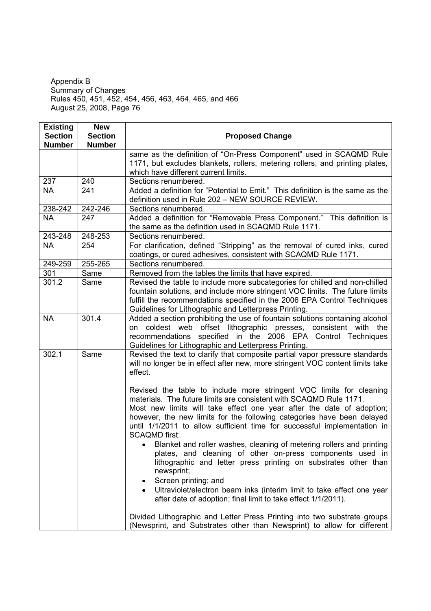| <b>Existing</b> | <b>New</b>     |                                                                                |
|-----------------|----------------|--------------------------------------------------------------------------------|
| <b>Section</b>  | <b>Section</b> | <b>Proposed Change</b>                                                         |
| <b>Number</b>   | <b>Number</b>  |                                                                                |
|                 |                | same as the definition of "On-Press Component" used in SCAQMD Rule             |
|                 |                | 1171, but excludes blankets, rollers, metering rollers, and printing plates,   |
|                 |                | which have different current limits.                                           |
| 237             | 240            | Sections renumbered.                                                           |
| <b>NA</b>       | 241            | Added a definition for "Potential to Emit." This definition is the same as the |
|                 |                | definition used in Rule 202 - NEW SOURCE REVIEW.                               |
| 238-242         | 242-246        | Sections renumbered.                                                           |
| <b>NA</b>       | 247            | Added a definition for "Removable Press Component." This definition is         |
|                 |                | the same as the definition used in SCAQMD Rule 1171.                           |
| 243-248         | 248-253        | Sections renumbered.                                                           |
| <b>NA</b>       | 254            | For clarification, defined "Stripping" as the removal of cured inks, cured     |
|                 |                | coatings, or cured adhesives, consistent with SCAQMD Rule 1171.                |
| 249-259         | 255-265        | Sections renumbered.                                                           |
| 301             | Same           | Removed from the tables the limits that have expired.                          |
| 301.2           | Same           | Revised the table to include more subcategories for chilled and non-chilled    |
|                 |                | fountain solutions, and include more stringent VOC limits. The future limits   |
|                 |                | fulfill the recommendations specified in the 2006 EPA Control Techniques       |
|                 |                | Guidelines for Lithographic and Letterpress Printing.                          |
| <b>NA</b>       | 301.4          | Added a section prohibiting the use of fountain solutions containing alcohol   |
|                 |                | on coldest web offset lithographic presses, consistent with the                |
|                 |                | recommendations specified in the 2006 EPA Control Techniques                   |
|                 |                | Guidelines for Lithographic and Letterpress Printing.                          |
| 302.1           | Same           | Revised the text to clarify that composite partial vapor pressure standards    |
|                 |                | will no longer be in effect after new, more stringent VOC content limits take  |
|                 |                | effect.                                                                        |
|                 |                |                                                                                |
|                 |                | Revised the table to include more stringent VOC limits for cleaning            |
|                 |                | materials. The future limits are consistent with SCAQMD Rule 1171.             |
|                 |                | Most new limits will take effect one year after the date of adoption;          |
|                 |                | however, the new limits for the following categories have been delayed         |
|                 |                | until 1/1/2011 to allow sufficient time for successful implementation in       |
|                 |                | <b>SCAQMD first:</b>                                                           |
|                 |                | Blanket and roller washes, cleaning of metering rollers and printing           |
|                 |                | plates, and cleaning of other on-press components used in                      |
|                 |                | lithographic and letter press printing on substrates other than                |
|                 |                | newsprint;                                                                     |
|                 |                | Screen printing; and<br>٠                                                      |
|                 |                | Ultraviolet/electron beam inks (interim limit to take effect one year          |
|                 |                | after date of adoption; final limit to take effect 1/1/2011).                  |
|                 |                |                                                                                |
|                 |                | Divided Lithographic and Letter Press Printing into two substrate groups       |
|                 |                | (Newsprint, and Substrates other than Newsprint) to allow for different        |

 $\overline{\phantom{a}}$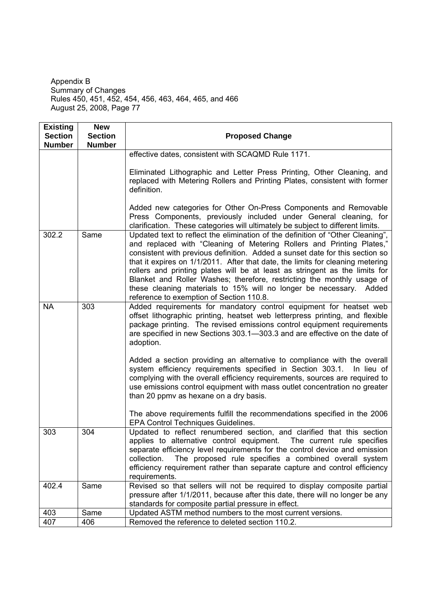| <b>Existing</b>                 | <b>New</b>                      |                                                                                                                                                                                                                                                                                                                                                                                                                                                                                                                                                                                                      |
|---------------------------------|---------------------------------|------------------------------------------------------------------------------------------------------------------------------------------------------------------------------------------------------------------------------------------------------------------------------------------------------------------------------------------------------------------------------------------------------------------------------------------------------------------------------------------------------------------------------------------------------------------------------------------------------|
| <b>Section</b><br><b>Number</b> | <b>Section</b><br><b>Number</b> | <b>Proposed Change</b>                                                                                                                                                                                                                                                                                                                                                                                                                                                                                                                                                                               |
|                                 |                                 | effective dates, consistent with SCAQMD Rule 1171.                                                                                                                                                                                                                                                                                                                                                                                                                                                                                                                                                   |
|                                 |                                 | Eliminated Lithographic and Letter Press Printing, Other Cleaning, and<br>replaced with Metering Rollers and Printing Plates, consistent with former<br>definition.                                                                                                                                                                                                                                                                                                                                                                                                                                  |
|                                 |                                 | Added new categories for Other On-Press Components and Removable<br>Press Components, previously included under General cleaning, for<br>clarification. These categories will ultimately be subject to different limits.                                                                                                                                                                                                                                                                                                                                                                             |
| 302.2                           | Same                            | Updated text to reflect the elimination of the definition of "Other Cleaning",<br>and replaced with "Cleaning of Metering Rollers and Printing Plates,"<br>consistent with previous definition. Added a sunset date for this section so<br>that it expires on 1/1/2011. After that date, the limits for cleaning metering<br>rollers and printing plates will be at least as stringent as the limits for<br>Blanket and Roller Washes; therefore, restricting the monthly usage of<br>these cleaning materials to 15% will no longer be necessary. Added<br>reference to exemption of Section 110.8. |
| <b>NA</b>                       | 303                             | Added requirements for mandatory control equipment for heatset web<br>offset lithographic printing, heatset web letterpress printing, and flexible<br>package printing. The revised emissions control equipment requirements<br>are specified in new Sections 303.1-303.3 and are effective on the date of<br>adoption.                                                                                                                                                                                                                                                                              |
|                                 |                                 | Added a section providing an alternative to compliance with the overall<br>system efficiency requirements specified in Section 303.1.<br>In lieu of<br>complying with the overall efficiency requirements, sources are required to<br>use emissions control equipment with mass outlet concentration no greater<br>than 20 ppmy as hexane on a dry basis.                                                                                                                                                                                                                                            |
|                                 |                                 | The above requirements fulfill the recommendations specified in the 2006<br>EPA Control Techniques Guidelines.                                                                                                                                                                                                                                                                                                                                                                                                                                                                                       |
| 303                             | 304                             | Updated to reflect renumbered section, and clarified that this section<br>applies to alternative control equipment. The current rule specifies<br>separate efficiency level requirements for the control device and emission<br>The proposed rule specifies a combined overall system<br>collection.<br>efficiency requirement rather than separate capture and control efficiency<br>requirements.                                                                                                                                                                                                  |
| 402.4                           | Same                            | Revised so that sellers will not be required to display composite partial<br>pressure after 1/1/2011, because after this date, there will no longer be any<br>standards for composite partial pressure in effect.                                                                                                                                                                                                                                                                                                                                                                                    |
| 403                             | Same                            | Updated ASTM method numbers to the most current versions.                                                                                                                                                                                                                                                                                                                                                                                                                                                                                                                                            |
| 407                             | 406                             | Removed the reference to deleted section 110.2.                                                                                                                                                                                                                                                                                                                                                                                                                                                                                                                                                      |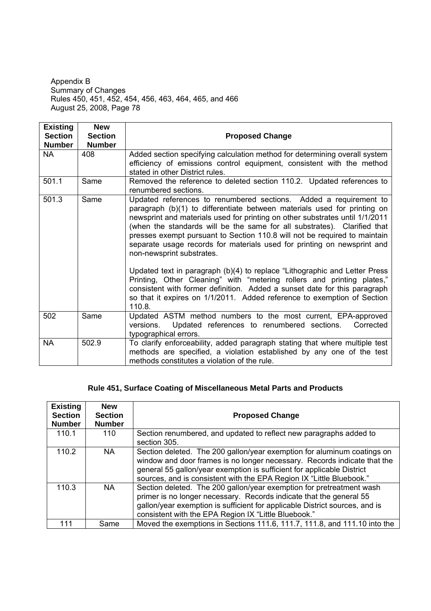| <b>Existing</b> | <b>New</b>     |                                                                                                                                                                                                                                                                                                                                                                                                                                                                                                                                                                                                                                                                                                                                                                                                                          |
|-----------------|----------------|--------------------------------------------------------------------------------------------------------------------------------------------------------------------------------------------------------------------------------------------------------------------------------------------------------------------------------------------------------------------------------------------------------------------------------------------------------------------------------------------------------------------------------------------------------------------------------------------------------------------------------------------------------------------------------------------------------------------------------------------------------------------------------------------------------------------------|
| <b>Section</b>  | <b>Section</b> | <b>Proposed Change</b>                                                                                                                                                                                                                                                                                                                                                                                                                                                                                                                                                                                                                                                                                                                                                                                                   |
| <b>Number</b>   | <b>Number</b>  |                                                                                                                                                                                                                                                                                                                                                                                                                                                                                                                                                                                                                                                                                                                                                                                                                          |
| <b>NA</b>       | 408            | Added section specifying calculation method for determining overall system<br>efficiency of emissions control equipment, consistent with the method<br>stated in other District rules.                                                                                                                                                                                                                                                                                                                                                                                                                                                                                                                                                                                                                                   |
| 501.1           | Same           | Removed the reference to deleted section 110.2. Updated references to<br>renumbered sections.                                                                                                                                                                                                                                                                                                                                                                                                                                                                                                                                                                                                                                                                                                                            |
| 501.3           | Same           | Updated references to renumbered sections. Added a requirement to<br>paragraph (b)(1) to differentiate between materials used for printing on<br>newsprint and materials used for printing on other substrates until 1/1/2011<br>(when the standards will be the same for all substrates). Clarified that<br>presses exempt pursuant to Section 110.8 will not be required to maintain<br>separate usage records for materials used for printing on newsprint and<br>non-newsprint substrates.<br>Updated text in paragraph (b)(4) to replace "Lithographic and Letter Press<br>Printing, Other Cleaning" with "metering rollers and printing plates,"<br>consistent with former definition. Added a sunset date for this paragraph<br>so that it expires on 1/1/2011. Added reference to exemption of Section<br>110.8. |
| 502             | Same           | Updated ASTM method numbers to the most current, EPA-approved<br>Updated references to renumbered sections.<br>Corrected<br>versions.<br>typographical errors.                                                                                                                                                                                                                                                                                                                                                                                                                                                                                                                                                                                                                                                           |
| <b>NA</b>       | 502.9          | To clarify enforceability, added paragraph stating that where multiple test<br>methods are specified, a violation established by any one of the test<br>methods constitutes a violation of the rule.                                                                                                                                                                                                                                                                                                                                                                                                                                                                                                                                                                                                                     |

## **Rule 451, Surface Coating of Miscellaneous Metal Parts and Products**

| <b>Existing</b><br><b>Section</b><br><b>Number</b> | <b>New</b><br><b>Section</b><br><b>Number</b> | <b>Proposed Change</b>                                                                                                                                                                                                                                                                                |
|----------------------------------------------------|-----------------------------------------------|-------------------------------------------------------------------------------------------------------------------------------------------------------------------------------------------------------------------------------------------------------------------------------------------------------|
| 110.1                                              | 110                                           | Section renumbered, and updated to reflect new paragraphs added to<br>section 305.                                                                                                                                                                                                                    |
| 110.2                                              | NA.                                           | Section deleted. The 200 gallon/year exemption for aluminum coatings on<br>window and door frames is no longer necessary. Records indicate that the<br>general 55 gallon/year exemption is sufficient for applicable District<br>sources, and is consistent with the EPA Region IX "Little Bluebook." |
| 110.3                                              | NA.                                           | Section deleted. The 200 gallon/year exemption for pretreatment wash<br>primer is no longer necessary. Records indicate that the general 55<br>gallon/year exemption is sufficient for applicable District sources, and is<br>consistent with the EPA Region IX "Little Bluebook."                    |
| 111                                                | Same                                          | Moved the exemptions in Sections 111.6, 111.7, 111.8, and 111.10 into the                                                                                                                                                                                                                             |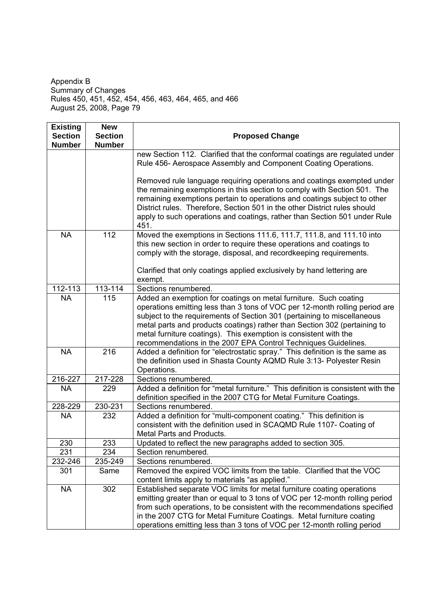| <b>Existing</b><br><b>Section</b> | <b>New</b><br><b>Section</b> | <b>Proposed Change</b>                                                                                                                                                                                                                                                                                                                                                                           |
|-----------------------------------|------------------------------|--------------------------------------------------------------------------------------------------------------------------------------------------------------------------------------------------------------------------------------------------------------------------------------------------------------------------------------------------------------------------------------------------|
| <b>Number</b>                     | <b>Number</b>                |                                                                                                                                                                                                                                                                                                                                                                                                  |
|                                   |                              | new Section 112. Clarified that the conformal coatings are regulated under                                                                                                                                                                                                                                                                                                                       |
|                                   |                              | Rule 456- Aerospace Assembly and Component Coating Operations.                                                                                                                                                                                                                                                                                                                                   |
|                                   |                              | Removed rule language requiring operations and coatings exempted under<br>the remaining exemptions in this section to comply with Section 501. The<br>remaining exemptions pertain to operations and coatings subject to other<br>District rules. Therefore, Section 501 in the other District rules should<br>apply to such operations and coatings, rather than Section 501 under Rule<br>451. |
| <b>NA</b>                         | 112                          | Moved the exemptions in Sections 111.6, 111.7, 111.8, and 111.10 into<br>this new section in order to require these operations and coatings to<br>comply with the storage, disposal, and recordkeeping requirements.<br>Clarified that only coatings applied exclusively by hand lettering are                                                                                                   |
|                                   |                              | exempt.                                                                                                                                                                                                                                                                                                                                                                                          |
| 112-113                           | 113-114                      | Sections renumbered.                                                                                                                                                                                                                                                                                                                                                                             |
| <b>NA</b>                         | 115                          | Added an exemption for coatings on metal furniture. Such coating                                                                                                                                                                                                                                                                                                                                 |
|                                   |                              | operations emitting less than 3 tons of VOC per 12-month rolling period are<br>subject to the requirements of Section 301 (pertaining to miscellaneous<br>metal parts and products coatings) rather than Section 302 (pertaining to<br>metal furniture coatings). This exemption is consistent with the                                                                                          |
| <b>NA</b>                         | 216                          | recommendations in the 2007 EPA Control Techniques Guidelines.<br>Added a definition for "electrostatic spray." This definition is the same as                                                                                                                                                                                                                                                   |
|                                   |                              | the definition used in Shasta County AQMD Rule 3:13- Polyester Resin<br>Operations.                                                                                                                                                                                                                                                                                                              |
| 216-227                           | 217-228                      | Sections renumbered.                                                                                                                                                                                                                                                                                                                                                                             |
| <b>NA</b>                         | 229                          | Added a definition for "metal furniture." This definition is consistent with the<br>definition specified in the 2007 CTG for Metal Furniture Coatings.                                                                                                                                                                                                                                           |
| 228-229                           | 230-231                      | Sections renumbered.                                                                                                                                                                                                                                                                                                                                                                             |
| <b>NA</b>                         | 232                          | Added a definition for "multi-component coating." This definition is<br>consistent with the definition used in SCAQMD Rule 1107- Coating of<br>Metal Parts and Products.                                                                                                                                                                                                                         |
| 230                               | 233                          | Updated to reflect the new paragraphs added to section 305.                                                                                                                                                                                                                                                                                                                                      |
| 231                               | 234                          | Section renumbered.                                                                                                                                                                                                                                                                                                                                                                              |
| 232-246                           | 235-249                      | Sections renumbered.                                                                                                                                                                                                                                                                                                                                                                             |
| 301                               | Same                         | Removed the expired VOC limits from the table. Clarified that the VOC<br>content limits apply to materials "as applied."                                                                                                                                                                                                                                                                         |
| <b>NA</b>                         | 302                          | Established separate VOC limits for metal furniture coating operations<br>emitting greater than or equal to 3 tons of VOC per 12-month rolling period<br>from such operations, to be consistent with the recommendations specified<br>in the 2007 CTG for Metal Furniture Coatings. Metal furniture coating<br>operations emitting less than 3 tons of VOC per 12-month rolling period           |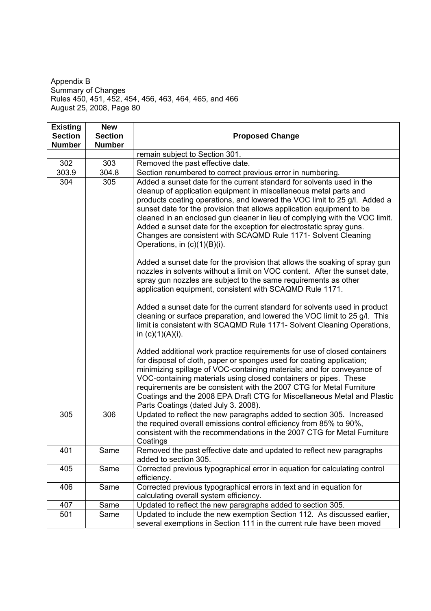| <b>Existing</b><br><b>Section</b> | <b>New</b><br><b>Section</b> | <b>Proposed Change</b>                                                                                                                                                                                                                                                                                                                                                                                                                                                                                                                                                                                                                                                                                                                                                                     |
|-----------------------------------|------------------------------|--------------------------------------------------------------------------------------------------------------------------------------------------------------------------------------------------------------------------------------------------------------------------------------------------------------------------------------------------------------------------------------------------------------------------------------------------------------------------------------------------------------------------------------------------------------------------------------------------------------------------------------------------------------------------------------------------------------------------------------------------------------------------------------------|
| <b>Number</b>                     | <b>Number</b>                |                                                                                                                                                                                                                                                                                                                                                                                                                                                                                                                                                                                                                                                                                                                                                                                            |
|                                   |                              | remain subject to Section 301.                                                                                                                                                                                                                                                                                                                                                                                                                                                                                                                                                                                                                                                                                                                                                             |
| 302                               | 303                          | Removed the past effective date.                                                                                                                                                                                                                                                                                                                                                                                                                                                                                                                                                                                                                                                                                                                                                           |
| 303.9                             | 304.8                        | Section renumbered to correct previous error in numbering.                                                                                                                                                                                                                                                                                                                                                                                                                                                                                                                                                                                                                                                                                                                                 |
| 304                               | 305                          | Added a sunset date for the current standard for solvents used in the<br>cleanup of application equipment in miscellaneous metal parts and<br>products coating operations, and lowered the VOC limit to 25 g/l. Added a<br>sunset date for the provision that allows application equipment to be<br>cleaned in an enclosed gun cleaner in lieu of complying with the VOC limit.<br>Added a sunset date for the exception for electrostatic spray guns.<br>Changes are consistent with SCAQMD Rule 1171- Solvent Cleaning<br>Operations, in $(c)(1)(B)(i)$ .<br>Added a sunset date for the provision that allows the soaking of spray gun<br>nozzles in solvents without a limit on VOC content. After the sunset date,<br>spray gun nozzles are subject to the same requirements as other |
|                                   |                              | application equipment, consistent with SCAQMD Rule 1171.<br>Added a sunset date for the current standard for solvents used in product<br>cleaning or surface preparation, and lowered the VOC limit to 25 g/l. This<br>limit is consistent with SCAQMD Rule 1171- Solvent Cleaning Operations,<br>in $(c)(1)(A)(i)$ .<br>Added additional work practice requirements for use of closed containers<br>for disposal of cloth, paper or sponges used for coating application;<br>minimizing spillage of VOC-containing materials; and for conveyance of                                                                                                                                                                                                                                       |
|                                   |                              | VOC-containing materials using closed containers or pipes. These<br>requirements are be consistent with the 2007 CTG for Metal Furniture<br>Coatings and the 2008 EPA Draft CTG for Miscellaneous Metal and Plastic<br>Parts Coatings (dated July 3. 2008).                                                                                                                                                                                                                                                                                                                                                                                                                                                                                                                                |
| 305                               | 306                          | Updated to reflect the new paragraphs added to section 305. Increased<br>the required overall emissions control efficiency from 85% to 90%,<br>consistent with the recommendations in the 2007 CTG for Metal Furniture<br>Coatings                                                                                                                                                                                                                                                                                                                                                                                                                                                                                                                                                         |
| 401                               | Same                         | Removed the past effective date and updated to reflect new paragraphs<br>added to section 305.                                                                                                                                                                                                                                                                                                                                                                                                                                                                                                                                                                                                                                                                                             |
| 405                               | Same                         | Corrected previous typographical error in equation for calculating control<br>efficiency.                                                                                                                                                                                                                                                                                                                                                                                                                                                                                                                                                                                                                                                                                                  |
| 406                               | Same                         | Corrected previous typographical errors in text and in equation for<br>calculating overall system efficiency.                                                                                                                                                                                                                                                                                                                                                                                                                                                                                                                                                                                                                                                                              |
| 407                               | Same                         | Updated to reflect the new paragraphs added to section 305.                                                                                                                                                                                                                                                                                                                                                                                                                                                                                                                                                                                                                                                                                                                                |
| 501                               | Same                         | Updated to include the new exemption Section 112. As discussed earlier,<br>several exemptions in Section 111 in the current rule have been moved                                                                                                                                                                                                                                                                                                                                                                                                                                                                                                                                                                                                                                           |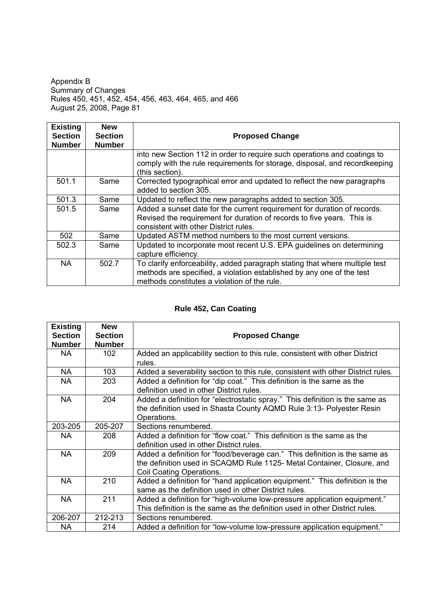| <b>Existing</b><br><b>Section</b><br><b>Number</b> | <b>New</b><br><b>Section</b><br><b>Number</b> | <b>Proposed Change</b>                                                                                                                                                                               |
|----------------------------------------------------|-----------------------------------------------|------------------------------------------------------------------------------------------------------------------------------------------------------------------------------------------------------|
|                                                    |                                               | into new Section 112 in order to require such operations and coatings to<br>comply with the rule requirements for storage, disposal, and recordkeeping<br>(this section).                            |
| 501.1                                              | Same                                          | Corrected typographical error and updated to reflect the new paragraphs<br>added to section 305.                                                                                                     |
| 501.3                                              | Same                                          | Updated to reflect the new paragraphs added to section 305.                                                                                                                                          |
| 501.5                                              | Same                                          | Added a sunset date for the current requirement for duration of records.<br>Revised the requirement for duration of records to five years. This is<br>consistent with other District rules.          |
| 502                                                | Same                                          | Updated ASTM method numbers to the most current versions.                                                                                                                                            |
| 502.3                                              | Same                                          | Updated to incorporate most recent U.S. EPA guidelines on determining<br>capture efficiency.                                                                                                         |
| <b>NA</b>                                          | 502.7                                         | To clarify enforceability, added paragraph stating that where multiple test<br>methods are specified, a violation established by any one of the test<br>methods constitutes a violation of the rule. |

# **Rule 452, Can Coating**

| <b>Existing</b> | <b>New</b>     |                                                                                  |  |
|-----------------|----------------|----------------------------------------------------------------------------------|--|
| <b>Section</b>  | <b>Section</b> | <b>Proposed Change</b>                                                           |  |
| <b>Number</b>   | <b>Number</b>  |                                                                                  |  |
| NA.             | 102            | Added an applicability section to this rule, consistent with other District      |  |
|                 |                | rules.                                                                           |  |
| <b>NA</b>       | 103            | Added a severability section to this rule, consistent with other District rules. |  |
| <b>NA</b>       | 203            | Added a definition for "dip coat." This definition is the same as the            |  |
|                 |                | definition used in other District rules.                                         |  |
| <b>NA</b>       | 204            | Added a definition for "electrostatic spray." This definition is the same as     |  |
|                 |                | the definition used in Shasta County AQMD Rule 3:13- Polyester Resin             |  |
|                 |                | Operations.                                                                      |  |
| 203-205         | 205-207        | Sections renumbered.                                                             |  |
| NA.             | 208            | Added a definition for "flow coat." This definition is the same as the           |  |
|                 |                | definition used in other District rules.                                         |  |
| <b>NA</b>       | 209            | Added a definition for "food/beverage can." This definition is the same as       |  |
|                 |                | the definition used in SCAQMD Rule 1125- Metal Container, Closure, and           |  |
|                 |                | Coil Coating Operations.                                                         |  |
| <b>NA</b>       | 210            | Added a definition for "hand application equipment." This definition is the      |  |
|                 |                | same as the definition used in other District rules.                             |  |
| <b>NA</b>       | 211            | Added a definition for "high-volume low-pressure application equipment."         |  |
|                 |                | This definition is the same as the definition used in other District rules.      |  |
| 206-207         | 212-213        | Sections renumbered.                                                             |  |
| NA.             | 214            | Added a definition for "low-volume low-pressure application equipment."          |  |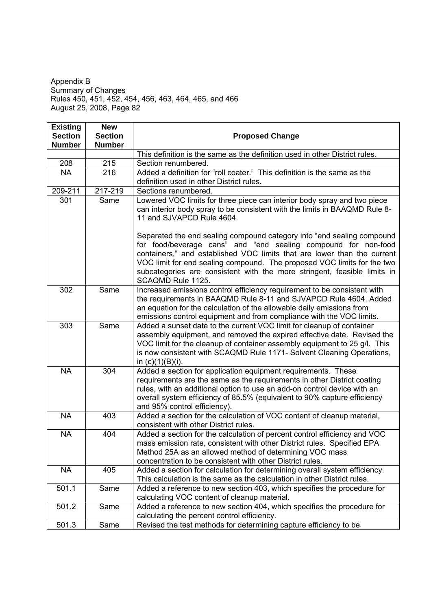| <b>Existing</b> | <b>New</b>     |                                                                                                                                                                                                                                                                                                                                                                                                 |
|-----------------|----------------|-------------------------------------------------------------------------------------------------------------------------------------------------------------------------------------------------------------------------------------------------------------------------------------------------------------------------------------------------------------------------------------------------|
| <b>Section</b>  | <b>Section</b> | <b>Proposed Change</b>                                                                                                                                                                                                                                                                                                                                                                          |
| <b>Number</b>   | <b>Number</b>  |                                                                                                                                                                                                                                                                                                                                                                                                 |
|                 |                | This definition is the same as the definition used in other District rules.                                                                                                                                                                                                                                                                                                                     |
| 208             | 215            | Section renumbered.                                                                                                                                                                                                                                                                                                                                                                             |
| <b>NA</b>       | 216            | Added a definition for "roll coater." This definition is the same as the                                                                                                                                                                                                                                                                                                                        |
|                 |                | definition used in other District rules.                                                                                                                                                                                                                                                                                                                                                        |
| 209-211         | $217 - 219$    | Sections renumbered.                                                                                                                                                                                                                                                                                                                                                                            |
| 301             | Same           | Lowered VOC limits for three piece can interior body spray and two piece<br>can interior body spray to be consistent with the limits in BAAQMD Rule 8-<br>11 and SJVAPCD Rule 4604.                                                                                                                                                                                                             |
|                 |                | Separated the end sealing compound category into "end sealing compound<br>for food/beverage cans" and "end sealing compound for non-food<br>containers," and established VOC limits that are lower than the current<br>VOC limit for end sealing compound. The proposed VOC limits for the two<br>subcategories are consistent with the more stringent, feasible limits in<br>SCAQMD Rule 1125. |
| 302             | Same           | Increased emissions control efficiency requirement to be consistent with<br>the requirements in BAAQMD Rule 8-11 and SJVAPCD Rule 4604. Added<br>an equation for the calculation of the allowable daily emissions from<br>emissions control equipment and from compliance with the VOC limits.                                                                                                  |
| 303             | Same           | Added a sunset date to the current VOC limit for cleanup of container<br>assembly equipment, and removed the expired effective date. Revised the<br>VOC limit for the cleanup of container assembly equipment to 25 g/l. This<br>is now consistent with SCAQMD Rule 1171- Solvent Cleaning Operations,<br>in $(c)(1)(B)(i)$ .                                                                   |
| <b>NA</b>       | 304            | Added a section for application equipment requirements. These<br>requirements are the same as the requirements in other District coating<br>rules, with an additional option to use an add-on control device with an<br>overall system efficiency of 85.5% (equivalent to 90% capture efficiency<br>and 95% control efficiency).                                                                |
| <b>NA</b>       | 403            | Added a section for the calculation of VOC content of cleanup material,<br>consistent with other District rules.                                                                                                                                                                                                                                                                                |
| <b>NA</b>       | 404            | Added a section for the calculation of percent control efficiency and VOC<br>mass emission rate, consistent with other District rules. Specified EPA<br>Method 25A as an allowed method of determining VOC mass<br>concentration to be consistent with other District rules.                                                                                                                    |
| <b>NA</b>       | 405            | Added a section for calculation for determining overall system efficiency.<br>This calculation is the same as the calculation in other District rules.                                                                                                                                                                                                                                          |
| 501.1           | Same           | Added a reference to new section 403, which specifies the procedure for<br>calculating VOC content of cleanup material.                                                                                                                                                                                                                                                                         |
| 501.2           | Same           | Added a reference to new section 404, which specifies the procedure for<br>calculating the percent control efficiency.                                                                                                                                                                                                                                                                          |
| 501.3           | Same           | Revised the test methods for determining capture efficiency to be                                                                                                                                                                                                                                                                                                                               |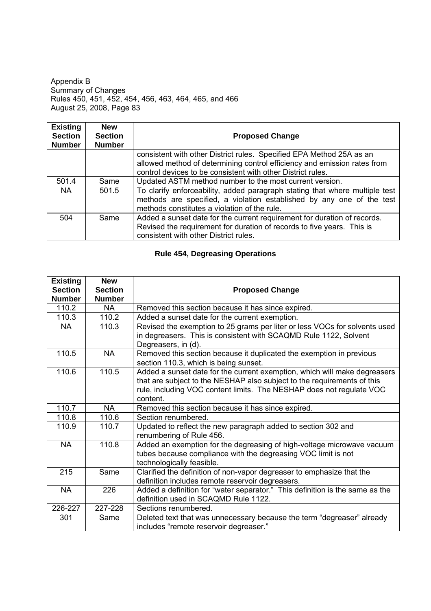| <b>Existing</b><br><b>Section</b><br><b>Number</b> | <b>New</b><br><b>Section</b><br><b>Number</b> | <b>Proposed Change</b>                                                                                                                                                                                          |
|----------------------------------------------------|-----------------------------------------------|-----------------------------------------------------------------------------------------------------------------------------------------------------------------------------------------------------------------|
|                                                    |                                               | consistent with other District rules. Specified EPA Method 25A as an<br>allowed method of determining control efficiency and emission rates from<br>control devices to be consistent with other District rules. |
| 501.4                                              | Same                                          | Updated ASTM method number to the most current version.                                                                                                                                                         |
| NA.                                                | 501.5                                         | To clarify enforceability, added paragraph stating that where multiple test<br>methods are specified, a violation established by any one of the test<br>methods constitutes a violation of the rule.            |
| 504                                                | Same                                          | Added a sunset date for the current requirement for duration of records.<br>Revised the requirement for duration of records to five years. This is<br>consistent with other District rules.                     |

# **Rule 454, Degreasing Operations**

| <b>Existing</b><br><b>Section</b><br><b>Number</b> | <b>New</b><br><b>Section</b><br><b>Number</b> | <b>Proposed Change</b>                                                                                                                                                                                                                   |
|----------------------------------------------------|-----------------------------------------------|------------------------------------------------------------------------------------------------------------------------------------------------------------------------------------------------------------------------------------------|
| 110.2                                              | <b>NA</b>                                     | Removed this section because it has since expired.                                                                                                                                                                                       |
| 110.3                                              | 110.2                                         | Added a sunset date for the current exemption.                                                                                                                                                                                           |
| <b>NA</b>                                          | 110.3                                         | Revised the exemption to 25 grams per liter or less VOCs for solvents used<br>in degreasers. This is consistent with SCAQMD Rule 1122, Solvent<br>Degreasers, in (d).                                                                    |
| 110.5                                              | <b>NA</b>                                     | Removed this section because it duplicated the exemption in previous<br>section 110.3, which is being sunset.                                                                                                                            |
| 110.6                                              | 110.5                                         | Added a sunset date for the current exemption, which will make degreasers<br>that are subject to the NESHAP also subject to the requirements of this<br>rule, including VOC content limits. The NESHAP does not regulate VOC<br>content. |
| 110.7                                              | <b>NA</b>                                     | Removed this section because it has since expired.                                                                                                                                                                                       |
| 110.8                                              | 110.6                                         | Section renumbered.                                                                                                                                                                                                                      |
| 110.9                                              | 110.7                                         | Updated to reflect the new paragraph added to section 302 and<br>renumbering of Rule 456.                                                                                                                                                |
| <b>NA</b>                                          | 110.8                                         | Added an exemption for the degreasing of high-voltage microwave vacuum<br>tubes because compliance with the degreasing VOC limit is not<br>technologically feasible.                                                                     |
| 215                                                | Same                                          | Clarified the definition of non-vapor degreaser to emphasize that the<br>definition includes remote reservoir degreasers.                                                                                                                |
| <b>NA</b>                                          | 226                                           | Added a definition for "water separator." This definition is the same as the<br>definition used in SCAQMD Rule 1122.                                                                                                                     |
| 226-227                                            | 227-228                                       | Sections renumbered.                                                                                                                                                                                                                     |
| 301                                                | Same                                          | Deleted text that was unnecessary because the term "degreaser" already<br>includes "remote reservoir degreaser."                                                                                                                         |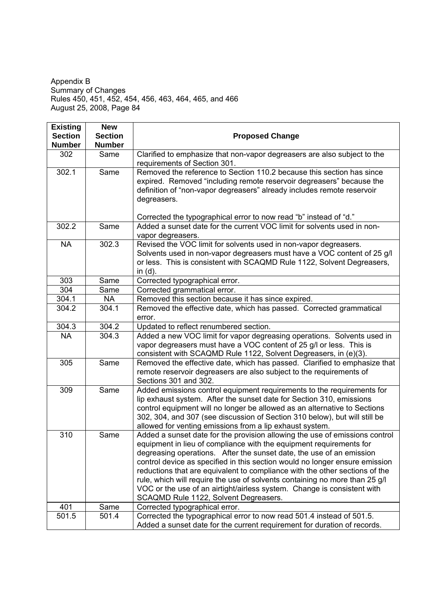| <b>Existing</b>                 | <b>New</b><br><b>Section</b> |                                                                                                                                                         |
|---------------------------------|------------------------------|---------------------------------------------------------------------------------------------------------------------------------------------------------|
| <b>Section</b><br><b>Number</b> | <b>Number</b>                | <b>Proposed Change</b>                                                                                                                                  |
| 302                             | Same                         | Clarified to emphasize that non-vapor degreasers are also subject to the                                                                                |
|                                 |                              | requirements of Section 301.                                                                                                                            |
| 302.1                           | Same                         | Removed the reference to Section 110.2 because this section has since                                                                                   |
|                                 |                              | expired. Removed "including remote reservoir degreasers" because the                                                                                    |
|                                 |                              | definition of "non-vapor degreasers" already includes remote reservoir                                                                                  |
|                                 |                              | degreasers.                                                                                                                                             |
|                                 |                              |                                                                                                                                                         |
|                                 |                              | Corrected the typographical error to now read "b" instead of "d."<br>Added a sunset date for the current VOC limit for solvents used in non-            |
| 302.2                           | Same                         |                                                                                                                                                         |
| <b>NA</b>                       | 302.3                        | vapor degreasers.<br>Revised the VOC limit for solvents used in non-vapor degreasers.                                                                   |
|                                 |                              | Solvents used in non-vapor degreasers must have a VOC content of 25 g/l                                                                                 |
|                                 |                              | or less. This is consistent with SCAQMD Rule 1122, Solvent Degreasers,                                                                                  |
|                                 |                              | in $(d)$ .                                                                                                                                              |
| 303                             | Same                         | Corrected typographical error.                                                                                                                          |
| 304                             | Same                         | Corrected grammatical error.                                                                                                                            |
| 304.1                           | NA                           | Removed this section because it has since expired.                                                                                                      |
| 304.2                           | 304.1                        | Removed the effective date, which has passed. Corrected grammatical                                                                                     |
|                                 |                              | error.                                                                                                                                                  |
| 304.3                           | 304.2                        | Updated to reflect renumbered section.                                                                                                                  |
| <b>NA</b>                       | 304.3                        | Added a new VOC limit for vapor degreasing operations. Solvents used in                                                                                 |
|                                 |                              | vapor degreasers must have a VOC content of 25 g/l or less. This is                                                                                     |
|                                 |                              | consistent with SCAQMD Rule 1122, Solvent Degreasers, in (e)(3).                                                                                        |
| 305                             | Same                         | Removed the effective date, which has passed. Clarified to emphasize that                                                                               |
|                                 |                              | remote reservoir degreasers are also subject to the requirements of                                                                                     |
|                                 |                              | Sections 301 and 302.                                                                                                                                   |
| 309                             | Same                         | Added emissions control equipment requirements to the requirements for                                                                                  |
|                                 |                              | lip exhaust system. After the sunset date for Section 310, emissions                                                                                    |
|                                 |                              | control equipment will no longer be allowed as an alternative to Sections<br>302, 304, and 307 (see discussion of Section 310 below), but will still be |
|                                 |                              | allowed for venting emissions from a lip exhaust system.                                                                                                |
| 310                             | Same                         | Added a sunset date for the provision allowing the use of emissions control                                                                             |
|                                 |                              | equipment in lieu of compliance with the equipment requirements for                                                                                     |
|                                 |                              | degreasing operations. After the sunset date, the use of an emission                                                                                    |
|                                 |                              | control device as specified in this section would no longer ensure emission                                                                             |
|                                 |                              | reductions that are equivalent to compliance with the other sections of the                                                                             |
|                                 |                              | rule, which will require the use of solvents containing no more than 25 g/l                                                                             |
|                                 |                              | VOC or the use of an airtight/airless system. Change is consistent with                                                                                 |
|                                 |                              | SCAQMD Rule 1122, Solvent Degreasers.                                                                                                                   |
| 401                             | Same                         | Corrected typographical error.                                                                                                                          |
| 501.5                           | 501.4                        | Corrected the typographical error to now read 501.4 instead of 501.5.                                                                                   |
|                                 |                              | Added a sunset date for the current requirement for duration of records.                                                                                |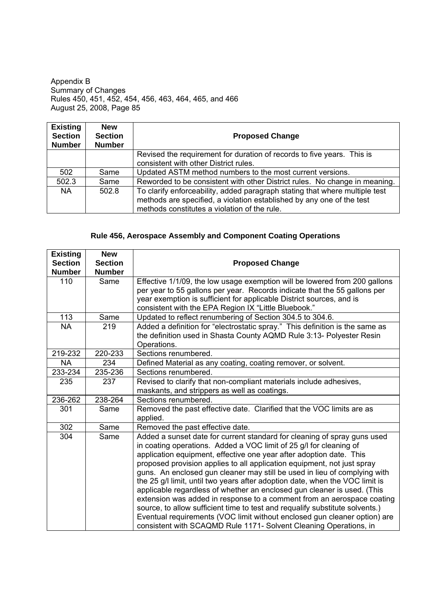| <b>Existing</b><br><b>Section</b><br><b>Number</b> | <b>New</b><br><b>Section</b><br><b>Number</b> | <b>Proposed Change</b>                                                      |
|----------------------------------------------------|-----------------------------------------------|-----------------------------------------------------------------------------|
|                                                    |                                               | Revised the requirement for duration of records to five years. This is      |
|                                                    |                                               | consistent with other District rules.                                       |
| 502                                                | Same                                          | Updated ASTM method numbers to the most current versions.                   |
| 502.3                                              | Same                                          | Reworded to be consistent with other District rules. No change in meaning.  |
| NA.                                                | 502.8                                         | To clarify enforceability, added paragraph stating that where multiple test |
|                                                    |                                               | methods are specified, a violation established by any one of the test       |
|                                                    |                                               | methods constitutes a violation of the rule.                                |

# **Rule 456, Aerospace Assembly and Component Coating Operations**

| <b>Existing</b> | <b>New</b>     |                                                                                   |
|-----------------|----------------|-----------------------------------------------------------------------------------|
| <b>Section</b>  | <b>Section</b> | <b>Proposed Change</b>                                                            |
| <b>Number</b>   | <b>Number</b>  |                                                                                   |
| 110             | Same           | Effective 1/1/09, the low usage exemption will be lowered from 200 gallons        |
|                 |                | per year to 55 gallons per year. Records indicate that the 55 gallons per         |
|                 |                | year exemption is sufficient for applicable District sources, and is              |
|                 |                | consistent with the EPA Region IX "Little Bluebook."                              |
| 113             | Same           | Updated to reflect renumbering of Section 304.5 to 304.6.                         |
| <b>NA</b>       | 219            | Added a definition for "electrostatic spray." This definition is the same as      |
|                 |                | the definition used in Shasta County AQMD Rule 3:13- Polyester Resin              |
|                 |                | Operations.                                                                       |
| 219-232         | 220-233        | Sections renumbered.                                                              |
| <b>NA</b>       | 234            | Defined Material as any coating, coating remover, or solvent.                     |
| 233-234         | 235-236        | Sections renumbered.                                                              |
| 235             | 237            | Revised to clarify that non-compliant materials include adhesives,                |
|                 |                | maskants, and strippers as well as coatings.                                      |
| 236-262         | 238-264        | Sections renumbered.                                                              |
| 301             | Same           | Removed the past effective date. Clarified that the VOC limits are as<br>applied. |
| 302             | Same           | Removed the past effective date.                                                  |
| 304             | Same           | Added a sunset date for current standard for cleaning of spray guns used          |
|                 |                | in coating operations. Added a VOC limit of 25 g/l for cleaning of                |
|                 |                | application equipment, effective one year after adoption date. This               |
|                 |                | proposed provision applies to all application equipment, not just spray           |
|                 |                | guns. An enclosed gun cleaner may still be used in lieu of complying with         |
|                 |                | the 25 g/l limit, until two years after adoption date, when the VOC limit is      |
|                 |                | applicable regardless of whether an enclosed gun cleaner is used. (This           |
|                 |                | extension was added in response to a comment from an aerospace coating            |
|                 |                | source, to allow sufficient time to test and requalify substitute solvents.)      |
|                 |                | Eventual requirements (VOC limit without enclosed gun cleaner option) are         |
|                 |                | consistent with SCAQMD Rule 1171- Solvent Cleaning Operations, in                 |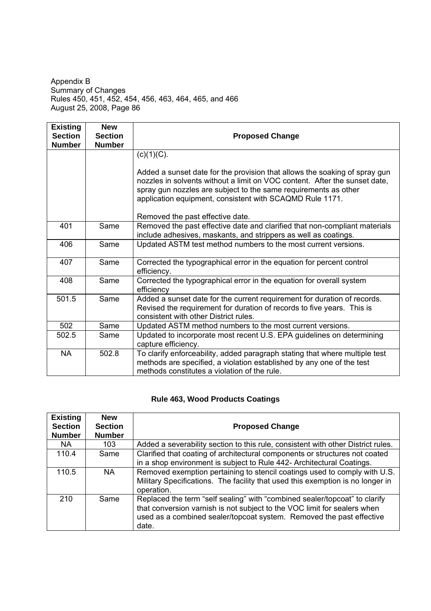| <b>Existing</b><br><b>Section</b> | <b>New</b><br><b>Section</b> | <b>Proposed Change</b>                                                                                                                                                                                                                                                                                   |
|-----------------------------------|------------------------------|----------------------------------------------------------------------------------------------------------------------------------------------------------------------------------------------------------------------------------------------------------------------------------------------------------|
| <b>Number</b>                     | <b>Number</b>                |                                                                                                                                                                                                                                                                                                          |
|                                   |                              | $(c)(1)(C)$ .<br>Added a sunset date for the provision that allows the soaking of spray gun<br>nozzles in solvents without a limit on VOC content. After the sunset date,<br>spray gun nozzles are subject to the same requirements as other<br>application equipment, consistent with SCAQMD Rule 1171. |
|                                   |                              | Removed the past effective date.                                                                                                                                                                                                                                                                         |
| 401                               | Same                         | Removed the past effective date and clarified that non-compliant materials<br>include adhesives, maskants, and strippers as well as coatings.                                                                                                                                                            |
| 406                               | Same                         | Updated ASTM test method numbers to the most current versions.                                                                                                                                                                                                                                           |
| 407                               | Same                         | Corrected the typographical error in the equation for percent control<br>efficiency.                                                                                                                                                                                                                     |
| 408                               | Same                         | Corrected the typographical error in the equation for overall system<br>efficiency                                                                                                                                                                                                                       |
| 501.5                             | Same                         | Added a sunset date for the current requirement for duration of records.<br>Revised the requirement for duration of records to five years. This is<br>consistent with other District rules.                                                                                                              |
| 502                               | Same                         | Updated ASTM method numbers to the most current versions.                                                                                                                                                                                                                                                |
| 502.5                             | Same                         | Updated to incorporate most recent U.S. EPA guidelines on determining<br>capture efficiency.                                                                                                                                                                                                             |
| <b>NA</b>                         | 502.8                        | To clarify enforceability, added paragraph stating that where multiple test<br>methods are specified, a violation established by any one of the test<br>methods constitutes a violation of the rule.                                                                                                     |

# **Rule 463, Wood Products Coatings**

| <b>Existing</b><br><b>Section</b><br><b>Number</b> | <b>New</b><br><b>Section</b><br><b>Number</b> | <b>Proposed Change</b>                                                                                                                                                                                                                  |
|----------------------------------------------------|-----------------------------------------------|-----------------------------------------------------------------------------------------------------------------------------------------------------------------------------------------------------------------------------------------|
| NA.                                                | 103                                           | Added a severability section to this rule, consistent with other District rules.                                                                                                                                                        |
| 110.4                                              | Same                                          | Clarified that coating of architectural components or structures not coated<br>in a shop environment is subject to Rule 442- Architectural Coatings.                                                                                    |
| 110.5                                              | NA.                                           | Removed exemption pertaining to stencil coatings used to comply with U.S.<br>Military Specifications. The facility that used this exemption is no longer in<br>operation.                                                               |
| 210                                                | Same                                          | Replaced the term "self sealing" with "combined sealer/topcoat" to clarify<br>that conversion varnish is not subject to the VOC limit for sealers when<br>used as a combined sealer/topcoat system. Removed the past effective<br>date. |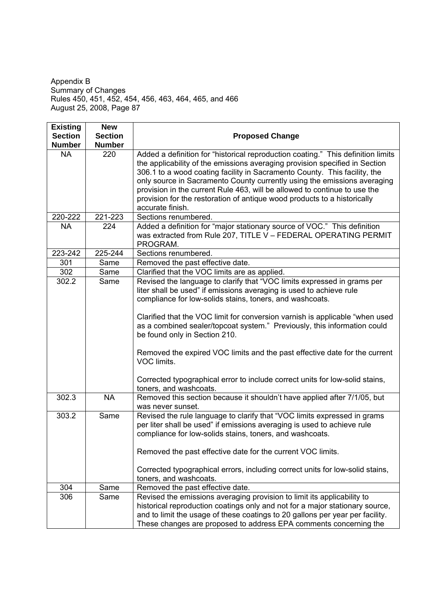| <b>Existing</b> | <b>New</b>     |                                                                                                                                                                                                                                                                                                                                                                                                                                                                                                                                                                                                                |
|-----------------|----------------|----------------------------------------------------------------------------------------------------------------------------------------------------------------------------------------------------------------------------------------------------------------------------------------------------------------------------------------------------------------------------------------------------------------------------------------------------------------------------------------------------------------------------------------------------------------------------------------------------------------|
| <b>Section</b>  | <b>Section</b> | <b>Proposed Change</b>                                                                                                                                                                                                                                                                                                                                                                                                                                                                                                                                                                                         |
| <b>Number</b>   | <b>Number</b>  |                                                                                                                                                                                                                                                                                                                                                                                                                                                                                                                                                                                                                |
| <b>NA</b>       | 220            | Added a definition for "historical reproduction coating." This definition limits<br>the applicability of the emissions averaging provision specified in Section<br>306.1 to a wood coating facility in Sacramento County. This facility, the<br>only source in Sacramento County currently using the emissions averaging<br>provision in the current Rule 463, will be allowed to continue to use the<br>provision for the restoration of antique wood products to a historically<br>accurate finish.                                                                                                          |
| 220-222         | 221-223        | Sections renumbered.                                                                                                                                                                                                                                                                                                                                                                                                                                                                                                                                                                                           |
| <b>NA</b>       | 224            | Added a definition for "major stationary source of VOC." This definition<br>was extracted from Rule 207, TITLE V - FEDERAL OPERATING PERMIT<br>PROGRAM.                                                                                                                                                                                                                                                                                                                                                                                                                                                        |
| 223-242         | 225-244        | Sections renumbered.                                                                                                                                                                                                                                                                                                                                                                                                                                                                                                                                                                                           |
| 301             | Same           | Removed the past effective date.                                                                                                                                                                                                                                                                                                                                                                                                                                                                                                                                                                               |
| 302             | Same           | Clarified that the VOC limits are as applied.                                                                                                                                                                                                                                                                                                                                                                                                                                                                                                                                                                  |
| 302.2           | Same           | Revised the language to clarify that "VOC limits expressed in grams per<br>liter shall be used" if emissions averaging is used to achieve rule<br>compliance for low-solids stains, toners, and washcoats.<br>Clarified that the VOC limit for conversion varnish is applicable "when used<br>as a combined sealer/topcoat system." Previously, this information could<br>be found only in Section 210.<br>Removed the expired VOC limits and the past effective date for the current<br>VOC limits.<br>Corrected typographical error to include correct units for low-solid stains,<br>toners, and washcoats. |
| 302.3           | <b>NA</b>      | Removed this section because it shouldn't have applied after 7/1/05, but<br>was never sunset.                                                                                                                                                                                                                                                                                                                                                                                                                                                                                                                  |
| 303.2           | Same           | Revised the rule language to clarify that "VOC limits expressed in grams<br>per liter shall be used" if emissions averaging is used to achieve rule<br>compliance for low-solids stains, toners, and washcoats.<br>Removed the past effective date for the current VOC limits.<br>Corrected typographical errors, including correct units for low-solid stains,<br>toners, and washcoats.                                                                                                                                                                                                                      |
| 304             | Same           | Removed the past effective date.                                                                                                                                                                                                                                                                                                                                                                                                                                                                                                                                                                               |
| 306             | Same           | Revised the emissions averaging provision to limit its applicability to<br>historical reproduction coatings only and not for a major stationary source,<br>and to limit the usage of these coatings to 20 gallons per year per facility.<br>These changes are proposed to address EPA comments concerning the                                                                                                                                                                                                                                                                                                  |

 $\overline{\phantom{a}}$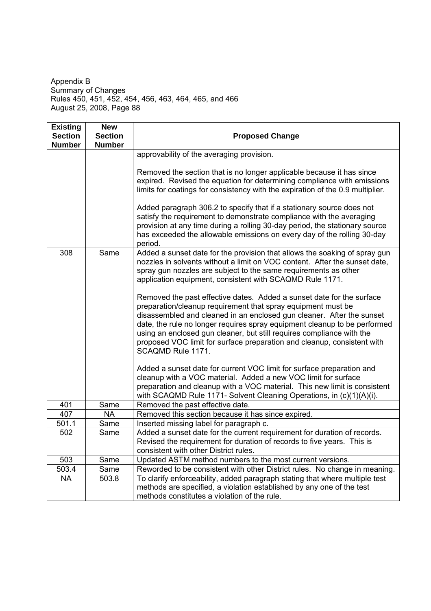| <b>Existing</b><br><b>Section</b> | <b>New</b><br><b>Section</b> | <b>Proposed Change</b>                                                                                                                                                                                                                                                                                                                                                                                                                                               |
|-----------------------------------|------------------------------|----------------------------------------------------------------------------------------------------------------------------------------------------------------------------------------------------------------------------------------------------------------------------------------------------------------------------------------------------------------------------------------------------------------------------------------------------------------------|
| <b>Number</b>                     | <b>Number</b>                |                                                                                                                                                                                                                                                                                                                                                                                                                                                                      |
|                                   |                              | approvability of the averaging provision.                                                                                                                                                                                                                                                                                                                                                                                                                            |
|                                   |                              | Removed the section that is no longer applicable because it has since<br>expired. Revised the equation for determining compliance with emissions<br>limits for coatings for consistency with the expiration of the 0.9 multiplier.                                                                                                                                                                                                                                   |
|                                   |                              | Added paragraph 306.2 to specify that if a stationary source does not<br>satisfy the requirement to demonstrate compliance with the averaging<br>provision at any time during a rolling 30-day period, the stationary source<br>has exceeded the allowable emissions on every day of the rolling 30-day<br>period.                                                                                                                                                   |
| 308                               | Same                         | Added a sunset date for the provision that allows the soaking of spray gun<br>nozzles in solvents without a limit on VOC content. After the sunset date,<br>spray gun nozzles are subject to the same requirements as other<br>application equipment, consistent with SCAQMD Rule 1171.                                                                                                                                                                              |
|                                   |                              | Removed the past effective dates. Added a sunset date for the surface<br>preparation/cleanup requirement that spray equipment must be<br>disassembled and cleaned in an enclosed gun cleaner. After the sunset<br>date, the rule no longer requires spray equipment cleanup to be performed<br>using an enclosed gun cleaner, but still requires compliance with the<br>proposed VOC limit for surface preparation and cleanup, consistent with<br>SCAQMD Rule 1171. |
|                                   |                              | Added a sunset date for current VOC limit for surface preparation and<br>cleanup with a VOC material. Added a new VOC limit for surface<br>preparation and cleanup with a VOC material. This new limit is consistent<br>with SCAQMD Rule 1171- Solvent Cleaning Operations, in (c)(1)(A)(i).                                                                                                                                                                         |
| 401                               | Same                         | Removed the past effective date.                                                                                                                                                                                                                                                                                                                                                                                                                                     |
| 407                               | <b>NA</b>                    | Removed this section because it has since expired.                                                                                                                                                                                                                                                                                                                                                                                                                   |
| 501.1                             | Same                         | Inserted missing label for paragraph c.                                                                                                                                                                                                                                                                                                                                                                                                                              |
| 502                               | Same                         | Added a sunset date for the current requirement for duration of records.<br>Revised the requirement for duration of records to five years. This is<br>consistent with other District rules.                                                                                                                                                                                                                                                                          |
| 503                               | Same                         | Updated ASTM method numbers to the most current versions.                                                                                                                                                                                                                                                                                                                                                                                                            |
| 503.4                             | Same                         | Reworded to be consistent with other District rules. No change in meaning.                                                                                                                                                                                                                                                                                                                                                                                           |
| <b>NA</b>                         | 503.8                        | To clarify enforceability, added paragraph stating that where multiple test<br>methods are specified, a violation established by any one of the test<br>methods constitutes a violation of the rule.                                                                                                                                                                                                                                                                 |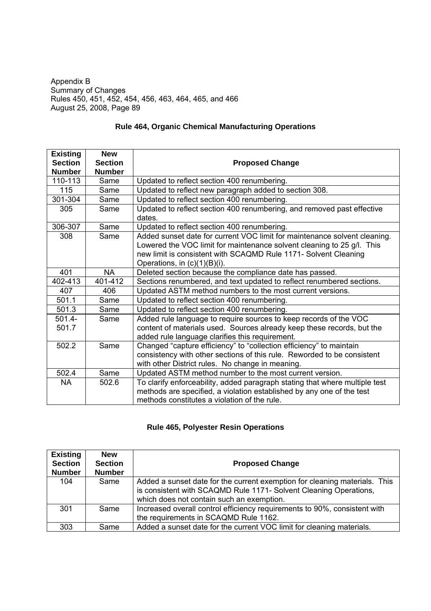| <b>Existing</b> | <b>New</b>     |                                                                                  |
|-----------------|----------------|----------------------------------------------------------------------------------|
| <b>Section</b>  | <b>Section</b> | <b>Proposed Change</b>                                                           |
| <b>Number</b>   | <b>Number</b>  |                                                                                  |
| 110-113         | Same           | Updated to reflect section 400 renumbering.                                      |
| 115             | Same           | Updated to reflect new paragraph added to section 308.                           |
| 301-304         | Same           | Updated to reflect section 400 renumbering.                                      |
| 305             | Same           | Updated to reflect section 400 renumbering, and removed past effective<br>dates. |
| 306-307         | Same           | Updated to reflect section 400 renumbering.                                      |
| 308             | Same           | Added sunset date for current VOC limit for maintenance solvent cleaning.        |
|                 |                | Lowered the VOC limit for maintenance solvent cleaning to 25 g/l. This           |
|                 |                | new limit is consistent with SCAQMD Rule 1171- Solvent Cleaning                  |
|                 |                | Operations, in $(c)(1)(B)(i)$ .                                                  |
| 401             | <b>NA</b>      | Deleted section because the compliance date has passed.                          |
| 402-413         | 401-412        | Sections renumbered, and text updated to reflect renumbered sections.            |
| 407             | 406            | Updated ASTM method numbers to the most current versions.                        |
| 501.1           | Same           | Updated to reflect section 400 renumbering.                                      |
| 501.3           | Same           | Updated to reflect section 400 renumbering.                                      |
| $501.4 -$       | Same           | Added rule language to require sources to keep records of the VOC                |
| 501.7           |                | content of materials used. Sources already keep these records, but the           |
|                 |                | added rule language clarifies this requirement.                                  |
| 502.2           | Same           | Changed "capture efficiency" to "collection efficiency" to maintain              |
|                 |                | consistency with other sections of this rule. Reworded to be consistent          |
|                 |                | with other District rules. No change in meaning.                                 |
| 502.4           | Same           | Updated ASTM method number to the most current version.                          |
| <b>NA</b>       | 502.6          | To clarify enforceability, added paragraph stating that where multiple test      |
|                 |                | methods are specified, a violation established by any one of the test            |
|                 |                | methods constitutes a violation of the rule.                                     |

# **Rule 464, Organic Chemical Manufacturing Operations**

## **Rule 465, Polyester Resin Operations**

| <b>Existing</b><br><b>Section</b><br><b>Number</b> | <b>New</b><br><b>Section</b><br><b>Number</b> | <b>Proposed Change</b>                                                                                                                                                                       |
|----------------------------------------------------|-----------------------------------------------|----------------------------------------------------------------------------------------------------------------------------------------------------------------------------------------------|
| 104                                                | Same                                          | Added a sunset date for the current exemption for cleaning materials. This<br>is consistent with SCAQMD Rule 1171- Solvent Cleaning Operations,<br>which does not contain such an exemption. |
| 301                                                | Same                                          | Increased overall control efficiency requirements to 90%, consistent with<br>the requirements in SCAQMD Rule 1162.                                                                           |
| 303                                                | Same                                          | Added a sunset date for the current VOC limit for cleaning materials.                                                                                                                        |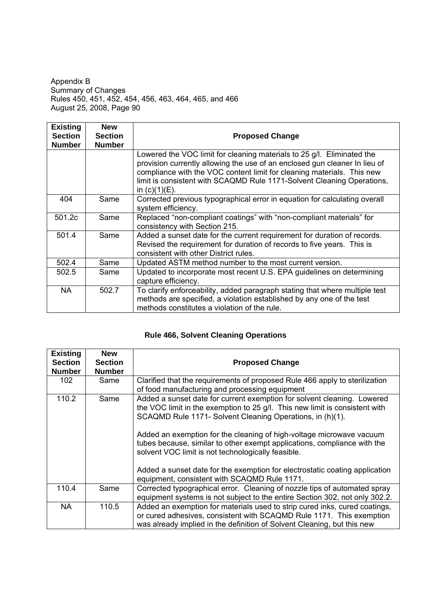| <b>Existing</b><br><b>Section</b><br><b>Number</b> | <b>New</b><br><b>Section</b><br><b>Number</b> | <b>Proposed Change</b>                                                                                                                                                                                                                                                                                                       |
|----------------------------------------------------|-----------------------------------------------|------------------------------------------------------------------------------------------------------------------------------------------------------------------------------------------------------------------------------------------------------------------------------------------------------------------------------|
|                                                    |                                               | Lowered the VOC limit for cleaning materials to 25 g/l. Eliminated the<br>provision currently allowing the use of an enclosed gun cleaner In lieu of<br>compliance with the VOC content limit for cleaning materials. This new<br>limit is consistent with SCAQMD Rule 1171-Solvent Cleaning Operations,<br>in $(c)(1)(E)$ . |
| 404                                                | Same                                          | Corrected previous typographical error in equation for calculating overall<br>system efficiency.                                                                                                                                                                                                                             |
| 501.2c                                             | Same                                          | Replaced "non-compliant coatings" with "non-compliant materials" for<br>consistency with Section 215.                                                                                                                                                                                                                        |
| 501.4                                              | Same                                          | Added a sunset date for the current requirement for duration of records.<br>Revised the requirement for duration of records to five years. This is<br>consistent with other District rules.                                                                                                                                  |
| 502.4                                              | Same                                          | Updated ASTM method number to the most current version.                                                                                                                                                                                                                                                                      |
| 502.5                                              | Same                                          | Updated to incorporate most recent U.S. EPA guidelines on determining<br>capture efficiency.                                                                                                                                                                                                                                 |
| NA.                                                | 502.7                                         | To clarify enforceability, added paragraph stating that where multiple test<br>methods are specified, a violation established by any one of the test<br>methods constitutes a violation of the rule.                                                                                                                         |

# **Rule 466, Solvent Cleaning Operations**

| <b>Existing</b><br><b>Section</b><br><b>Number</b> | <b>New</b><br><b>Section</b><br><b>Number</b> | <b>Proposed Change</b>                                                                                                                                                                                                                                                                                                                                                                                                                                                                                                                                       |
|----------------------------------------------------|-----------------------------------------------|--------------------------------------------------------------------------------------------------------------------------------------------------------------------------------------------------------------------------------------------------------------------------------------------------------------------------------------------------------------------------------------------------------------------------------------------------------------------------------------------------------------------------------------------------------------|
| 102                                                | Same                                          | Clarified that the requirements of proposed Rule 466 apply to sterilization<br>of food manufacturing and processing equipment                                                                                                                                                                                                                                                                                                                                                                                                                                |
| 110.2                                              | Same                                          | Added a sunset date for current exemption for solvent cleaning. Lowered<br>the VOC limit in the exemption to 25 g/l. This new limit is consistent with<br>SCAQMD Rule 1171- Solvent Cleaning Operations, in (h)(1).<br>Added an exemption for the cleaning of high-voltage microwave vacuum<br>tubes because, similar to other exempt applications, compliance with the<br>solvent VOC limit is not technologically feasible.<br>Added a sunset date for the exemption for electrostatic coating application<br>equipment, consistent with SCAQMD Rule 1171. |
| 110.4                                              | Same                                          | Corrected typographical error. Cleaning of nozzle tips of automated spray<br>equipment systems is not subject to the entire Section 302, not only 302.2.                                                                                                                                                                                                                                                                                                                                                                                                     |
| <b>NA</b>                                          | 110.5                                         | Added an exemption for materials used to strip cured inks, cured coatings,<br>or cured adhesives, consistent with SCAQMD Rule 1171. This exemption<br>was already implied in the definition of Solvent Cleaning, but this new                                                                                                                                                                                                                                                                                                                                |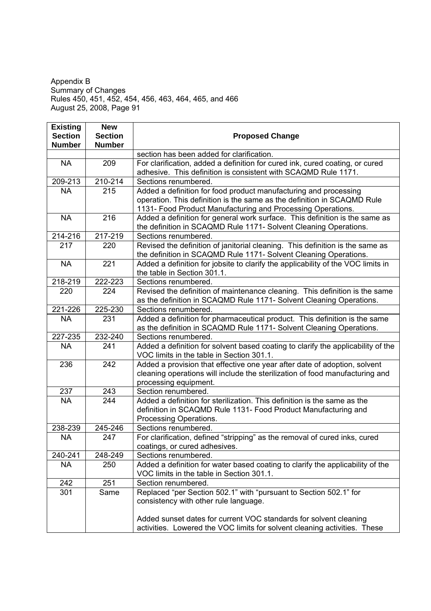| <b>Existing</b> | <b>New</b>     |                                                                                                                                                |
|-----------------|----------------|------------------------------------------------------------------------------------------------------------------------------------------------|
| <b>Section</b>  | <b>Section</b> | <b>Proposed Change</b>                                                                                                                         |
| <b>Number</b>   | <b>Number</b>  | section has been added for clarification.                                                                                                      |
| <b>NA</b>       | 209            | For clarification, added a definition for cured ink, cured coating, or cured                                                                   |
|                 |                | adhesive. This definition is consistent with SCAQMD Rule 1171.                                                                                 |
| 209-213         | 210-214        | Sections renumbered.                                                                                                                           |
| <b>NA</b>       | 215            | Added a definition for food product manufacturing and processing                                                                               |
|                 |                | operation. This definition is the same as the definition in SCAQMD Rule                                                                        |
|                 |                | 1131- Food Product Manufacturing and Processing Operations.                                                                                    |
| <b>NA</b>       | 216            | Added a definition for general work surface. This definition is the same as                                                                    |
|                 |                | the definition in SCAQMD Rule 1171- Solvent Cleaning Operations.                                                                               |
| 214-216         | 217-219        | Sections renumbered.                                                                                                                           |
| 217             | 220            | Revised the definition of janitorial cleaning. This definition is the same as                                                                  |
|                 |                | the definition in SCAQMD Rule 1171- Solvent Cleaning Operations.                                                                               |
| <b>NA</b>       | 221            | Added a definition for jobsite to clarify the applicability of the VOC limits in                                                               |
|                 |                | the table in Section 301.1.                                                                                                                    |
| 218-219         | 222-223        | Sections renumbered.                                                                                                                           |
| 220             | 224            | Revised the definition of maintenance cleaning. This definition is the same                                                                    |
|                 |                | as the definition in SCAQMD Rule 1171- Solvent Cleaning Operations.                                                                            |
| 221-226         | 225-230        | Sections renumbered.                                                                                                                           |
| <b>NA</b>       | 231            | Added a definition for pharmaceutical product. This definition is the same                                                                     |
|                 |                | as the definition in SCAQMD Rule 1171- Solvent Cleaning Operations.                                                                            |
| 227-235         | 232-240        | Sections renumbered.                                                                                                                           |
| <b>NA</b>       | 241            | Added a definition for solvent based coating to clarify the applicability of the<br>VOC limits in the table in Section 301.1.                  |
| 236             | 242            | Added a provision that effective one year after date of adoption, solvent                                                                      |
|                 |                | cleaning operations will include the sterilization of food manufacturing and                                                                   |
|                 |                | processing equipment.                                                                                                                          |
| 237             | 243            | Section renumbered.                                                                                                                            |
| <b>NA</b>       | 244            | Added a definition for sterilization. This definition is the same as the                                                                       |
|                 |                | definition in SCAQMD Rule 1131- Food Product Manufacturing and                                                                                 |
|                 |                | Processing Operations.                                                                                                                         |
| 238-239         | 245-246        | Sections renumbered.                                                                                                                           |
| <b>NA</b>       | 247            | For clarification, defined "stripping" as the removal of cured inks, cured                                                                     |
|                 |                | coatings, or cured adhesives.                                                                                                                  |
| 240-241         | 248-249        | Sections renumbered.                                                                                                                           |
| <b>NA</b>       | 250            | Added a definition for water based coating to clarify the applicability of the                                                                 |
|                 |                | VOC limits in the table in Section 301.1.                                                                                                      |
| 242             | 251            | Section renumbered.                                                                                                                            |
| 301             | Same           | Replaced "per Section 502.1" with "pursuant to Section 502.1" for                                                                              |
|                 |                | consistency with other rule language.                                                                                                          |
|                 |                |                                                                                                                                                |
|                 |                | Added sunset dates for current VOC standards for solvent cleaning<br>activities. Lowered the VOC limits for solvent cleaning activities. These |
|                 |                |                                                                                                                                                |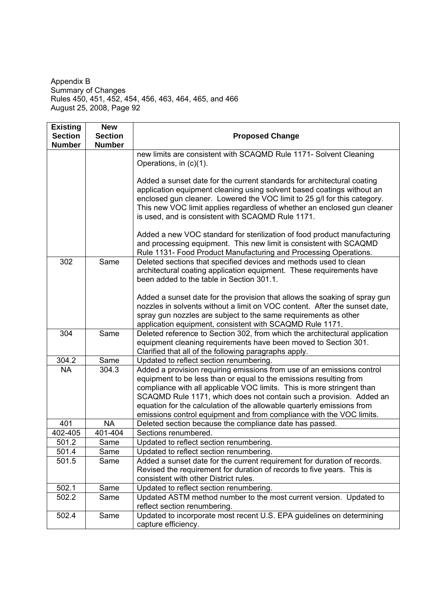| <b>Existing</b><br><b>Section</b> | <b>New</b><br><b>Section</b> | <b>Proposed Change</b>                                                                                                                                                                                                                                                                                                                                                |  |
|-----------------------------------|------------------------------|-----------------------------------------------------------------------------------------------------------------------------------------------------------------------------------------------------------------------------------------------------------------------------------------------------------------------------------------------------------------------|--|
| <b>Number</b>                     | <b>Number</b>                |                                                                                                                                                                                                                                                                                                                                                                       |  |
|                                   |                              | new limits are consistent with SCAQMD Rule 1171- Solvent Cleaning<br>Operations, in (c)(1).                                                                                                                                                                                                                                                                           |  |
|                                   |                              | Added a sunset date for the current standards for architectural coating<br>application equipment cleaning using solvent based coatings without an<br>enclosed gun cleaner. Lowered the VOC limit to 25 g/l for this category.<br>This new VOC limit applies regardless of whether an enclosed gun cleaner<br>is used, and is consistent with SCAQMD Rule 1171.        |  |
|                                   |                              | Added a new VOC standard for sterilization of food product manufacturing<br>and processing equipment. This new limit is consistent with SCAQMD<br>Rule 1131- Food Product Manufacturing and Processing Operations.                                                                                                                                                    |  |
| 302                               | Same                         | Deleted sections that specified devices and methods used to clean<br>architectural coating application equipment. These requirements have<br>been added to the table in Section 301.1.                                                                                                                                                                                |  |
|                                   |                              | Added a sunset date for the provision that allows the soaking of spray gun<br>nozzles in solvents without a limit on VOC content. After the sunset date,<br>spray gun nozzles are subject to the same requirements as other<br>application equipment, consistent with SCAQMD Rule 1171.                                                                               |  |
| 304                               | Same                         | Deleted reference to Section 302, from which the architectural application<br>equipment cleaning requirements have been moved to Section 301.<br>Clarified that all of the following paragraphs apply.                                                                                                                                                                |  |
| 304.2                             | Same                         | Updated to reflect section renumbering.<br>Added a provision requiring emissions from use of an emissions control                                                                                                                                                                                                                                                     |  |
| <b>NA</b>                         | 304.3                        | equipment to be less than or equal to the emissions resulting from<br>compliance with all applicable VOC limits. This is more stringent than<br>SCAQMD Rule 1171, which does not contain such a provision. Added an<br>equation for the calculation of the allowable quarterly emissions from<br>emissions control equipment and from compliance with the VOC limits. |  |
| 401                               | <b>NA</b>                    | Deleted section because the compliance date has passed.                                                                                                                                                                                                                                                                                                               |  |
| 402-405                           | 401-404                      | Sections renumbered.                                                                                                                                                                                                                                                                                                                                                  |  |
| 501.2                             | Same                         | Updated to reflect section renumbering.                                                                                                                                                                                                                                                                                                                               |  |
| 501.4                             | Same                         | Updated to reflect section renumbering.                                                                                                                                                                                                                                                                                                                               |  |
| 501.5                             | Same                         | Added a sunset date for the current requirement for duration of records.<br>Revised the requirement for duration of records to five years. This is<br>consistent with other District rules.                                                                                                                                                                           |  |
| 502.1                             | Same                         | Updated to reflect section renumbering.                                                                                                                                                                                                                                                                                                                               |  |
| 502.2                             | Same                         | Updated ASTM method number to the most current version. Updated to<br>reflect section renumbering.                                                                                                                                                                                                                                                                    |  |
| 502.4                             | Same                         | Updated to incorporate most recent U.S. EPA guidelines on determining<br>capture efficiency.                                                                                                                                                                                                                                                                          |  |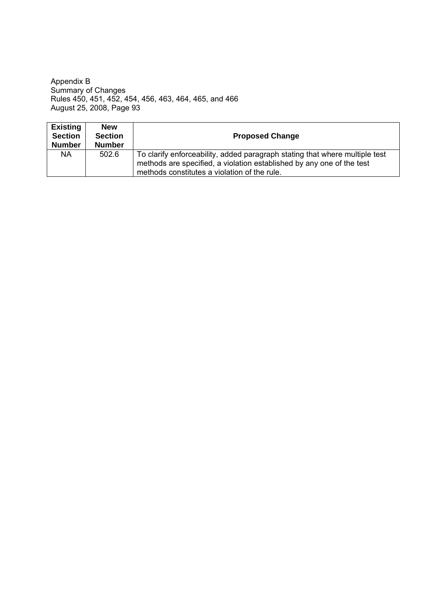| <b>Existing</b><br><b>Section</b><br><b>Number</b> | <b>New</b><br><b>Section</b><br><b>Number</b> | <b>Proposed Change</b>                                                                                                                                                                               |
|----------------------------------------------------|-----------------------------------------------|------------------------------------------------------------------------------------------------------------------------------------------------------------------------------------------------------|
| <b>NA</b>                                          | 502.6                                         | To clarify enforceability, added paragraph stating that where multiple test<br>methods are specified, a violation established by any one of the test<br>methods constitutes a violation of the rule. |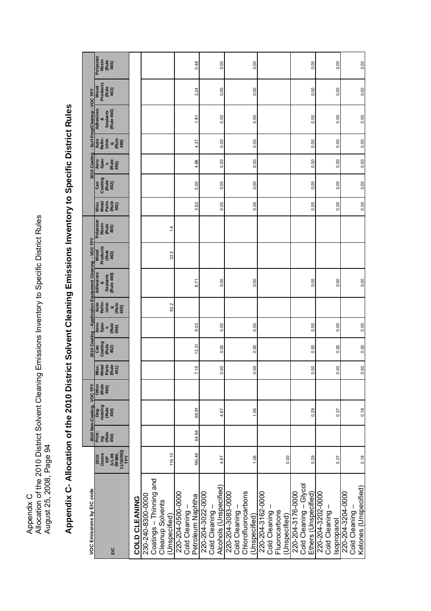Appendix C<br>Allocation of the 2010 District Solvent Cleaning Emissions Inventory to Specific District Rules<br>August 25, 2008, Page 94 Allocation of the 2010 District Solvent Cleaning Emissions Inventory to Specific District Rules August 25, 2008, Page 94 Appendix C- Allocation of the 2010 District Solvent Cleaning Emissions Inventory to Specific District Rules **Appendix C- Allocation of the 2010 District Solvent Cleaning Emissions Inventory to Specific District Rules**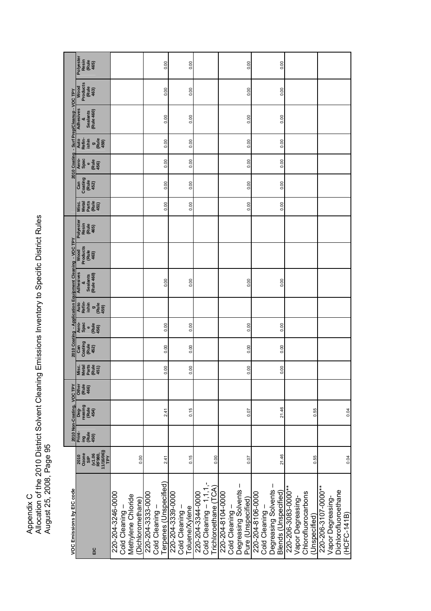Appendix C<br>Allocation of the 2010 District Solvent Cleaning Emissions Inventory to Specific District Rules<br>August 25, 2008, Page 95 Allocation of the 2010 District Solvent Cleaning Emissions Inventory to Specific District Rules August 25, 2008, Page 95

| VOC Emissions by EIC code                                                           |                                                             |                       | 2010 Non-Coating, VOC TPY        |                        |                                                 |                                 |                                |                                               | 2010 Coating - Application Equipment Cleaning - VOC TPY |                                          |                                     |                                 |                                 |                                |                                               | 2010 Coating - Surf Prep/Cleanup - VOC TPY             |                                          |                                     |
|-------------------------------------------------------------------------------------|-------------------------------------------------------------|-----------------------|----------------------------------|------------------------|-------------------------------------------------|---------------------------------|--------------------------------|-----------------------------------------------|---------------------------------------------------------|------------------------------------------|-------------------------------------|---------------------------------|---------------------------------|--------------------------------|-----------------------------------------------|--------------------------------------------------------|------------------------------------------|-------------------------------------|
| ΞC                                                                                  | 2010<br>Ozone<br>Ozone<br>Ozone<br>TPY<br>TPY<br>TPY<br>TPY | Print-<br>ing<br>450) | Deg-<br>reasing<br>(Rule<br>454) | Other<br>(Rule<br>466) | (Rule<br>451)<br>Parts<br>Misc.<br><b>Metal</b> | Coating<br>(Rule<br>452)<br>Can | Aero-<br>Spac<br>(Rule<br>456) | Auto<br>Refin-<br>ishin<br>g<br>(Rule<br>459) | Adhesives<br>(Rule 460)<br><b>Sealants</b><br>8         | Products<br>(Rule<br>463)<br><b>Wood</b> | Polyester<br>Resin<br>(Rule<br>465) | Misc.<br>Metal<br>Marts<br>A51) | Coating<br>(Rule<br>452)<br>Can | Aero-<br>Spac<br>Celes<br>456) | Auto<br>Refin-<br>ishin<br>$\frac{9}{(Rule)}$ | <b>Adhesives</b><br>(Rule 460)<br><b>Sealants</b><br>× | Products<br>(Rule<br>463)<br><b>Wood</b> | Polyester<br>Resin<br>(Rule<br>465) |
| 220-204-3246-0000<br>Methylene Chloride<br>(Dichloromethane)<br>Cold Cleaning       | 0.00                                                        |                       |                                  |                        |                                                 |                                 |                                |                                               |                                                         |                                          |                                     |                                 |                                 |                                |                                               |                                                        |                                          |                                     |
| Terpenes (Unspecified)<br>220-204-3333-0000<br>Cold Cleaning-                       | 2.41                                                        |                       | 2.41                             |                        | 0.00                                            | 0.00                            | 0.00                           |                                               | 0.00                                                    |                                          |                                     | 0.00                            | 0.00                            | 0.00                           | 0.00                                          | 0.00                                                   | 0.00                                     | 0.00                                |
| 220-204-3339-0000<br>Cold Cleaning-<br>Toluene/Xylene                               | 0.15                                                        |                       | 0.15                             |                        | 0.00                                            | 0.00                            | 0.00                           |                                               | 0.00                                                    |                                          |                                     | 0.00                            | 0.00                            | 0.00                           | 0.00                                          | 0.00                                                   | 0.00                                     | 0.00                                |
| Trichloroethane (TCA)<br>Cold Cleaning $-1,1,1$<br>220-204-3344-0000                | 0.00                                                        |                       |                                  |                        |                                                 |                                 |                                |                                               |                                                         |                                          |                                     |                                 |                                 |                                |                                               |                                                        |                                          |                                     |
| Degreasing Solvents-<br>220-204-8104-0000<br>Pure (Unspecified)<br>Cold Cleaning-   | 0.07                                                        |                       | 0.07                             |                        | 0.00                                            | 0.00                            | 0.00                           |                                               | 0.00                                                    |                                          |                                     | 0.00                            | 0.00                            | 0.00                           | 0.00                                          | 0.00                                                   | 0.00                                     | 0.00                                |
| Degreasing Solvents-<br>Blends (Unspecified)<br>220-204-8106-0000<br>Cold Cleaning- | 21.46                                                       |                       | 21.46                            |                        | 0.00                                            | 0.00                            | 0.00                           |                                               | 0.00                                                    |                                          |                                     | 0.00                            | 0.00                            | 0.00                           | 0.00                                          | 0.00                                                   | 0.00                                     | 0.00                                |
| 220-206-3083-000**<br>Chlorofluorocarbons<br>Vapor Degreasing-<br>Unspecified)      | 0.55                                                        |                       | 0.55                             |                        |                                                 |                                 |                                |                                               |                                                         |                                          |                                     |                                 |                                 |                                |                                               |                                                        |                                          |                                     |
| 220-206-3107-0000**<br>Dichlorofluoroethane<br>Vapor Degreasing-<br>(HCFC-141B)     | 0.04                                                        |                       | 0.04                             |                        |                                                 |                                 |                                |                                               |                                                         |                                          |                                     |                                 |                                 |                                |                                               |                                                        |                                          |                                     |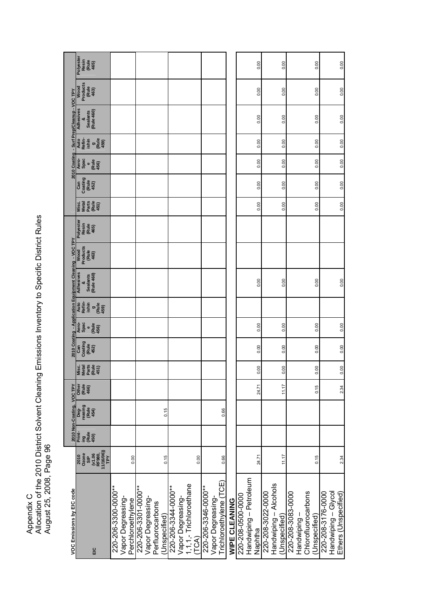Appendix C<br>Allocation of the 2010 District Solvent Cleaning Emissions Inventory to Specific District Rules<br>August 25, 2008, Page 96 Allocation of the 2010 District Solvent Cleaning Emissions Inventory to Specific District Rules August 25, 2008, Page 96

| VOC Emissions by EIC code                                                      |                                                        |                       | 2010 Non-Coating, VOC TPY        |                        |                                                 |                                 |                                     |                                               | 2010 Coating - Application Equipment Cleaning - VOC TPY |                                          |                                     |                                          |                                 |                                |                                                      | 2010 Coating - Surf Prep/Cleanup - VOC TPY      |                                          |                                            |
|--------------------------------------------------------------------------------|--------------------------------------------------------|-----------------------|----------------------------------|------------------------|-------------------------------------------------|---------------------------------|-------------------------------------|-----------------------------------------------|---------------------------------------------------------|------------------------------------------|-------------------------------------|------------------------------------------|---------------------------------|--------------------------------|------------------------------------------------------|-------------------------------------------------|------------------------------------------|--------------------------------------------|
| ΕIC                                                                            | (v1.06<br>RF980,<br>11/16/06))<br>TPY<br>2010<br>Ozone | Print-<br>Lig<br>450) | Deg-<br>reasing<br>(Rule<br>454) | Other<br>(Rule<br>466) | Parts<br>(Rule<br><b>Metal</b><br>Misc.<br>451) | Coating<br>(Rule<br>Can<br>452) | Aero-<br>Spac<br>e<br>(Rule<br>456) | Auto<br>Refin-<br>ishin<br>g<br>(Rule<br>459) | <b>Adhesives</b><br>(Rule 460)<br><b>Sealants</b>       | Products<br>(Rule<br><b>Wood</b><br>463) | Polyester<br>Resin<br>(Rule<br>465) | Parts<br>(Rule<br>Metal<br>Misc.<br>451) | Coating<br>(Rule<br>452)<br>Can | Aero-<br>Spac<br>(Rule<br>456) | Auto<br>Refin-<br>Ishin<br>(Rule<br>459)<br>$\sigma$ | Adhesives<br>(Rule 460)<br><b>Sealants</b><br>× | Products<br>(Rule<br><b>Wood</b><br>463) | <b>Polyester</b><br>Resin<br>(Rule<br>465) |
| 220-206-3300-000**<br>Vapor Degreasing-<br>Perchloroethylene                   | 0.00                                                   |                       |                                  |                        |                                                 |                                 |                                     |                                               |                                                         |                                          |                                     |                                          |                                 |                                |                                                      |                                                 |                                          |                                            |
| 220-206-3301-000**<br>Vapor Degreasing-<br>Perfluorocarbons<br>Unspecified)    | 0.15                                                   |                       | 0.15                             |                        |                                                 |                                 |                                     |                                               |                                                         |                                          |                                     |                                          |                                 |                                |                                                      |                                                 |                                          |                                            |
| I, 1, 1, - Trichloroethane<br>220-206-3344-0000**<br>Vapor Degreasing-<br>TCA) | 0.00                                                   |                       |                                  |                        |                                                 |                                 |                                     |                                               |                                                         |                                          |                                     |                                          |                                 |                                |                                                      |                                                 |                                          |                                            |
| (TCE)<br>220-206-3346-0000**<br>Vapor Degreasing-<br>richloroethylene (        | 0.66                                                   |                       | 0.66                             |                        |                                                 |                                 |                                     |                                               |                                                         |                                          |                                     |                                          |                                 |                                |                                                      |                                                 |                                          |                                            |
| WIPE CLEANING                                                                  |                                                        |                       |                                  |                        |                                                 |                                 |                                     |                                               |                                                         |                                          |                                     |                                          |                                 |                                |                                                      |                                                 |                                          |                                            |
| Handwiping - Petroleum<br>220-208-0500-0000<br>Naphtha                         | 24.71                                                  |                       |                                  | 24.71                  | 0.00                                            | 0.00                            | 0.00                                |                                               | 0.00                                                    |                                          |                                     | 0.00                                     | 0.00                            | 0.00                           | 0.00                                                 | 0.00                                            | 0.00                                     | 0.00                                       |
| Handwiping - Alcohols<br>220-208-3022-0000<br>Unspecified)                     | 11.17                                                  |                       |                                  | 11.17                  | 0.00                                            | 0.00                            | 0.00                                |                                               | 0.00                                                    |                                          |                                     | 0.00                                     | 0.00                            | 0.00                           | 0.00                                                 | 0.00                                            | 0.00                                     | 0.00                                       |
| 220-208-3083-0000<br>Chlorofluorocarbons<br>Unspecified)<br>Handwiping-        | 0.15                                                   |                       |                                  | 0.15                   | 0.00                                            | 0.00                            | 0.00                                |                                               | 0.00                                                    |                                          |                                     | 0.00                                     | 0.00                            | 0.00                           | 0.00                                                 | 0.00                                            | 0.00                                     | 0.00                                       |
| 220-208-3176-0000<br>Handwiping - Glycol<br>Ethers (Unspecified)               | 2.34                                                   |                       |                                  | 2.34                   | 0.00                                            | 0.00                            | 0.00                                |                                               | 0.00                                                    |                                          |                                     | 0.00                                     | 0.00                            | 0.00                           | 0.00                                                 | 0.00                                            | 0.00                                     | 0.00                                       |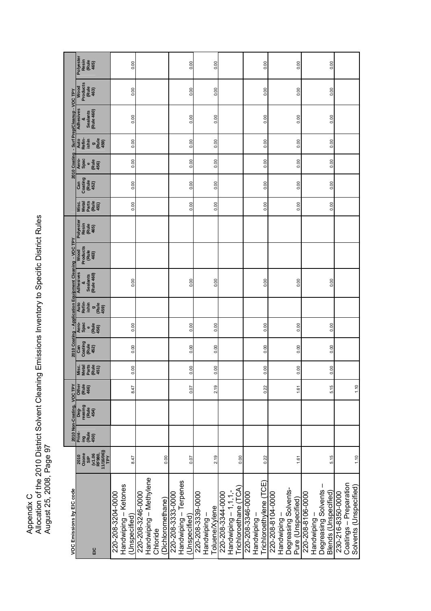Appendix C<br>Allocation of the 2010 District Solvent Cleaning Emissions Inventory to Specific District Rules<br>August 25, 2008, Page 97 Allocation of the 2010 District Solvent Cleaning Emissions Inventory to Specific District Rules August 25, 2008, Page 97

| VOC Emissions by EIC code                                                       |                                                                |                                | 2010 Non-Coating,                | VOC TPY                |                                          |                                 |                                            |                                               | 2010 Coating - Application Equipment Cleaning - VOC TPY |                                   |                                     |                                              |                                 |                                             |                                               | 2010 Coating - Surf Prep/Cleanup - VOC TPY      |                                   |                                     |
|---------------------------------------------------------------------------------|----------------------------------------------------------------|--------------------------------|----------------------------------|------------------------|------------------------------------------|---------------------------------|--------------------------------------------|-----------------------------------------------|---------------------------------------------------------|-----------------------------------|-------------------------------------|----------------------------------------------|---------------------------------|---------------------------------------------|-----------------------------------------------|-------------------------------------------------|-----------------------------------|-------------------------------------|
| EIC                                                                             | Ozone<br>SIP<br>SIP<br>SIP<br>TPY<br>11/16/06))<br>TPY<br>2010 | Print-<br>ing<br>(Rule<br>450) | reasing<br>(Rule<br>454)<br>Deg- | Other<br>(Rule<br>466) | Metal<br>Parts<br>(Rule<br>451)<br>Misc. | Coating<br>(Rule<br>452)<br>Can | Aero-<br>Spac<br>Rule<br>$\bullet$<br>456) | Auto<br>Refin-<br>ishin<br>g<br>(Rule<br>459) | Adhesives<br><b>Rule 460)</b><br><b>Sealants</b><br>×   | Wood<br>Products<br>(Rule<br>463) | Polyester<br>Resin<br>(Rule<br>465) | Parts<br>$(Rule$<br>$451)$<br>Misc.<br>Metal | Coating<br>(Rule<br>Can<br>452) | Aero-<br>Spac<br>(Rule<br>456)<br>$\bullet$ | Auto<br>Refin-<br>ishin<br>g<br>(Rule<br>459) | Adhesives<br>(Rule 460)<br><b>Sealants</b><br>× | Products<br>(Rule<br>463)<br>Wood | Polyester<br>Resin<br>(Rule<br>465) |
| Handwiping - Ketones<br>220-208-3204-0000<br>Unspecified)                       | 8.47                                                           |                                |                                  | 8.47                   | 0.00                                     | 0.00                            | 0.00                                       |                                               | 0.00                                                    |                                   |                                     | 0.00                                         | 0.00                            | 0.00                                        | 0.00                                          | 0.00                                            | 0.00                              | 0.00                                |
| Handwiping - Methylene<br>220-208-3246-0000<br>(Dichloromethane)<br>Chloride    | 0.00                                                           |                                |                                  |                        |                                          |                                 |                                            |                                               |                                                         |                                   |                                     |                                              |                                 |                                             |                                               |                                                 |                                   |                                     |
| Handwiping - Terpenes<br>220-208-3333-0000<br>Unspecified)                      | 0.07                                                           |                                |                                  | 0.07                   | 0.00                                     | 0.00                            | 0.00                                       |                                               | 0.00                                                    |                                   |                                     | 0.00                                         | 0.00                            | 0.00                                        | 0.00                                          | 0.00                                            | 0.00                              | 0.00                                |
| 220-208-3339-0000<br>Toluene/Xylene<br>Handwiping                               | 2.19                                                           |                                |                                  | 2.19                   | 0.00                                     | 0.00                            | 0.00                                       |                                               | 0.00                                                    |                                   |                                     | 0.00                                         | 0.00                            | 0.00                                        | 0.00                                          | 0.00                                            | 0.00                              | 0.00                                |
| [richloroethane (TCA)<br>Handwiping $-1,1,1,-$<br>220-208-3344-0000             | 0.00                                                           |                                |                                  |                        |                                          |                                 |                                            |                                               |                                                         |                                   |                                     |                                              |                                 |                                             |                                               |                                                 |                                   |                                     |
| Trichloroethylene (TCE)<br>220-208-3346-0000<br>Handwiping-                     | 0.22                                                           |                                |                                  | 0.22                   | 0.00                                     | 0.00                            | 0.00                                       |                                               | 0.00                                                    |                                   |                                     | 0.00                                         | 0.00                            | 0.00                                        | 0.00                                          | 0.00                                            | 0.00                              | 0.00                                |
| Degreasing Solvents-<br>220-208-8104-0000<br>Pure (Unspecified)<br>Handwiping   | 1.61                                                           |                                |                                  | 1.61                   | 0.00                                     | 0.00                            | 0.00                                       |                                               | 0.00                                                    |                                   |                                     | 0.00                                         | 0.00                            | 0.00                                        | 0.00                                          | 0.00                                            | 0.00                              | 0.00                                |
| Degreasing Solvents<br>Blends (Unspecified)<br>220-208-8106-0000<br>Handwiping- | 5.15                                                           |                                |                                  | 5.15                   | 0.00                                     | 0.00                            | 0.00                                       |                                               | 0.00                                                    |                                   |                                     | 0.00                                         | 0.00                            | 0.00                                        | 0.00                                          | 0.00                                            | 0.00                              | 0.00                                |
| Coatings - Preparation<br>Solvents (Unspecified)<br>230-216-8350-0000           | 1.10                                                           |                                |                                  | 1.10                   |                                          |                                 |                                            |                                               |                                                         |                                   |                                     |                                              |                                 |                                             |                                               |                                                 |                                   |                                     |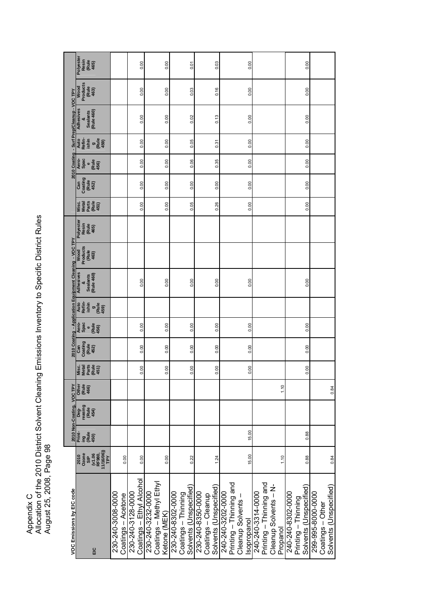Appendix C<br>Allocation of the 2010 District Solvent Cleaning Emissions Inventory to Specific District Rules<br>August 25, 2008, Page 98 Allocation of the 2010 District Solvent Cleaning Emissions Inventory to Specific District Rules August 25, 2008, Page 98

| VOC Emissions by EIC code                        |                                                       |                               | 2010 Non-Coating, VOC TPY        |                        |                                                     |                                 |                                     |                                               | 2010 Coating - Application Equipment Cleaning - VOC TPY |                                   |                                    |                                              |                                 |                                |                                                      | 2010 Coating - Surf Prep/Cleanup - VOC TPY |                                   |                                     |
|--------------------------------------------------|-------------------------------------------------------|-------------------------------|----------------------------------|------------------------|-----------------------------------------------------|---------------------------------|-------------------------------------|-----------------------------------------------|---------------------------------------------------------|-----------------------------------|------------------------------------|----------------------------------------------|---------------------------------|--------------------------------|------------------------------------------------------|--------------------------------------------|-----------------------------------|-------------------------------------|
|                                                  | 2010<br>Ozone<br>SIP<br>SIP<br>TH(1606)<br>TPY<br>TPY | Print-<br>ing<br>450)<br>450) | Deg-<br>reasing<br>(Rule<br>454) | Other<br>(Rule<br>466) | Parts<br>$(Rule$<br>$451)$<br><b>Metal</b><br>Misc. | Coating<br>(Rule<br>Can<br>452) | Aero-<br>Spac<br>e<br>(Rule<br>456) | Auto<br>Refin-<br>ishin<br>g<br>(Rule<br>459) | Adhesives<br><b>Rule 460)</b><br><b>Sealants</b>        | Products<br>(Rule<br>463)<br>Wood | Polyeste<br>Resin<br>(Rule<br>465) | Parts<br>$(Rule$<br>$451)$<br>Misc.<br>Metal | Coating<br>(Rule<br>452)<br>Can | Aero-<br>Spac<br>(Rule<br>456) | Auto<br>Refin-<br>Ishin<br>(Rule<br>459)<br>$\sigma$ | Adhesives<br>(Rule 460)<br><b>Sealants</b> | Products<br>(Rule<br>Wood<br>463) | Polyester<br>Resin<br>(Rule<br>465) |
|                                                  | 0.00                                                  |                               |                                  |                        |                                                     |                                 |                                     |                                               |                                                         |                                   |                                    |                                              |                                 |                                |                                                      |                                            |                                   |                                     |
| Coatings – Ethyl Alcohol                         | 0.00                                                  |                               |                                  |                        | 0.00                                                | 0.00                            | 0.00                                |                                               | 0.00                                                    |                                   |                                    | 0.00                                         | 0.00                            | 0.00                           | 0.00                                                 | 0.00                                       | 0.00                              | 0.00                                |
| Coatings - Methyl Ethyl                          | 0.00                                                  |                               |                                  |                        | 0.00                                                | 0.00                            | 0.00                                |                                               | 0.00                                                    |                                   |                                    | 0.00                                         | 0.00                            | 0.00                           | 0.00                                                 | 0.00                                       | 0.00                              | 0.00                                |
| Solvents (Unspecified)                           | 0.22                                                  |                               |                                  |                        | 0.00                                                | 0.00                            | 0.00                                |                                               | 0.00                                                    |                                   |                                    | 0.05                                         | 0.00                            | 0.06                           | 0.05                                                 | 0.02                                       | 0.03                              | 0.01                                |
| Solvents (Unspecified)                           | 1.24                                                  |                               |                                  |                        | 0.00                                                | 0.00                            | 0.00                                |                                               | 0.00                                                    |                                   |                                    | 0.26                                         | 0.00                            | 0.35                           | 0.31                                                 | 0.13                                       | 0.16                              | 0.03                                |
| Printing - Thinning and                          | 15.00                                                 | 15.00                         |                                  |                        | 0.00                                                | 0.00                            | 0.00                                |                                               | 0.00                                                    |                                   |                                    | 0.00                                         | 0.00                            | 0.00                           | 0.00                                                 | 0.00                                       | 0.00                              | 0.00                                |
| Printing – Thinning and<br>Cleanup Solvents - N- | 1.10                                                  |                               |                                  | 1.10                   |                                                     |                                 |                                     |                                               |                                                         |                                   |                                    |                                              |                                 |                                |                                                      |                                            |                                   |                                     |
| Solvents (Unspecified)                           | 0.88                                                  | 0.88                          |                                  |                        | 0.00                                                | 0.00                            | 0.00                                |                                               | 0.00                                                    |                                   |                                    | 0.00                                         | 0.00                            | 0.00                           | 0.00                                                 | 0.00                                       | 0.00                              | 0.00                                |
| Solvents (Unspecified)                           | 0.84                                                  |                               |                                  | 0.84                   |                                                     |                                 |                                     |                                               |                                                         |                                   |                                    |                                              |                                 |                                |                                                      |                                            |                                   |                                     |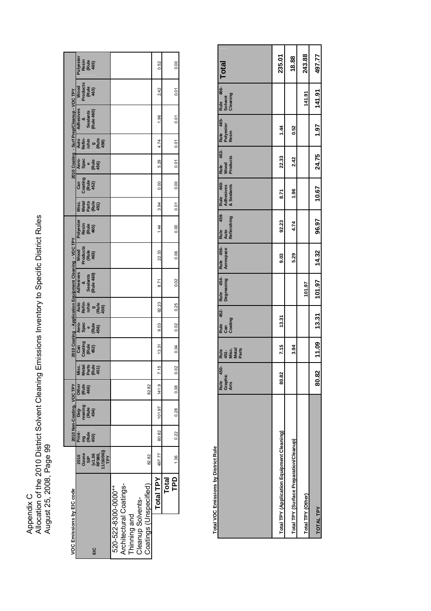Appendix C<br>Allocation of the 2010 District Solvent Cleaning Emissions Inventory to Specific District Rules<br>August 25, 2008, Page 99 Allocation of the 2010 District Solvent Cleaning Emissions Inventory to Specific District Rules August 25, 2008, Page 99

| VOC Emissions by EIC code                                                                                    |                        |                                                         |                       | 2010 Non-Coating, VOC TPY       |                        |                                          |                                 |                                |                                         | 2010 Coating - Application Equipment Cleaning - VOC TPY |                                   |                                     |                                |                                 |                                |                                  | 2010 Coating - Surf Prep/Cleanup-VOC TPY |                                   |                                     |
|--------------------------------------------------------------------------------------------------------------|------------------------|---------------------------------------------------------|-----------------------|---------------------------------|------------------------|------------------------------------------|---------------------------------|--------------------------------|-----------------------------------------|---------------------------------------------------------|-----------------------------------|-------------------------------------|--------------------------------|---------------------------------|--------------------------------|----------------------------------|------------------------------------------|-----------------------------------|-------------------------------------|
| ΞC                                                                                                           |                        | 2010<br>Ozone<br>O 3 IP (5,000)<br>C H (5,000)<br>T P Y | Print<br>ខេមី<br>450) | Deg-<br>easing<br>(Rule<br>454) | Other<br>(Ruig<br>466) | Metal<br>Parts<br>(Rule<br>451)<br>Misc. | Can<br>Coating<br>(Rule<br>452) | Aero-<br>Spac<br>(Rule<br>456) | Auto<br>Refini<br>Lisma<br>Cupa<br>A59) | Adhesives<br>&<br>Sealants<br>(Rule 460)                | Wood<br>Products<br>(Rule<br>463) | Polyester<br>Resin<br>(Rule<br>465) | Misc.<br>Metal<br>Metal<br>CE의 | Can<br>Coating<br>(Rule<br>452) | Aero-<br>Spac<br>(Rule<br>456) | ate<br>Refinis<br>Listing ending | Adhesives<br>Sealants<br>(Rule 460)      | Wood<br>Products<br>(Rule<br>463) | Polyester<br>Resin<br>(Rule<br>465) |
| Architectural Coatings-<br>Thinning and<br>Cleanup Solvents-<br>Coatings (Unspecified)<br>520-522-8300-000** |                        | 82.82                                                   |                       |                                 | 82.82                  |                                          |                                 |                                |                                         |                                                         |                                   |                                     |                                |                                 |                                |                                  |                                          |                                   |                                     |
|                                                                                                              | <b>Total TPY</b>       | 497.77                                                  | 80.82                 | 101.97                          | 141.9                  | 7.15                                     | 13.31                           | 9.03                           | 92.23                                   | 8.71                                                    | 22.33                             | $\frac{1}{4}$                       | 3.94                           | 0.00                            | 5.29                           | 4.74                             | 1.96                                     | 2.42                              | 0.52                                |
|                                                                                                              | 요<br>무<br><b>Total</b> | 1.36                                                    | 0.22                  | 0.28                            | 0.38                   | 0.02                                     | 0.04                            | 0.02                           | 0.25                                    | 0.02                                                    | 0.06                              | 0.00                                | 0.01                           | 0.00                            | 0.01                           | 0.01                             | 0.01                                     | 0.01                              | 0.00                                |

**Total VOC Emissions by District Rule Total VOC Emissions by District Rule**

|                                            | Rule 450-<br>Graphic<br>Arts | Rule<br>451-<br>Misc.<br>Metal<br>Parts |       | Rule 452- Rule 454- Rule 456- Rule 459-<br>Can Degreasing Aerospace Auto<br>Coating Degreasing Aerospace Refinishing |      |       |       |       |      | Rule 460 Rule 463- Rule 465- Rule 466-<br>Adhesives Wood Polyester Solvent<br>&Sealants Products Resin | <b>Total</b> |
|--------------------------------------------|------------------------------|-----------------------------------------|-------|----------------------------------------------------------------------------------------------------------------------|------|-------|-------|-------|------|--------------------------------------------------------------------------------------------------------|--------------|
| Total TPY (Application Equipment Cleaning) | 80.82                        | 7.15                                    | 13.31 |                                                                                                                      | 9.03 | 92.23 | 8.71  | 22.33 | 1.44 |                                                                                                        | 235.01       |
| Total TPY (Surface Preparation/Cleanup)    |                              | 3.94                                    |       |                                                                                                                      | 5.29 | 4.74  | 1.96  | 2.42  | 0.52 |                                                                                                        | 18.88        |
| Total TPY (Other)                          |                              |                                         |       | 101.97                                                                                                               |      |       |       |       |      | 141.91                                                                                                 | 243.88       |
| <b>TOTAL TPY</b>                           | 80.82                        |                                         |       | $11.09$ $13.31$ $101.97$ $14.32$                                                                                     |      | 96.97 | 10.67 |       |      | 24.75 1.97 141.91                                                                                      | 497.77       |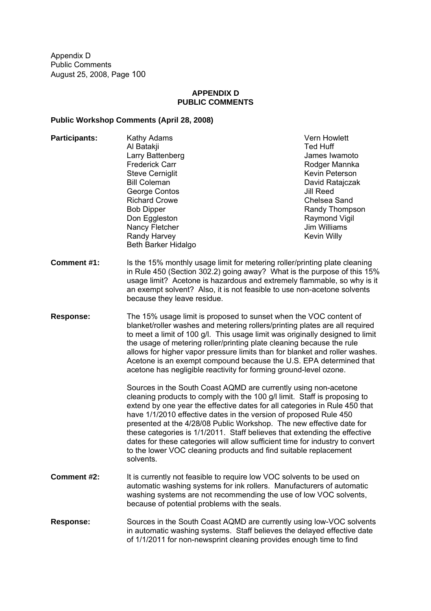### **APPENDIX D PUBLIC COMMENTS**

## **Public Workshop Comments (April 28, 2008)**

| <b>Participants:</b> | Kathy Adams<br>Al Batakji<br>Larry Battenberg<br><b>Frederick Carr</b><br><b>Steve Cerniglit</b><br><b>Bill Coleman</b><br>George Contos<br><b>Richard Crowe</b><br><b>Bob Dipper</b><br>Don Eggleston<br>Nancy Fletcher<br>Randy Harvey<br>Beth Barker Hidalgo                                                                                                                                                                                                                                                                                                                                                        | <b>Vern Howlett</b><br><b>Ted Huff</b><br>James Iwamoto<br>Rodger Mannka<br>Kevin Peterson<br>David Ratajczak<br><b>Jill Reed</b><br>Chelsea Sand<br>Randy Thompson<br>Raymond Vigil<br>Jim Williams<br>Kevin Willy |
|----------------------|------------------------------------------------------------------------------------------------------------------------------------------------------------------------------------------------------------------------------------------------------------------------------------------------------------------------------------------------------------------------------------------------------------------------------------------------------------------------------------------------------------------------------------------------------------------------------------------------------------------------|---------------------------------------------------------------------------------------------------------------------------------------------------------------------------------------------------------------------|
| <b>Comment #1:</b>   | Is the 15% monthly usage limit for metering roller/printing plate cleaning<br>in Rule 450 (Section 302.2) going away? What is the purpose of this 15%<br>usage limit? Acetone is hazardous and extremely flammable, so why is it<br>an exempt solvent? Also, it is not feasible to use non-acetone solvents<br>because they leave residue.                                                                                                                                                                                                                                                                             |                                                                                                                                                                                                                     |
| <b>Response:</b>     | The 15% usage limit is proposed to sunset when the VOC content of<br>blanket/roller washes and metering rollers/printing plates are all required<br>to meet a limit of 100 g/l. This usage limit was originally designed to limit<br>the usage of metering roller/printing plate cleaning because the rule<br>allows for higher vapor pressure limits than for blanket and roller washes.<br>Acetone is an exempt compound because the U.S. EPA determined that<br>acetone has negligible reactivity for forming ground-level ozone.                                                                                   |                                                                                                                                                                                                                     |
|                      | Sources in the South Coast AQMD are currently using non-acetone<br>cleaning products to comply with the 100 g/l limit. Staff is proposing to<br>extend by one year the effective dates for all categories in Rule 450 that<br>have 1/1/2010 effective dates in the version of proposed Rule 450<br>presented at the 4/28/08 Public Workshop. The new effective date for<br>these categories is 1/1/2011. Staff believes that extending the effective<br>dates for these categories will allow sufficient time for industry to convert<br>to the lower VOC cleaning products and find suitable replacement<br>solvents. |                                                                                                                                                                                                                     |
| Comment #2:          | It is currently not feasible to require low VOC solvents to be used on<br>automatic washing systems for ink rollers. Manufacturers of automatic<br>washing systems are not recommending the use of low VOC solvents,<br>because of potential problems with the seals.                                                                                                                                                                                                                                                                                                                                                  |                                                                                                                                                                                                                     |
| <b>Response:</b>     | Sources in the South Coast AQMD are currently using low-VOC solvents<br>in automatic washing systems. Staff believes the delayed effective date                                                                                                                                                                                                                                                                                                                                                                                                                                                                        |                                                                                                                                                                                                                     |

of 1/1/2011 for non-newsprint cleaning provides enough time to find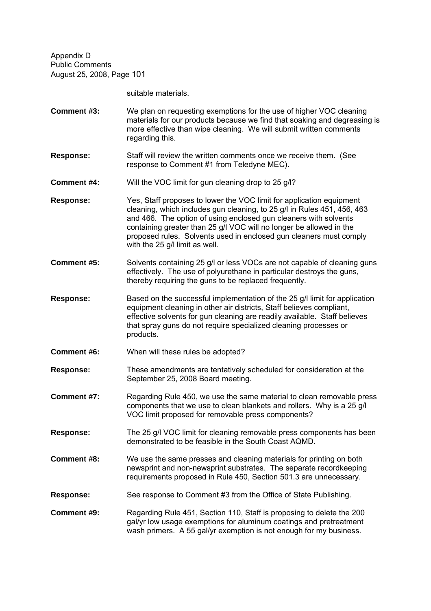suitable materials.

- **Comment #3:** We plan on requesting exemptions for the use of higher VOC cleaning materials for our products because we find that soaking and degreasing is more effective than wipe cleaning. We will submit written comments regarding this.
- **Response:** Staff will review the written comments once we receive them. (See response to Comment #1 from Teledyne MEC).
- **Comment #4:** Will the VOC limit for gun cleaning drop to 25 g/l?
- **Response:** Yes, Staff proposes to lower the VOC limit for application equipment cleaning, which includes gun cleaning, to 25 g/l in Rules 451, 456, 463 and 466. The option of using enclosed gun cleaners with solvents containing greater than 25 g/l VOC will no longer be allowed in the proposed rules. Solvents used in enclosed gun cleaners must comply with the 25 g/l limit as well.
- **Comment #5:** Solvents containing 25 g/l or less VOCs are not capable of cleaning guns effectively. The use of polyurethane in particular destroys the guns, thereby requiring the guns to be replaced frequently.
- **Response:** Based on the successful implementation of the 25 g/l limit for application equipment cleaning in other air districts, Staff believes compliant, effective solvents for gun cleaning are readily available. Staff believes that spray guns do not require specialized cleaning processes or products.
- **Comment #6:** When will these rules be adopted?
- **Response:** These amendments are tentatively scheduled for consideration at the September 25, 2008 Board meeting.
- **Comment #7:** Regarding Rule 450, we use the same material to clean removable press components that we use to clean blankets and rollers. Why is a 25 g/l VOC limit proposed for removable press components?
- **Response:** The 25 g/l VOC limit for cleaning removable press components has been demonstrated to be feasible in the South Coast AQMD.
- **Comment #8:** We use the same presses and cleaning materials for printing on both newsprint and non-newsprint substrates. The separate recordkeeping requirements proposed in Rule 450, Section 501.3 are unnecessary.
- **Response:** See response to Comment #3 from the Office of State Publishing.
- **Comment #9:** Regarding Rule 451, Section 110, Staff is proposing to delete the 200 gal/yr low usage exemptions for aluminum coatings and pretreatment wash primers. A 55 gal/yr exemption is not enough for my business.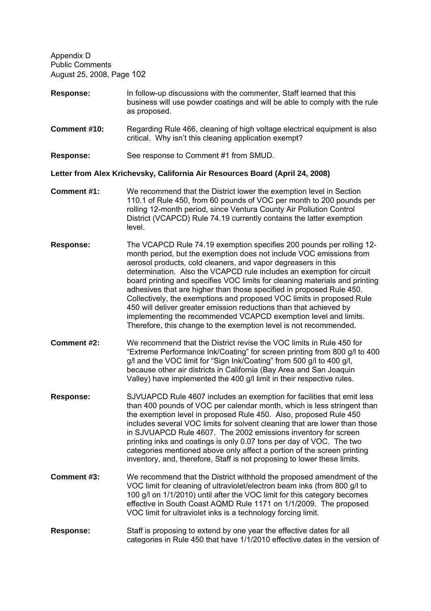- **Response:** In follow-up discussions with the commenter, Staff learned that this business will use powder coatings and will be able to comply with the rule as proposed.
- **Comment #10:** Regarding Rule 466, cleaning of high voltage electrical equipment is also critical. Why isn't this cleaning application exempt?
- **Response:** See response to Comment #1 from SMUD.

**Letter from Alex Krichevsky, California Air Resources Board (April 24, 2008)**

- **Comment #1:** We recommend that the District lower the exemption level in Section 110.1 of Rule 450, from 60 pounds of VOC per month to 200 pounds per rolling 12-month period, since Ventura County Air Pollution Control District (VCAPCD) Rule 74.19 currently contains the latter exemption level.
- **Response:** The VCAPCD Rule 74.19 exemption specifies 200 pounds per rolling 12 month period, but the exemption does not include VOC emissions from aerosol products, cold cleaners, and vapor degreasers in this determination. Also the VCAPCD rule includes an exemption for circuit board printing and specifies VOC limits for cleaning materials and printing adhesives that are higher than those specified in proposed Rule 450. Collectively, the exemptions and proposed VOC limits in proposed Rule 450 will deliver greater emission reductions than that achieved by implementing the recommended VCAPCD exemption level and limits. Therefore, this change to the exemption level is not recommended.
- **Comment #2:** We recommend that the District revise the VOC limits in Rule 450 for Extreme Performance Ink/Coating for screen printing from 800 g/l to 400 g/l and the VOC limit for "Sign Ink/Coating" from 500 g/l to 400 g/l, because other air districts in California (Bay Area and San Joaquin Valley) have implemented the 400 g/l limit in their respective rules.
- **Response:** SJVUAPCD Rule 4607 includes an exemption for facilities that emit less than 400 pounds of VOC per calendar month, which is less stringent than the exemption level in proposed Rule 450. Also, proposed Rule 450 includes several VOC limits for solvent cleaning that are lower than those in SJVUAPCD Rule 4607. The 2002 emissions inventory for screen printing inks and coatings is only 0.07 tons per day of VOC. The two categories mentioned above only affect a portion of the screen printing inventory, and, therefore, Staff is not proposing to lower these limits.
- **Comment #3:** We recommend that the District withhold the proposed amendment of the VOC limit for cleaning of ultraviolet/electron beam inks (from 800 g/l to 100 g/l on 1/1/2010) until after the VOC limit for this category becomes effective in South Coast AQMD Rule 1171 on 1/1/2009. The proposed VOC limit for ultraviolet inks is a technology forcing limit.
- **Response:** Staff is proposing to extend by one year the effective dates for all categories in Rule 450 that have 1/1/2010 effective dates in the version of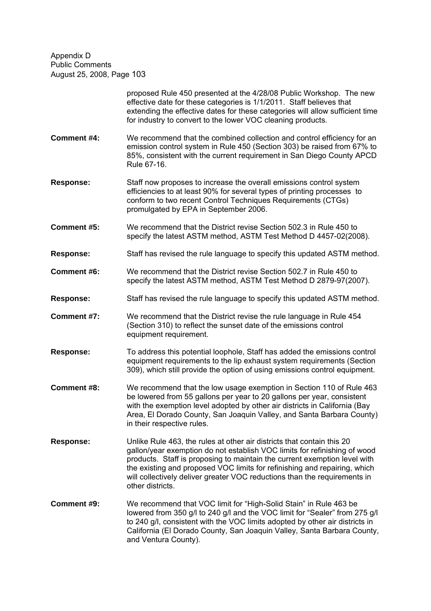|                    | proposed Rule 450 presented at the 4/28/08 Public Workshop. The new<br>effective date for these categories is 1/1/2011. Staff believes that<br>extending the effective dates for these categories will allow sufficient time<br>for industry to convert to the lower VOC cleaning products.                                                                                                                    |
|--------------------|----------------------------------------------------------------------------------------------------------------------------------------------------------------------------------------------------------------------------------------------------------------------------------------------------------------------------------------------------------------------------------------------------------------|
| <b>Comment #4:</b> | We recommend that the combined collection and control efficiency for an<br>emission control system in Rule 450 (Section 303) be raised from 67% to<br>85%, consistent with the current requirement in San Diego County APCD<br>Rule 67-16.                                                                                                                                                                     |
| <b>Response:</b>   | Staff now proposes to increase the overall emissions control system<br>efficiencies to at least 90% for several types of printing processes to<br>conform to two recent Control Techniques Requirements (CTGs)<br>promulgated by EPA in September 2006.                                                                                                                                                        |
| <b>Comment #5:</b> | We recommend that the District revise Section 502.3 in Rule 450 to<br>specify the latest ASTM method, ASTM Test Method D 4457-02(2008).                                                                                                                                                                                                                                                                        |
| <b>Response:</b>   | Staff has revised the rule language to specify this updated ASTM method.                                                                                                                                                                                                                                                                                                                                       |
| Comment #6:        | We recommend that the District revise Section 502.7 in Rule 450 to<br>specify the latest ASTM method, ASTM Test Method D 2879-97(2007).                                                                                                                                                                                                                                                                        |
| <b>Response:</b>   | Staff has revised the rule language to specify this updated ASTM method.                                                                                                                                                                                                                                                                                                                                       |
| Comment #7:        | We recommend that the District revise the rule language in Rule 454<br>(Section 310) to reflect the sunset date of the emissions control<br>equipment requirement.                                                                                                                                                                                                                                             |
| <b>Response:</b>   | To address this potential loophole, Staff has added the emissions control<br>equipment requirements to the lip exhaust system requirements (Section<br>309), which still provide the option of using emissions control equipment.                                                                                                                                                                              |
| <b>Comment #8:</b> | We recommend that the low usage exemption in Section 110 of Rule 463<br>be lowered from 55 gallons per year to 20 gallons per year, consistent<br>with the exemption level adopted by other air districts in California (Bay<br>Area, El Dorado County, San Joaquin Valley, and Santa Barbara County)<br>in their respective rules.                                                                            |
| <b>Response:</b>   | Unlike Rule 463, the rules at other air districts that contain this 20<br>gallon/year exemption do not establish VOC limits for refinishing of wood<br>products. Staff is proposing to maintain the current exemption level with<br>the existing and proposed VOC limits for refinishing and repairing, which<br>will collectively deliver greater VOC reductions than the requirements in<br>other districts. |
| <b>Comment #9:</b> | We recommend that VOC limit for "High-Solid Stain" in Rule 463 be<br>lowered from 350 g/l to 240 g/l and the VOC limit for "Sealer" from 275 g/l<br>to 240 g/l, consistent with the VOC limits adopted by other air districts in<br>California (El Dorado County, San Joaquin Valley, Santa Barbara County,<br>and Ventura County).                                                                            |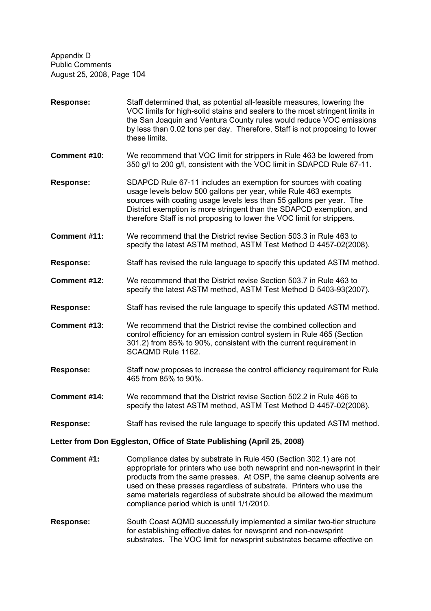| Response:                                                              | Staff determined that, as potential all-feasible measures, lowering the<br>VOC limits for high-solid stains and sealers to the most stringent limits in<br>the San Joaquin and Ventura County rules would reduce VOC emissions<br>by less than 0.02 tons per day. Therefore, Staff is not proposing to lower<br>these limits.                                                                                         |
|------------------------------------------------------------------------|-----------------------------------------------------------------------------------------------------------------------------------------------------------------------------------------------------------------------------------------------------------------------------------------------------------------------------------------------------------------------------------------------------------------------|
| Comment #10:                                                           | We recommend that VOC limit for strippers in Rule 463 be lowered from<br>350 g/l to 200 g/l, consistent with the VOC limit in SDAPCD Rule 67-11.                                                                                                                                                                                                                                                                      |
| Response:                                                              | SDAPCD Rule 67-11 includes an exemption for sources with coating<br>usage levels below 500 gallons per year, while Rule 463 exempts<br>sources with coating usage levels less than 55 gallons per year. The<br>District exemption is more stringent than the SDAPCD exemption, and<br>therefore Staff is not proposing to lower the VOC limit for strippers.                                                          |
| Comment #11:                                                           | We recommend that the District revise Section 503.3 in Rule 463 to<br>specify the latest ASTM method, ASTM Test Method D 4457-02(2008).                                                                                                                                                                                                                                                                               |
| <b>Response:</b>                                                       | Staff has revised the rule language to specify this updated ASTM method.                                                                                                                                                                                                                                                                                                                                              |
| Comment #12:                                                           | We recommend that the District revise Section 503.7 in Rule 463 to<br>specify the latest ASTM method, ASTM Test Method D 5403-93(2007).                                                                                                                                                                                                                                                                               |
| <b>Response:</b>                                                       | Staff has revised the rule language to specify this updated ASTM method.                                                                                                                                                                                                                                                                                                                                              |
| Comment #13:                                                           | We recommend that the District revise the combined collection and<br>control efficiency for an emission control system in Rule 465 (Section<br>301.2) from 85% to 90%, consistent with the current requirement in<br>SCAQMD Rule 1162.                                                                                                                                                                                |
| <b>Response:</b>                                                       | Staff now proposes to increase the control efficiency requirement for Rule<br>465 from 85% to 90%.                                                                                                                                                                                                                                                                                                                    |
| Comment #14:                                                           | We recommend that the District revise Section 502.2 in Rule 466 to<br>specify the latest ASTM method, ASTM Test Method D 4457-02(2008).                                                                                                                                                                                                                                                                               |
| <b>Response:</b>                                                       | Staff has revised the rule language to specify this updated ASTM method.                                                                                                                                                                                                                                                                                                                                              |
| Letter from Don Eggleston, Office of State Publishing (April 25, 2008) |                                                                                                                                                                                                                                                                                                                                                                                                                       |
| <b>Comment #1:</b>                                                     | Compliance dates by substrate in Rule 450 (Section 302.1) are not<br>appropriate for printers who use both newsprint and non-newsprint in their<br>products from the same presses. At OSP, the same cleanup solvents are<br>used on these presses regardless of substrate. Printers who use the<br>same materials regardless of substrate should be allowed the maximum<br>compliance period which is until 1/1/2010. |
|                                                                        |                                                                                                                                                                                                                                                                                                                                                                                                                       |

**Response:** South Coast AQMD successfully implemented a similar two-tier structure for establishing effective dates for newsprint and non-newsprint substrates. The VOC limit for newsprint substrates became effective on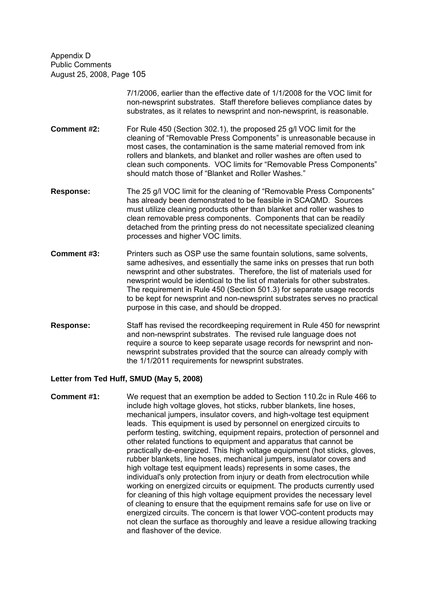> 7/1/2006, earlier than the effective date of 1/1/2008 for the VOC limit for non-newsprint substrates. Staff therefore believes compliance dates by substrates, as it relates to newsprint and non-newsprint, is reasonable.

- **Comment #2:** For Rule 450 (Section 302.1), the proposed 25 g/l VOC limit for the cleaning of "Removable Press Components" is unreasonable because in most cases, the contamination is the same material removed from ink rollers and blankets, and blanket and roller washes are often used to clean such components. VOC limits for "Removable Press Components" should match those of "Blanket and Roller Washes."
- **Response:** The 25 g/l VOC limit for the cleaning of "Removable Press Components" has already been demonstrated to be feasible in SCAQMD. Sources must utilize cleaning products other than blanket and roller washes to clean removable press components. Components that can be readily detached from the printing press do not necessitate specialized cleaning processes and higher VOC limits.
- **Comment #3:** Printers such as OSP use the same fountain solutions, same solvents, same adhesives, and essentially the same inks on presses that run both newsprint and other substrates. Therefore, the list of materials used for newsprint would be identical to the list of materials for other substrates. The requirement in Rule 450 (Section 501.3) for separate usage records to be kept for newsprint and non-newsprint substrates serves no practical purpose in this case, and should be dropped.
- **Response:** Staff has revised the recordkeeping requirement in Rule 450 for newsprint and non-newsprint substrates. The revised rule language does not require a source to keep separate usage records for newsprint and nonnewsprint substrates provided that the source can already comply with the 1/1/2011 requirements for newsprint substrates.

#### **Letter from Ted Huff, SMUD (May 5, 2008)**

**Comment #1:** We request that an exemption be added to Section 110.2c in Rule 466 to include high voltage gloves, hot sticks, rubber blankets, line hoses, mechanical jumpers, insulator covers, and high-voltage test equipment leads. This equipment is used by personnel on energized circuits to perform testing, switching, equipment repairs, protection of personnel and other related functions to equipment and apparatus that cannot be practically de-energized. This high voltage equipment (hot sticks, gloves, rubber blankets, line hoses, mechanical jumpers, insulator covers and high voltage test equipment leads) represents in some cases, the individual's only protection from injury or death from electrocution while working on energized circuits or equipment. The products currently used for cleaning of this high voltage equipment provides the necessary level of cleaning to ensure that the equipment remains safe for use on live or energized circuits. The concern is that lower VOC-content products may not clean the surface as thoroughly and leave a residue allowing tracking and flashover of the device.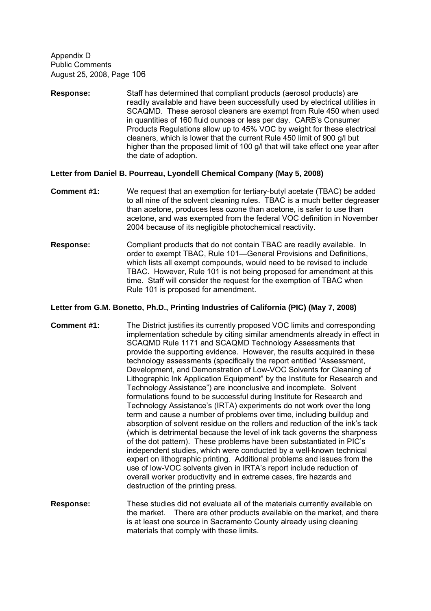**Response:** Staff has determined that compliant products (aerosol products) are readily available and have been successfully used by electrical utilities in SCAQMD. These aerosol cleaners are exempt from Rule 450 when used in quantities of 160 fluid ounces or less per day. CARB's Consumer Products Regulations allow up to 45% VOC by weight for these electrical cleaners, which is lower that the current Rule 450 limit of 900 g/l but higher than the proposed limit of 100 g/l that will take effect one year after the date of adoption.

### **Letter from Daniel B. Pourreau, Lyondell Chemical Company (May 5, 2008)**

- **Comment #1:** We request that an exemption for tertiary-butyl acetate (TBAC) be added to all nine of the solvent cleaning rules. TBAC is a much better degreaser than acetone, produces less ozone than acetone, is safer to use than acetone, and was exempted from the federal VOC definition in November 2004 because of its negligible photochemical reactivity.
- **Response:** Compliant products that do not contain TBAC are readily available. In order to exempt TBAC, Rule 101—General Provisions and Definitions, which lists all exempt compounds, would need to be revised to include TBAC. However, Rule 101 is not being proposed for amendment at this time. Staff will consider the request for the exemption of TBAC when Rule 101 is proposed for amendment.

### **Letter from G.M. Bonetto, Ph.D., Printing Industries of California (PIC) (May 7, 2008)**

- **Comment #1:** The District justifies its currently proposed VOC limits and corresponding implementation schedule by citing similar amendments already in effect in SCAQMD Rule 1171 and SCAQMD Technology Assessments that provide the supporting evidence. However, the results acquired in these technology assessments (specifically the report entitled "Assessment, Development, and Demonstration of Low-VOC Solvents for Cleaning of Lithographic Ink Application Equipment" by the Institute for Research and Technology Assistance") are inconclusive and incomplete. Solvent formulations found to be successful during Institute for Research and Technology Assistance's (IRTA) experiments do not work over the long term and cause a number of problems over time, including buildup and absorption of solvent residue on the rollers and reduction of the ink's tack (which is detrimental because the level of ink tack governs the sharpness of the dot pattern). These problems have been substantiated in PIC's independent studies, which were conducted by a well-known technical expert on lithographic printing. Additional problems and issues from the use of low-VOC solvents given in IRTA's report include reduction of overall worker productivity and in extreme cases, fire hazards and destruction of the printing press.
- **Response:** These studies did not evaluate all of the materials currently available on the market. There are other products available on the market, and there is at least one source in Sacramento County already using cleaning materials that comply with these limits.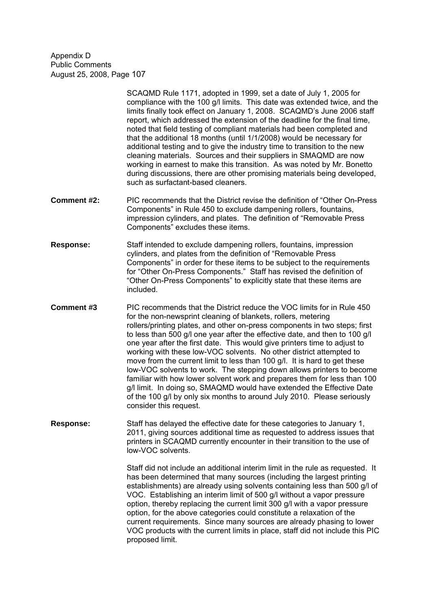> SCAQMD Rule 1171, adopted in 1999, set a date of July 1, 2005 for compliance with the 100 g/l limits. This date was extended twice, and the limits finally took effect on January 1, 2008. SCAQMD's June 2006 staff report, which addressed the extension of the deadline for the final time, noted that field testing of compliant materials had been completed and that the additional 18 months (until 1/1/2008) would be necessary for additional testing and to give the industry time to transition to the new cleaning materials. Sources and their suppliers in SMAQMD are now working in earnest to make this transition. As was noted by Mr. Bonetto during discussions, there are other promising materials being developed, such as surfactant-based cleaners.

- **Comment #2:** PIC recommends that the District revise the definition of "Other On-Press" Components" in Rule 450 to exclude dampening rollers, fountains, impression cylinders, and plates. The definition of "Removable Press Components" excludes these items.
- **Response:** Staff intended to exclude dampening rollers, fountains, impression cylinders, and plates from the definition of "Removable Press Components" in order for these items to be subject to the requirements for "Other On-Press Components." Staff has revised the definition of "Other On-Press Components" to explicitly state that these items are included.
- **Comment #3** PIC recommends that the District reduce the VOC limits for in Rule 450 for the non-newsprint cleaning of blankets, rollers, metering rollers/printing plates, and other on-press components in two steps; first to less than 500 g/l one year after the effective date, and then to 100 g/l one year after the first date. This would give printers time to adjust to working with these low-VOC solvents. No other district attempted to move from the current limit to less than 100 g/l. It is hard to get these low-VOC solvents to work. The stepping down allows printers to become familiar with how lower solvent work and prepares them for less than 100 g/l limit. In doing so, SMAQMD would have extended the Effective Date of the 100 g/l by only six months to around July 2010. Please seriously consider this request.
- **Response:** Staff has delayed the effective date for these categories to January 1, 2011, giving sources additional time as requested to address issues that printers in SCAQMD currently encounter in their transition to the use of low-VOC solvents.

Staff did not include an additional interim limit in the rule as requested. It has been determined that many sources (including the largest printing establishments) are already using solvents containing less than 500 g/l of VOC. Establishing an interim limit of 500 g/l without a vapor pressure option, thereby replacing the current limit 300 g/l with a vapor pressure option, for the above categories could constitute a relaxation of the current requirements. Since many sources are already phasing to lower VOC products with the current limits in place, staff did not include this PIC proposed limit.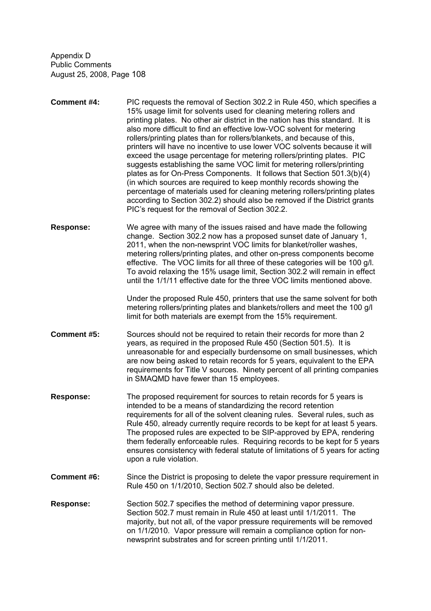- **Comment #4:** PIC requests the removal of Section 302.2 in Rule 450, which specifies a 15% usage limit for solvents used for cleaning metering rollers and printing plates. No other air district in the nation has this standard. It is also more difficult to find an effective low-VOC solvent for metering rollers/printing plates than for rollers/blankets, and because of this, printers will have no incentive to use lower VOC solvents because it will exceed the usage percentage for metering rollers/printing plates. PIC suggests establishing the same VOC limit for metering rollers/printing plates as for On-Press Components. It follows that Section 501.3(b)(4) (in which sources are required to keep monthly records showing the percentage of materials used for cleaning metering rollers/printing plates according to Section 302.2) should also be removed if the District grants PIC's request for the removal of Section 302.2.
- **Response:** We agree with many of the issues raised and have made the following change. Section 302.2 now has a proposed sunset date of January 1, 2011, when the non-newsprint VOC limits for blanket/roller washes, metering rollers/printing plates, and other on-press components become effective. The VOC limits for all three of these categories will be 100 g/l. To avoid relaxing the 15% usage limit, Section 302.2 will remain in effect until the 1/1/11 effective date for the three VOC limits mentioned above.

Under the proposed Rule 450, printers that use the same solvent for both metering rollers/printing plates and blankets/rollers and meet the 100 g/l limit for both materials are exempt from the 15% requirement.

- **Comment #5:** Sources should not be required to retain their records for more than 2 years, as required in the proposed Rule 450 (Section 501.5). It is unreasonable for and especially burdensome on small businesses, which are now being asked to retain records for 5 years, equivalent to the EPA requirements for Title V sources. Ninety percent of all printing companies in SMAQMD have fewer than 15 employees.
- **Response:** The proposed requirement for sources to retain records for 5 years is intended to be a means of standardizing the record retention requirements for all of the solvent cleaning rules. Several rules, such as Rule 450, already currently require records to be kept for at least 5 years. The proposed rules are expected to be SIP-approved by EPA, rendering them federally enforceable rules. Requiring records to be kept for 5 years ensures consistency with federal statute of limitations of 5 years for acting upon a rule violation.
- **Comment #6:** Since the District is proposing to delete the vapor pressure requirement in Rule 450 on 1/1/2010, Section 502.7 should also be deleted.
- **Response:** Section 502.7 specifies the method of determining vapor pressure. Section 502.7 must remain in Rule 450 at least until 1/1/2011. The majority, but not all, of the vapor pressure requirements will be removed on 1/1/2010. Vapor pressure will remain a compliance option for nonnewsprint substrates and for screen printing until 1/1/2011.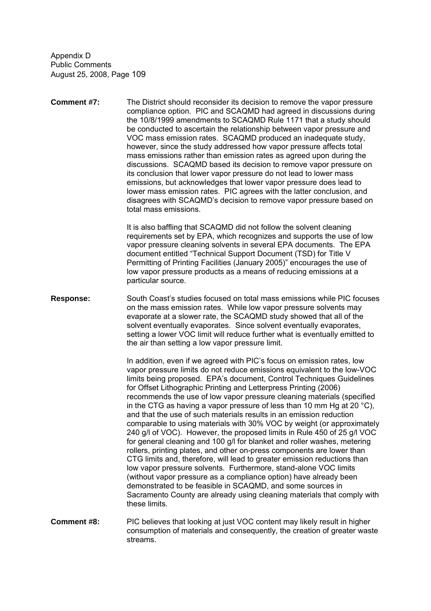**Comment #7:** The District should reconsider its decision to remove the vapor pressure compliance option. PIC and SCAQMD had agreed in discussions during the 10/8/1999 amendments to SCAQMD Rule 1171 that a study should be conducted to ascertain the relationship between vapor pressure and VOC mass emission rates. SCAQMD produced an inadequate study, however, since the study addressed how vapor pressure affects total mass emissions rather than emission rates as agreed upon during the discussions. SCAQMD based its decision to remove vapor pressure on its conclusion that lower vapor pressure do not lead to lower mass emissions, but acknowledges that lower vapor pressure does lead to lower mass emission rates. PIC agrees with the latter conclusion, and disagrees with SCAQMD's decision to remove vapor pressure based on total mass emissions.

> It is also baffling that SCAQMD did not follow the solvent cleaning requirements set by EPA, which recognizes and supports the use of low vapor pressure cleaning solvents in several EPA documents. The EPA document entitled "Technical Support Document (TSD) for Title V Permitting of Printing Facilities (January 2005)" encourages the use of low vapor pressure products as a means of reducing emissions at a particular source.

**Response:** South Coast's studies focused on total mass emissions while PIC focuses on the mass emission rates. While low vapor pressure solvents may evaporate at a slower rate, the SCAQMD study showed that all of the solvent eventually evaporates. Since solvent eventually evaporates, setting a lower VOC limit will reduce further what is eventually emitted to the air than setting a low vapor pressure limit.

> In addition, even if we agreed with PIC's focus on emission rates, low vapor pressure limits do not reduce emissions equivalent to the low-VOC limits being proposed. EPA's document, Control Techniques Guidelines for Offset Lithographic Printing and Letterpress Printing (2006) recommends the use of low vapor pressure cleaning materials (specified in the CTG as having a vapor pressure of less than 10 mm Hg at 20 °C), and that the use of such materials results in an emission reduction comparable to using materials with 30% VOC by weight (or approximately 240 g/l of VOC). However, the proposed limits in Rule 450 of 25 g/l VOC for general cleaning and 100 g/l for blanket and roller washes, metering rollers, printing plates, and other on-press components are lower than CTG limits and, therefore, will lead to greater emission reductions than low vapor pressure solvents. Furthermore, stand-alone VOC limits (without vapor pressure as a compliance option) have already been demonstrated to be feasible in SCAQMD, and some sources in Sacramento County are already using cleaning materials that comply with these limits.

**Comment #8:** PIC believes that looking at just VOC content may likely result in higher consumption of materials and consequently, the creation of greater waste streams.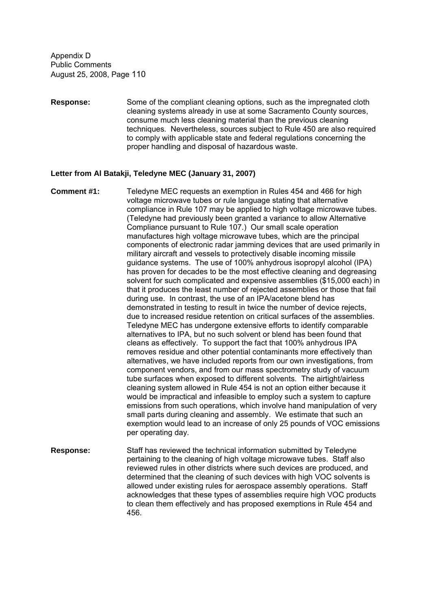**Response:** Some of the compliant cleaning options, such as the impregnated cloth cleaning systems already in use at some Sacramento County sources, consume much less cleaning material than the previous cleaning techniques. Nevertheless, sources subject to Rule 450 are also required to comply with applicable state and federal regulations concerning the proper handling and disposal of hazardous waste.

#### **Letter from Al Batakji, Teledyne MEC (January 31, 2007)**

- **Comment #1:** Teledyne MEC requests an exemption in Rules 454 and 466 for high voltage microwave tubes or rule language stating that alternative compliance in Rule 107 may be applied to high voltage microwave tubes. (Teledyne had previously been granted a variance to allow Alternative Compliance pursuant to Rule 107.) Our small scale operation manufactures high voltage microwave tubes, which are the principal components of electronic radar jamming devices that are used primarily in military aircraft and vessels to protectively disable incoming missile guidance systems. The use of 100% anhydrous isopropyl alcohol (IPA) has proven for decades to be the most effective cleaning and degreasing solvent for such complicated and expensive assemblies (\$15,000 each) in that it produces the least number of rejected assemblies or those that fail during use. In contrast, the use of an IPA/acetone blend has demonstrated in testing to result in twice the number of device rejects, due to increased residue retention on critical surfaces of the assemblies. Teledyne MEC has undergone extensive efforts to identify comparable alternatives to IPA, but no such solvent or blend has been found that cleans as effectively. To support the fact that 100% anhydrous IPA removes residue and other potential contaminants more effectively than alternatives, we have included reports from our own investigations, from component vendors, and from our mass spectrometry study of vacuum tube surfaces when exposed to different solvents. The airtight/airless cleaning system allowed in Rule 454 is not an option either because it would be impractical and infeasible to employ such a system to capture emissions from such operations, which involve hand manipulation of very small parts during cleaning and assembly. We estimate that such an exemption would lead to an increase of only 25 pounds of VOC emissions per operating day.
- **Response:** Staff has reviewed the technical information submitted by Teledyne pertaining to the cleaning of high voltage microwave tubes. Staff also reviewed rules in other districts where such devices are produced, and determined that the cleaning of such devices with high VOC solvents is allowed under existing rules for aerospace assembly operations. Staff acknowledges that these types of assemblies require high VOC products to clean them effectively and has proposed exemptions in Rule 454 and 456.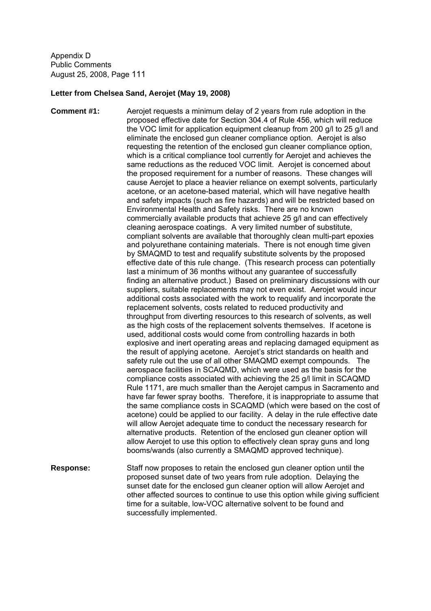#### **Letter from Chelsea Sand, Aerojet (May 19, 2008)**

**Comment #1:** Aerojet requests a minimum delay of 2 years from rule adoption in the proposed effective date for Section 304.4 of Rule 456, which will reduce the VOC limit for application equipment cleanup from 200 g/l to 25 g/l and eliminate the enclosed gun cleaner compliance option. Aerojet is also requesting the retention of the enclosed gun cleaner compliance option, which is a critical compliance tool currently for Aerojet and achieves the same reductions as the reduced VOC limit. Aerojet is concerned about the proposed requirement for a number of reasons. These changes will cause Aerojet to place a heavier reliance on exempt solvents, particularly acetone, or an acetone-based material, which will have negative health and safety impacts (such as fire hazards) and will be restricted based on Environmental Health and Safety risks. There are no known commercially available products that achieve 25 g/l and can effectively cleaning aerospace coatings. A very limited number of substitute, compliant solvents are available that thoroughly clean multi-part epoxies and polyurethane containing materials. There is not enough time given by SMAQMD to test and requalify substitute solvents by the proposed effective date of this rule change. (This research process can potentially last a minimum of 36 months without any guarantee of successfully finding an alternative product.) Based on preliminary discussions with our suppliers, suitable replacements may not even exist. Aerojet would incur additional costs associated with the work to requalify and incorporate the replacement solvents, costs related to reduced productivity and throughput from diverting resources to this research of solvents, as well as the high costs of the replacement solvents themselves. If acetone is used, additional costs would come from controlling hazards in both explosive and inert operating areas and replacing damaged equipment as the result of applying acetone. Aerojet's strict standards on health and safety rule out the use of all other SMAQMD exempt compounds. The aerospace facilities in SCAQMD, which were used as the basis for the compliance costs associated with achieving the 25 g/l limit in SCAQMD Rule 1171, are much smaller than the Aerojet campus in Sacramento and have far fewer spray booths. Therefore, it is inappropriate to assume that the same compliance costs in SCAQMD (which were based on the cost of acetone) could be applied to our facility. A delay in the rule effective date will allow Aerojet adequate time to conduct the necessary research for alternative products. Retention of the enclosed gun cleaner option will allow Aerojet to use this option to effectively clean spray guns and long booms/wands (also currently a SMAQMD approved technique).

**Response:** Staff now proposes to retain the enclosed gun cleaner option until the proposed sunset date of two years from rule adoption. Delaying the sunset date for the enclosed gun cleaner option will allow Aerojet and other affected sources to continue to use this option while giving sufficient time for a suitable, low-VOC alternative solvent to be found and successfully implemented.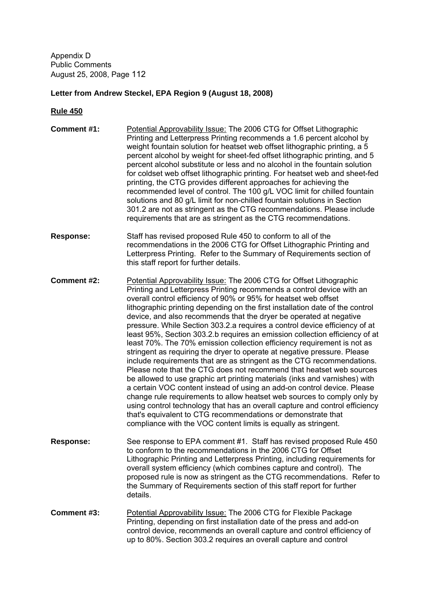# **Letter from Andrew Steckel, EPA Region 9 (August 18, 2008)**

| <b>Comment #1:</b> | Potential Approvability Issue: The 2006 CTG for Offset Lithographic<br>Printing and Letterpress Printing recommends a 1.6 percent alcohol by<br>weight fountain solution for heatset web offset lithographic printing, a 5<br>percent alcohol by weight for sheet-fed offset lithographic printing, and 5<br>percent alcohol substitute or less and no alcohol in the fountain solution<br>for coldset web offset lithographic printing. For heatset web and sheet-fed<br>printing, the CTG provides different approaches for achieving the<br>recommended level of control. The 100 g/L VOC limit for chilled fountain<br>solutions and 80 g/L limit for non-chilled fountain solutions in Section<br>301.2 are not as stringent as the CTG recommendations. Please include<br>requirements that are as stringent as the CTG recommendations.                                                                                                                                                                                                                                                                                                                                                                                                                                                     |
|--------------------|----------------------------------------------------------------------------------------------------------------------------------------------------------------------------------------------------------------------------------------------------------------------------------------------------------------------------------------------------------------------------------------------------------------------------------------------------------------------------------------------------------------------------------------------------------------------------------------------------------------------------------------------------------------------------------------------------------------------------------------------------------------------------------------------------------------------------------------------------------------------------------------------------------------------------------------------------------------------------------------------------------------------------------------------------------------------------------------------------------------------------------------------------------------------------------------------------------------------------------------------------------------------------------------------------|
| <b>Response:</b>   | Staff has revised proposed Rule 450 to conform to all of the<br>recommendations in the 2006 CTG for Offset Lithographic Printing and<br>Letterpress Printing. Refer to the Summary of Requirements section of<br>this staff report for further details.                                                                                                                                                                                                                                                                                                                                                                                                                                                                                                                                                                                                                                                                                                                                                                                                                                                                                                                                                                                                                                            |
| <b>Comment #2:</b> | Potential Approvability Issue: The 2006 CTG for Offset Lithographic<br>Printing and Letterpress Printing recommends a control device with an<br>overall control efficiency of 90% or 95% for heatset web offset<br>lithographic printing depending on the first installation date of the control<br>device, and also recommends that the dryer be operated at negative<br>pressure. While Section 303.2.a requires a control device efficiency of at<br>least 95%, Section 303.2.b requires an emission collection efficiency of at<br>least 70%. The 70% emission collection efficiency requirement is not as<br>stringent as requiring the dryer to operate at negative pressure. Please<br>include requirements that are as stringent as the CTG recommendations.<br>Please note that the CTG does not recommend that heatset web sources<br>be allowed to use graphic art printing materials (inks and varnishes) with<br>a certain VOC content instead of using an add-on control device. Please<br>change rule requirements to allow heatset web sources to comply only by<br>using control technology that has an overall capture and control efficiency<br>that's equivalent to CTG recommendations or demonstrate that<br>compliance with the VOC content limits is equally as stringent. |
| <b>Response:</b>   | See response to EPA comment #1. Staff has revised proposed Rule 450<br>to conform to the recommendations in the 2006 CTG for Offset<br>Lithographic Printing and Letterpress Printing, including requirements for<br>overall system efficiency (which combines capture and control). The<br>proposed rule is now as stringent as the CTG recommendations. Refer to<br>the Summary of Requirements section of this staff report for further<br>details.                                                                                                                                                                                                                                                                                                                                                                                                                                                                                                                                                                                                                                                                                                                                                                                                                                             |
| <b>Comment #3:</b> | Potential Approvability Issue: The 2006 CTG for Flexible Package<br>Printing, depending on first installation date of the press and add-on<br>control device, recommends an overall capture and control efficiency of<br>up to 80%. Section 303.2 requires an overall capture and control                                                                                                                                                                                                                                                                                                                                                                                                                                                                                                                                                                                                                                                                                                                                                                                                                                                                                                                                                                                                          |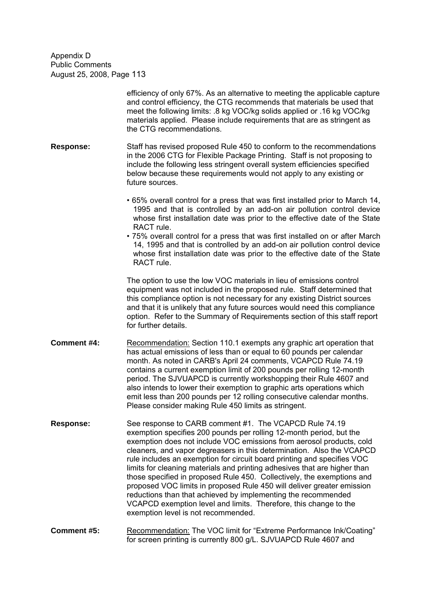|                    | efficiency of only 67%. As an alternative to meeting the applicable capture<br>and control efficiency, the CTG recommends that materials be used that<br>meet the following limits: .8 kg VOC/kg solids applied or .16 kg VOC/kg<br>materials applied. Please include requirements that are as stringent as<br>the CTG recommendations.                                                                                                                                                                                                                                                                                                                                                                                                                                |
|--------------------|------------------------------------------------------------------------------------------------------------------------------------------------------------------------------------------------------------------------------------------------------------------------------------------------------------------------------------------------------------------------------------------------------------------------------------------------------------------------------------------------------------------------------------------------------------------------------------------------------------------------------------------------------------------------------------------------------------------------------------------------------------------------|
| <b>Response:</b>   | Staff has revised proposed Rule 450 to conform to the recommendations<br>in the 2006 CTG for Flexible Package Printing. Staff is not proposing to<br>include the following less stringent overall system efficiencies specified<br>below because these requirements would not apply to any existing or<br>future sources.                                                                                                                                                                                                                                                                                                                                                                                                                                              |
|                    | • 65% overall control for a press that was first installed prior to March 14,<br>1995 and that is controlled by an add-on air pollution control device<br>whose first installation date was prior to the effective date of the State<br>RACT rule.<br>• 75% overall control for a press that was first installed on or after March<br>14, 1995 and that is controlled by an add-on air pollution control device<br>whose first installation date was prior to the effective date of the State<br>RACT rule.                                                                                                                                                                                                                                                            |
|                    | The option to use the low VOC materials in lieu of emissions control<br>equipment was not included in the proposed rule. Staff determined that<br>this compliance option is not necessary for any existing District sources<br>and that it is unlikely that any future sources would need this compliance<br>option. Refer to the Summary of Requirements section of this staff report<br>for further details.                                                                                                                                                                                                                                                                                                                                                         |
| <b>Comment #4:</b> | Recommendation: Section 110.1 exempts any graphic art operation that<br>has actual emissions of less than or equal to 60 pounds per calendar<br>month. As noted in CARB's April 24 comments, VCAPCD Rule 74.19<br>contains a current exemption limit of 200 pounds per rolling 12-month<br>period. The SJVUAPCD is currently workshopping their Rule 4607 and<br>also intends to lower their exemption to graphic arts operations which<br>emit less than 200 pounds per 12 rolling consecutive calendar months.<br>Please consider making Rule 450 limits as stringent.                                                                                                                                                                                               |
| <b>Response:</b>   | See response to CARB comment #1. The VCAPCD Rule 74.19<br>exemption specifies 200 pounds per rolling 12-month period, but the<br>exemption does not include VOC emissions from aerosol products, cold<br>cleaners, and vapor degreasers in this determination. Also the VCAPCD<br>rule includes an exemption for circuit board printing and specifies VOC<br>limits for cleaning materials and printing adhesives that are higher than<br>those specified in proposed Rule 450. Collectively, the exemptions and<br>proposed VOC limits in proposed Rule 450 will deliver greater emission<br>reductions than that achieved by implementing the recommended<br>VCAPCD exemption level and limits. Therefore, this change to the<br>exemption level is not recommended. |

**Comment #5:** Recommendation: The VOC limit for "Extreme Performance Ink/Coating" for screen printing is currently 800 g/L. SJVUAPCD Rule 4607 and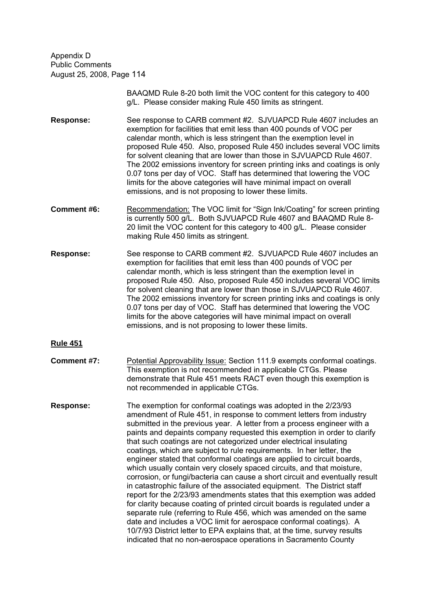> BAAQMD Rule 8-20 both limit the VOC content for this category to 400 g/L. Please consider making Rule 450 limits as stringent.

**Response:** See response to CARB comment #2. SJVUAPCD Rule 4607 includes an exemption for facilities that emit less than 400 pounds of VOC per calendar month, which is less stringent than the exemption level in proposed Rule 450. Also, proposed Rule 450 includes several VOC limits for solvent cleaning that are lower than those in SJVUAPCD Rule 4607. The 2002 emissions inventory for screen printing inks and coatings is only 0.07 tons per day of VOC. Staff has determined that lowering the VOC limits for the above categories will have minimal impact on overall emissions, and is not proposing to lower these limits.

- **Comment #6:** Recommendation: The VOC limit for "Sign Ink/Coating" for screen printing is currently 500 g/L. Both SJVUAPCD Rule 4607 and BAAQMD Rule 8- 20 limit the VOC content for this category to 400 g/L. Please consider making Rule 450 limits as stringent.
- **Response:** See response to CARB comment #2. SJVUAPCD Rule 4607 includes an exemption for facilities that emit less than 400 pounds of VOC per calendar month, which is less stringent than the exemption level in proposed Rule 450. Also, proposed Rule 450 includes several VOC limits for solvent cleaning that are lower than those in SJVUAPCD Rule 4607. The 2002 emissions inventory for screen printing inks and coatings is only 0.07 tons per day of VOC. Staff has determined that lowering the VOC limits for the above categories will have minimal impact on overall emissions, and is not proposing to lower these limits.

- **Comment #7:** Potential Approvability Issue: Section 111.9 exempts conformal coatings. This exemption is not recommended in applicable CTGs. Please demonstrate that Rule 451 meets RACT even though this exemption is not recommended in applicable CTGs.
- **Response:** The exemption for conformal coatings was adopted in the 2/23/93 amendment of Rule 451, in response to comment letters from industry submitted in the previous year. A letter from a process engineer with a paints and depaints company requested this exemption in order to clarify that such coatings are not categorized under electrical insulating coatings, which are subject to rule requirements. In her letter, the engineer stated that conformal coatings are applied to circuit boards, which usually contain very closely spaced circuits, and that moisture, corrosion, or fungi/bacteria can cause a short circuit and eventually result in catastrophic failure of the associated equipment. The District staff report for the 2/23/93 amendments states that this exemption was added for clarity because coating of printed circuit boards is regulated under a separate rule (referring to Rule 456, which was amended on the same date and includes a VOC limit for aerospace conformal coatings). A 10/7/93 District letter to EPA explains that, at the time, survey results indicated that no non-aerospace operations in Sacramento County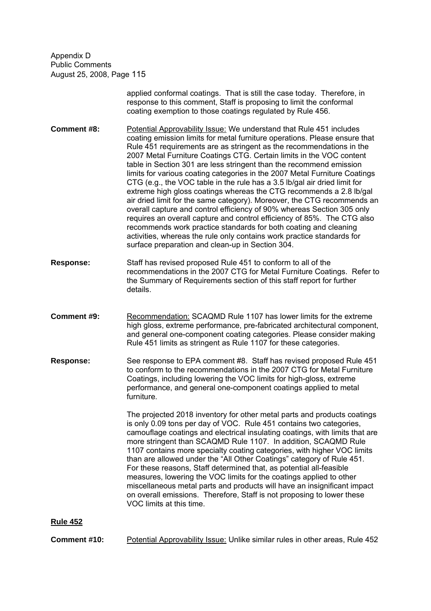> applied conformal coatings. That is still the case today. Therefore, in response to this comment, Staff is proposing to limit the conformal coating exemption to those coatings regulated by Rule 456.

**Comment #8:** Potential Approvability Issue: We understand that Rule 451 includes coating emission limits for metal furniture operations. Please ensure that Rule 451 requirements are as stringent as the recommendations in the 2007 Metal Furniture Coatings CTG. Certain limits in the VOC content table in Section 301 are less stringent than the recommend emission limits for various coating categories in the 2007 Metal Furniture Coatings CTG (e.g., the VOC table in the rule has a 3.5 lb/gal air dried limit for extreme high gloss coatings whereas the CTG recommends a 2.8 lb/gal air dried limit for the same category). Moreover, the CTG recommends an overall capture and control efficiency of 90% whereas Section 305 only requires an overall capture and control efficiency of 85%. The CTG also recommends work practice standards for both coating and cleaning activities, whereas the rule only contains work practice standards for surface preparation and clean-up in Section 304.

- **Response:** Staff has revised proposed Rule 451 to conform to all of the recommendations in the 2007 CTG for Metal Furniture Coatings. Refer to the Summary of Requirements section of this staff report for further details.
- **Comment #9:** Recommendation: SCAQMD Rule 1107 has lower limits for the extreme high gloss, extreme performance, pre-fabricated architectural component, and general one-component coating categories. Please consider making Rule 451 limits as stringent as Rule 1107 for these categories.
- **Response:** See response to EPA comment #8. Staff has revised proposed Rule 451 to conform to the recommendations in the 2007 CTG for Metal Furniture Coatings, including lowering the VOC limits for high-gloss, extreme performance, and general one-component coatings applied to metal furniture.

The projected 2018 inventory for other metal parts and products coatings is only 0.09 tons per day of VOC. Rule 451 contains two categories, camouflage coatings and electrical insulating coatings, with limits that are more stringent than SCAQMD Rule 1107. In addition, SCAQMD Rule 1107 contains more specialty coating categories, with higher VOC limits than are allowed under the "All Other Coatings" category of Rule 451. For these reasons, Staff determined that, as potential all-feasible measures, lowering the VOC limits for the coatings applied to other miscellaneous metal parts and products will have an insignificant impact on overall emissions. Therefore, Staff is not proposing to lower these VOC limits at this time.

**Rule 452**

**Comment #10:** Potential Approvability Issue: Unlike similar rules in other areas, Rule 452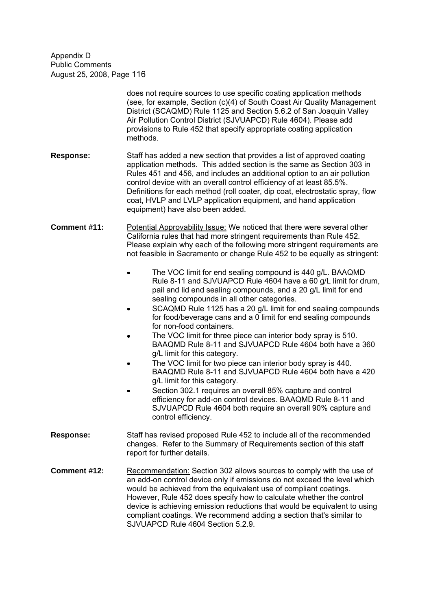|                  | does not require sources to use specific coating application methods<br>(see, for example, Section (c)(4) of South Coast Air Quality Management<br>District (SCAQMD) Rule 1125 and Section 5.6.2 of San Joaquin Valley<br>Air Pollution Control District (SJVUAPCD) Rule 4604). Please add<br>provisions to Rule 452 that specify appropriate coating application<br>methods.                                                                                                                                                                                                                                                                                                                                                                                                                                                                                                                                                                                                                                                                                                                                                                                                                                                                                 |
|------------------|---------------------------------------------------------------------------------------------------------------------------------------------------------------------------------------------------------------------------------------------------------------------------------------------------------------------------------------------------------------------------------------------------------------------------------------------------------------------------------------------------------------------------------------------------------------------------------------------------------------------------------------------------------------------------------------------------------------------------------------------------------------------------------------------------------------------------------------------------------------------------------------------------------------------------------------------------------------------------------------------------------------------------------------------------------------------------------------------------------------------------------------------------------------------------------------------------------------------------------------------------------------|
| <b>Response:</b> | Staff has added a new section that provides a list of approved coating<br>application methods. This added section is the same as Section 303 in<br>Rules 451 and 456, and includes an additional option to an air pollution<br>control device with an overall control efficiency of at least 85.5%.<br>Definitions for each method (roll coater, dip coat, electrostatic spray, flow<br>coat, HVLP and LVLP application equipment, and hand application<br>equipment) have also been added.                                                                                                                                                                                                                                                                                                                                                                                                                                                                                                                                                                                                                                                                                                                                                                   |
| Comment #11:     | Potential Approvability Issue: We noticed that there were several other<br>California rules that had more stringent requirements than Rule 452.<br>Please explain why each of the following more stringent requirements are<br>not feasible in Sacramento or change Rule 452 to be equally as stringent:<br>The VOC limit for end sealing compound is 440 g/L. BAAQMD<br>Rule 8-11 and SJVUAPCD Rule 4604 have a 60 g/L limit for drum,<br>pail and lid end sealing compounds, and a 20 g/L limit for end<br>sealing compounds in all other categories.<br>SCAQMD Rule 1125 has a 20 g/L limit for end sealing compounds<br>for food/beverage cans and a 0 limit for end sealing compounds<br>for non-food containers.<br>The VOC limit for three piece can interior body spray is 510.<br>BAAQMD Rule 8-11 and SJVUAPCD Rule 4604 both have a 360<br>g/L limit for this category.<br>The VOC limit for two piece can interior body spray is 440.<br>BAAQMD Rule 8-11 and SJVUAPCD Rule 4604 both have a 420<br>g/L limit for this category.<br>Section 302.1 requires an overall 85% capture and control<br>efficiency for add-on control devices. BAAQMD Rule 8-11 and<br>SJVUAPCD Rule 4604 both require an overall 90% capture and<br>control efficiency. |
| <b>Response:</b> | Staff has revised proposed Rule 452 to include all of the recommended<br>changes. Refer to the Summary of Requirements section of this staff<br>report for further details.                                                                                                                                                                                                                                                                                                                                                                                                                                                                                                                                                                                                                                                                                                                                                                                                                                                                                                                                                                                                                                                                                   |
| Comment #12:     | Recommendation: Section 302 allows sources to comply with the use of                                                                                                                                                                                                                                                                                                                                                                                                                                                                                                                                                                                                                                                                                                                                                                                                                                                                                                                                                                                                                                                                                                                                                                                          |

an add-on control device only if emissions do not exceed the level which would be achieved from the equivalent use of compliant coatings. However, Rule 452 does specify how to calculate whether the control device is achieving emission reductions that would be equivalent to using compliant coatings. We recommend adding a section that's similar to SJVUAPCD Rule 4604 Section 5.2.9.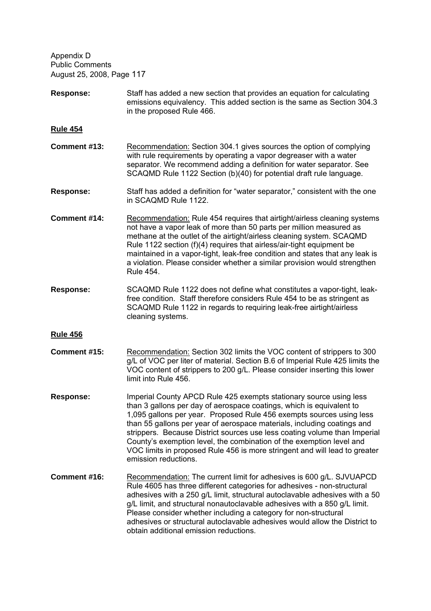- **Response:** Staff has added a new section that provides an equation for calculating emissions equivalency. This added section is the same as Section 304.3 in the proposed Rule 466.
- **Rule 454**
- **Comment #13:** Recommendation: Section 304.1 gives sources the option of complying with rule requirements by operating a vapor degreaser with a water separator. We recommend adding a definition for water separator. See SCAQMD Rule 1122 Section (b)(40) for potential draft rule language.
- **Response:** Staff has added a definition for "water separator," consistent with the one in SCAQMD Rule 1122.
- **Comment #14:** Recommendation: Rule 454 requires that airtight/airless cleaning systems not have a vapor leak of more than 50 parts per million measured as methane at the outlet of the airtight/airless cleaning system. SCAQMD Rule 1122 section (f)(4) requires that airless/air-tight equipment be maintained in a vapor-tight, leak-free condition and states that any leak is a violation. Please consider whether a similar provision would strengthen Rule 454.
- **Response:** SCAQMD Rule 1122 does not define what constitutes a vapor-tight, leakfree condition. Staff therefore considers Rule 454 to be as stringent as SCAQMD Rule 1122 in regards to requiring leak-free airtight/airless cleaning systems.
- **Rule 456**
- **Comment #15:** Recommendation: Section 302 limits the VOC content of strippers to 300 g/L of VOC per liter of material. Section B.6 of Imperial Rule 425 limits the VOC content of strippers to 200 g/L. Please consider inserting this lower limit into Rule 456.
- **Response:** Imperial County APCD Rule 425 exempts stationary source using less than 3 gallons per day of aerospace coatings, which is equivalent to 1,095 gallons per year. Proposed Rule 456 exempts sources using less than 55 gallons per year of aerospace materials, including coatings and strippers. Because District sources use less coating volume than Imperial County's exemption level, the combination of the exemption level and VOC limits in proposed Rule 456 is more stringent and will lead to greater emission reductions.
- **Comment #16:** Recommendation: The current limit for adhesives is 600 g/L. SJVUAPCD Rule 4605 has three different categories for adhesives - non-structural adhesives with a 250 g/L limit, structural autoclavable adhesives with a 50 g/L limit, and structural nonautoclavable adhesives with a 850 g/L limit. Please consider whether including a category for non-structural adhesives or structural autoclavable adhesives would allow the District to obtain additional emission reductions.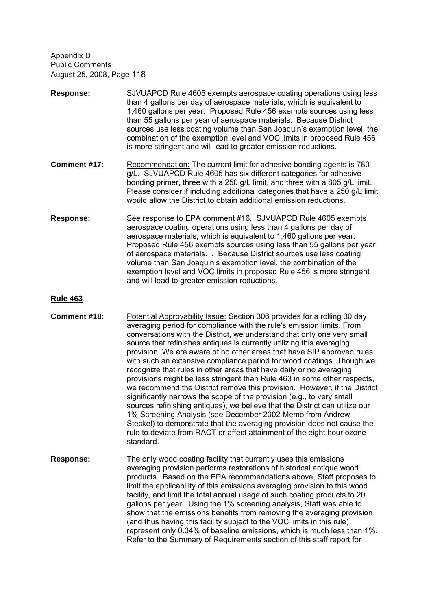- **Response:** SJVUAPCD Rule 4605 exempts aerospace coating operations using less than 4 gallons per day of aerospace materials, which is equivalent to 1,460 gallons per year. Proposed Rule 456 exempts sources using less than 55 gallons per year of aerospace materials. Because District sources use less coating volume than San Joaquin's exemption level, the combination of the exemption level and VOC limits in proposed Rule 456 is more stringent and will lead to greater emission reductions.
- **Comment #17:** Recommendation: The current limit for adhesive bonding agents is 780 g/L. SJVUAPCD Rule 4605 has six different categories for adhesive bonding primer, three with a 250 g/L limit, and three with a 805 g/L limit. Please consider if including additional categories that have a 250 g/L limit would allow the District to obtain additional emission reductions.
- **Response:** See response to EPA comment #16. SJVUAPCD Rule 4605 exempts aerospace coating operations using less than 4 gallons per day of aerospace materials, which is equivalent to 1,460 gallons per year. Proposed Rule 456 exempts sources using less than 55 gallons per year of aerospace materials. . Because District sources use less coating volume than San Joaquin's exemption level, the combination of the exemption level and VOC limits in proposed Rule 456 is more stringent and will lead to greater emission reductions.

- **Comment #18:** Potential Approvability Issue: Section 306 provides for a rolling 30 day averaging period for compliance with the rule's emission limits. From conversations with the District, we understand that only one very small source that refinishes antiques is currently utilizing this averaging provision. We are aware of no other areas that have SIP approved rules with such an extensive compliance period for wood coatings. Though we recognize that rules in other areas that have daily or no averaging provisions might be less stringent than Rule 463 in some other respects, we recommend the District remove this provision. However, if the District significantly narrows the scope of the provision (e.g., to very small sources refinishing antiques), we believe that the District can utilize our 1% Screening Analysis (see December 2002 Memo from Andrew Steckel) to demonstrate that the averaging provision does not cause the rule to deviate from RACT or affect attainment of the eight hour ozone standard.
- **Response:** The only wood coating facility that currently uses this emissions averaging provision performs restorations of historical antique wood products. Based on the EPA recommendations above, Staff proposes to limit the applicability of this emissions averaging provision to this wood facility, and limit the total annual usage of such coating products to 20 gallons per year. Using the 1% screening analysis, Staff was able to show that the emissions benefits from removing the averaging provision (and thus having this facility subject to the VOC limits in this rule) represent only 0.04% of baseline emissions, which is much less than 1%. Refer to the Summary of Requirements section of this staff report for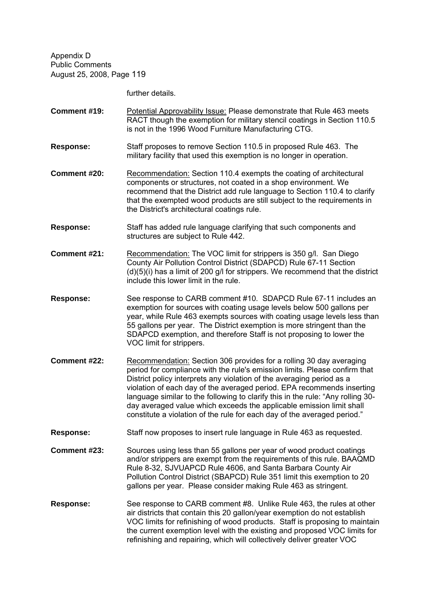further details.

- **Comment #19:** Potential Approvability Issue: Please demonstrate that Rule 463 meets RACT though the exemption for military stencil coatings in Section 110.5 is not in the 1996 Wood Furniture Manufacturing CTG.
- **Response:** Staff proposes to remove Section 110.5 in proposed Rule 463. The military facility that used this exemption is no longer in operation.
- **Comment #20:** Recommendation: Section 110.4 exempts the coating of architectural components or structures, not coated in a shop environment. We recommend that the District add rule language to Section 110.4 to clarify that the exempted wood products are still subject to the requirements in the District's architectural coatings rule.
- **Response:** Staff has added rule language clarifying that such components and structures are subject to Rule 442.
- **Comment #21:** Recommendation: The VOC limit for strippers is 350 g/l. San Diego County Air Pollution Control District (SDAPCD) Rule 67-11 Section (d)(5)(i) has a limit of 200 g/l for strippers. We recommend that the district include this lower limit in the rule.
- **Response:** See response to CARB comment #10. SDAPCD Rule 67-11 includes an exemption for sources with coating usage levels below 500 gallons per year, while Rule 463 exempts sources with coating usage levels less than 55 gallons per year. The District exemption is more stringent than the SDAPCD exemption, and therefore Staff is not proposing to lower the VOC limit for strippers.
- **Comment #22:** Recommendation: Section 306 provides for a rolling 30 day averaging period for compliance with the rule's emission limits. Please confirm that District policy interprets any violation of the averaging period as a violation of each day of the averaged period. EPA recommends inserting language similar to the following to clarify this in the rule: "Any rolling 30day averaged value which exceeds the applicable emission limit shall constitute a violation of the rule for each day of the averaged period.
- **Response:** Staff now proposes to insert rule language in Rule 463 as requested.
- **Comment #23:** Sources using less than 55 gallons per year of wood product coatings and/or strippers are exempt from the requirements of this rule. BAAQMD Rule 8-32, SJVUAPCD Rule 4606, and Santa Barbara County Air Pollution Control District (SBAPCD) Rule 351 limit this exemption to 20 gallons per year. Please consider making Rule 463 as stringent.
- **Response:** See response to CARB comment #8. Unlike Rule 463, the rules at other air districts that contain this 20 gallon/year exemption do not establish VOC limits for refinishing of wood products. Staff is proposing to maintain the current exemption level with the existing and proposed VOC limits for refinishing and repairing, which will collectively deliver greater VOC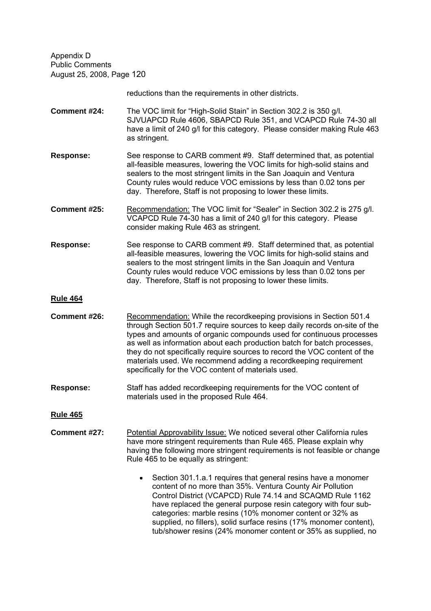reductions than the requirements in other districts.

**Comment #24:** The VOC limit for "High-Solid Stain" in Section 302.2 is 350 g/l. SJVUAPCD Rule 4606, SBAPCD Rule 351, and VCAPCD Rule 74-30 all have a limit of 240 g/l for this category. Please consider making Rule 463 as stringent.

**Response:** See response to CARB comment #9. Staff determined that, as potential all-feasible measures, lowering the VOC limits for high-solid stains and sealers to the most stringent limits in the San Joaquin and Ventura County rules would reduce VOC emissions by less than 0.02 tons per day. Therefore, Staff is not proposing to lower these limits.

- **Comment #25:** Recommendation: The VOC limit for "Sealer" in Section 302.2 is 275 g/l. VCAPCD Rule 74-30 has a limit of 240 g/l for this category. Please consider making Rule 463 as stringent.
- **Response:** See response to CARB comment #9. Staff determined that, as potential all-feasible measures, lowering the VOC limits for high-solid stains and sealers to the most stringent limits in the San Joaquin and Ventura County rules would reduce VOC emissions by less than 0.02 tons per day. Therefore, Staff is not proposing to lower these limits.

#### **Rule 464**

- **Comment #26:** Recommendation: While the recordkeeping provisions in Section 501.4 through Section 501.7 require sources to keep daily records on-site of the types and amounts of organic compounds used for continuous processes as well as information about each production batch for batch processes, they do not specifically require sources to record the VOC content of the materials used. We recommend adding a recordkeeping requirement specifically for the VOC content of materials used.
- **Response:** Staff has added recordkeeping requirements for the VOC content of materials used in the proposed Rule 464.

- **Comment #27:** Potential Approvability Issue: We noticed several other California rules have more stringent requirements than Rule 465. Please explain why having the following more stringent requirements is not feasible or change Rule 465 to be equally as stringent:
	- Section 301.1.a.1 requires that general resins have a monomer  $\bullet$ content of no more than 35%. Ventura County Air Pollution Control District (VCAPCD) Rule 74.14 and SCAQMD Rule 1162 have replaced the general purpose resin category with four subcategories: marble resins (10% monomer content or 32% as supplied, no fillers), solid surface resins (17% monomer content), tub/shower resins (24% monomer content or 35% as supplied, no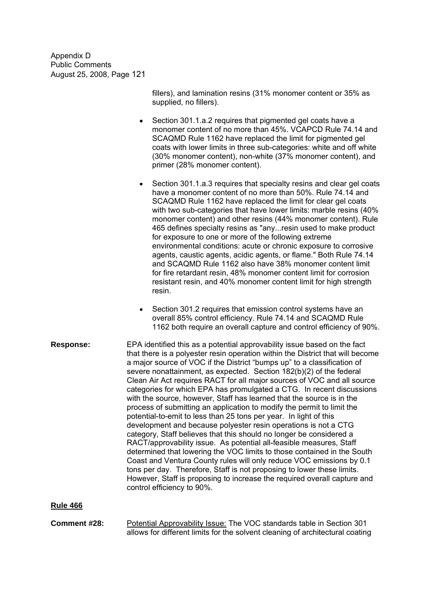> fillers), and lamination resins (31% monomer content or 35% as supplied, no fillers).

- Section 301.1.a.2 requires that pigmented gel coats have a monomer content of no more than 45%. VCAPCD Rule 74.14 and SCAQMD Rule 1162 have replaced the limit for pigmented gel coats with lower limits in three sub-categories: white and off white (30% monomer content), non-white (37% monomer content), and primer (28% monomer content).
- Section 301.1.a.3 requires that specialty resins and clear gel coats  $\bullet$ have a monomer content of no more than 50%. Rule 74.14 and SCAQMD Rule 1162 have replaced the limit for clear gel coats with two sub-categories that have lower limits: marble resins (40% monomer content) and other resins (44% monomer content). Rule 465 defines specialty resins as "any...resin used to make product for exposure to one or more of the following extreme environmental conditions: acute or chronic exposure to corrosive agents, caustic agents, acidic agents, or flame." Both Rule 74.14 and SCAQMD Rule 1162 also have 38% monomer content limit for fire retardant resin, 48% monomer content limit for corrosion resistant resin, and 40% monomer content limit for high strength resin.
- Section 301.2 requires that emission control systems have an overall 85% control efficiency. Rule 74.14 and SCAQMD Rule 1162 both require an overall capture and control efficiency of 90%.
- **Response:** EPA identified this as a potential approvability issue based on the fact that there is a polyester resin operation within the District that will become a major source of VOC if the District "bumps up" to a classification of severe nonattainment, as expected. Section 182(b)(2) of the federal Clean Air Act requires RACT for all major sources of VOC and all source categories for which EPA has promulgated a CTG. In recent discussions with the source, however, Staff has learned that the source is in the process of submitting an application to modify the permit to limit the potential-to-emit to less than 25 tons per year. In light of this development and because polyester resin operations is not a CTG category, Staff believes that this should no longer be considered a RACT/approvability issue. As potential all-feasible measures, Staff determined that lowering the VOC limits to those contained in the South Coast and Ventura County rules will only reduce VOC emissions by 0.1 tons per day. Therefore, Staff is not proposing to lower these limits. However, Staff is proposing to increase the required overall capture and control efficiency to 90%.

## **Rule 466**

**Comment #28:** Potential Approvability Issue: The VOC standards table in Section 301 allows for different limits for the solvent cleaning of architectural coating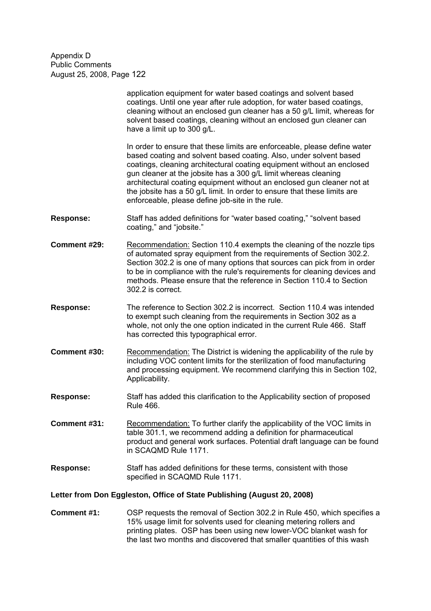|                                                                         | application equipment for water based coatings and solvent based<br>coatings. Until one year after rule adoption, for water based coatings,<br>cleaning without an enclosed gun cleaner has a 50 g/L limit, whereas for<br>solvent based coatings, cleaning without an enclosed gun cleaner can<br>have a limit up to 300 g/L.                                                                                                                                                                         |  |
|-------------------------------------------------------------------------|--------------------------------------------------------------------------------------------------------------------------------------------------------------------------------------------------------------------------------------------------------------------------------------------------------------------------------------------------------------------------------------------------------------------------------------------------------------------------------------------------------|--|
|                                                                         | In order to ensure that these limits are enforceable, please define water<br>based coating and solvent based coating. Also, under solvent based<br>coatings, cleaning architectural coating equipment without an enclosed<br>gun cleaner at the jobsite has a 300 g/L limit whereas cleaning<br>architectural coating equipment without an enclosed gun cleaner not at<br>the jobsite has a 50 g/L limit. In order to ensure that these limits are<br>enforceable, please define job-site in the rule. |  |
| Response:                                                               | Staff has added definitions for "water based coating," "solvent based<br>coating," and "jobsite."                                                                                                                                                                                                                                                                                                                                                                                                      |  |
| Comment #29:                                                            | Recommendation: Section 110.4 exempts the cleaning of the nozzle tips<br>of automated spray equipment from the requirements of Section 302.2.<br>Section 302.2 is one of many options that sources can pick from in order<br>to be in compliance with the rule's requirements for cleaning devices and<br>methods. Please ensure that the reference in Section 110.4 to Section<br>302.2 is correct.                                                                                                   |  |
| <b>Response:</b>                                                        | The reference to Section 302.2 is incorrect. Section 110.4 was intended<br>to exempt such cleaning from the requirements in Section 302 as a<br>whole, not only the one option indicated in the current Rule 466. Staff<br>has corrected this typographical error.                                                                                                                                                                                                                                     |  |
| Comment #30:                                                            | Recommendation: The District is widening the applicability of the rule by<br>including VOC content limits for the sterilization of food manufacturing<br>and processing equipment. We recommend clarifying this in Section 102,<br>Applicability.                                                                                                                                                                                                                                                      |  |
| <b>Response:</b>                                                        | Staff has added this clarification to the Applicability section of proposed<br><b>Rule 466.</b>                                                                                                                                                                                                                                                                                                                                                                                                        |  |
| Comment #31:                                                            | Recommendation: To further clarify the applicability of the VOC limits in<br>table 301.1, we recommend adding a definition for pharmaceutical<br>product and general work surfaces. Potential draft language can be found<br>in SCAQMD Rule 1171.                                                                                                                                                                                                                                                      |  |
| <b>Response:</b>                                                        | Staff has added definitions for these terms, consistent with those<br>specified in SCAQMD Rule 1171.                                                                                                                                                                                                                                                                                                                                                                                                   |  |
| Letter from Don Eggleston, Office of State Publishing (August 20, 2008) |                                                                                                                                                                                                                                                                                                                                                                                                                                                                                                        |  |
|                                                                         |                                                                                                                                                                                                                                                                                                                                                                                                                                                                                                        |  |

**Comment #1:** OSP requests the removal of Section 302.2 in Rule 450, which specifies a 15% usage limit for solvents used for cleaning metering rollers and printing plates. OSP has been using new lower-VOC blanket wash for the last two months and discovered that smaller quantities of this wash